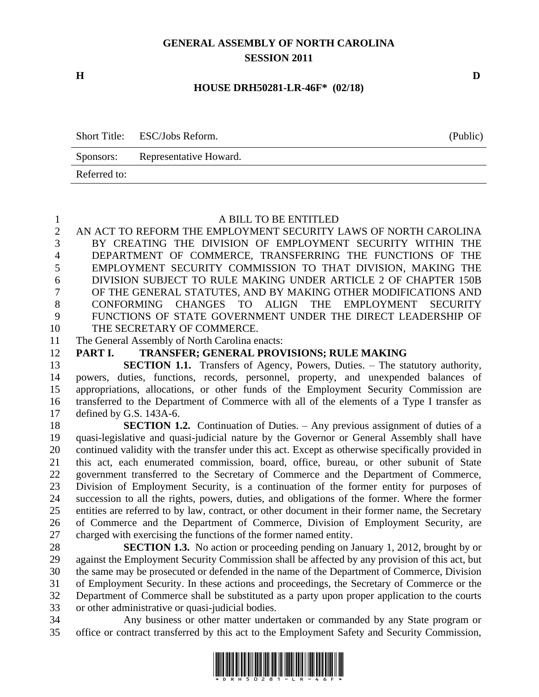# **GENERAL ASSEMBLY OF NORTH CAROLINA SESSION 2011**

**H D**

#### **HOUSE DRH50281-LR-46F\* (02/18)**

|              | Short Title: ESC/Jobs Reform. | (Public) |
|--------------|-------------------------------|----------|
| Sponsors:    | Representative Howard.        |          |
| Referred to: |                               |          |

#### A BILL TO BE ENTITLED

 AN ACT TO REFORM THE EMPLOYMENT SECURITY LAWS OF NORTH CAROLINA BY CREATING THE DIVISION OF EMPLOYMENT SECURITY WITHIN THE DEPARTMENT OF COMMERCE, TRANSFERRING THE FUNCTIONS OF THE EMPLOYMENT SECURITY COMMISSION TO THAT DIVISION, MAKING THE DIVISION SUBJECT TO RULE MAKING UNDER ARTICLE 2 OF CHAPTER 150B OF THE GENERAL STATUTES, AND BY MAKING OTHER MODIFICATIONS AND CONFORMING CHANGES TO ALIGN THE EMPLOYMENT SECURITY FUNCTIONS OF STATE GOVERNMENT UNDER THE DIRECT LEADERSHIP OF THE SECRETARY OF COMMERCE.

The General Assembly of North Carolina enacts:

# **PART I. TRANSFER; GENERAL PROVISIONS; RULE MAKING**

**SECTION 1.1.** Transfers of Agency, Powers, Duties. – The statutory authority, powers, duties, functions, records, personnel, property, and unexpended balances of appropriations, allocations, or other funds of the Employment Security Commission are transferred to the Department of Commerce with all of the elements of a Type I transfer as defined by G.S. 143A-6.

**SECTION 1.2.** Continuation of Duties. – Any previous assignment of duties of a quasi-legislative and quasi-judicial nature by the Governor or General Assembly shall have continued validity with the transfer under this act. Except as otherwise specifically provided in this act, each enumerated commission, board, office, bureau, or other subunit of State government transferred to the Secretary of Commerce and the Department of Commerce, Division of Employment Security, is a continuation of the former entity for purposes of succession to all the rights, powers, duties, and obligations of the former. Where the former entities are referred to by law, contract, or other document in their former name, the Secretary of Commerce and the Department of Commerce, Division of Employment Security, are charged with exercising the functions of the former named entity.

 **SECTION 1.3.** No action or proceeding pending on January 1, 2012, brought by or against the Employment Security Commission shall be affected by any provision of this act, but the same may be prosecuted or defended in the name of the Department of Commerce, Division of Employment Security. In these actions and proceedings, the Secretary of Commerce or the Department of Commerce shall be substituted as a party upon proper application to the courts or other administrative or quasi-judicial bodies.

 Any business or other matter undertaken or commanded by any State program or office or contract transferred by this act to the Employment Safety and Security Commission,

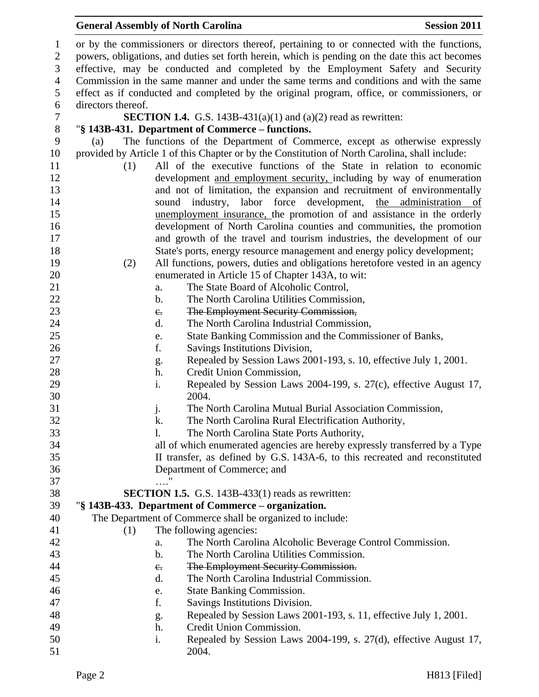or by the commissioners or directors thereof, pertaining to or connected with the functions, powers, obligations, and duties set forth herein, which is pending on the date this act becomes effective, may be conducted and completed by the Employment Safety and Security Commission in the same manner and under the same terms and conditions and with the same effect as if conducted and completed by the original program, office, or commissioners, or directors thereof. **SECTION 1.4.** G.S. 143B-431(a)(1) and (a)(2) read as rewritten: "**§ 143B-431. Department of Commerce – functions.** (a) The functions of the Department of Commerce, except as otherwise expressly provided by Article 1 of this Chapter or by the Constitution of North Carolina, shall include: (1) All of the executive functions of the State in relation to economic development and employment security, including by way of enumeration and not of limitation, the expansion and recruitment of environmentally sound industry, labor force development, the administration of unemployment insurance, the promotion of and assistance in the orderly development of North Carolina counties and communities, the promotion and growth of the travel and tourism industries, the development of our State's ports, energy resource management and energy policy development; (2) All functions, powers, duties and obligations heretofore vested in an agency enumerated in Article 15 of Chapter 143A, to wit: 21 a. The State Board of Alcoholic Control, b. The North Carolina Utilities Commission, 23 c. The Employment Security Commission, d. The North Carolina Industrial Commission, e. State Banking Commission and the Commissioner of Banks, f. Savings Institutions Division, g. Repealed by Session Laws 2001-193, s. 10, effective July 1, 2001. h. Credit Union Commission, i. Repealed by Session Laws 2004-199, s. 27(c), effective August 17, 2004. j. The North Carolina Mutual Burial Association Commission, k. The North Carolina Rural Electrification Authority, l. The North Carolina State Ports Authority, all of which enumerated agencies are hereby expressly transferred by a Type II transfer, as defined by G.S. 143A-6, to this recreated and reconstituted Department of Commerce; and …." **SECTION 1.5.** G.S. 143B-433(1) reads as rewritten: "**§ 143B-433. Department of Commerce – organization.** The Department of Commerce shall be organized to include: (1) The following agencies: a. The North Carolina Alcoholic Beverage Control Commission. b. The North Carolina Utilities Commission. 44 c. The Employment Security Commission. d. The North Carolina Industrial Commission. e. State Banking Commission. f. Savings Institutions Division. g. Repealed by Session Laws 2001-193, s. 11, effective July 1, 2001. h. Credit Union Commission. i. Repealed by Session Laws 2004-199, s. 27(d), effective August 17, 2004.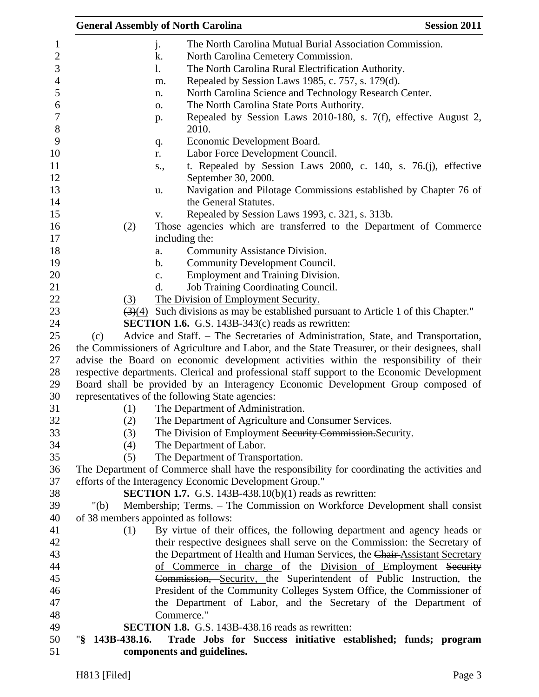|                                     |                | <b>General Assembly of North Carolina</b>                                                               | <b>Session 2011</b> |
|-------------------------------------|----------------|---------------------------------------------------------------------------------------------------------|---------------------|
|                                     | j.             | The North Carolina Mutual Burial Association Commission.                                                |                     |
|                                     | k.             | North Carolina Cemetery Commission.                                                                     |                     |
|                                     | 1.             | The North Carolina Rural Electrification Authority.                                                     |                     |
|                                     | m.             | Repealed by Session Laws 1985, c. 757, s. 179(d).                                                       |                     |
|                                     | n.             | North Carolina Science and Technology Research Center.                                                  |                     |
|                                     | 0.             | The North Carolina State Ports Authority.                                                               |                     |
|                                     | p.             | Repealed by Session Laws 2010-180, s. 7(f), effective August 2,                                         |                     |
|                                     |                | 2010.                                                                                                   |                     |
|                                     | q.             | Economic Development Board.                                                                             |                     |
|                                     | r.             | Labor Force Development Council.                                                                        |                     |
|                                     | s.,            | t. Repealed by Session Laws 2000, c. 140, s. 76.(j), effective                                          |                     |
|                                     |                | September 30, 2000.                                                                                     |                     |
|                                     | u.             | Navigation and Pilotage Commissions established by Chapter 76 of                                        |                     |
|                                     |                | the General Statutes.                                                                                   |                     |
|                                     | V.             | Repealed by Session Laws 1993, c. 321, s. 313b.                                                         |                     |
| (2)                                 |                | Those agencies which are transferred to the Department of Commerce                                      |                     |
|                                     |                | including the:                                                                                          |                     |
|                                     | a.             | Community Assistance Division.                                                                          |                     |
|                                     | b.             | <b>Community Development Council.</b>                                                                   |                     |
|                                     | $\mathbf{c}$ . | Employment and Training Division.                                                                       |                     |
|                                     | d.             | Job Training Coordinating Council.                                                                      |                     |
| (3)                                 |                | The Division of Employment Security.                                                                    |                     |
|                                     |                | $\left(\frac{3}{4}\right)$ Such divisions as may be established pursuant to Article 1 of this Chapter." |                     |
|                                     |                | <b>SECTION 1.6.</b> G.S. 143B-343 $(c)$ reads as rewritten:                                             |                     |
| (c)                                 |                | Advice and Staff. - The Secretaries of Administration, State, and Transportation,                       |                     |
|                                     |                | the Commissioners of Agriculture and Labor, and the State Treasurer, or their designees, shall          |                     |
|                                     |                | advise the Board on economic development activities within the responsibility of their                  |                     |
|                                     |                | respective departments. Clerical and professional staff support to the Economic Development             |                     |
|                                     |                | Board shall be provided by an Interagency Economic Development Group composed of                        |                     |
|                                     |                | representatives of the following State agencies:                                                        |                     |
| (1)                                 |                | The Department of Administration.                                                                       |                     |
| (2)                                 |                | The Department of Agriculture and Consumer Services.                                                    |                     |
| (3)                                 |                | The Division of Employment Security Commission. Security.                                               |                     |
| (4)                                 |                | The Department of Labor.                                                                                |                     |
| (5)                                 |                | The Department of Transportation.                                                                       |                     |
|                                     |                | The Department of Commerce shall have the responsibility for coordinating the activities and            |                     |
|                                     |                | efforts of the Interagency Economic Development Group."                                                 |                     |
|                                     |                | <b>SECTION 1.7.</b> G.S. 143B-438.10(b)(1) reads as rewritten:                                          |                     |
| " $(b)$                             |                | Membership; Terms. - The Commission on Workforce Development shall consist                              |                     |
| of 38 members appointed as follows: |                |                                                                                                         |                     |
| (1)                                 |                | By virtue of their offices, the following department and agency heads or                                |                     |
|                                     |                | their respective designees shall serve on the Commission: the Secretary of                              |                     |
|                                     |                | the Department of Health and Human Services, the Chair-Assistant Secretary                              |                     |
|                                     |                | of Commerce in charge of the Division of Employment Security                                            |                     |
|                                     |                | Commission, Security, the Superintendent of Public Instruction, the                                     |                     |
|                                     |                | President of the Community Colleges System Office, the Commissioner of                                  |                     |
|                                     |                | the Department of Labor, and the Secretary of the Department of                                         |                     |
|                                     | Commerce."     |                                                                                                         |                     |
| 143B-438.16.<br>"§                  |                | SECTION 1.8. G.S. 143B-438.16 reads as rewritten:                                                       |                     |
|                                     |                | Trade Jobs for Success initiative established; funds; program<br>components and guidelines.             |                     |
|                                     |                |                                                                                                         |                     |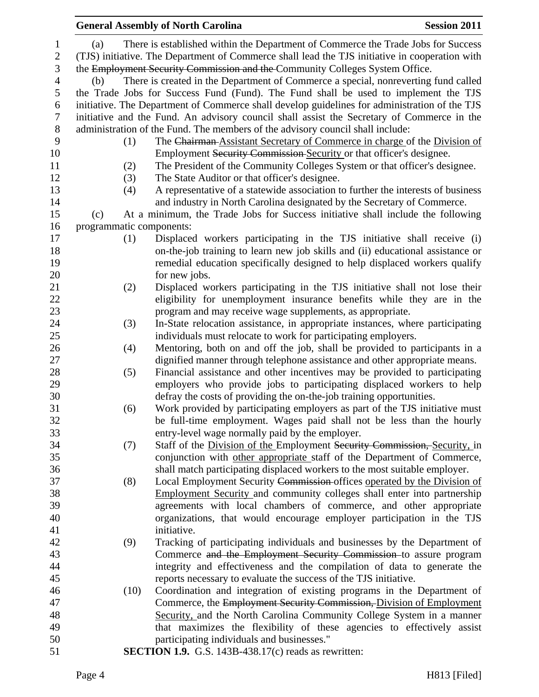|              |                                                                                           | <b>General Assembly of North Carolina</b>                                                      | <b>Session 2011</b> |  |  |
|--------------|-------------------------------------------------------------------------------------------|------------------------------------------------------------------------------------------------|---------------------|--|--|
| $\mathbf{1}$ | (a)                                                                                       | There is established within the Department of Commerce the Trade Jobs for Success              |                     |  |  |
| $\mathbf{2}$ |                                                                                           | (TJS) initiative. The Department of Commerce shall lead the TJS initiative in cooperation with |                     |  |  |
| 3            |                                                                                           | the Employment Security Commission and the Community Colleges System Office.                   |                     |  |  |
| 4            | There is created in the Department of Commerce a special, nonreverting fund called<br>(b) |                                                                                                |                     |  |  |
| 5            | the Trade Jobs for Success Fund (Fund). The Fund shall be used to implement the TJS       |                                                                                                |                     |  |  |
| 6            |                                                                                           | initiative. The Department of Commerce shall develop guidelines for administration of the TJS  |                     |  |  |
| 7            |                                                                                           | initiative and the Fund. An advisory council shall assist the Secretary of Commerce in the     |                     |  |  |
| $8\,$        |                                                                                           | administration of the Fund. The members of the advisory council shall include:                 |                     |  |  |
| 9            | (1)                                                                                       | The Chairman Assistant Secretary of Commerce in charge of the Division of                      |                     |  |  |
| 10           |                                                                                           | Employment Security Commission Security or that officer's designee.                            |                     |  |  |
| 11           | (2)                                                                                       | The President of the Community Colleges System or that officer's designee.                     |                     |  |  |
| 12           | (3)                                                                                       | The State Auditor or that officer's designee.                                                  |                     |  |  |
| 13           | (4)                                                                                       | A representative of a statewide association to further the interests of business               |                     |  |  |
| 14           |                                                                                           | and industry in North Carolina designated by the Secretary of Commerce.                        |                     |  |  |
| 15           | (c)                                                                                       | At a minimum, the Trade Jobs for Success initiative shall include the following                |                     |  |  |
| 16           | programmatic components:                                                                  |                                                                                                |                     |  |  |
| 17           | (1)                                                                                       | Displaced workers participating in the TJS initiative shall receive (i)                        |                     |  |  |
| 18           |                                                                                           | on-the-job training to learn new job skills and (ii) educational assistance or                 |                     |  |  |
| 19           |                                                                                           | remedial education specifically designed to help displaced workers qualify                     |                     |  |  |
| 20           |                                                                                           | for new jobs.                                                                                  |                     |  |  |
| 21           | (2)                                                                                       | Displaced workers participating in the TJS initiative shall not lose their                     |                     |  |  |
| 22           |                                                                                           | eligibility for unemployment insurance benefits while they are in the                          |                     |  |  |
| 23           |                                                                                           | program and may receive wage supplements, as appropriate.                                      |                     |  |  |
| 24           | (3)                                                                                       | In-State relocation assistance, in appropriate instances, where participating                  |                     |  |  |
| 25           |                                                                                           | individuals must relocate to work for participating employers.                                 |                     |  |  |
| 26           | (4)                                                                                       | Mentoring, both on and off the job, shall be provided to participants in a                     |                     |  |  |
| 27           |                                                                                           | dignified manner through telephone assistance and other appropriate means.                     |                     |  |  |
| 28           | (5)                                                                                       | Financial assistance and other incentives may be provided to participating                     |                     |  |  |
| 29           |                                                                                           | employers who provide jobs to participating displaced workers to help                          |                     |  |  |
| 30           |                                                                                           | defray the costs of providing the on-the-job training opportunities.                           |                     |  |  |
| 31           | (6)                                                                                       | Work provided by participating employers as part of the TJS initiative must                    |                     |  |  |
| 32           |                                                                                           | be full-time employment. Wages paid shall not be less than the hourly                          |                     |  |  |
| 33           |                                                                                           | entry-level wage normally paid by the employer.                                                |                     |  |  |
| 34           | (7)                                                                                       | Staff of the Division of the Employment Security Commission, Security, in                      |                     |  |  |
| 35           |                                                                                           | conjunction with other appropriate staff of the Department of Commerce,                        |                     |  |  |
| 36           |                                                                                           | shall match participating displaced workers to the most suitable employer.                     |                     |  |  |
| 37           | (8)                                                                                       | Local Employment Security Commission offices operated by the Division of                       |                     |  |  |
| 38           |                                                                                           | Employment Security and community colleges shall enter into partnership                        |                     |  |  |
| 39           |                                                                                           | agreements with local chambers of commerce, and other appropriate                              |                     |  |  |
| 40           |                                                                                           | organizations, that would encourage employer participation in the TJS                          |                     |  |  |
| 41           |                                                                                           | initiative.                                                                                    |                     |  |  |
| 42           | (9)                                                                                       | Tracking of participating individuals and businesses by the Department of                      |                     |  |  |
| 43           |                                                                                           | Commerce and the Employment Security Commission to assure program                              |                     |  |  |
| 44           |                                                                                           | integrity and effectiveness and the compilation of data to generate the                        |                     |  |  |
| 45           |                                                                                           | reports necessary to evaluate the success of the TJS initiative.                               |                     |  |  |
| 46           | (10)                                                                                      | Coordination and integration of existing programs in the Department of                         |                     |  |  |
| 47           |                                                                                           | Commerce, the Employment Security Commission, Division of Employment                           |                     |  |  |
| 48           |                                                                                           | Security, and the North Carolina Community College System in a manner                          |                     |  |  |
| 49           |                                                                                           | that maximizes the flexibility of these agencies to effectively assist                         |                     |  |  |
| 50           |                                                                                           | participating individuals and businesses."                                                     |                     |  |  |
| 51           |                                                                                           | <b>SECTION 1.9.</b> G.S. 143B-438.17 $(c)$ reads as rewritten:                                 |                     |  |  |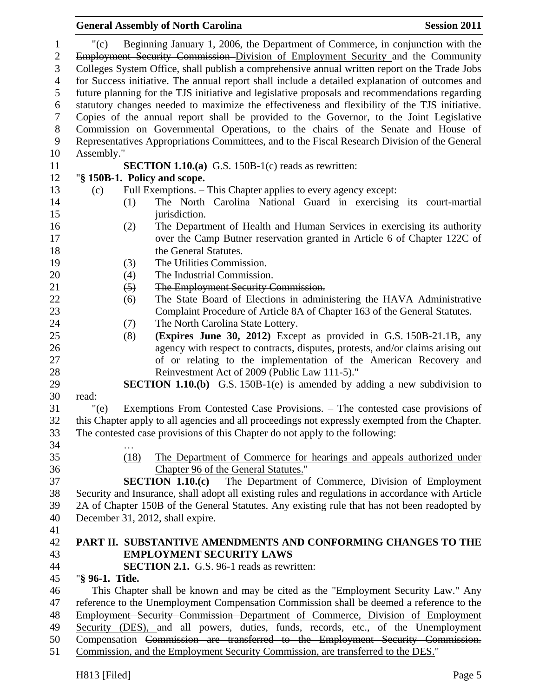|                 |                  | <b>General Assembly of North Carolina</b>                                                                                                                                                                                                                                                                                                                                                                                                                                                                                                                                                                                                                                                                                                                                                                                                               | <b>Session 2011</b> |
|-----------------|------------------|---------------------------------------------------------------------------------------------------------------------------------------------------------------------------------------------------------------------------------------------------------------------------------------------------------------------------------------------------------------------------------------------------------------------------------------------------------------------------------------------------------------------------------------------------------------------------------------------------------------------------------------------------------------------------------------------------------------------------------------------------------------------------------------------------------------------------------------------------------|---------------------|
| " $(c)$         |                  | Beginning January 1, 2006, the Department of Commerce, in conjunction with the<br>Employment Security Commission Division of Employment Security and the Community<br>Colleges System Office, shall publish a comprehensive annual written report on the Trade Jobs<br>for Success initiative. The annual report shall include a detailed explanation of outcomes and<br>future planning for the TJS initiative and legislative proposals and recommendations regarding<br>statutory changes needed to maximize the effectiveness and flexibility of the TJS initiative.<br>Copies of the annual report shall be provided to the Governor, to the Joint Legislative<br>Commission on Governmental Operations, to the chairs of the Senate and House of<br>Representatives Appropriations Committees, and to the Fiscal Research Division of the General |                     |
| Assembly."      |                  |                                                                                                                                                                                                                                                                                                                                                                                                                                                                                                                                                                                                                                                                                                                                                                                                                                                         |                     |
|                 |                  | <b>SECTION 1.10.(a)</b> G.S. 150B-1(c) reads as rewritten:<br>"§ 150B-1. Policy and scope.                                                                                                                                                                                                                                                                                                                                                                                                                                                                                                                                                                                                                                                                                                                                                              |                     |
| (c)             |                  | Full Exemptions. – This Chapter applies to every agency except:                                                                                                                                                                                                                                                                                                                                                                                                                                                                                                                                                                                                                                                                                                                                                                                         |                     |
|                 | (1)              | The North Carolina National Guard in exercising its court-martial<br>jurisdiction.                                                                                                                                                                                                                                                                                                                                                                                                                                                                                                                                                                                                                                                                                                                                                                      |                     |
|                 | (2)              | The Department of Health and Human Services in exercising its authority<br>over the Camp Butner reservation granted in Article 6 of Chapter 122C of<br>the General Statutes.                                                                                                                                                                                                                                                                                                                                                                                                                                                                                                                                                                                                                                                                            |                     |
|                 | (3)              | The Utilities Commission.                                                                                                                                                                                                                                                                                                                                                                                                                                                                                                                                                                                                                                                                                                                                                                                                                               |                     |
|                 | (4)              | The Industrial Commission.                                                                                                                                                                                                                                                                                                                                                                                                                                                                                                                                                                                                                                                                                                                                                                                                                              |                     |
|                 | $\left(5\right)$ | The Employment Security Commission.                                                                                                                                                                                                                                                                                                                                                                                                                                                                                                                                                                                                                                                                                                                                                                                                                     |                     |
|                 | (6)              | The State Board of Elections in administering the HAVA Administrative                                                                                                                                                                                                                                                                                                                                                                                                                                                                                                                                                                                                                                                                                                                                                                                   |                     |
|                 |                  | Complaint Procedure of Article 8A of Chapter 163 of the General Statutes.                                                                                                                                                                                                                                                                                                                                                                                                                                                                                                                                                                                                                                                                                                                                                                               |                     |
|                 | (7)              | The North Carolina State Lottery.                                                                                                                                                                                                                                                                                                                                                                                                                                                                                                                                                                                                                                                                                                                                                                                                                       |                     |
|                 | (8)              | (Expires June 30, 2012) Except as provided in G.S. 150B-21.1B, any                                                                                                                                                                                                                                                                                                                                                                                                                                                                                                                                                                                                                                                                                                                                                                                      |                     |
|                 |                  | agency with respect to contracts, disputes, protests, and/or claims arising out<br>of or relating to the implementation of the American Recovery and                                                                                                                                                                                                                                                                                                                                                                                                                                                                                                                                                                                                                                                                                                    |                     |
|                 |                  | Reinvestment Act of 2009 (Public Law 111-5)."                                                                                                                                                                                                                                                                                                                                                                                                                                                                                                                                                                                                                                                                                                                                                                                                           |                     |
|                 |                  | <b>SECTION 1.10.(b)</b> G.S. 150B-1(e) is amended by adding a new subdivision to                                                                                                                                                                                                                                                                                                                                                                                                                                                                                                                                                                                                                                                                                                                                                                        |                     |
| read:           |                  |                                                                                                                                                                                                                                                                                                                                                                                                                                                                                                                                                                                                                                                                                                                                                                                                                                                         |                     |
| " $(e)$         |                  | Exemptions From Contested Case Provisions. - The contested case provisions of<br>this Chapter apply to all agencies and all proceedings not expressly exempted from the Chapter.<br>The contested case provisions of this Chapter do not apply to the following:                                                                                                                                                                                                                                                                                                                                                                                                                                                                                                                                                                                        |                     |
|                 |                  |                                                                                                                                                                                                                                                                                                                                                                                                                                                                                                                                                                                                                                                                                                                                                                                                                                                         |                     |
|                 | (18)             | The Department of Commerce for hearings and appeals authorized under                                                                                                                                                                                                                                                                                                                                                                                                                                                                                                                                                                                                                                                                                                                                                                                    |                     |
|                 |                  | Chapter 96 of the General Statutes."                                                                                                                                                                                                                                                                                                                                                                                                                                                                                                                                                                                                                                                                                                                                                                                                                    |                     |
|                 |                  | The Department of Commerce, Division of Employment<br>SECTION $1.10(c)$                                                                                                                                                                                                                                                                                                                                                                                                                                                                                                                                                                                                                                                                                                                                                                                 |                     |
|                 |                  | Security and Insurance, shall adopt all existing rules and regulations in accordance with Article                                                                                                                                                                                                                                                                                                                                                                                                                                                                                                                                                                                                                                                                                                                                                       |                     |
|                 |                  | 2A of Chapter 150B of the General Statutes. Any existing rule that has not been readopted by                                                                                                                                                                                                                                                                                                                                                                                                                                                                                                                                                                                                                                                                                                                                                            |                     |
|                 |                  | December 31, 2012, shall expire.                                                                                                                                                                                                                                                                                                                                                                                                                                                                                                                                                                                                                                                                                                                                                                                                                        |                     |
|                 |                  |                                                                                                                                                                                                                                                                                                                                                                                                                                                                                                                                                                                                                                                                                                                                                                                                                                                         |                     |
|                 |                  | PART II. SUBSTANTIVE AMENDMENTS AND CONFORMING CHANGES TO THE                                                                                                                                                                                                                                                                                                                                                                                                                                                                                                                                                                                                                                                                                                                                                                                           |                     |
|                 |                  | <b>EMPLOYMENT SECURITY LAWS</b>                                                                                                                                                                                                                                                                                                                                                                                                                                                                                                                                                                                                                                                                                                                                                                                                                         |                     |
|                 |                  | <b>SECTION 2.1.</b> G.S. 96-1 reads as rewritten:                                                                                                                                                                                                                                                                                                                                                                                                                                                                                                                                                                                                                                                                                                                                                                                                       |                     |
| "§ 96-1. Title. |                  |                                                                                                                                                                                                                                                                                                                                                                                                                                                                                                                                                                                                                                                                                                                                                                                                                                                         |                     |
|                 |                  | This Chapter shall be known and may be cited as the "Employment Security Law." Any                                                                                                                                                                                                                                                                                                                                                                                                                                                                                                                                                                                                                                                                                                                                                                      |                     |
|                 |                  | reference to the Unemployment Compensation Commission shall be deemed a reference to the                                                                                                                                                                                                                                                                                                                                                                                                                                                                                                                                                                                                                                                                                                                                                                |                     |
|                 |                  | Employment Security Commission Department of Commerce, Division of Employment                                                                                                                                                                                                                                                                                                                                                                                                                                                                                                                                                                                                                                                                                                                                                                           |                     |
|                 |                  | Security (DES), and all powers, duties, funds, records, etc., of the Unemployment                                                                                                                                                                                                                                                                                                                                                                                                                                                                                                                                                                                                                                                                                                                                                                       |                     |
|                 |                  | Compensation Commission are transferred to the Employment Security Commission.                                                                                                                                                                                                                                                                                                                                                                                                                                                                                                                                                                                                                                                                                                                                                                          |                     |
|                 |                  | Commission, and the Employment Security Commission, are transferred to the DES."                                                                                                                                                                                                                                                                                                                                                                                                                                                                                                                                                                                                                                                                                                                                                                        |                     |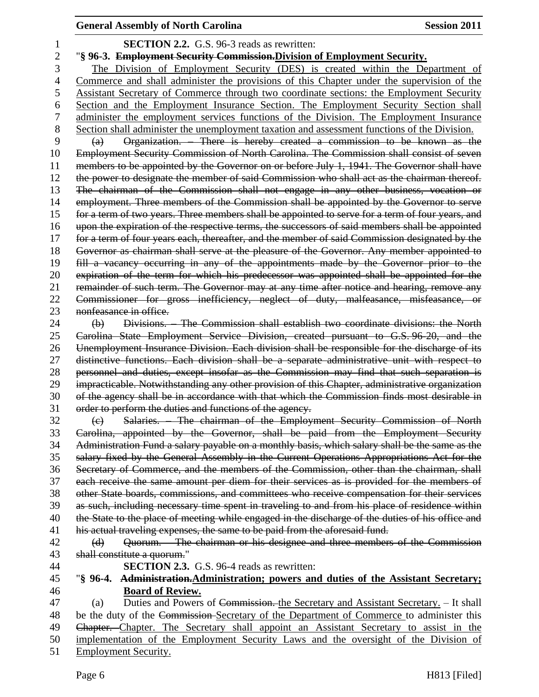# **SECTION 2.2.** G.S. 96-3 reads as rewritten: "**§ 96-3. Employment Security Commission.Division of Employment Security.** The Division of Employment Security (DES) is created within the Department of Commerce and shall administer the provisions of this Chapter under the supervision of the Assistant Secretary of Commerce through two coordinate sections: the Employment Security Section and the Employment Insurance Section. The Employment Security Section shall administer the employment services functions of the Division. The Employment Insurance 8 Section shall administer the unemployment taxation and assessment functions of the Division. (a) Organization. – There is hereby created a commission to be known as the 10 Employment Security Commission of North Carolina. The Commission shall consist of seven 11 members to be appointed by the Governor on or before July 1, 1941. The Governor shall have the power to designate the member of said Commission who shall act as the chairman thereof. The chairman of the Commission shall not engage in any other business, vocation or employment. Three members of the Commission shall be appointed by the Governor to serve 15 for a term of two years. Three members shall be appointed to serve for a term of four years, and upon the expiration of the respective terms, the successors of said members shall be appointed for a term of four years each, thereafter, and the member of said Commission designated by the Governor as chairman shall serve at the pleasure of the Governor. Any member appointed to fill a vacancy occurring in any of the appointments made by the Governor prior to the expiration of the term for which his predecessor was appointed shall be appointed for the 21 remainder of such term. The Governor may at any time after notice and hearing, remove any Commissioner for gross inefficiency, neglect of duty, malfeasance, misfeasance, or 23 nonfeasance in office. (b) Divisions. – The Commission shall establish two coordinate divisions: the North Carolina State Employment Service Division, created pursuant to G.S. 96-20, and the Unemployment Insurance Division. Each division shall be responsible for the discharge of its distinctive functions. Each division shall be a separate administrative unit with respect to personnel and duties, except insofar as the Commission may find that such separation is impracticable. Notwithstanding any other provision of this Chapter, administrative organization of the agency shall be in accordance with that which the Commission finds most desirable in order to perform the duties and functions of the agency. (c) Salaries. – The chairman of the Employment Security Commission of North Carolina, appointed by the Governor, shall be paid from the Employment Security Administration Fund a salary payable on a monthly basis, which salary shall be the same as the salary fixed by the General Assembly in the Current Operations Appropriations Act for the Secretary of Commerce, and the members of the Commission, other than the chairman, shall each receive the same amount per diem for their services as is provided for the members of other State boards, commissions, and committees who receive compensation for their services as such, including necessary time spent in traveling to and from his place of residence within 40 the State to the place of meeting while engaged in the discharge of the duties of his office and 41 his actual traveling expenses, the same to be paid from the aforesaid fund. (d) Quorum. – The chairman or his designee and three members of the Commission shall constitute a quorum." **SECTION 2.3.** G.S. 96-4 reads as rewritten: "**§ 96-4. Administration.Administration; powers and duties of the Assistant Secretary; Board of Review.** (a) Duties and Powers of Commission. the Secretary and Assistant Secretary. – It shall 48 be the duty of the Commission-Secretary of the Department of Commerce to administer this Chapter. Chapter. The Secretary shall appoint an Assistant Secretary to assist in the implementation of the Employment Security Laws and the oversight of the Division of Employment Security.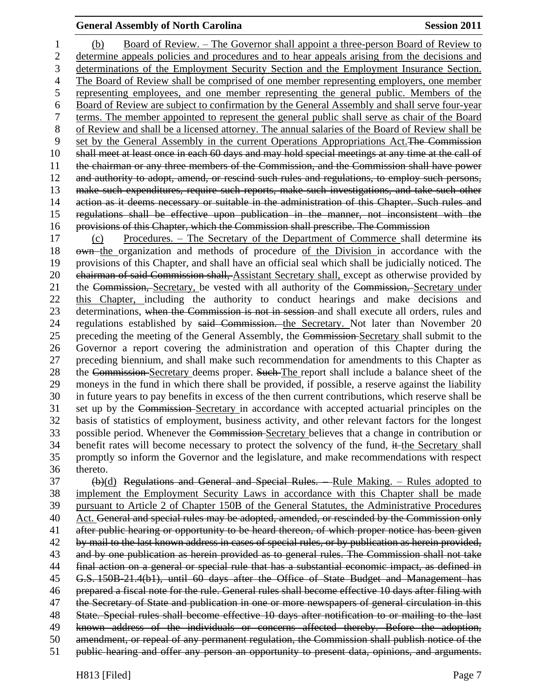(b) Board of Review. – The Governor shall appoint a three-person Board of Review to determine appeals policies and procedures and to hear appeals arising from the decisions and determinations of the Employment Security Section and the Employment Insurance Section. The Board of Review shall be comprised of one member representing employers, one member representing employees, and one member representing the general public. Members of the Board of Review are subject to confirmation by the General Assembly and shall serve four-year terms. The member appointed to represent the general public shall serve as chair of the Board of Review and shall be a licensed attorney. The annual salaries of the Board of Review shall be set by the General Assembly in the current Operations Appropriations Act.The Commission 10 shall meet at least once in each 60 days and may hold special meetings at any time at the call of the chairman or any three members of the Commission, and the Commission shall have power and authority to adopt, amend, or rescind such rules and regulations, to employ such persons, make such expenditures, require such reports, make such investigations, and take such other 14 action as it deems necessary or suitable in the administration of this Chapter. Such rules and regulations shall be effective upon publication in the manner, not inconsistent with the provisions of this Chapter, which the Commission shall prescribe. The Commission

 (c) Procedures. – The Secretary of the Department of Commerce shall determine its 18 own the organization and methods of procedure of the Division in accordance with the provisions of this Chapter, and shall have an official seal which shall be judicially noticed. The 20 chairman of said Commission shall, Assistant Secretary shall, except as otherwise provided by 21 the Commission, Secretary, be vested with all authority of the Commission, Secretary under this Chapter, including the authority to conduct hearings and make decisions and 23 determinations, when the Commission is not in session and shall execute all orders, rules and 24 regulations established by said Commission. the Secretary. Not later than November 20 25 preceding the meeting of the General Assembly, the Commission-Secretary shall submit to the Governor a report covering the administration and operation of this Chapter during the preceding biennium, and shall make such recommendation for amendments to this Chapter as 28 the Commission-Secretary deems proper. Such The report shall include a balance sheet of the moneys in the fund in which there shall be provided, if possible, a reserve against the liability in future years to pay benefits in excess of the then current contributions, which reserve shall be set up by the Commission Secretary in accordance with accepted actuarial principles on the basis of statistics of employment, business activity, and other relevant factors for the longest possible period. Whenever the Commission Secretary believes that a change in contribution or 34 benefit rates will become necessary to protect the solvency of the fund, it the Secretary shall promptly so inform the Governor and the legislature, and make recommendations with respect thereto.

 (b)(d) Regulations and General and Special Rules. – Rule Making. – Rules adopted to implement the Employment Security Laws in accordance with this Chapter shall be made pursuant to Article 2 of Chapter 150B of the General Statutes, the Administrative Procedures 40 Act. General and special rules may be adopted, amended, or rescinded by the Commission only 41 after public hearing or opportunity to be heard thereon, of which proper notice has been given by mail to the last known address in cases of special rules, or by publication as herein provided, and by one publication as herein provided as to general rules. The Commission shall not take final action on a general or special rule that has a substantial economic impact, as defined in G.S. 150B-21.4(b1), until 60 days after the Office of State Budget and Management has prepared a fiscal note for the rule. General rules shall become effective 10 days after filing with the Secretary of State and publication in one or more newspapers of general circulation in this State. Special rules shall become effective 10 days after notification to or mailing to the last known address of the individuals or concerns affected thereby. Before the adoption, amendment, or repeal of any permanent regulation, the Commission shall publish notice of the public hearing and offer any person an opportunity to present data, opinions, and arguments.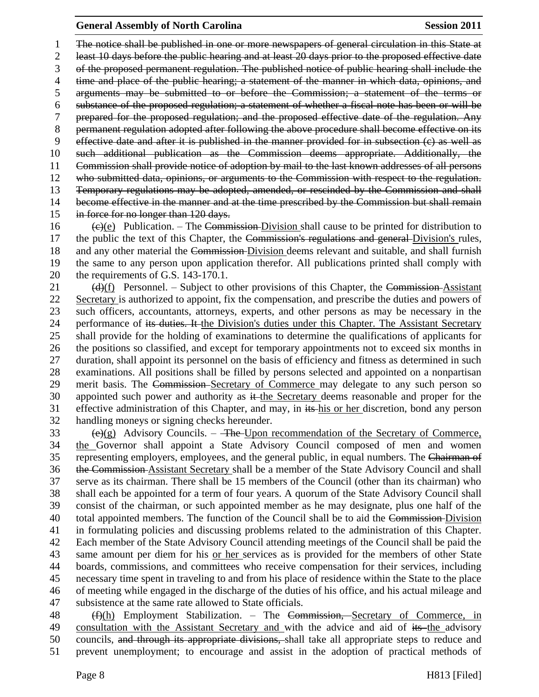The notice shall be published in one or more newspapers of general circulation in this State at least 10 days before the public hearing and at least 20 days prior to the proposed effective date of the proposed permanent regulation. The published notice of public hearing shall include the time and place of the public hearing; a statement of the manner in which data, opinions, and arguments may be submitted to or before the Commission; a statement of the terms or substance of the proposed regulation; a statement of whether a fiscal note has been or will be prepared for the proposed regulation; and the proposed effective date of the regulation. Any permanent regulation adopted after following the above procedure shall become effective on its effective date and after it is published in the manner provided for in subsection (c) as well as such additional publication as the Commission deems appropriate. Additionally, the Commission shall provide notice of adoption by mail to the last known addresses of all persons who submitted data, opinions, or arguments to the Commission with respect to the regulation. Temporary regulations may be adopted, amended, or rescinded by the Commission and shall 14 become effective in the manner and at the time prescribed by the Commission but shall remain 15 in force for no longer than 120 days.

16 (e)(e) Publication. – The Commission-Division shall cause to be printed for distribution to 17 the public the text of this Chapter, the Commission's regulations and general Division's rules, 18 and any other material the Commission-Division deems relevant and suitable, and shall furnish the same to any person upon application therefor. All publications printed shall comply with the requirements of G.S. 143-170.1.

 $(d)(f)$  Personnel. – Subject to other provisions of this Chapter, the Commission-Assistant Secretary is authorized to appoint, fix the compensation, and prescribe the duties and powers of such officers, accountants, attorneys, experts, and other persons as may be necessary in the 24 performance of its duties. It the Division's duties under this Chapter. The Assistant Secretary shall provide for the holding of examinations to determine the qualifications of applicants for the positions so classified, and except for temporary appointments not to exceed six months in duration, shall appoint its personnel on the basis of efficiency and fitness as determined in such examinations. All positions shall be filled by persons selected and appointed on a nonpartisan merit basis. The Commission Secretary of Commerce may delegate to any such person so 30 appointed such power and authority as it the Secretary deems reasonable and proper for the effective administration of this Chapter, and may, in its his or her discretion, bond any person handling moneys or signing checks hereunder.

 $\left(\frac{e}{g}\right)$  Advisory Councils. – The Upon recommendation of the Secretary of Commerce, the Governor shall appoint a State Advisory Council composed of men and women 35 representing employers, employees, and the general public, in equal numbers. The Chairman of the Commission Assistant Secretary shall be a member of the State Advisory Council and shall serve as its chairman. There shall be 15 members of the Council (other than its chairman) who shall each be appointed for a term of four years. A quorum of the State Advisory Council shall consist of the chairman, or such appointed member as he may designate, plus one half of the 40 total appointed members. The function of the Council shall be to aid the Commission-Division in formulating policies and discussing problems related to the administration of this Chapter. Each member of the State Advisory Council attending meetings of the Council shall be paid the same amount per diem for his or her services as is provided for the members of other State boards, commissions, and committees who receive compensation for their services, including necessary time spent in traveling to and from his place of residence within the State to the place of meeting while engaged in the discharge of the duties of his office, and his actual mileage and subsistence at the same rate allowed to State officials.

48 (f)(h) Employment Stabilization. – The Commission, Secretary of Commerce, in 49 consultation with the Assistant Secretary and with the advice and aid of its the advisory councils, and through its appropriate divisions, shall take all appropriate steps to reduce and prevent unemployment; to encourage and assist in the adoption of practical methods of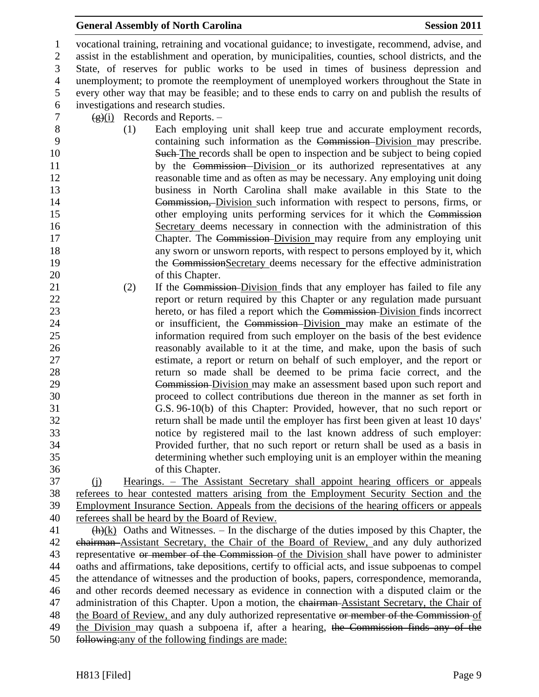vocational training, retraining and vocational guidance; to investigate, recommend, advise, and assist in the establishment and operation, by municipalities, counties, school districts, and the State, of reserves for public works to be used in times of business depression and unemployment; to promote the reemployment of unemployed workers throughout the State in every other way that may be feasible; and to these ends to carry on and publish the results of investigations and research studies.

- 7  $(g)(i)$  Records and Reports. –
- (1) Each employing unit shall keep true and accurate employment records, containing such information as the Commission Division may prescribe. 10 Such The records shall be open to inspection and be subject to being copied 11 by the Commission Division or its authorized representatives at any reasonable time and as often as may be necessary. Any employing unit doing business in North Carolina shall make available in this State to the Commission, Division such information with respect to persons, firms, or 15 other employing units performing services for it which the Commission Secretary deems necessary in connection with the administration of this 17 Chapter. The Commission-Division may require from any employing unit any sworn or unsworn reports, with respect to persons employed by it, which 19 the CommissionSecretary deems necessary for the effective administration 20 of this Chapter.
- 21 (2) If the Commission-Division finds that any employer has failed to file any report or return required by this Chapter or any regulation made pursuant hereto, or has filed a report which the Commission Division finds incorrect or insufficient, the Commission Division may make an estimate of the information required from such employer on the basis of the best evidence reasonably available to it at the time, and make, upon the basis of such estimate, a report or return on behalf of such employer, and the report or return so made shall be deemed to be prima facie correct, and the Commission Division may make an assessment based upon such report and proceed to collect contributions due thereon in the manner as set forth in G.S. 96-10(b) of this Chapter: Provided, however, that no such report or return shall be made until the employer has first been given at least 10 days' notice by registered mail to the last known address of such employer: Provided further, that no such report or return shall be used as a basis in determining whether such employing unit is an employer within the meaning of this Chapter.
- (j) Hearings. The Assistant Secretary shall appoint hearing officers or appeals referees to hear contested matters arising from the Employment Security Section and the Employment Insurance Section. Appeals from the decisions of the hearing officers or appeals referees shall be heard by the Board of Review.
- $\frac{41}{h}(k)$  Oaths and Witnesses. In the discharge of the duties imposed by this Chapter, the chairman Assistant Secretary, the Chair of the Board of Review, and any duly authorized 43 representative or member of the Commission of the Division shall have power to administer oaths and affirmations, take depositions, certify to official acts, and issue subpoenas to compel the attendance of witnesses and the production of books, papers, correspondence, memoranda, and other records deemed necessary as evidence in connection with a disputed claim or the 47 administration of this Chapter. Upon a motion, the chairman-Assistant Secretary, the Chair of 48 the Board of Review, and any duly authorized representative or member of the Commission of 49 the Division may quash a subpoena if, after a hearing, the Commission finds any of the following:any of the following findings are made: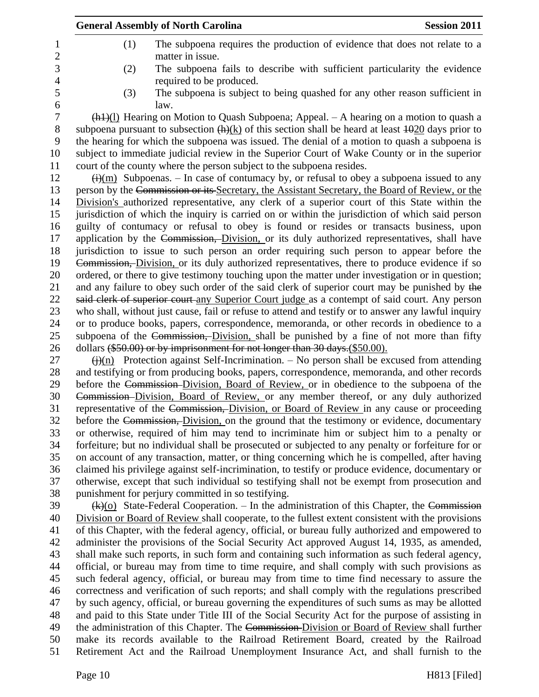|                        |     | <b>General Assembly of North Carolina</b>                                                                                                                                                                                                                                                                                                                                                                 | <b>Session 2011</b> |
|------------------------|-----|-----------------------------------------------------------------------------------------------------------------------------------------------------------------------------------------------------------------------------------------------------------------------------------------------------------------------------------------------------------------------------------------------------------|---------------------|
| 1<br>$\overline{2}$    | (1) | The subpoena requires the production of evidence that does not relate to a<br>matter in issue.                                                                                                                                                                                                                                                                                                            |                     |
| 3<br>4                 | (2) | The subpoena fails to describe with sufficient particularity the evidence<br>required to be produced.                                                                                                                                                                                                                                                                                                     |                     |
| 5<br>6                 | (3) | The subpoena is subject to being quashed for any other reason sufficient in<br>law.                                                                                                                                                                                                                                                                                                                       |                     |
| $\tau$<br>8<br>9<br>10 |     | $\frac{h(1)}{1}$ Hearing on Motion to Quash Subpoena; Appeal. – A hearing on a motion to quash a<br>subpoena pursuant to subsection $(h)(k)$ of this section shall be heard at least $1020$ days prior to<br>the hearing for which the subpoena was issued. The denial of a motion to quash a subpoena is<br>subject to immediate judicial review in the Superior Court of Wake County or in the superior |                     |
| 11                     |     | court of the county where the person subject to the subpoena resides.                                                                                                                                                                                                                                                                                                                                     |                     |
| 12                     |     | $\frac{f(x)}{f(x)}$ Subpoenas. – In case of contumacy by, or refusal to obey a subpoena issued to any                                                                                                                                                                                                                                                                                                     |                     |
| 13                     |     | person by the Commission or its Secretary, the Assistant Secretary, the Board of Review, or the                                                                                                                                                                                                                                                                                                           |                     |
| 14                     |     | Division's authorized representative, any clerk of a superior court of this State within the                                                                                                                                                                                                                                                                                                              |                     |
| 15                     |     | jurisdiction of which the inquiry is carried on or within the jurisdiction of which said person                                                                                                                                                                                                                                                                                                           |                     |
| 16                     |     | guilty of contumacy or refusal to obey is found or resides or transacts business, upon                                                                                                                                                                                                                                                                                                                    |                     |
| 17<br>18               |     | application by the Commission, Division, or its duly authorized representatives, shall have<br>jurisdiction to issue to such person an order requiring such person to appear before the                                                                                                                                                                                                                   |                     |
| 19                     |     | Commission, Division, or its duly authorized representatives, there to produce evidence if so                                                                                                                                                                                                                                                                                                             |                     |
| 20                     |     | ordered, or there to give testimony touching upon the matter under investigation or in question;                                                                                                                                                                                                                                                                                                          |                     |
| 21                     |     | and any failure to obey such order of the said clerk of superior court may be punished by the                                                                                                                                                                                                                                                                                                             |                     |
| 22                     |     | said clerk of superior court any Superior Court judge as a contempt of said court. Any person                                                                                                                                                                                                                                                                                                             |                     |
| 23                     |     | who shall, without just cause, fail or refuse to attend and testify or to answer any lawful inquiry                                                                                                                                                                                                                                                                                                       |                     |
| 24                     |     | or to produce books, papers, correspondence, memoranda, or other records in obedience to a                                                                                                                                                                                                                                                                                                                |                     |
| 25                     |     | subpoena of the Commission, Division, shall be punished by a fine of not more than fifty                                                                                                                                                                                                                                                                                                                  |                     |
| 26                     |     | dollars (\$50.00) or by imprisonment for not longer than 30 days.(\$50.00).                                                                                                                                                                                                                                                                                                                               |                     |
| 27                     |     | $\overrightarrow{()}$ (n) Protection against Self-Incrimination. – No person shall be excused from attending                                                                                                                                                                                                                                                                                              |                     |
| 28                     |     | and testifying or from producing books, papers, correspondence, memoranda, and other records                                                                                                                                                                                                                                                                                                              |                     |
| 29                     |     | before the Commission-Division, Board of Review, or in obedience to the subpoena of the                                                                                                                                                                                                                                                                                                                   |                     |
| 30                     |     | Commission-Division, Board of Review, or any member thereof, or any duly authorized                                                                                                                                                                                                                                                                                                                       |                     |
| 31                     |     | representative of the Commission, Division, or Board of Review in any cause or proceeding                                                                                                                                                                                                                                                                                                                 |                     |
| 32                     |     | before the Commission, Division, on the ground that the testimony or evidence, documentary                                                                                                                                                                                                                                                                                                                |                     |
| 33                     |     | or otherwise, required of him may tend to incriminate him or subject him to a penalty or                                                                                                                                                                                                                                                                                                                  |                     |
| 34                     |     | forfeiture; but no individual shall be prosecuted or subjected to any penalty or forfeiture for or                                                                                                                                                                                                                                                                                                        |                     |
| 35                     |     | on account of any transaction, matter, or thing concerning which he is compelled, after having                                                                                                                                                                                                                                                                                                            |                     |
| 36                     |     | claimed his privilege against self-incrimination, to testify or produce evidence, documentary or                                                                                                                                                                                                                                                                                                          |                     |
| 37                     |     | otherwise, except that such individual so testifying shall not be exempt from prosecution and                                                                                                                                                                                                                                                                                                             |                     |
| 38                     |     | punishment for perjury committed in so testifying.                                                                                                                                                                                                                                                                                                                                                        |                     |
| 39                     |     | $\frac{f(k)(0)}{k}$ State-Federal Cooperation. – In the administration of this Chapter, the Commission                                                                                                                                                                                                                                                                                                    |                     |
| 40                     |     | Division or Board of Review shall cooperate, to the fullest extent consistent with the provisions                                                                                                                                                                                                                                                                                                         |                     |
| 41                     |     | of this Chapter, with the federal agency, official, or bureau fully authorized and empowered to                                                                                                                                                                                                                                                                                                           |                     |
| 42                     |     | administer the provisions of the Social Security Act approved August 14, 1935, as amended,                                                                                                                                                                                                                                                                                                                |                     |
| 43                     |     | shall make such reports, in such form and containing such information as such federal agency,                                                                                                                                                                                                                                                                                                             |                     |
| 44                     |     | official, or bureau may from time to time require, and shall comply with such provisions as                                                                                                                                                                                                                                                                                                               |                     |

 such federal agency, official, or bureau may from time to time find necessary to assure the correctness and verification of such reports; and shall comply with the regulations prescribed by such agency, official, or bureau governing the expenditures of such sums as may be allotted

 and paid to this State under Title III of the Social Security Act for the purpose of assisting in 49 the administration of this Chapter. The Commission-Division or Board of Review shall further make its records available to the Railroad Retirement Board, created by the Railroad

Retirement Act and the Railroad Unemployment Insurance Act, and shall furnish to the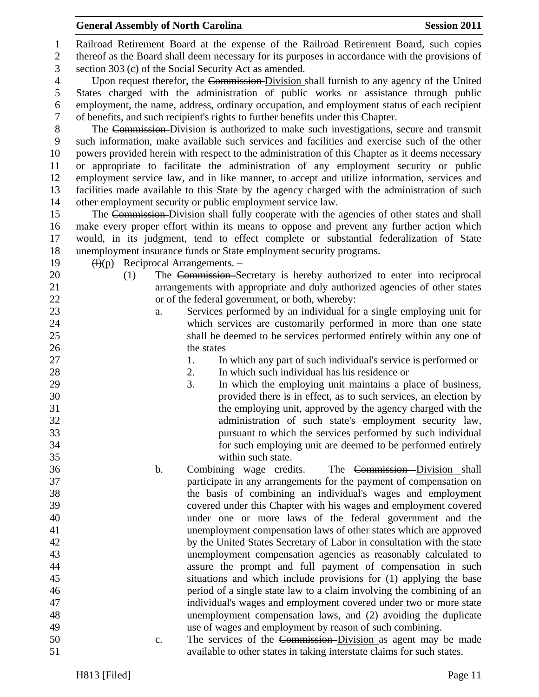available to other states in taking interstate claims for such states.

Railroad Retirement Board at the expense of the Railroad Retirement Board, such copies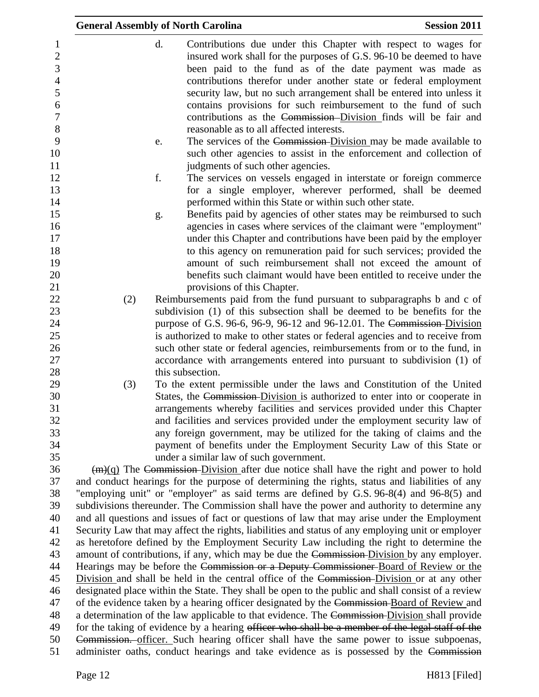|                                                                                 | <b>General Assembly of North Carolina</b> |    |                                                         | <b>Session 2011</b>                                                                                                                                                                                                                                                                                                                                                                                                                                                                 |
|---------------------------------------------------------------------------------|-------------------------------------------|----|---------------------------------------------------------|-------------------------------------------------------------------------------------------------------------------------------------------------------------------------------------------------------------------------------------------------------------------------------------------------------------------------------------------------------------------------------------------------------------------------------------------------------------------------------------|
| 1<br>$\sqrt{2}$<br>3<br>$\overline{4}$<br>5<br>6<br>$\boldsymbol{7}$<br>$\,8\,$ |                                           | d. | reasonable as to all affected interests.                | Contributions due under this Chapter with respect to wages for<br>insured work shall for the purposes of G.S. 96-10 be deemed to have<br>been paid to the fund as of the date payment was made as<br>contributions therefor under another state or federal employment<br>security law, but no such arrangement shall be entered into unless it<br>contains provisions for such reimbursement to the fund of such<br>contributions as the Commission–Division finds will be fair and |
| 9<br>10<br>11                                                                   |                                           | e. | judgments of such other agencies.                       | The services of the Commission-Division may be made available to<br>such other agencies to assist in the enforcement and collection of                                                                                                                                                                                                                                                                                                                                              |
| 12<br>13<br>14                                                                  |                                           | f. | performed within this State or within such other state. | The services on vessels engaged in interstate or foreign commerce<br>for a single employer, wherever performed, shall be deemed                                                                                                                                                                                                                                                                                                                                                     |
| 15<br>16<br>17<br>18<br>19<br>20<br>21                                          |                                           | g. | provisions of this Chapter.                             | Benefits paid by agencies of other states may be reimbursed to such<br>agencies in cases where services of the claimant were "employment"<br>under this Chapter and contributions have been paid by the employer<br>to this agency on remuneration paid for such services; provided the<br>amount of such reimbursement shall not exceed the amount of<br>benefits such claimant would have been entitled to receive under the                                                      |
| 22                                                                              | (2)                                       |    |                                                         | Reimbursements paid from the fund pursuant to subparagraphs b and c of                                                                                                                                                                                                                                                                                                                                                                                                              |
| 23                                                                              |                                           |    |                                                         | subdivision (1) of this subsection shall be deemed to be benefits for the                                                                                                                                                                                                                                                                                                                                                                                                           |
| 24                                                                              |                                           |    |                                                         | purpose of G.S. 96-6, 96-9, 96-12 and 96-12.01. The Commission-Division                                                                                                                                                                                                                                                                                                                                                                                                             |
| 25                                                                              |                                           |    |                                                         | is authorized to make to other states or federal agencies and to receive from                                                                                                                                                                                                                                                                                                                                                                                                       |
| 26<br>27                                                                        |                                           |    |                                                         | such other state or federal agencies, reimbursements from or to the fund, in<br>accordance with arrangements entered into pursuant to subdivision (1) of                                                                                                                                                                                                                                                                                                                            |
| 28                                                                              |                                           |    | this subsection.                                        |                                                                                                                                                                                                                                                                                                                                                                                                                                                                                     |
| 29                                                                              | (3)                                       |    |                                                         | To the extent permissible under the laws and Constitution of the United                                                                                                                                                                                                                                                                                                                                                                                                             |
| 30                                                                              |                                           |    |                                                         | States, the Commission-Division is authorized to enter into or cooperate in                                                                                                                                                                                                                                                                                                                                                                                                         |
| 31                                                                              |                                           |    |                                                         | arrangements whereby facilities and services provided under this Chapter                                                                                                                                                                                                                                                                                                                                                                                                            |
| 32                                                                              |                                           |    |                                                         | and facilities and services provided under the employment security law of                                                                                                                                                                                                                                                                                                                                                                                                           |
| 33                                                                              |                                           |    |                                                         | any foreign government, may be utilized for the taking of claims and the                                                                                                                                                                                                                                                                                                                                                                                                            |
| 34<br>35                                                                        |                                           |    | under a similar law of such government.                 | payment of benefits under the Employment Security Law of this State or                                                                                                                                                                                                                                                                                                                                                                                                              |
| 36                                                                              |                                           |    |                                                         | $(m)(q)$ The Commission Division after due notice shall have the right and power to hold                                                                                                                                                                                                                                                                                                                                                                                            |
| 37                                                                              |                                           |    |                                                         | and conduct hearings for the purpose of determining the rights, status and liabilities of any                                                                                                                                                                                                                                                                                                                                                                                       |
| 38                                                                              |                                           |    |                                                         | "employing unit" or "employer" as said terms are defined by G.S. 96-8(4) and 96-8(5) and                                                                                                                                                                                                                                                                                                                                                                                            |
| 39                                                                              |                                           |    |                                                         | subdivisions thereunder. The Commission shall have the power and authority to determine any                                                                                                                                                                                                                                                                                                                                                                                         |
| 40                                                                              |                                           |    |                                                         | and all questions and issues of fact or questions of law that may arise under the Employment                                                                                                                                                                                                                                                                                                                                                                                        |
| 41                                                                              |                                           |    |                                                         | Security Law that may affect the rights, liabilities and status of any employing unit or employer                                                                                                                                                                                                                                                                                                                                                                                   |
| 42                                                                              |                                           |    |                                                         | as heretofore defined by the Employment Security Law including the right to determine the                                                                                                                                                                                                                                                                                                                                                                                           |
| 43                                                                              |                                           |    |                                                         | amount of contributions, if any, which may be due the Commission-Division by any employer.                                                                                                                                                                                                                                                                                                                                                                                          |
| 44<br>45                                                                        |                                           |    |                                                         | Hearings may be before the Commission or a Deputy Commissioner-Board of Review or the<br>Division and shall be held in the central office of the Commission-Division or at any other                                                                                                                                                                                                                                                                                                |
| 46                                                                              |                                           |    |                                                         | designated place within the State. They shall be open to the public and shall consist of a review                                                                                                                                                                                                                                                                                                                                                                                   |
| 47                                                                              |                                           |    |                                                         | of the evidence taken by a hearing officer designated by the Commission-Board of Review and                                                                                                                                                                                                                                                                                                                                                                                         |
| 48                                                                              |                                           |    |                                                         | a determination of the law applicable to that evidence. The Commission-Division shall provide                                                                                                                                                                                                                                                                                                                                                                                       |
| 49                                                                              |                                           |    |                                                         | for the taking of evidence by a hearing officer who shall be a member of the legal staff of the                                                                                                                                                                                                                                                                                                                                                                                     |
| 50<br>51                                                                        |                                           |    |                                                         | Commission. officer. Such hearing officer shall have the same power to issue subpoenas,<br>administer oaths, conduct hearings and take evidence as is possessed by the Commission                                                                                                                                                                                                                                                                                                   |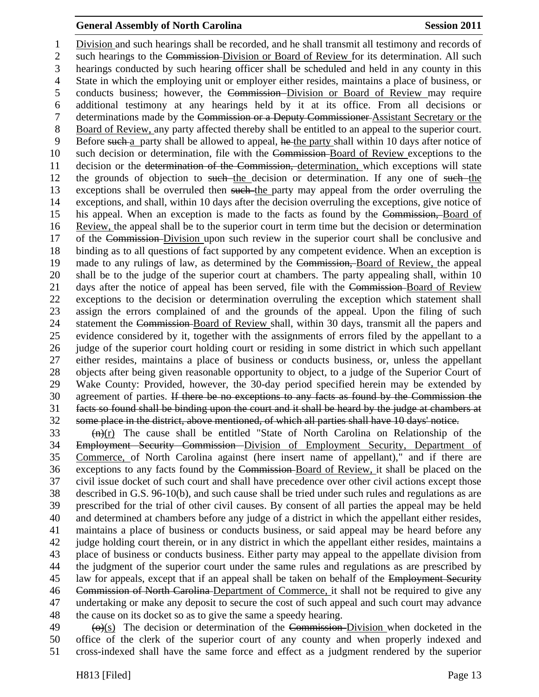Division and such hearings shall be recorded, and he shall transmit all testimony and records of 2 such hearings to the Commission-Division or Board of Review for its determination. All such hearings conducted by such hearing officer shall be scheduled and held in any county in this State in which the employing unit or employer either resides, maintains a place of business, or conducts business; however, the Commission Division or Board of Review may require additional testimony at any hearings held by it at its office. From all decisions or determinations made by the Commission or a Deputy Commissioner Assistant Secretary or the Board of Review, any party affected thereby shall be entitled to an appeal to the superior court. 9 Before such a party shall be allowed to appeal, he the party shall within 10 days after notice of such decision or determination, file with the Commission Board of Review exceptions to the 11 decision or the <del>determination of the Commission, determination</del>, which exceptions will state 12 the grounds of objection to such the decision or determination. If any one of such the 13 exceptions shall be overruled then such the party may appeal from the order overruling the exceptions, and shall, within 10 days after the decision overruling the exceptions, give notice of 15 his appeal. When an exception is made to the facts as found by the Commission, Board of Review, the appeal shall be to the superior court in term time but the decision or determination of the Commission Division upon such review in the superior court shall be conclusive and binding as to all questions of fact supported by any competent evidence. When an exception is made to any rulings of law, as determined by the Commission, Board of Review, the appeal shall be to the judge of the superior court at chambers. The party appealing shall, within 10 days after the notice of appeal has been served, file with the Commission Board of Review exceptions to the decision or determination overruling the exception which statement shall assign the errors complained of and the grounds of the appeal. Upon the filing of such statement the Commission Board of Review shall, within 30 days, transmit all the papers and evidence considered by it, together with the assignments of errors filed by the appellant to a judge of the superior court holding court or residing in some district in which such appellant either resides, maintains a place of business or conducts business, or, unless the appellant objects after being given reasonable opportunity to object, to a judge of the Superior Court of Wake County: Provided, however, the 30-day period specified herein may be extended by agreement of parties. If there be no exceptions to any facts as found by the Commission the facts so found shall be binding upon the court and it shall be heard by the judge at chambers at some place in the district, above mentioned, of which all parties shall have 10 days' notice.

 (n)(r) The cause shall be entitled "State of North Carolina on Relationship of the Employment Security Commission Division of Employment Security, Department of Commerce, of North Carolina against (here insert name of appellant)," and if there are exceptions to any facts found by the Commission Board of Review, it shall be placed on the civil issue docket of such court and shall have precedence over other civil actions except those described in G.S. 96-10(b), and such cause shall be tried under such rules and regulations as are prescribed for the trial of other civil causes. By consent of all parties the appeal may be held and determined at chambers before any judge of a district in which the appellant either resides, maintains a place of business or conducts business, or said appeal may be heard before any judge holding court therein, or in any district in which the appellant either resides, maintains a place of business or conducts business. Either party may appeal to the appellate division from the judgment of the superior court under the same rules and regulations as are prescribed by 45 law for appeals, except that if an appeal shall be taken on behalf of the Employment Security Commission of North Carolina Department of Commerce, it shall not be required to give any undertaking or make any deposit to secure the cost of such appeal and such court may advance the cause on its docket so as to give the same a speedy hearing.

 $49 \left( \Theta \right)(s)$  The decision or determination of the Commission-Division when docketed in the office of the clerk of the superior court of any county and when properly indexed and cross-indexed shall have the same force and effect as a judgment rendered by the superior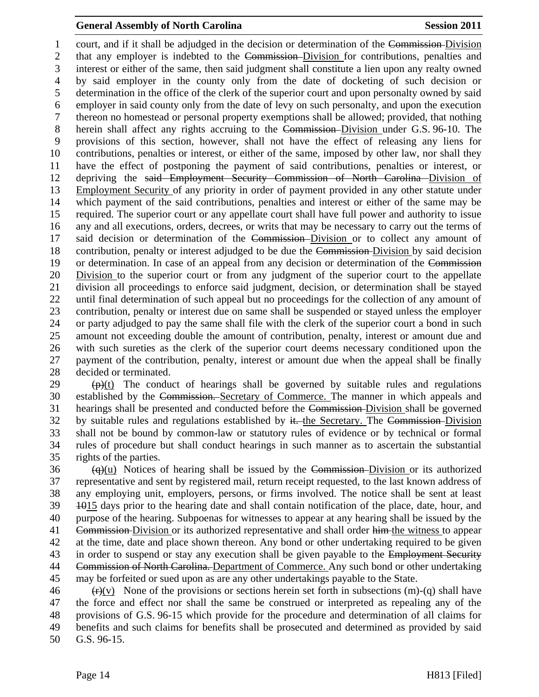court, and if it shall be adjudged in the decision or determination of the Commission Division that any employer is indebted to the Commission Division for contributions, penalties and interest or either of the same, then said judgment shall constitute a lien upon any realty owned by said employer in the county only from the date of docketing of such decision or determination in the office of the clerk of the superior court and upon personalty owned by said employer in said county only from the date of levy on such personalty, and upon the execution thereon no homestead or personal property exemptions shall be allowed; provided, that nothing herein shall affect any rights accruing to the Commission Division under G.S. 96-10. The provisions of this section, however, shall not have the effect of releasing any liens for contributions, penalties or interest, or either of the same, imposed by other law, nor shall they have the effect of postponing the payment of said contributions, penalties or interest, or depriving the said Employment Security Commission of North Carolina Division of Employment Security of any priority in order of payment provided in any other statute under which payment of the said contributions, penalties and interest or either of the same may be required. The superior court or any appellate court shall have full power and authority to issue any and all executions, orders, decrees, or writs that may be necessary to carry out the terms of said decision or determination of the Commission Division or to collect any amount of contribution, penalty or interest adjudged to be due the Commission Division by said decision 19 or determination. In case of an appeal from any decision or determination of the Commission 20 Division to the superior court or from any judgment of the superior court to the appellate division all proceedings to enforce said judgment, decision, or determination shall be stayed until final determination of such appeal but no proceedings for the collection of any amount of contribution, penalty or interest due on same shall be suspended or stayed unless the employer or party adjudged to pay the same shall file with the clerk of the superior court a bond in such amount not exceeding double the amount of contribution, penalty, interest or amount due and with such sureties as the clerk of the superior court deems necessary conditioned upon the payment of the contribution, penalty, interest or amount due when the appeal shall be finally decided or terminated.

 (p)(t) The conduct of hearings shall be governed by suitable rules and regulations established by the Commission. Secretary of Commerce. The manner in which appeals and hearings shall be presented and conducted before the Commission Division shall be governed 32 by suitable rules and regulations established by it. the Secretary. The Commission Division shall not be bound by common-law or statutory rules of evidence or by technical or formal rules of procedure but shall conduct hearings in such manner as to ascertain the substantial rights of the parties.

  $\qquad$   $\qquad$   $\qquad$  (q)(u) Notices of hearing shall be issued by the Commission-Division or its authorized representative and sent by registered mail, return receipt requested, to the last known address of any employing unit, employers, persons, or firms involved. The notice shall be sent at least 1015 days prior to the hearing date and shall contain notification of the place, date, hour, and purpose of the hearing. Subpoenas for witnesses to appear at any hearing shall be issued by the 41 Commission Division or its authorized representative and shall order him the witness to appear at the time, date and place shown thereon. Any bond or other undertaking required to be given 43 in order to suspend or stay any execution shall be given payable to the Employment Security 44 Commission of North Carolina. Department of Commerce. Any such bond or other undertaking may be forfeited or sued upon as are any other undertakings payable to the State.

 $\overline{(f)}(v)$  None of the provisions or sections herein set forth in subsections (m)-(q) shall have the force and effect nor shall the same be construed or interpreted as repealing any of the provisions of G.S. 96-15 which provide for the procedure and determination of all claims for benefits and such claims for benefits shall be prosecuted and determined as provided by said G.S. 96-15.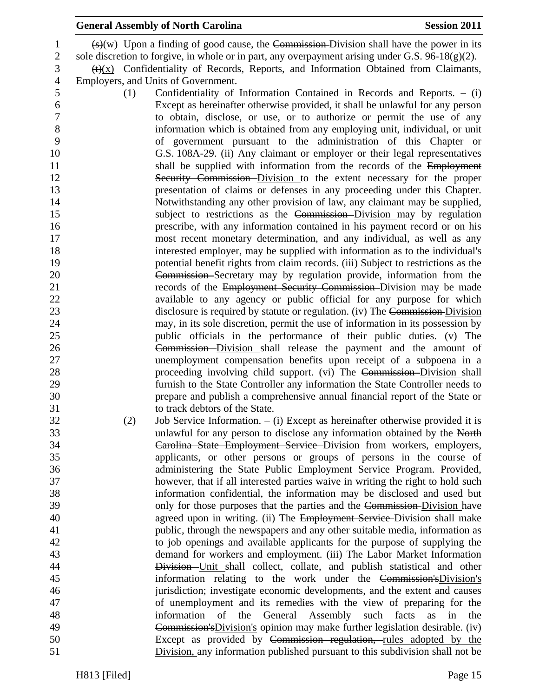|     | <b>General Assembly of North Carolina</b>                                                                                                                                                                       | <b>Session 2011</b>      |
|-----|-----------------------------------------------------------------------------------------------------------------------------------------------------------------------------------------------------------------|--------------------------|
|     | $\frac{f(s)(w)}{g(s)}$ Upon a finding of good cause, the Commission-Division shall have the power in its<br>sole discretion to forgive, in whole or in part, any overpayment arising under G.S. $96-18(g)(2)$ . |                          |
|     | $(t)(x)$ Confidentiality of Records, Reports, and Information Obtained from Claimants,                                                                                                                          |                          |
|     | Employers, and Units of Government.                                                                                                                                                                             |                          |
| (1) | Confidentiality of Information Contained in Records and Reports. $-$ (i)                                                                                                                                        |                          |
|     | Except as hereinafter otherwise provided, it shall be unlawful for any person                                                                                                                                   |                          |
|     | to obtain, disclose, or use, or to authorize or permit the use of any                                                                                                                                           |                          |
|     | information which is obtained from any employing unit, individual, or unit                                                                                                                                      |                          |
|     | of government pursuant to the administration of this Chapter or                                                                                                                                                 |                          |
|     | G.S. 108A-29. (ii) Any claimant or employer or their legal representatives                                                                                                                                      |                          |
|     | shall be supplied with information from the records of the Employment                                                                                                                                           |                          |
|     | Security Commission Division to the extent necessary for the proper                                                                                                                                             |                          |
|     | presentation of claims or defenses in any proceeding under this Chapter.                                                                                                                                        |                          |
|     | Notwithstanding any other provision of law, any claimant may be supplied,                                                                                                                                       |                          |
|     | subject to restrictions as the Commission-Division may by regulation                                                                                                                                            |                          |
|     | prescribe, with any information contained in his payment record or on his                                                                                                                                       |                          |
|     | most recent monetary determination, and any individual, as well as any                                                                                                                                          |                          |
|     | interested employer, may be supplied with information as to the individual's                                                                                                                                    |                          |
|     | potential benefit rights from claim records. (iii) Subject to restrictions as the                                                                                                                               |                          |
|     | Commission Secretary may by regulation provide, information from the                                                                                                                                            |                          |
|     | records of the Employment Security Commission-Division may be made                                                                                                                                              |                          |
|     | available to any agency or public official for any purpose for which                                                                                                                                            |                          |
|     | disclosure is required by statute or regulation. (iv) The Commission-Division                                                                                                                                   |                          |
|     | may, in its sole discretion, permit the use of information in its possession by                                                                                                                                 |                          |
|     | public officials in the performance of their public duties. (v) The                                                                                                                                             |                          |
|     | Commission Division shall release the payment and the amount of                                                                                                                                                 |                          |
|     | unemployment compensation benefits upon receipt of a subpoena in a                                                                                                                                              |                          |
|     | proceeding involving child support. (vi) The Commission-Division shall                                                                                                                                          |                          |
|     | furnish to the State Controller any information the State Controller needs to<br>prepare and publish a comprehensive annual financial report of the State or                                                    |                          |
|     | to track debtors of the State.                                                                                                                                                                                  |                          |
| (2) | Job Service Information. $-$ (i) Except as hereinafter otherwise provided it is                                                                                                                                 |                          |
|     | unlawful for any person to disclose any information obtained by the North                                                                                                                                       |                          |
|     | Carolina State Employment Service Division from workers, employers,                                                                                                                                             |                          |
|     | applicants, or other persons or groups of persons in the course of                                                                                                                                              |                          |
|     | administering the State Public Employment Service Program. Provided,                                                                                                                                            |                          |
|     | however, that if all interested parties waive in writing the right to hold such                                                                                                                                 |                          |
|     | information confidential, the information may be disclosed and used but                                                                                                                                         |                          |
|     | only for those purposes that the parties and the Commission-Division have                                                                                                                                       |                          |
|     | agreed upon in writing. (ii) The Employment Service Division shall make                                                                                                                                         |                          |
|     | public, through the newspapers and any other suitable media, information as                                                                                                                                     |                          |
|     | to job openings and available applicants for the purpose of supplying the                                                                                                                                       |                          |
|     | demand for workers and employment. (iii) The Labor Market Information                                                                                                                                           |                          |
|     | Division-Unit shall collect, collate, and publish statistical and other                                                                                                                                         |                          |
|     | information relating to the work under the Commission's Division's                                                                                                                                              |                          |
|     | jurisdiction; investigate economic developments, and the extent and causes                                                                                                                                      |                          |
|     | of unemployment and its remedies with the view of preparing for the                                                                                                                                             |                          |
|     | information<br>General<br>of<br>the<br>Assembly<br>such                                                                                                                                                         | facts<br>the<br>as<br>in |
|     | Commission's Division's opinion may make further legislation desirable. (iv)                                                                                                                                    |                          |
|     | Except as provided by Commission regulation, rules adopted by the                                                                                                                                               |                          |
|     | Division, any information published pursuant to this subdivision shall not be                                                                                                                                   |                          |
|     |                                                                                                                                                                                                                 |                          |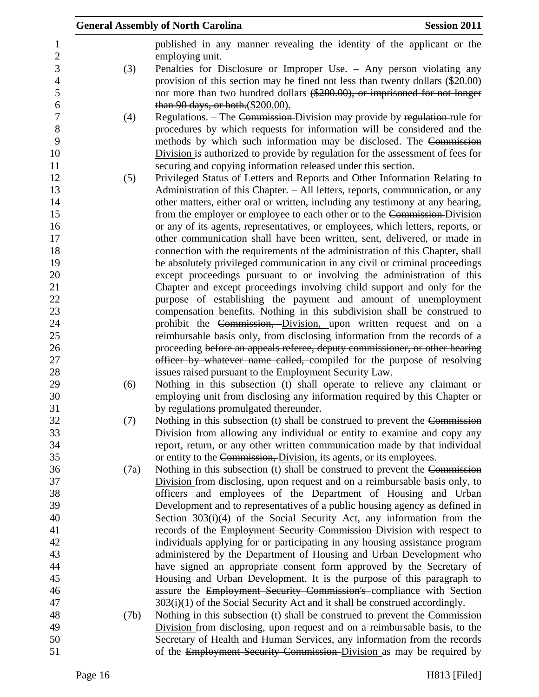|                            |      | <b>General Assembly of North Carolina</b>                                                                                                                   | <b>Session 2011</b> |
|----------------------------|------|-------------------------------------------------------------------------------------------------------------------------------------------------------------|---------------------|
| $\mathbf{1}$<br>$\sqrt{2}$ |      | published in any manner revealing the identity of the applicant or the<br>employing unit.                                                                   |                     |
| 3                          | (3)  | Penalties for Disclosure or Improper Use. $-$ Any person violating any                                                                                      |                     |
| $\overline{4}$             |      | provision of this section may be fined not less than twenty dollars (\$20.00)                                                                               |                     |
| 5                          |      | nor more than two hundred dollars (\$200.00), or imprisoned for not longer                                                                                  |                     |
| 6                          |      | than 90 days, or both. (\$200.00).                                                                                                                          |                     |
| $\boldsymbol{7}$           | (4)  | Regulations. - The Commission-Division may provide by regulation-rule for                                                                                   |                     |
| $8\,$                      |      | procedures by which requests for information will be considered and the                                                                                     |                     |
| 9                          |      | methods by which such information may be disclosed. The Commission                                                                                          |                     |
| 10                         |      | Division is authorized to provide by regulation for the assessment of fees for                                                                              |                     |
| 11                         |      | securing and copying information released under this section.                                                                                               |                     |
| 12                         | (5)  | Privileged Status of Letters and Reports and Other Information Relating to                                                                                  |                     |
| 13                         |      | Administration of this Chapter. – All letters, reports, communication, or any                                                                               |                     |
| 14                         |      | other matters, either oral or written, including any testimony at any hearing,                                                                              |                     |
| 15<br>16                   |      | from the employer or employee to each other or to the Commission-Division                                                                                   |                     |
| 17                         |      | or any of its agents, representatives, or employees, which letters, reports, or<br>other communication shall have been written, sent, delivered, or made in |                     |
| 18                         |      | connection with the requirements of the administration of this Chapter, shall                                                                               |                     |
| 19                         |      | be absolutely privileged communication in any civil or criminal proceedings                                                                                 |                     |
| 20                         |      | except proceedings pursuant to or involving the administration of this                                                                                      |                     |
| 21                         |      | Chapter and except proceedings involving child support and only for the                                                                                     |                     |
| 22                         |      | purpose of establishing the payment and amount of unemployment                                                                                              |                     |
| 23                         |      | compensation benefits. Nothing in this subdivision shall be construed to                                                                                    |                     |
| 24                         |      | prohibit the Commission, Division, upon written request and on a                                                                                            |                     |
| 25                         |      | reimbursable basis only, from disclosing information from the records of a                                                                                  |                     |
| 26                         |      | proceeding before an appeals referee, deputy commissioner, or other hearing                                                                                 |                     |
| 27                         |      | officer by whatever name called, compiled for the purpose of resolving                                                                                      |                     |
| 28                         |      | issues raised pursuant to the Employment Security Law.                                                                                                      |                     |
| 29                         | (6)  | Nothing in this subsection (t) shall operate to relieve any claimant or                                                                                     |                     |
| 30                         |      | employing unit from disclosing any information required by this Chapter or                                                                                  |                     |
| 31                         |      | by regulations promulgated thereunder.                                                                                                                      |                     |
| 32                         | (7)  | Nothing in this subsection (t) shall be construed to prevent the Commission                                                                                 |                     |
| 33                         |      | Division from allowing any individual or entity to examine and copy any                                                                                     |                     |
| 34                         |      | report, return, or any other written communication made by that individual                                                                                  |                     |
| 35                         |      | or entity to the Commission, Division, its agents, or its employees.                                                                                        |                     |
| 36                         | (7a) | Nothing in this subsection (t) shall be construed to prevent the Commission                                                                                 |                     |
| 37                         |      | Division from disclosing, upon request and on a reimbursable basis only, to                                                                                 |                     |
| 38                         |      | officers and employees of the Department of Housing and Urban                                                                                               |                     |
| 39                         |      | Development and to representatives of a public housing agency as defined in                                                                                 |                     |
| 40                         |      | Section $303(i)(4)$ of the Social Security Act, any information from the                                                                                    |                     |
| 41                         |      | records of the Employment Security Commission-Division with respect to                                                                                      |                     |
| 42                         |      | individuals applying for or participating in any housing assistance program                                                                                 |                     |
| 43                         |      | administered by the Department of Housing and Urban Development who                                                                                         |                     |
| 44                         |      | have signed an appropriate consent form approved by the Secretary of                                                                                        |                     |
| 45                         |      | Housing and Urban Development. It is the purpose of this paragraph to                                                                                       |                     |
| 46                         |      | assure the Employment Security Commission's compliance with Section                                                                                         |                     |
| 47                         |      | $303(i)(1)$ of the Social Security Act and it shall be construed accordingly.                                                                               |                     |
| 48                         | (7b) | Nothing in this subsection (t) shall be construed to prevent the Commission                                                                                 |                     |
| 49                         |      | Division from disclosing, upon request and on a reimbursable basis, to the                                                                                  |                     |
| 50                         |      | Secretary of Health and Human Services, any information from the records                                                                                    |                     |
| 51                         |      | of the Employment Security Commission-Division as may be required by                                                                                        |                     |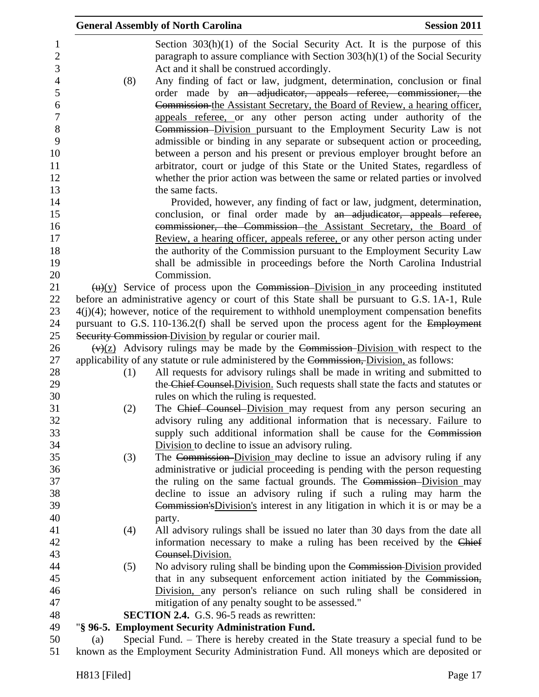|     | <b>General Assembly of North Carolina</b>                                                                                                                                                               | <b>Session 2011</b> |
|-----|---------------------------------------------------------------------------------------------------------------------------------------------------------------------------------------------------------|---------------------|
|     | Section $303(h)(1)$ of the Social Security Act. It is the purpose of this<br>paragraph to assure compliance with Section 303(h)(1) of the Social Security<br>Act and it shall be construed accordingly. |                     |
| (8) | Any finding of fact or law, judgment, determination, conclusion or final                                                                                                                                |                     |
|     | order made by an adjudicator, appeals referee, commissioner, the                                                                                                                                        |                     |
|     | Commission the Assistant Secretary, the Board of Review, a hearing officer,                                                                                                                             |                     |
|     | appeals referee, or any other person acting under authority of the                                                                                                                                      |                     |
|     | Commission-Division pursuant to the Employment Security Law is not<br>admissible or binding in any separate or subsequent action or proceeding,                                                         |                     |
|     | between a person and his present or previous employer brought before an                                                                                                                                 |                     |
|     | arbitrator, court or judge of this State or the United States, regardless of                                                                                                                            |                     |
|     | whether the prior action was between the same or related parties or involved                                                                                                                            |                     |
|     | the same facts.                                                                                                                                                                                         |                     |
|     | Provided, however, any finding of fact or law, judgment, determination,                                                                                                                                 |                     |
|     | conclusion, or final order made by an adjudicator, appeals referee,                                                                                                                                     |                     |
|     | commissioner, the Commission-the Assistant Secretary, the Board of                                                                                                                                      |                     |
|     | Review, a hearing officer, appeals referee, or any other person acting under                                                                                                                            |                     |
|     | the authority of the Commission pursuant to the Employment Security Law                                                                                                                                 |                     |
|     | shall be admissible in proceedings before the North Carolina Industrial                                                                                                                                 |                     |
|     | Commission.                                                                                                                                                                                             |                     |
|     | $\frac{H(x)}{g(x)}$ Service of process upon the Commission-Division in any proceeding instituted                                                                                                        |                     |
|     | before an administrative agency or court of this State shall be pursuant to G.S. 1A-1, Rule<br>$4(j)(4)$ ; however, notice of the requirement to withhold unemployment compensation benefits            |                     |
|     | pursuant to G.S. 110-136.2(f) shall be served upon the process agent for the Employment                                                                                                                 |                     |
|     | Security Commission Division by regular or courier mail.                                                                                                                                                |                     |
|     | $\frac{f(x)}{2}$ Advisory rulings may be made by the Commission-Division with respect to the                                                                                                            |                     |
|     | applicability of any statute or rule administered by the Commission, Division, as follows:                                                                                                              |                     |
| (1) | All requests for advisory rulings shall be made in writing and submitted to                                                                                                                             |                     |
|     | the Chief Counsel. Division. Such requests shall state the facts and statutes or                                                                                                                        |                     |
|     | rules on which the ruling is requested.                                                                                                                                                                 |                     |
| (2) | The Chief Counsel Division may request from any person securing an                                                                                                                                      |                     |
|     | advisory ruling any additional information that is necessary. Failure to                                                                                                                                |                     |
|     | supply such additional information shall be cause for the Commission                                                                                                                                    |                     |
|     | Division to decline to issue an advisory ruling.                                                                                                                                                        |                     |
| (3) | The Commission-Division may decline to issue an advisory ruling if any                                                                                                                                  |                     |
|     | administrative or judicial proceeding is pending with the person requesting<br>the ruling on the same factual grounds. The Commission-Division may                                                      |                     |
|     | decline to issue an advisory ruling if such a ruling may harm the                                                                                                                                       |                     |
|     | Commission's Division's interest in any litigation in which it is or may be a                                                                                                                           |                     |
|     | party.                                                                                                                                                                                                  |                     |
| (4) | All advisory rulings shall be issued no later than 30 days from the date all                                                                                                                            |                     |
|     | information necessary to make a ruling has been received by the Chief                                                                                                                                   |                     |
|     | Counsel.Division.                                                                                                                                                                                       |                     |
| (5) | No advisory ruling shall be binding upon the Commission-Division provided                                                                                                                               |                     |
|     | that in any subsequent enforcement action initiated by the Commission,                                                                                                                                  |                     |
|     | Division, any person's reliance on such ruling shall be considered in                                                                                                                                   |                     |
|     | mitigation of any penalty sought to be assessed."                                                                                                                                                       |                     |
|     | <b>SECTION 2.4.</b> G.S. 96-5 reads as rewritten:                                                                                                                                                       |                     |
|     | "§ 96-5. Employment Security Administration Fund.                                                                                                                                                       |                     |
| (a) | Special Fund. - There is hereby created in the State treasury a special fund to be<br>known as the Employment Security Administration Fund. All moneys which are deposited or                           |                     |
|     |                                                                                                                                                                                                         |                     |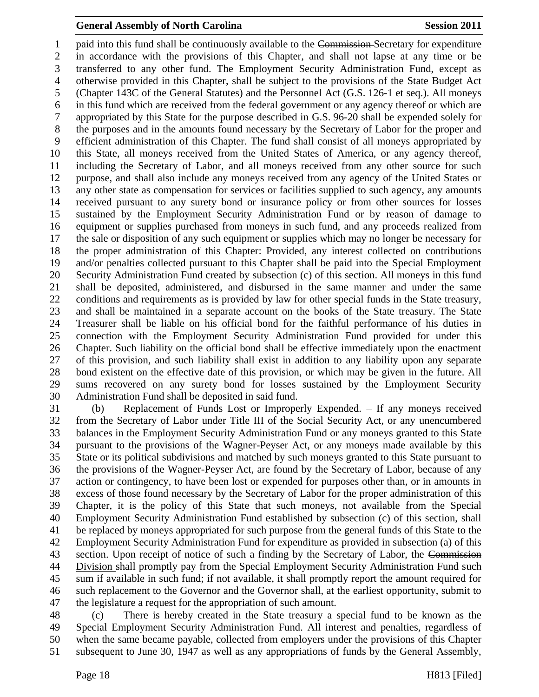1 paid into this fund shall be continuously available to the Commission-Secretary for expenditure in accordance with the provisions of this Chapter, and shall not lapse at any time or be transferred to any other fund. The Employment Security Administration Fund, except as otherwise provided in this Chapter, shall be subject to the provisions of the State Budget Act (Chapter 143C of the General Statutes) and the Personnel Act (G.S. 126-1 et seq.). All moneys in this fund which are received from the federal government or any agency thereof or which are appropriated by this State for the purpose described in G.S. 96-20 shall be expended solely for the purposes and in the amounts found necessary by the Secretary of Labor for the proper and efficient administration of this Chapter. The fund shall consist of all moneys appropriated by this State, all moneys received from the United States of America, or any agency thereof, including the Secretary of Labor, and all moneys received from any other source for such purpose, and shall also include any moneys received from any agency of the United States or any other state as compensation for services or facilities supplied to such agency, any amounts received pursuant to any surety bond or insurance policy or from other sources for losses sustained by the Employment Security Administration Fund or by reason of damage to equipment or supplies purchased from moneys in such fund, and any proceeds realized from the sale or disposition of any such equipment or supplies which may no longer be necessary for the proper administration of this Chapter: Provided, any interest collected on contributions and/or penalties collected pursuant to this Chapter shall be paid into the Special Employment Security Administration Fund created by subsection (c) of this section. All moneys in this fund shall be deposited, administered, and disbursed in the same manner and under the same conditions and requirements as is provided by law for other special funds in the State treasury, and shall be maintained in a separate account on the books of the State treasury. The State Treasurer shall be liable on his official bond for the faithful performance of his duties in connection with the Employment Security Administration Fund provided for under this Chapter. Such liability on the official bond shall be effective immediately upon the enactment of this provision, and such liability shall exist in addition to any liability upon any separate bond existent on the effective date of this provision, or which may be given in the future. All sums recovered on any surety bond for losses sustained by the Employment Security Administration Fund shall be deposited in said fund.

 (b) Replacement of Funds Lost or Improperly Expended. – If any moneys received from the Secretary of Labor under Title III of the Social Security Act, or any unencumbered balances in the Employment Security Administration Fund or any moneys granted to this State pursuant to the provisions of the Wagner-Peyser Act, or any moneys made available by this State or its political subdivisions and matched by such moneys granted to this State pursuant to the provisions of the Wagner-Peyser Act, are found by the Secretary of Labor, because of any action or contingency, to have been lost or expended for purposes other than, or in amounts in excess of those found necessary by the Secretary of Labor for the proper administration of this Chapter, it is the policy of this State that such moneys, not available from the Special Employment Security Administration Fund established by subsection (c) of this section, shall be replaced by moneys appropriated for such purpose from the general funds of this State to the Employment Security Administration Fund for expenditure as provided in subsection (a) of this 43 section. Upon receipt of notice of such a finding by the Secretary of Labor, the Commission Division shall promptly pay from the Special Employment Security Administration Fund such sum if available in such fund; if not available, it shall promptly report the amount required for such replacement to the Governor and the Governor shall, at the earliest opportunity, submit to the legislature a request for the appropriation of such amount.

 (c) There is hereby created in the State treasury a special fund to be known as the Special Employment Security Administration Fund. All interest and penalties, regardless of when the same became payable, collected from employers under the provisions of this Chapter subsequent to June 30, 1947 as well as any appropriations of funds by the General Assembly,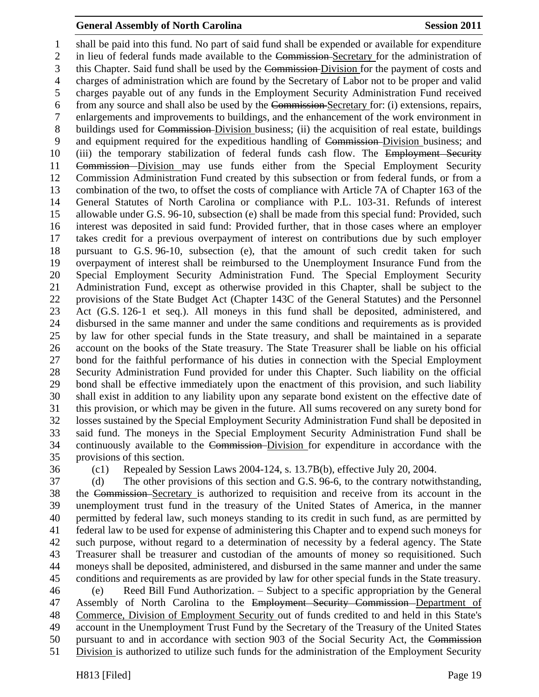shall be paid into this fund. No part of said fund shall be expended or available for expenditure in lieu of federal funds made available to the Commission Secretary for the administration of 3 this Chapter. Said fund shall be used by the Commission-Division for the payment of costs and charges of administration which are found by the Secretary of Labor not to be proper and valid charges payable out of any funds in the Employment Security Administration Fund received from any source and shall also be used by the Commission Secretary for: (i) extensions, repairs, enlargements and improvements to buildings, and the enhancement of the work environment in 8 buildings used for Commission-Division business; (ii) the acquisition of real estate, buildings and equipment required for the expeditious handling of Commission Division business; and 10 (iii) the temporary stabilization of federal funds cash flow. The Employment Security Commission Division may use funds either from the Special Employment Security Commission Administration Fund created by this subsection or from federal funds, or from a combination of the two, to offset the costs of compliance with Article 7A of Chapter 163 of the General Statutes of North Carolina or compliance with P.L. 103-31. Refunds of interest allowable under G.S. 96-10, subsection (e) shall be made from this special fund: Provided, such interest was deposited in said fund: Provided further, that in those cases where an employer takes credit for a previous overpayment of interest on contributions due by such employer pursuant to G.S. 96-10, subsection (e), that the amount of such credit taken for such overpayment of interest shall be reimbursed to the Unemployment Insurance Fund from the Special Employment Security Administration Fund. The Special Employment Security Administration Fund, except as otherwise provided in this Chapter, shall be subject to the provisions of the State Budget Act (Chapter 143C of the General Statutes) and the Personnel Act (G.S. 126-1 et seq.). All moneys in this fund shall be deposited, administered, and disbursed in the same manner and under the same conditions and requirements as is provided by law for other special funds in the State treasury, and shall be maintained in a separate account on the books of the State treasury. The State Treasurer shall be liable on his official bond for the faithful performance of his duties in connection with the Special Employment Security Administration Fund provided for under this Chapter. Such liability on the official bond shall be effective immediately upon the enactment of this provision, and such liability shall exist in addition to any liability upon any separate bond existent on the effective date of this provision, or which may be given in the future. All sums recovered on any surety bond for losses sustained by the Special Employment Security Administration Fund shall be deposited in said fund. The moneys in the Special Employment Security Administration Fund shall be continuously available to the Commission Division for expenditure in accordance with the provisions of this section.

(c1) Repealed by Session Laws 2004-124, s. 13.7B(b), effective July 20, 2004.

 (d) The other provisions of this section and G.S. 96-6, to the contrary notwithstanding, the Commission Secretary is authorized to requisition and receive from its account in the unemployment trust fund in the treasury of the United States of America, in the manner permitted by federal law, such moneys standing to its credit in such fund, as are permitted by federal law to be used for expense of administering this Chapter and to expend such moneys for such purpose, without regard to a determination of necessity by a federal agency. The State Treasurer shall be treasurer and custodian of the amounts of money so requisitioned. Such moneys shall be deposited, administered, and disbursed in the same manner and under the same conditions and requirements as are provided by law for other special funds in the State treasury. (e) Reed Bill Fund Authorization. – Subject to a specific appropriation by the General 47 Assembly of North Carolina to the Employment Security Commission–Department of Commerce, Division of Employment Security out of funds credited to and held in this State's account in the Unemployment Trust Fund by the Secretary of the Treasury of the United States pursuant to and in accordance with section 903 of the Social Security Act, the Commission Division is authorized to utilize such funds for the administration of the Employment Security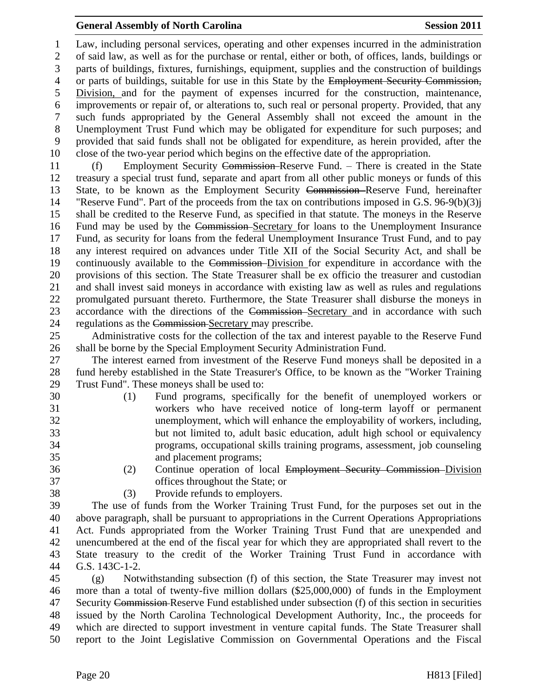Law, including personal services, operating and other expenses incurred in the administration of said law, as well as for the purchase or rental, either or both, of offices, lands, buildings or parts of buildings, fixtures, furnishings, equipment, supplies and the construction of buildings 4 or parts of buildings, suitable for use in this State by the Employment Security Commission, Division, and for the payment of expenses incurred for the construction, maintenance, improvements or repair of, or alterations to, such real or personal property. Provided, that any such funds appropriated by the General Assembly shall not exceed the amount in the Unemployment Trust Fund which may be obligated for expenditure for such purposes; and provided that said funds shall not be obligated for expenditure, as herein provided, after the close of the two-year period which begins on the effective date of the appropriation.

 (f) Employment Security Commission Reserve Fund. – There is created in the State treasury a special trust fund, separate and apart from all other public moneys or funds of this State, to be known as the Employment Security Commission Reserve Fund, hereinafter "Reserve Fund". Part of the proceeds from the tax on contributions imposed in G.S. 96-9(b)(3)j shall be credited to the Reserve Fund, as specified in that statute. The moneys in the Reserve Fund may be used by the Commission Secretary for loans to the Unemployment Insurance Fund, as security for loans from the federal Unemployment Insurance Trust Fund, and to pay any interest required on advances under Title XII of the Social Security Act, and shall be continuously available to the Commission Division for expenditure in accordance with the provisions of this section. The State Treasurer shall be ex officio the treasurer and custodian and shall invest said moneys in accordance with existing law as well as rules and regulations promulgated pursuant thereto. Furthermore, the State Treasurer shall disburse the moneys in accordance with the directions of the Commission Secretary and in accordance with such regulations as the Commission Secretary may prescribe.

 Administrative costs for the collection of the tax and interest payable to the Reserve Fund shall be borne by the Special Employment Security Administration Fund.

 The interest earned from investment of the Reserve Fund moneys shall be deposited in a fund hereby established in the State Treasurer's Office, to be known as the "Worker Training Trust Fund". These moneys shall be used to:

- 
- (1) Fund programs, specifically for the benefit of unemployed workers or workers who have received notice of long-term layoff or permanent unemployment, which will enhance the employability of workers, including, but not limited to, adult basic education, adult high school or equivalency programs, occupational skills training programs, assessment, job counseling and placement programs;
- (2) Continue operation of local Employment Security Commission Division
- 
- offices throughout the State; or
- (3) Provide refunds to employers.

 The use of funds from the Worker Training Trust Fund, for the purposes set out in the above paragraph, shall be pursuant to appropriations in the Current Operations Appropriations Act. Funds appropriated from the Worker Training Trust Fund that are unexpended and unencumbered at the end of the fiscal year for which they are appropriated shall revert to the State treasury to the credit of the Worker Training Trust Fund in accordance with G.S. 143C-1-2.

 (g) Notwithstanding subsection (f) of this section, the State Treasurer may invest not more than a total of twenty-five million dollars (\$25,000,000) of funds in the Employment 47 Security Commission-Reserve Fund established under subsection (f) of this section in securities issued by the North Carolina Technological Development Authority, Inc., the proceeds for which are directed to support investment in venture capital funds. The State Treasurer shall report to the Joint Legislative Commission on Governmental Operations and the Fiscal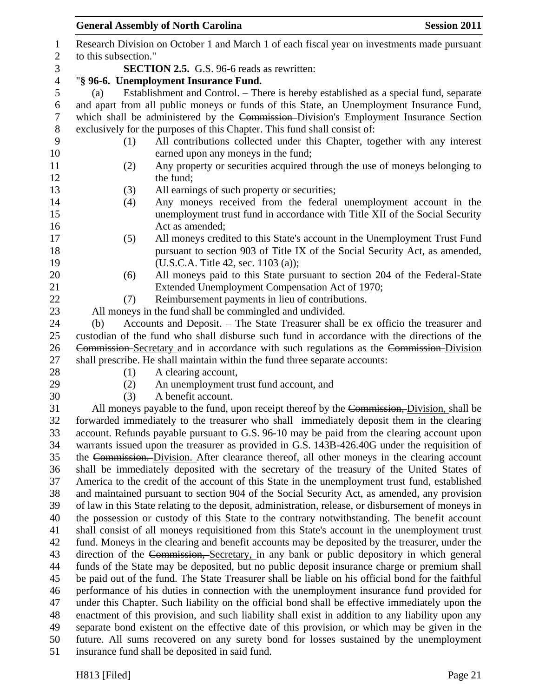|                      | <b>General Assembly of North Carolina</b>                                                                                                                                                       | <b>Session 2011</b> |
|----------------------|-------------------------------------------------------------------------------------------------------------------------------------------------------------------------------------------------|---------------------|
|                      | Research Division on October 1 and March 1 of each fiscal year on investments made pursuant                                                                                                     |                     |
| to this subsection." |                                                                                                                                                                                                 |                     |
|                      | <b>SECTION 2.5.</b> G.S. 96-6 reads as rewritten:                                                                                                                                               |                     |
|                      | "§ 96-6. Unemployment Insurance Fund.                                                                                                                                                           |                     |
| (a)                  | Establishment and Control. – There is hereby established as a special fund, separate                                                                                                            |                     |
|                      | and apart from all public moneys or funds of this State, an Unemployment Insurance Fund,                                                                                                        |                     |
|                      | which shall be administered by the Commission-Division's Employment Insurance Section                                                                                                           |                     |
|                      | exclusively for the purposes of this Chapter. This fund shall consist of:                                                                                                                       |                     |
| (1)                  | All contributions collected under this Chapter, together with any interest                                                                                                                      |                     |
|                      | earned upon any moneys in the fund;                                                                                                                                                             |                     |
| (2)                  | Any property or securities acquired through the use of moneys belonging to                                                                                                                      |                     |
|                      | the fund;                                                                                                                                                                                       |                     |
| (3)                  | All earnings of such property or securities;                                                                                                                                                    |                     |
| (4)                  | Any moneys received from the federal unemployment account in the                                                                                                                                |                     |
|                      | unemployment trust fund in accordance with Title XII of the Social Security                                                                                                                     |                     |
|                      | Act as amended;                                                                                                                                                                                 |                     |
| (5)                  | All moneys credited to this State's account in the Unemployment Trust Fund                                                                                                                      |                     |
|                      | pursuant to section 903 of Title IX of the Social Security Act, as amended,                                                                                                                     |                     |
|                      | (U.S.C.A. Title 42, sec. 1103 (a));                                                                                                                                                             |                     |
| (6)                  | All moneys paid to this State pursuant to section 204 of the Federal-State                                                                                                                      |                     |
|                      | Extended Unemployment Compensation Act of 1970;                                                                                                                                                 |                     |
| (7)                  | Reimbursement payments in lieu of contributions.<br>All moneys in the fund shall be commingled and undivided.                                                                                   |                     |
| (b)                  | Accounts and Deposit. – The State Treasurer shall be ex officio the treasurer and                                                                                                               |                     |
|                      | custodian of the fund who shall disburse such fund in accordance with the directions of the                                                                                                     |                     |
|                      | Commission Secretary and in accordance with such regulations as the Commission-Division                                                                                                         |                     |
|                      | shall prescribe. He shall maintain within the fund three separate accounts:                                                                                                                     |                     |
| (1)                  | A clearing account,                                                                                                                                                                             |                     |
| (2)                  | An unemployment trust fund account, and                                                                                                                                                         |                     |
| (3)                  | A benefit account.                                                                                                                                                                              |                     |
|                      | All moneys payable to the fund, upon receipt thereof by the Commission, Division, shall be                                                                                                      |                     |
|                      | forwarded immediately to the treasurer who shall immediately deposit them in the clearing                                                                                                       |                     |
|                      | account. Refunds payable pursuant to G.S. 96-10 may be paid from the clearing account upon                                                                                                      |                     |
|                      | warrants issued upon the treasurer as provided in G.S. 143B-426.40G under the requisition of                                                                                                    |                     |
|                      | the Commission. Division. After clearance thereof, all other moneys in the clearing account                                                                                                     |                     |
|                      | shall be immediately deposited with the secretary of the treasury of the United States of                                                                                                       |                     |
|                      | America to the credit of the account of this State in the unemployment trust fund, established                                                                                                  |                     |
|                      | and maintained pursuant to section 904 of the Social Security Act, as amended, any provision                                                                                                    |                     |
|                      | of law in this State relating to the deposit, administration, release, or disbursement of moneys in                                                                                             |                     |
|                      | the possession or custody of this State to the contrary notwithstanding. The benefit account                                                                                                    |                     |
|                      | shall consist of all moneys requisitioned from this State's account in the unemployment trust                                                                                                   |                     |
|                      | fund. Moneys in the clearing and benefit accounts may be deposited by the treasurer, under the                                                                                                  |                     |
|                      | direction of the Commission, Secretary, in any bank or public depository in which general                                                                                                       |                     |
|                      | funds of the State may be deposited, but no public deposit insurance charge or premium shall                                                                                                    |                     |
|                      | be paid out of the fund. The State Treasurer shall be liable on his official bond for the faithful<br>performance of his duties in connection with the unemployment insurance fund provided for |                     |
|                      | under this Chapter. Such liability on the official bond shall be effective immediately upon the                                                                                                 |                     |
|                      | enactment of this provision, and such liability shall exist in addition to any liability upon any                                                                                               |                     |
|                      | separate bond existent on the effective date of this provision, or which may be given in the                                                                                                    |                     |
|                      | future. All sums recovered on any surety bond for losses sustained by the unemployment                                                                                                          |                     |
|                      | insurance fund shall be deposited in said fund.                                                                                                                                                 |                     |
|                      |                                                                                                                                                                                                 |                     |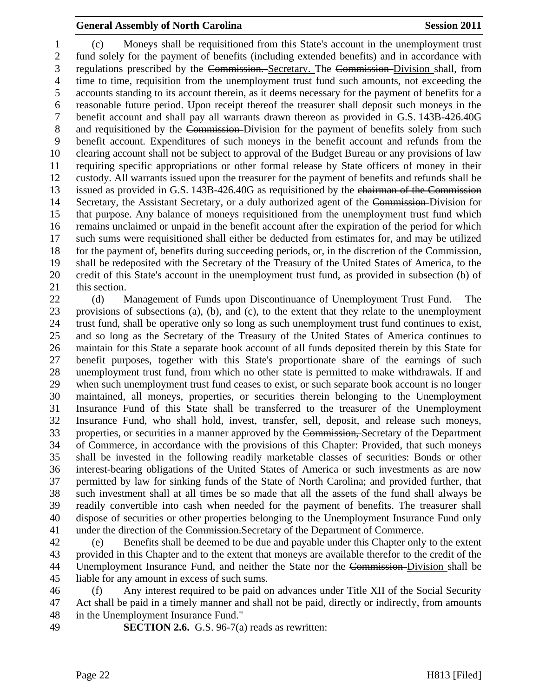(c) Moneys shall be requisitioned from this State's account in the unemployment trust fund solely for the payment of benefits (including extended benefits) and in accordance with regulations prescribed by the Commission. Secretary. The Commission Division shall, from time to time, requisition from the unemployment trust fund such amounts, not exceeding the accounts standing to its account therein, as it deems necessary for the payment of benefits for a reasonable future period. Upon receipt thereof the treasurer shall deposit such moneys in the benefit account and shall pay all warrants drawn thereon as provided in G.S. 143B-426.40G and requisitioned by the Commission Division for the payment of benefits solely from such benefit account. Expenditures of such moneys in the benefit account and refunds from the clearing account shall not be subject to approval of the Budget Bureau or any provisions of law requiring specific appropriations or other formal release by State officers of money in their custody. All warrants issued upon the treasurer for the payment of benefits and refunds shall be issued as provided in G.S. 143B-426.40G as requisitioned by the chairman of the Commission Secretary, the Assistant Secretary, or a duly authorized agent of the Commission Division for that purpose. Any balance of moneys requisitioned from the unemployment trust fund which remains unclaimed or unpaid in the benefit account after the expiration of the period for which such sums were requisitioned shall either be deducted from estimates for, and may be utilized for the payment of, benefits during succeeding periods, or, in the discretion of the Commission, shall be redeposited with the Secretary of the Treasury of the United States of America, to the credit of this State's account in the unemployment trust fund, as provided in subsection (b) of this section.

 (d) Management of Funds upon Discontinuance of Unemployment Trust Fund. – The provisions of subsections (a), (b), and (c), to the extent that they relate to the unemployment trust fund, shall be operative only so long as such unemployment trust fund continues to exist, and so long as the Secretary of the Treasury of the United States of America continues to maintain for this State a separate book account of all funds deposited therein by this State for benefit purposes, together with this State's proportionate share of the earnings of such unemployment trust fund, from which no other state is permitted to make withdrawals. If and when such unemployment trust fund ceases to exist, or such separate book account is no longer maintained, all moneys, properties, or securities therein belonging to the Unemployment Insurance Fund of this State shall be transferred to the treasurer of the Unemployment Insurance Fund, who shall hold, invest, transfer, sell, deposit, and release such moneys, 33 properties, or securities in a manner approved by the Commission, Secretary of the Department of Commerce, in accordance with the provisions of this Chapter: Provided, that such moneys shall be invested in the following readily marketable classes of securities: Bonds or other interest-bearing obligations of the United States of America or such investments as are now permitted by law for sinking funds of the State of North Carolina; and provided further, that such investment shall at all times be so made that all the assets of the fund shall always be readily convertible into cash when needed for the payment of benefits. The treasurer shall dispose of securities or other properties belonging to the Unemployment Insurance Fund only 41 under the direction of the Commission. Secretary of the Department of Commerce.

 (e) Benefits shall be deemed to be due and payable under this Chapter only to the extent provided in this Chapter and to the extent that moneys are available therefor to the credit of the Unemployment Insurance Fund, and neither the State nor the Commission Division shall be liable for any amount in excess of such sums.

 (f) Any interest required to be paid on advances under Title XII of the Social Security Act shall be paid in a timely manner and shall not be paid, directly or indirectly, from amounts in the Unemployment Insurance Fund."

**SECTION 2.6.** G.S. 96-7(a) reads as rewritten: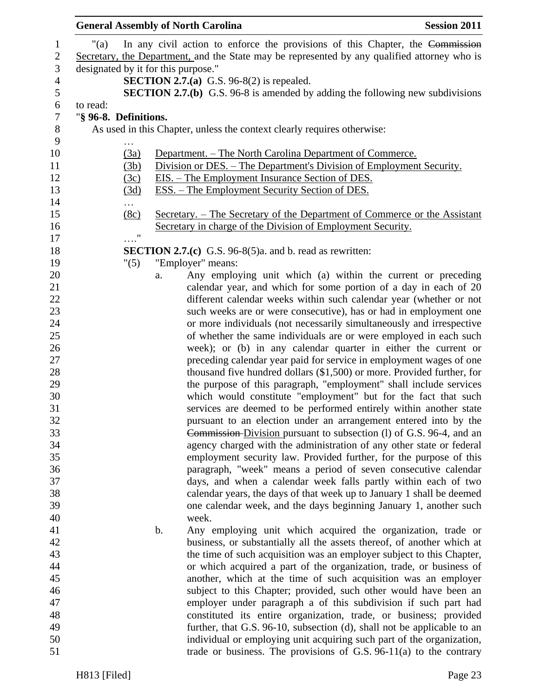|                                   | <b>General Assembly of North Carolina</b>      |    |                                                                                                                                                                               | <b>Session 2011</b> |
|-----------------------------------|------------------------------------------------|----|-------------------------------------------------------------------------------------------------------------------------------------------------------------------------------|---------------------|
| 1<br>$\sqrt{2}$<br>$\mathfrak{Z}$ | " $(a)$<br>designated by it for this purpose." |    | In any civil action to enforce the provisions of this Chapter, the Commission<br>Secretary, the Department, and the State may be represented by any qualified attorney who is |                     |
|                                   |                                                |    |                                                                                                                                                                               |                     |
| $\overline{4}$                    |                                                |    | <b>SECTION 2.7.(a)</b> G.S. 96-8(2) is repealed.                                                                                                                              |                     |
| 5                                 |                                                |    | <b>SECTION 2.7.(b)</b> G.S. 96-8 is amended by adding the following new subdivisions                                                                                          |                     |
| 6                                 | to read:                                       |    |                                                                                                                                                                               |                     |
| 7                                 | "§ 96-8. Definitions.                          |    |                                                                                                                                                                               |                     |
| 8                                 |                                                |    | As used in this Chapter, unless the context clearly requires otherwise:                                                                                                       |                     |
| 9                                 |                                                |    |                                                                                                                                                                               |                     |
| 10                                | (3a)                                           |    | Department. – The North Carolina Department of Commerce.                                                                                                                      |                     |
| 11                                | (3b)                                           |    | Division or DES. – The Department's Division of Employment Security.                                                                                                          |                     |
| 12                                | (3c)                                           |    | <u>EIS. – The Employment Insurance Section of DES.</u>                                                                                                                        |                     |
| 13<br>14                          | (3d)                                           |    | ESS. – The Employment Security Section of DES.                                                                                                                                |                     |
| 15                                | $\cdots$                                       |    | Secretary. – The Secretary of the Department of Commerce or the Assistant                                                                                                     |                     |
| 16                                | (8c)                                           |    | Secretary in charge of the Division of Employment Security.                                                                                                                   |                     |
| 17                                |                                                |    |                                                                                                                                                                               |                     |
| 18                                | $\ldots$ <sup>0</sup>                          |    | <b>SECTION 2.7.(c)</b> G.S. 96-8(5)a. and b. read as rewritten:                                                                                                               |                     |
| 19                                | "(5)                                           |    | "Employer" means:                                                                                                                                                             |                     |
| 20                                |                                                | a. | Any employing unit which (a) within the current or preceding                                                                                                                  |                     |
| 21                                |                                                |    | calendar year, and which for some portion of a day in each of 20                                                                                                              |                     |
| 22                                |                                                |    | different calendar weeks within such calendar year (whether or not                                                                                                            |                     |
| 23                                |                                                |    | such weeks are or were consecutive), has or had in employment one                                                                                                             |                     |
| 24                                |                                                |    | or more individuals (not necessarily simultaneously and irrespective                                                                                                          |                     |
| 25                                |                                                |    | of whether the same individuals are or were employed in each such                                                                                                             |                     |
| 26                                |                                                |    | week); or (b) in any calendar quarter in either the current or                                                                                                                |                     |
| 27                                |                                                |    | preceding calendar year paid for service in employment wages of one                                                                                                           |                     |
| 28                                |                                                |    | thousand five hundred dollars (\$1,500) or more. Provided further, for                                                                                                        |                     |
| 29                                |                                                |    | the purpose of this paragraph, "employment" shall include services                                                                                                            |                     |
| 30                                |                                                |    | which would constitute "employment" but for the fact that such                                                                                                                |                     |
| 31                                |                                                |    | services are deemed to be performed entirely within another state                                                                                                             |                     |
| 32                                |                                                |    | pursuant to an election under an arrangement entered into by the                                                                                                              |                     |
| 33                                |                                                |    | Commission-Division pursuant to subsection (l) of G.S. 96-4, and an                                                                                                           |                     |
| 34                                |                                                |    | agency charged with the administration of any other state or federal                                                                                                          |                     |
| 35                                |                                                |    | employment security law. Provided further, for the purpose of this                                                                                                            |                     |
| 36                                |                                                |    | paragraph, "week" means a period of seven consecutive calendar                                                                                                                |                     |
| 37                                |                                                |    | days, and when a calendar week falls partly within each of two                                                                                                                |                     |
| 38                                |                                                |    | calendar years, the days of that week up to January 1 shall be deemed                                                                                                         |                     |
| 39                                |                                                |    | one calendar week, and the days beginning January 1, another such                                                                                                             |                     |
| 40                                |                                                |    | week.                                                                                                                                                                         |                     |
| 41                                |                                                | b. | Any employing unit which acquired the organization, trade or                                                                                                                  |                     |
| 42                                |                                                |    | business, or substantially all the assets thereof, of another which at                                                                                                        |                     |
| 43                                |                                                |    | the time of such acquisition was an employer subject to this Chapter,                                                                                                         |                     |
| 44                                |                                                |    | or which acquired a part of the organization, trade, or business of                                                                                                           |                     |
| 45                                |                                                |    | another, which at the time of such acquisition was an employer                                                                                                                |                     |
| 46                                |                                                |    | subject to this Chapter; provided, such other would have been an                                                                                                              |                     |
| 47                                |                                                |    | employer under paragraph a of this subdivision if such part had                                                                                                               |                     |
| 48                                |                                                |    | constituted its entire organization, trade, or business; provided                                                                                                             |                     |
| 49                                |                                                |    | further, that G.S. 96-10, subsection (d), shall not be applicable to an                                                                                                       |                     |
| 50                                |                                                |    | individual or employing unit acquiring such part of the organization,                                                                                                         |                     |
| 51                                |                                                |    | trade or business. The provisions of G.S. $96-11(a)$ to the contrary                                                                                                          |                     |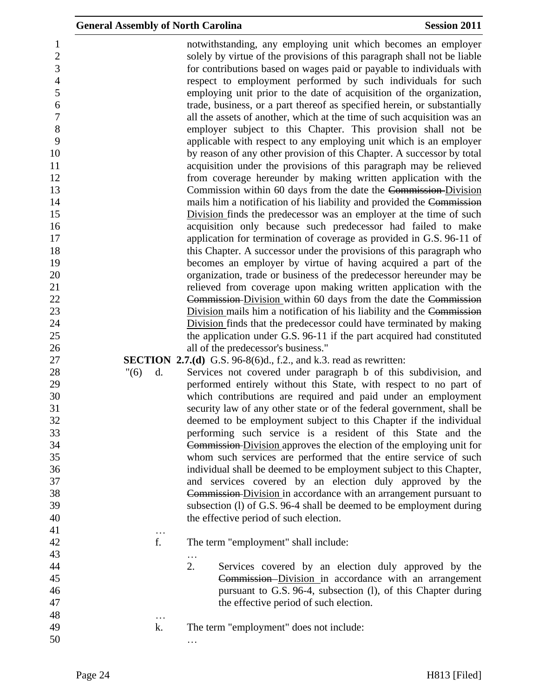| 1                |            | notwithstanding, any employing unit which becomes an employer              |
|------------------|------------|----------------------------------------------------------------------------|
| $\boldsymbol{2}$ |            | solely by virtue of the provisions of this paragraph shall not be liable   |
| 3                |            | for contributions based on wages paid or payable to individuals with       |
| $\overline{4}$   |            | respect to employment performed by such individuals for such               |
| 5                |            | employing unit prior to the date of acquisition of the organization,       |
| 6                |            | trade, business, or a part thereof as specified herein, or substantially   |
| $\boldsymbol{7}$ |            | all the assets of another, which at the time of such acquisition was an    |
| $\, 8$           |            | employer subject to this Chapter. This provision shall not be              |
| 9                |            | applicable with respect to any employing unit which is an employer         |
| 10               |            | by reason of any other provision of this Chapter. A successor by total     |
| 11               |            | acquisition under the provisions of this paragraph may be relieved         |
| 12               |            | from coverage hereunder by making written application with the             |
| 13               |            | Commission within 60 days from the date the Commission-Division            |
| 14               |            | mails him a notification of his liability and provided the Commission      |
| 15               |            | Division finds the predecessor was an employer at the time of such         |
| 16               |            | acquisition only because such predecessor had failed to make               |
| 17               |            | application for termination of coverage as provided in G.S. 96-11 of       |
| 18               |            | this Chapter. A successor under the provisions of this paragraph who       |
| 19               |            | becomes an employer by virtue of having acquired a part of the             |
| 20               |            | organization, trade or business of the predecessor hereunder may be        |
| 21               |            | relieved from coverage upon making written application with the            |
| 22               |            | Commission Division within 60 days from the date the Commission            |
| 23               |            | Division mails him a notification of his liability and the Commission      |
| 24               |            | Division finds that the predecessor could have terminated by making        |
| 25               |            | the application under G.S. 96-11 if the part acquired had constituted      |
| 26               |            | all of the predecessor's business."                                        |
| 27               |            | <b>SECTION</b> 2.7.(d) G.S. 96-8(6)d., f.2., and k.3. read as rewritten:   |
| 28               | "(6)<br>d. | Services not covered under paragraph b of this subdivision, and            |
| 29               |            | performed entirely without this State, with respect to no part of          |
| 30               |            | which contributions are required and paid under an employment              |
| 31               |            | security law of any other state or of the federal government, shall be     |
| 32               |            | deemed to be employment subject to this Chapter if the individual          |
| 33               |            | performing such service is a resident of this State and the                |
| 34               |            | <b>Commission-Division approves the election of the employing unit for</b> |
| 35               |            | whom such services are performed that the entire service of such           |
| 36               |            | individual shall be deemed to be employment subject to this Chapter,       |
| 37               |            | and services covered by an election duly approved by the                   |
| 38               |            | <b>Commission-Division in accordance with an arrangement pursuant to</b>   |
| 39               |            | subsection (1) of G.S. 96-4 shall be deemed to be employment during        |
| 40               |            | the effective period of such election.                                     |
| 41               | $\ddots$   |                                                                            |
| 42               | f.         | The term "employment" shall include:                                       |
| 43               |            | $\ddots$                                                                   |
| 44               |            | 2.<br>Services covered by an election duly approved by the                 |
| 45               |            | Commission-Division in accordance with an arrangement                      |
| 46               |            | pursuant to G.S. 96-4, subsection (l), of this Chapter during              |
| 47               |            | the effective period of such election.                                     |
| 48               | $\cdots$   |                                                                            |
| 49               | k.         | The term "employment" does not include:                                    |
|                  |            |                                                                            |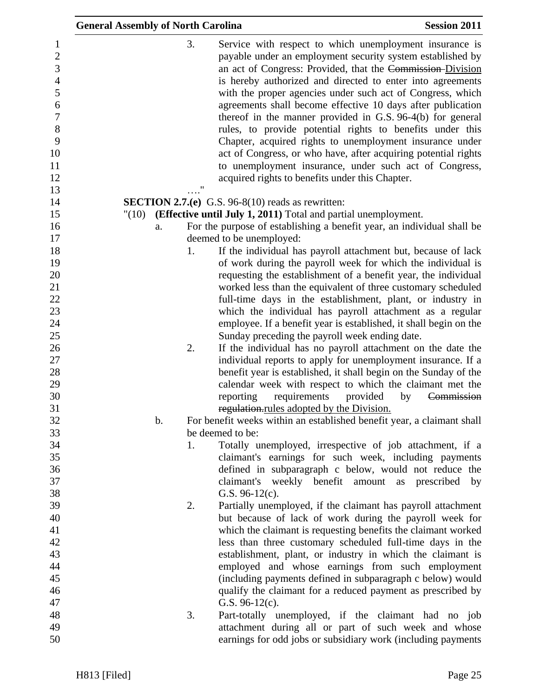|                                                                                                                         | <b>General Assembly of North Carolina</b> |                                                                                                                                                                                                                                                                                                                                                                                                                                                                                                                                                                                                                                                                                                                                                      | <b>Session 2011</b> |
|-------------------------------------------------------------------------------------------------------------------------|-------------------------------------------|------------------------------------------------------------------------------------------------------------------------------------------------------------------------------------------------------------------------------------------------------------------------------------------------------------------------------------------------------------------------------------------------------------------------------------------------------------------------------------------------------------------------------------------------------------------------------------------------------------------------------------------------------------------------------------------------------------------------------------------------------|---------------------|
| $\mathbf{1}$<br>$\overline{c}$<br>3<br>$\overline{\mathcal{L}}$<br>5<br>6<br>$\overline{7}$<br>8<br>9<br>10<br>11<br>12 | 3.                                        | Service with respect to which unemployment insurance is<br>payable under an employment security system established by<br>an act of Congress: Provided, that the Commission-Division<br>is hereby authorized and directed to enter into agreements<br>with the proper agencies under such act of Congress, which<br>agreements shall become effective 10 days after publication<br>thereof in the manner provided in G.S. 96-4(b) for general<br>rules, to provide potential rights to benefits under this<br>Chapter, acquired rights to unemployment insurance under<br>act of Congress, or who have, after acquiring potential rights<br>to unemployment insurance, under such act of Congress,<br>acquired rights to benefits under this Chapter. |                     |
| 13                                                                                                                      |                                           |                                                                                                                                                                                                                                                                                                                                                                                                                                                                                                                                                                                                                                                                                                                                                      |                     |
| 14                                                                                                                      |                                           | <b>SECTION 2.7.(e)</b> G.S. 96-8(10) reads as rewritten:                                                                                                                                                                                                                                                                                                                                                                                                                                                                                                                                                                                                                                                                                             |                     |
| 15                                                                                                                      | "(10)                                     | <b>(Effective until July 1, 2011)</b> Total and partial unemployment.                                                                                                                                                                                                                                                                                                                                                                                                                                                                                                                                                                                                                                                                                |                     |
| 16<br>17                                                                                                                | a.                                        | For the purpose of establishing a benefit year, an individual shall be                                                                                                                                                                                                                                                                                                                                                                                                                                                                                                                                                                                                                                                                               |                     |
| 18                                                                                                                      | 1.                                        | deemed to be unemployed:<br>If the individual has payroll attachment but, because of lack                                                                                                                                                                                                                                                                                                                                                                                                                                                                                                                                                                                                                                                            |                     |
| 19                                                                                                                      |                                           | of work during the payroll week for which the individual is                                                                                                                                                                                                                                                                                                                                                                                                                                                                                                                                                                                                                                                                                          |                     |
| 20                                                                                                                      |                                           | requesting the establishment of a benefit year, the individual                                                                                                                                                                                                                                                                                                                                                                                                                                                                                                                                                                                                                                                                                       |                     |
| 21                                                                                                                      |                                           | worked less than the equivalent of three customary scheduled                                                                                                                                                                                                                                                                                                                                                                                                                                                                                                                                                                                                                                                                                         |                     |
| 22                                                                                                                      |                                           | full-time days in the establishment, plant, or industry in                                                                                                                                                                                                                                                                                                                                                                                                                                                                                                                                                                                                                                                                                           |                     |
| 23                                                                                                                      |                                           | which the individual has payroll attachment as a regular                                                                                                                                                                                                                                                                                                                                                                                                                                                                                                                                                                                                                                                                                             |                     |
| 24                                                                                                                      |                                           | employee. If a benefit year is established, it shall begin on the                                                                                                                                                                                                                                                                                                                                                                                                                                                                                                                                                                                                                                                                                    |                     |
| 25                                                                                                                      |                                           | Sunday preceding the payroll week ending date.                                                                                                                                                                                                                                                                                                                                                                                                                                                                                                                                                                                                                                                                                                       |                     |
| 26                                                                                                                      | 2.                                        | If the individual has no payroll attachment on the date the                                                                                                                                                                                                                                                                                                                                                                                                                                                                                                                                                                                                                                                                                          |                     |
| 27                                                                                                                      |                                           | individual reports to apply for unemployment insurance. If a                                                                                                                                                                                                                                                                                                                                                                                                                                                                                                                                                                                                                                                                                         |                     |
| 28                                                                                                                      |                                           | benefit year is established, it shall begin on the Sunday of the                                                                                                                                                                                                                                                                                                                                                                                                                                                                                                                                                                                                                                                                                     |                     |
| 29                                                                                                                      |                                           | calendar week with respect to which the claimant met the                                                                                                                                                                                                                                                                                                                                                                                                                                                                                                                                                                                                                                                                                             |                     |
| 30                                                                                                                      |                                           | requirements<br>provided<br>reporting                                                                                                                                                                                                                                                                                                                                                                                                                                                                                                                                                                                                                                                                                                                | by<br>Commission    |
| 31                                                                                                                      |                                           | regulation.rules adopted by the Division.                                                                                                                                                                                                                                                                                                                                                                                                                                                                                                                                                                                                                                                                                                            |                     |
| 32                                                                                                                      | b.                                        | For benefit weeks within an established benefit year, a claimant shall                                                                                                                                                                                                                                                                                                                                                                                                                                                                                                                                                                                                                                                                               |                     |
| 33<br>34                                                                                                                | 1.                                        | be deemed to be:                                                                                                                                                                                                                                                                                                                                                                                                                                                                                                                                                                                                                                                                                                                                     |                     |
| 35                                                                                                                      |                                           | Totally unemployed, irrespective of job attachment, if a<br>claimant's earnings for such week, including payments                                                                                                                                                                                                                                                                                                                                                                                                                                                                                                                                                                                                                                    |                     |
| 36                                                                                                                      |                                           | defined in subparagraph c below, would not reduce the                                                                                                                                                                                                                                                                                                                                                                                                                                                                                                                                                                                                                                                                                                |                     |
| 37                                                                                                                      |                                           | claimant's weekly benefit amount                                                                                                                                                                                                                                                                                                                                                                                                                                                                                                                                                                                                                                                                                                                     | as prescribed<br>by |
| 38                                                                                                                      |                                           | G.S. $96-12(c)$ .                                                                                                                                                                                                                                                                                                                                                                                                                                                                                                                                                                                                                                                                                                                                    |                     |
| 39                                                                                                                      | 2.                                        | Partially unemployed, if the claimant has payroll attachment                                                                                                                                                                                                                                                                                                                                                                                                                                                                                                                                                                                                                                                                                         |                     |
| 40                                                                                                                      |                                           | but because of lack of work during the payroll week for                                                                                                                                                                                                                                                                                                                                                                                                                                                                                                                                                                                                                                                                                              |                     |
| 41                                                                                                                      |                                           | which the claimant is requesting benefits the claimant worked                                                                                                                                                                                                                                                                                                                                                                                                                                                                                                                                                                                                                                                                                        |                     |
| 42                                                                                                                      |                                           | less than three customary scheduled full-time days in the                                                                                                                                                                                                                                                                                                                                                                                                                                                                                                                                                                                                                                                                                            |                     |
| 43                                                                                                                      |                                           | establishment, plant, or industry in which the claimant is                                                                                                                                                                                                                                                                                                                                                                                                                                                                                                                                                                                                                                                                                           |                     |
| 44                                                                                                                      |                                           | employed and whose earnings from such employment                                                                                                                                                                                                                                                                                                                                                                                                                                                                                                                                                                                                                                                                                                     |                     |
| 45                                                                                                                      |                                           | (including payments defined in subparagraph c below) would                                                                                                                                                                                                                                                                                                                                                                                                                                                                                                                                                                                                                                                                                           |                     |
| 46                                                                                                                      |                                           | qualify the claimant for a reduced payment as prescribed by                                                                                                                                                                                                                                                                                                                                                                                                                                                                                                                                                                                                                                                                                          |                     |
| 47                                                                                                                      |                                           | G.S. $96-12(c)$ .                                                                                                                                                                                                                                                                                                                                                                                                                                                                                                                                                                                                                                                                                                                                    |                     |
| 48                                                                                                                      | 3.                                        | Part-totally unemployed, if the claimant had no job                                                                                                                                                                                                                                                                                                                                                                                                                                                                                                                                                                                                                                                                                                  |                     |
| 49<br>50                                                                                                                |                                           | attachment during all or part of such week and whose<br>earnings for odd jobs or subsidiary work (including payments                                                                                                                                                                                                                                                                                                                                                                                                                                                                                                                                                                                                                                 |                     |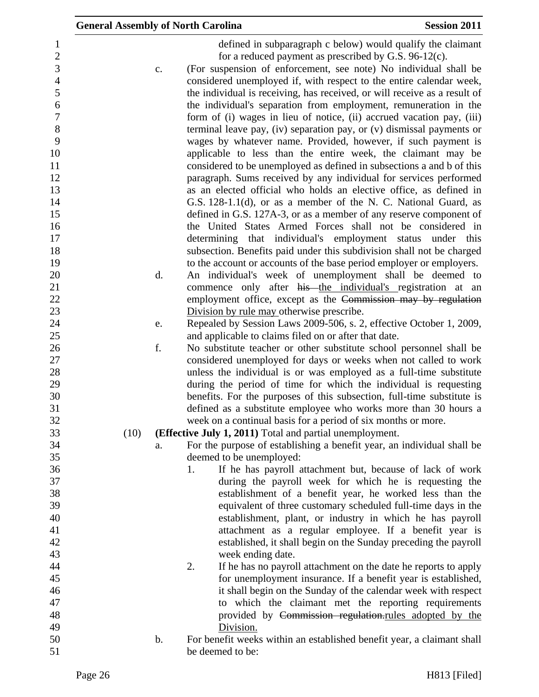|                                                                                                                                                                                                                     |                      | <b>General Assembly of North Carolina</b>                                                                                                                                                                                                                                                                                                                                                                                                                                                                                                                                                                                                                                                                                                                                                                                                                                                                                                                                                                                                                                                                                                                                                                                                                                                                                                                                                                                                                                                                                                                                                                                                                                                                                                                                                                                                                | <b>Session 2011</b> |
|---------------------------------------------------------------------------------------------------------------------------------------------------------------------------------------------------------------------|----------------------|----------------------------------------------------------------------------------------------------------------------------------------------------------------------------------------------------------------------------------------------------------------------------------------------------------------------------------------------------------------------------------------------------------------------------------------------------------------------------------------------------------------------------------------------------------------------------------------------------------------------------------------------------------------------------------------------------------------------------------------------------------------------------------------------------------------------------------------------------------------------------------------------------------------------------------------------------------------------------------------------------------------------------------------------------------------------------------------------------------------------------------------------------------------------------------------------------------------------------------------------------------------------------------------------------------------------------------------------------------------------------------------------------------------------------------------------------------------------------------------------------------------------------------------------------------------------------------------------------------------------------------------------------------------------------------------------------------------------------------------------------------------------------------------------------------------------------------------------------------|---------------------|
| $\mathbf 1$<br>$\overline{c}$<br>$\overline{3}$<br>$\overline{4}$<br>5<br>6<br>$\overline{7}$<br>8<br>9<br>10<br>11<br>12<br>13<br>14<br>15<br>16<br>17<br>18<br>19<br>20<br>21<br>22<br>23<br>24<br>25<br>26<br>27 | c.<br>d.<br>e.<br>f. | defined in subparagraph c below) would qualify the claimant<br>for a reduced payment as prescribed by G.S. $96-12(c)$ .<br>(For suspension of enforcement, see note) No individual shall be<br>considered unemployed if, with respect to the entire calendar week,<br>the individual is receiving, has received, or will receive as a result of<br>the individual's separation from employment, remuneration in the<br>form of (i) wages in lieu of notice, (ii) accrued vacation pay, (iii)<br>terminal leave pay, (iv) separation pay, or $(v)$ dismissal payments or<br>wages by whatever name. Provided, however, if such payment is<br>applicable to less than the entire week, the claimant may be<br>considered to be unemployed as defined in subsections a and b of this<br>paragraph. Sums received by any individual for services performed<br>as an elected official who holds an elective office, as defined in<br>G.S. 128-1.1(d), or as a member of the N. C. National Guard, as<br>defined in G.S. 127A-3, or as a member of any reserve component of<br>the United States Armed Forces shall not be considered in<br>determining that individual's employment status<br>subsection. Benefits paid under this subdivision shall not be charged<br>to the account or accounts of the base period employer or employers.<br>An individual's week of unemployment shall be deemed to<br>commence only after his the individual's registration at an<br>employment office, except as the Commission may by regulation<br>Division by rule may otherwise prescribe.<br>Repealed by Session Laws 2009-506, s. 2, effective October 1, 2009,<br>and applicable to claims filed on or after that date.<br>No substitute teacher or other substitute school personnel shall be<br>considered unemployed for days or weeks when not called to work | under this          |
| 28<br>29<br>30<br>31                                                                                                                                                                                                |                      | unless the individual is or was employed as a full-time substitute<br>during the period of time for which the individual is requesting<br>benefits. For the purposes of this subsection, full-time substitute is<br>defined as a substitute employee who works more than 30 hours a                                                                                                                                                                                                                                                                                                                                                                                                                                                                                                                                                                                                                                                                                                                                                                                                                                                                                                                                                                                                                                                                                                                                                                                                                                                                                                                                                                                                                                                                                                                                                                      |                     |
| 32                                                                                                                                                                                                                  |                      | week on a continual basis for a period of six months or more.                                                                                                                                                                                                                                                                                                                                                                                                                                                                                                                                                                                                                                                                                                                                                                                                                                                                                                                                                                                                                                                                                                                                                                                                                                                                                                                                                                                                                                                                                                                                                                                                                                                                                                                                                                                            |                     |
| 33<br>34<br>35                                                                                                                                                                                                      | (10)<br>a.           | (Effective July 1, 2011) Total and partial unemployment.<br>For the purpose of establishing a benefit year, an individual shall be<br>deemed to be unemployed:                                                                                                                                                                                                                                                                                                                                                                                                                                                                                                                                                                                                                                                                                                                                                                                                                                                                                                                                                                                                                                                                                                                                                                                                                                                                                                                                                                                                                                                                                                                                                                                                                                                                                           |                     |
| 36<br>37<br>38<br>39<br>40<br>41<br>42<br>43                                                                                                                                                                        |                      | If he has payroll attachment but, because of lack of work<br>1.<br>during the payroll week for which he is requesting the<br>establishment of a benefit year, he worked less than the<br>equivalent of three customary scheduled full-time days in the<br>establishment, plant, or industry in which he has payroll<br>attachment as a regular employee. If a benefit year is<br>established, it shall begin on the Sunday preceding the payroll<br>week ending date.                                                                                                                                                                                                                                                                                                                                                                                                                                                                                                                                                                                                                                                                                                                                                                                                                                                                                                                                                                                                                                                                                                                                                                                                                                                                                                                                                                                    |                     |
| 44<br>45<br>46<br>47<br>48                                                                                                                                                                                          |                      | 2.<br>If he has no payroll attachment on the date he reports to apply<br>for unemployment insurance. If a benefit year is established,<br>it shall begin on the Sunday of the calendar week with respect<br>to which the claimant met the reporting requirements<br>provided by Commission regulation.rules adopted by the                                                                                                                                                                                                                                                                                                                                                                                                                                                                                                                                                                                                                                                                                                                                                                                                                                                                                                                                                                                                                                                                                                                                                                                                                                                                                                                                                                                                                                                                                                                               |                     |
| 49<br>50<br>51                                                                                                                                                                                                      | b.                   | Division.<br>For benefit weeks within an established benefit year, a claimant shall<br>be deemed to be:                                                                                                                                                                                                                                                                                                                                                                                                                                                                                                                                                                                                                                                                                                                                                                                                                                                                                                                                                                                                                                                                                                                                                                                                                                                                                                                                                                                                                                                                                                                                                                                                                                                                                                                                                  |                     |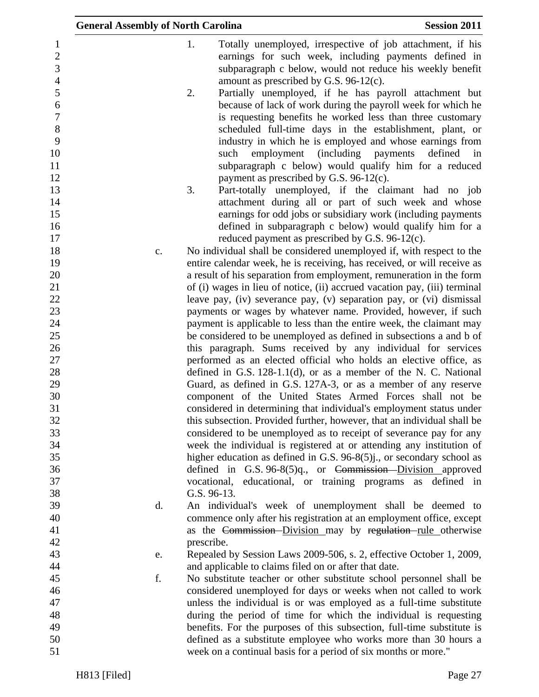|                                                                                   | <b>General Assembly of North Carolina</b> |                                                                                                                                                                                                                                                                                                                                                                                                                                                                                   | <b>Session 2011</b> |
|-----------------------------------------------------------------------------------|-------------------------------------------|-----------------------------------------------------------------------------------------------------------------------------------------------------------------------------------------------------------------------------------------------------------------------------------------------------------------------------------------------------------------------------------------------------------------------------------------------------------------------------------|---------------------|
| 1<br>$\overline{2}$<br>3<br>$\overline{4}$<br>5<br>6<br>$\boldsymbol{7}$<br>$8\,$ | 1.<br>2.                                  | Totally unemployed, irrespective of job attachment, if his<br>earnings for such week, including payments defined in<br>subparagraph c below, would not reduce his weekly benefit<br>amount as prescribed by G.S. $96-12(c)$ .<br>Partially unemployed, if he has payroll attachment but<br>because of lack of work during the payroll week for which he<br>is requesting benefits he worked less than three customary<br>scheduled full-time days in the establishment, plant, or |                     |
| 9<br>10<br>11<br>12<br>13<br>14<br>15<br>16                                       | 3.                                        | industry in which he is employed and whose earnings from<br>employment (including payments<br>such<br>subparagraph c below) would qualify him for a reduced<br>payment as prescribed by G.S. 96-12(c).<br>Part-totally unemployed, if the claimant had no job<br>attachment during all or part of such week and whose<br>earnings for odd jobs or subsidiary work (including payments<br>defined in subparagraph c below) would qualify him for a                                 | defined<br>in       |
| 17                                                                                |                                           | reduced payment as prescribed by G.S. 96-12(c).                                                                                                                                                                                                                                                                                                                                                                                                                                   |                     |
| 18<br>19                                                                          | c.                                        | No individual shall be considered unemployed if, with respect to the<br>entire calendar week, he is receiving, has received, or will receive as                                                                                                                                                                                                                                                                                                                                   |                     |
| 20<br>21<br>22                                                                    |                                           | a result of his separation from employment, remuneration in the form<br>of (i) wages in lieu of notice, (ii) accrued vacation pay, (iii) terminal<br>leave pay, (iv) severance pay, (v) separation pay, or (vi) dismissal                                                                                                                                                                                                                                                         |                     |
| 23                                                                                |                                           | payments or wages by whatever name. Provided, however, if such                                                                                                                                                                                                                                                                                                                                                                                                                    |                     |
| 24                                                                                |                                           | payment is applicable to less than the entire week, the claimant may                                                                                                                                                                                                                                                                                                                                                                                                              |                     |
| 25                                                                                |                                           | be considered to be unemployed as defined in subsections a and b of                                                                                                                                                                                                                                                                                                                                                                                                               |                     |
| 26                                                                                |                                           | this paragraph. Sums received by any individual for services                                                                                                                                                                                                                                                                                                                                                                                                                      |                     |
| 27                                                                                |                                           | performed as an elected official who holds an elective office, as                                                                                                                                                                                                                                                                                                                                                                                                                 |                     |
| 28                                                                                |                                           | defined in G.S. $128-1.1(d)$ , or as a member of the N. C. National                                                                                                                                                                                                                                                                                                                                                                                                               |                     |
| 29<br>30                                                                          |                                           | Guard, as defined in G.S. 127A-3, or as a member of any reserve<br>component of the United States Armed Forces shall not be                                                                                                                                                                                                                                                                                                                                                       |                     |
| 31                                                                                |                                           | considered in determining that individual's employment status under                                                                                                                                                                                                                                                                                                                                                                                                               |                     |
| 32                                                                                |                                           | this subsection. Provided further, however, that an individual shall be                                                                                                                                                                                                                                                                                                                                                                                                           |                     |
| 33                                                                                |                                           | considered to be unemployed as to receipt of severance pay for any                                                                                                                                                                                                                                                                                                                                                                                                                |                     |
| 34                                                                                |                                           | week the individual is registered at or attending any institution of                                                                                                                                                                                                                                                                                                                                                                                                              |                     |
| 35                                                                                |                                           | higher education as defined in G.S. $96-8(5)$ j., or secondary school as                                                                                                                                                                                                                                                                                                                                                                                                          |                     |
| 36                                                                                |                                           | defined in G.S. 96-8(5)q., or <del>Commission</del> -Division approved                                                                                                                                                                                                                                                                                                                                                                                                            |                     |
| 37                                                                                |                                           | vocational, educational, or training programs as                                                                                                                                                                                                                                                                                                                                                                                                                                  | defined in          |
| 38                                                                                |                                           | G.S. 96-13.                                                                                                                                                                                                                                                                                                                                                                                                                                                                       |                     |
| 39                                                                                | d.                                        | An individual's week of unemployment shall be deemed to                                                                                                                                                                                                                                                                                                                                                                                                                           |                     |
| 40                                                                                |                                           | commence only after his registration at an employment office, except                                                                                                                                                                                                                                                                                                                                                                                                              |                     |
| 41<br>42                                                                          |                                           | as the Commission-Division may by regulation-rule otherwise<br>prescribe.                                                                                                                                                                                                                                                                                                                                                                                                         |                     |
| 43                                                                                | e.                                        | Repealed by Session Laws 2009-506, s. 2, effective October 1, 2009,                                                                                                                                                                                                                                                                                                                                                                                                               |                     |
| 44                                                                                |                                           | and applicable to claims filed on or after that date.                                                                                                                                                                                                                                                                                                                                                                                                                             |                     |
| 45                                                                                | f.                                        | No substitute teacher or other substitute school personnel shall be                                                                                                                                                                                                                                                                                                                                                                                                               |                     |
| 46                                                                                |                                           | considered unemployed for days or weeks when not called to work                                                                                                                                                                                                                                                                                                                                                                                                                   |                     |
| 47                                                                                |                                           | unless the individual is or was employed as a full-time substitute                                                                                                                                                                                                                                                                                                                                                                                                                |                     |
| 48                                                                                |                                           | during the period of time for which the individual is requesting                                                                                                                                                                                                                                                                                                                                                                                                                  |                     |
| 49                                                                                |                                           | benefits. For the purposes of this subsection, full-time substitute is                                                                                                                                                                                                                                                                                                                                                                                                            |                     |
| 50<br>51                                                                          |                                           | defined as a substitute employee who works more than 30 hours a<br>week on a continual basis for a period of six months or more."                                                                                                                                                                                                                                                                                                                                                 |                     |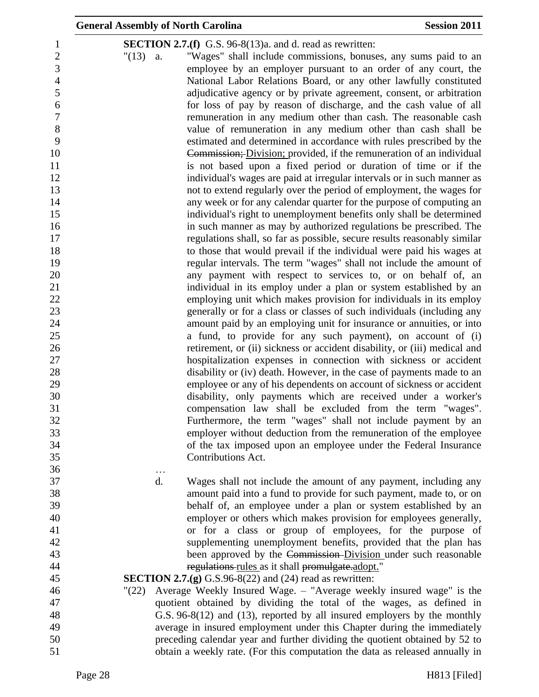| <b>General Assembly of North Carolina</b>                                                                                                    | <b>Session 2011</b> |
|----------------------------------------------------------------------------------------------------------------------------------------------|---------------------|
| <b>SECTION 2.7.(f)</b> G.S. 96-8(13)a. and d. read as rewritten:                                                                             |                     |
| $"(13)$ a.<br>"Wages" shall include commissions, bonuses, any sums paid to an                                                                |                     |
| employee by an employer pursuant to an order of any court, the                                                                               |                     |
| National Labor Relations Board, or any other lawfully constituted                                                                            |                     |
| adjudicative agency or by private agreement, consent, or arbitration                                                                         |                     |
| for loss of pay by reason of discharge, and the cash value of all                                                                            |                     |
| remuneration in any medium other than cash. The reasonable cash                                                                              |                     |
| value of remuneration in any medium other than cash shall be                                                                                 |                     |
| estimated and determined in accordance with rules prescribed by the                                                                          |                     |
| Commission; Division; provided, if the remuneration of an individual                                                                         |                     |
| is not based upon a fixed period or duration of time or if the                                                                               |                     |
| individual's wages are paid at irregular intervals or in such manner as                                                                      |                     |
| not to extend regularly over the period of employment, the wages for                                                                         |                     |
| any week or for any calendar quarter for the purpose of computing an                                                                         |                     |
| individual's right to unemployment benefits only shall be determined                                                                         |                     |
| in such manner as may by authorized regulations be prescribed. The                                                                           |                     |
| regulations shall, so far as possible, secure results reasonably similar                                                                     |                     |
| to those that would prevail if the individual were paid his wages at                                                                         |                     |
| regular intervals. The term "wages" shall not include the amount of                                                                          |                     |
| any payment with respect to services to, or on behalf of, an                                                                                 |                     |
| individual in its employ under a plan or system established by an                                                                            |                     |
| employing unit which makes provision for individuals in its employ<br>generally or for a class or classes of such individuals (including any |                     |
| amount paid by an employing unit for insurance or annuities, or into                                                                         |                     |
| a fund, to provide for any such payment), on account of (i)                                                                                  |                     |
| retirement, or (ii) sickness or accident disability, or (iii) medical and                                                                    |                     |
| hospitalization expenses in connection with sickness or accident                                                                             |                     |
| disability or (iv) death. However, in the case of payments made to an                                                                        |                     |
| employee or any of his dependents on account of sickness or accident                                                                         |                     |
| disability, only payments which are received under a worker's                                                                                |                     |
| compensation law shall be excluded from the term "wages".                                                                                    |                     |
| Furthermore, the term "wages" shall not include payment by an                                                                                |                     |
| employer without deduction from the remuneration of the employee                                                                             |                     |
| of the tax imposed upon an employee under the Federal Insurance                                                                              |                     |
| Contributions Act.                                                                                                                           |                     |
| $\ddots$                                                                                                                                     |                     |
| d.<br>Wages shall not include the amount of any payment, including any                                                                       |                     |
| amount paid into a fund to provide for such payment, made to, or on                                                                          |                     |
| behalf of, an employee under a plan or system established by an                                                                              |                     |
| employer or others which makes provision for employees generally,<br>or for a class or group of employees, for the purpose of                |                     |
| supplementing unemployment benefits, provided that the plan has                                                                              |                     |
| been approved by the Commission-Division under such reasonable                                                                               |                     |
| regulations rules as it shall promulgate.adopt."                                                                                             |                     |
| <b>SECTION 2.7.(g)</b> G.S.96-8(22) and (24) read as rewritten:                                                                              |                     |
| Average Weekly Insured Wage. - "Average weekly insured wage" is the<br>(22)                                                                  |                     |
| quotient obtained by dividing the total of the wages, as defined in                                                                          |                     |
| G.S. 96-8(12) and (13), reported by all insured employers by the monthly                                                                     |                     |
| average in insured employment under this Chapter during the immediately                                                                      |                     |
| preceding calendar year and further dividing the quotient obtained by 52 to                                                                  |                     |
| obtain a weekly rate. (For this computation the data as released annually in                                                                 |                     |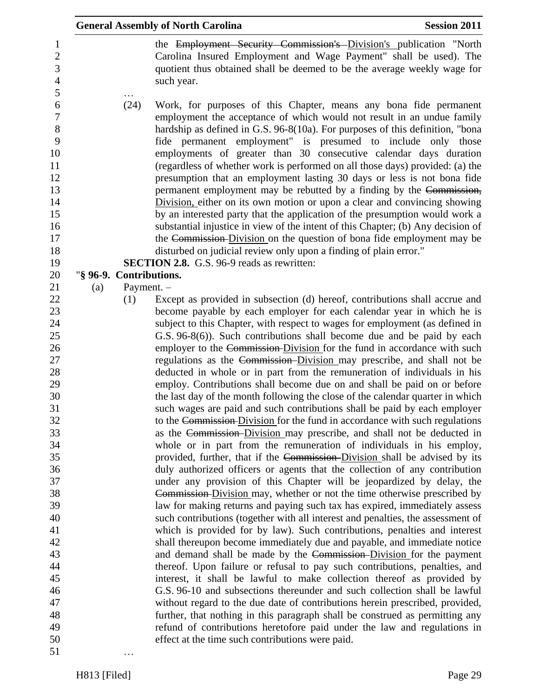|     |                         | <b>General Assembly of North Carolina</b>                                                                                                                                                                                                                                                                                                                                                                                                                                                                                                                                                                                                                                                                                                                                                                                                                                                                                                                                                                                                                 | <b>Session 2011</b> |
|-----|-------------------------|-----------------------------------------------------------------------------------------------------------------------------------------------------------------------------------------------------------------------------------------------------------------------------------------------------------------------------------------------------------------------------------------------------------------------------------------------------------------------------------------------------------------------------------------------------------------------------------------------------------------------------------------------------------------------------------------------------------------------------------------------------------------------------------------------------------------------------------------------------------------------------------------------------------------------------------------------------------------------------------------------------------------------------------------------------------|---------------------|
|     |                         | the Employment Security Commission's Division's publication "North<br>Carolina Insured Employment and Wage Payment" shall be used). The<br>quotient thus obtained shall be deemed to be the average weekly wage for<br>such year.                                                                                                                                                                                                                                                                                                                                                                                                                                                                                                                                                                                                                                                                                                                                                                                                                         |                     |
|     | (24)                    | Work, for purposes of this Chapter, means any bona fide permanent<br>employment the acceptance of which would not result in an undue family<br>hardship as defined in G.S. 96-8(10a). For purposes of this definition, "bona<br>fide permanent employment" is presumed to include only those<br>employments of greater than 30 consecutive calendar days duration<br>(regardless of whether work is performed on all those days) provided: (a) the<br>presumption that an employment lasting 30 days or less is not bona fide<br>permanent employment may be rebutted by a finding by the Commission,<br>Division, either on its own motion or upon a clear and convincing showing<br>by an interested party that the application of the presumption would work a<br>substantial injustice in view of the intent of this Chapter; (b) Any decision of<br>the Commission Division on the question of bona fide employment may be<br>disturbed on judicial review only upon a finding of plain error."<br><b>SECTION 2.8.</b> G.S. 96-9 reads as rewritten: |                     |
|     | "§ 96-9. Contributions. |                                                                                                                                                                                                                                                                                                                                                                                                                                                                                                                                                                                                                                                                                                                                                                                                                                                                                                                                                                                                                                                           |                     |
| (a) |                         | Payment. $-$                                                                                                                                                                                                                                                                                                                                                                                                                                                                                                                                                                                                                                                                                                                                                                                                                                                                                                                                                                                                                                              |                     |
|     | (1)                     | Except as provided in subsection (d) hereof, contributions shall accrue and                                                                                                                                                                                                                                                                                                                                                                                                                                                                                                                                                                                                                                                                                                                                                                                                                                                                                                                                                                               |                     |
|     |                         | become payable by each employer for each calendar year in which he is                                                                                                                                                                                                                                                                                                                                                                                                                                                                                                                                                                                                                                                                                                                                                                                                                                                                                                                                                                                     |                     |
|     |                         | subject to this Chapter, with respect to wages for employment (as defined in                                                                                                                                                                                                                                                                                                                                                                                                                                                                                                                                                                                                                                                                                                                                                                                                                                                                                                                                                                              |                     |
|     |                         | G.S. 96-8(6)). Such contributions shall become due and be paid by each                                                                                                                                                                                                                                                                                                                                                                                                                                                                                                                                                                                                                                                                                                                                                                                                                                                                                                                                                                                    |                     |
|     |                         | employer to the Commission-Division for the fund in accordance with such                                                                                                                                                                                                                                                                                                                                                                                                                                                                                                                                                                                                                                                                                                                                                                                                                                                                                                                                                                                  |                     |
|     |                         | regulations as the Commission-Division may prescribe, and shall not be                                                                                                                                                                                                                                                                                                                                                                                                                                                                                                                                                                                                                                                                                                                                                                                                                                                                                                                                                                                    |                     |
|     |                         | deducted in whole or in part from the remuneration of individuals in his                                                                                                                                                                                                                                                                                                                                                                                                                                                                                                                                                                                                                                                                                                                                                                                                                                                                                                                                                                                  |                     |
|     |                         | employ. Contributions shall become due on and shall be paid on or before                                                                                                                                                                                                                                                                                                                                                                                                                                                                                                                                                                                                                                                                                                                                                                                                                                                                                                                                                                                  |                     |
|     |                         | the last day of the month following the close of the calendar quarter in which<br>such wages are paid and such contributions shall be paid by each employer                                                                                                                                                                                                                                                                                                                                                                                                                                                                                                                                                                                                                                                                                                                                                                                                                                                                                               |                     |
|     |                         | to the Commission-Division for the fund in accordance with such regulations                                                                                                                                                                                                                                                                                                                                                                                                                                                                                                                                                                                                                                                                                                                                                                                                                                                                                                                                                                               |                     |
|     |                         | as the Commission-Division may prescribe, and shall not be deducted in                                                                                                                                                                                                                                                                                                                                                                                                                                                                                                                                                                                                                                                                                                                                                                                                                                                                                                                                                                                    |                     |
|     |                         | whole or in part from the remuneration of individuals in his employ,                                                                                                                                                                                                                                                                                                                                                                                                                                                                                                                                                                                                                                                                                                                                                                                                                                                                                                                                                                                      |                     |
|     |                         | provided, further, that if the Commission-Division shall be advised by its                                                                                                                                                                                                                                                                                                                                                                                                                                                                                                                                                                                                                                                                                                                                                                                                                                                                                                                                                                                |                     |
|     |                         | duly authorized officers or agents that the collection of any contribution                                                                                                                                                                                                                                                                                                                                                                                                                                                                                                                                                                                                                                                                                                                                                                                                                                                                                                                                                                                |                     |
|     |                         | under any provision of this Chapter will be jeopardized by delay, the                                                                                                                                                                                                                                                                                                                                                                                                                                                                                                                                                                                                                                                                                                                                                                                                                                                                                                                                                                                     |                     |
|     |                         | Commission-Division may, whether or not the time otherwise prescribed by                                                                                                                                                                                                                                                                                                                                                                                                                                                                                                                                                                                                                                                                                                                                                                                                                                                                                                                                                                                  |                     |
|     |                         | law for making returns and paying such tax has expired, immediately assess                                                                                                                                                                                                                                                                                                                                                                                                                                                                                                                                                                                                                                                                                                                                                                                                                                                                                                                                                                                |                     |
|     |                         | such contributions (together with all interest and penalties, the assessment of                                                                                                                                                                                                                                                                                                                                                                                                                                                                                                                                                                                                                                                                                                                                                                                                                                                                                                                                                                           |                     |
|     |                         | which is provided for by law). Such contributions, penalties and interest                                                                                                                                                                                                                                                                                                                                                                                                                                                                                                                                                                                                                                                                                                                                                                                                                                                                                                                                                                                 |                     |
|     |                         | shall thereupon become immediately due and payable, and immediate notice                                                                                                                                                                                                                                                                                                                                                                                                                                                                                                                                                                                                                                                                                                                                                                                                                                                                                                                                                                                  |                     |
|     |                         | and demand shall be made by the Commission-Division for the payment                                                                                                                                                                                                                                                                                                                                                                                                                                                                                                                                                                                                                                                                                                                                                                                                                                                                                                                                                                                       |                     |
|     |                         | thereof. Upon failure or refusal to pay such contributions, penalties, and                                                                                                                                                                                                                                                                                                                                                                                                                                                                                                                                                                                                                                                                                                                                                                                                                                                                                                                                                                                |                     |
|     |                         | interest, it shall be lawful to make collection thereof as provided by                                                                                                                                                                                                                                                                                                                                                                                                                                                                                                                                                                                                                                                                                                                                                                                                                                                                                                                                                                                    |                     |
|     |                         | G.S. 96-10 and subsections thereunder and such collection shall be lawful                                                                                                                                                                                                                                                                                                                                                                                                                                                                                                                                                                                                                                                                                                                                                                                                                                                                                                                                                                                 |                     |
|     |                         | without regard to the due date of contributions herein prescribed, provided,                                                                                                                                                                                                                                                                                                                                                                                                                                                                                                                                                                                                                                                                                                                                                                                                                                                                                                                                                                              |                     |
|     |                         | further, that nothing in this paragraph shall be construed as permitting any                                                                                                                                                                                                                                                                                                                                                                                                                                                                                                                                                                                                                                                                                                                                                                                                                                                                                                                                                                              |                     |
|     |                         | refund of contributions heretofore paid under the law and regulations in                                                                                                                                                                                                                                                                                                                                                                                                                                                                                                                                                                                                                                                                                                                                                                                                                                                                                                                                                                                  |                     |
|     |                         | effect at the time such contributions were paid.                                                                                                                                                                                                                                                                                                                                                                                                                                                                                                                                                                                                                                                                                                                                                                                                                                                                                                                                                                                                          |                     |
|     |                         |                                                                                                                                                                                                                                                                                                                                                                                                                                                                                                                                                                                                                                                                                                                                                                                                                                                                                                                                                                                                                                                           |                     |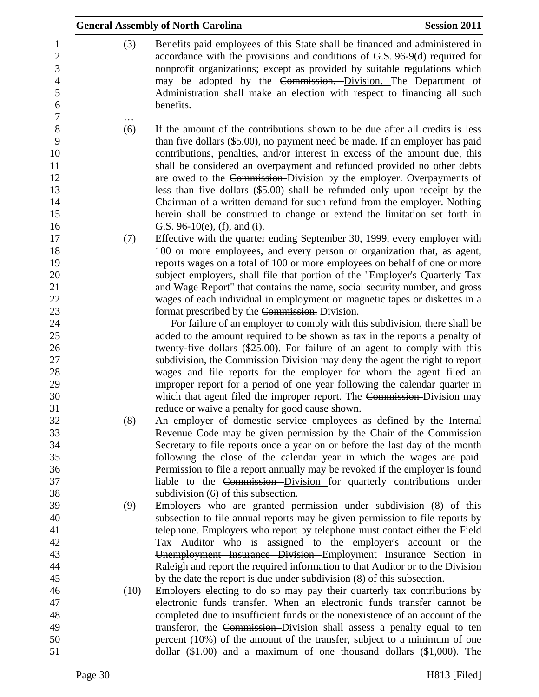|      | <b>General Assembly of North Carolina</b>                                                                                                                                                                                                                                                                                                                                                                                                                                                                                                                                                                                                                               | <b>Session 2011</b> |
|------|-------------------------------------------------------------------------------------------------------------------------------------------------------------------------------------------------------------------------------------------------------------------------------------------------------------------------------------------------------------------------------------------------------------------------------------------------------------------------------------------------------------------------------------------------------------------------------------------------------------------------------------------------------------------------|---------------------|
| (3)  | Benefits paid employees of this State shall be financed and administered in<br>accordance with the provisions and conditions of G.S. 96-9(d) required for<br>nonprofit organizations; except as provided by suitable regulations which<br>may be adopted by the Commission. Division. The Department of<br>Administration shall make an election with respect to financing all such<br>benefits.                                                                                                                                                                                                                                                                        |                     |
| (6)  | If the amount of the contributions shown to be due after all credits is less<br>than five dollars (\$5.00), no payment need be made. If an employer has paid<br>contributions, penalties, and/or interest in excess of the amount due, this<br>shall be considered an overpayment and refunded provided no other debts<br>are owed to the Commission-Division by the employer. Overpayments of<br>less than five dollars (\$5.00) shall be refunded only upon receipt by the<br>Chairman of a written demand for such refund from the employer. Nothing<br>herein shall be construed to change or extend the limitation set forth in<br>G.S. $96-10(e)$ , (f), and (i). |                     |
| (7)  | Effective with the quarter ending September 30, 1999, every employer with<br>100 or more employees, and every person or organization that, as agent,<br>reports wages on a total of 100 or more employees on behalf of one or more<br>subject employers, shall file that portion of the "Employer's Quarterly Tax                                                                                                                                                                                                                                                                                                                                                       |                     |
|      | and Wage Report" that contains the name, social security number, and gross<br>wages of each individual in employment on magnetic tapes or diskettes in a<br>format prescribed by the Commission. Division.                                                                                                                                                                                                                                                                                                                                                                                                                                                              |                     |
|      | For failure of an employer to comply with this subdivision, there shall be<br>added to the amount required to be shown as tax in the reports a penalty of<br>twenty-five dollars (\$25.00). For failure of an agent to comply with this                                                                                                                                                                                                                                                                                                                                                                                                                                 |                     |
|      | subdivision, the Commission-Division may deny the agent the right to report<br>wages and file reports for the employer for whom the agent filed an<br>improper report for a period of one year following the calendar quarter in<br>which that agent filed the improper report. The Commission-Division may                                                                                                                                                                                                                                                                                                                                                             |                     |
| (8)  | reduce or waive a penalty for good cause shown.<br>An employer of domestic service employees as defined by the Internal<br>Revenue Code may be given permission by the Chair of the Commission<br>Secretary to file reports once a year on or before the last day of the month                                                                                                                                                                                                                                                                                                                                                                                          |                     |
|      | following the close of the calendar year in which the wages are paid.<br>Permission to file a report annually may be revoked if the employer is found<br>liable to the Commission-Division for quarterly contributions under<br>subdivision (6) of this subsection.                                                                                                                                                                                                                                                                                                                                                                                                     |                     |
| (9)  | Employers who are granted permission under subdivision (8) of this<br>subsection to file annual reports may be given permission to file reports by                                                                                                                                                                                                                                                                                                                                                                                                                                                                                                                      |                     |
|      | telephone. Employers who report by telephone must contact either the Field<br>Tax Auditor who is assigned to the employer's account or the<br>Unemployment Insurance Division Employment Insurance Section in<br>Raleigh and report the required information to that Auditor or to the Division                                                                                                                                                                                                                                                                                                                                                                         |                     |
| (10) | by the date the report is due under subdivision (8) of this subsection.<br>Employers electing to do so may pay their quarterly tax contributions by<br>electronic funds transfer. When an electronic funds transfer cannot be                                                                                                                                                                                                                                                                                                                                                                                                                                           |                     |
|      | completed due to insufficient funds or the nonexistence of an account of the<br>transferor, the Commission-Division shall assess a penalty equal to ten                                                                                                                                                                                                                                                                                                                                                                                                                                                                                                                 |                     |
|      | percent (10%) of the amount of the transfer, subject to a minimum of one<br>dollar $(\$1.00)$ and a maximum of one thousand dollars $(\$1,000)$ . The                                                                                                                                                                                                                                                                                                                                                                                                                                                                                                                   |                     |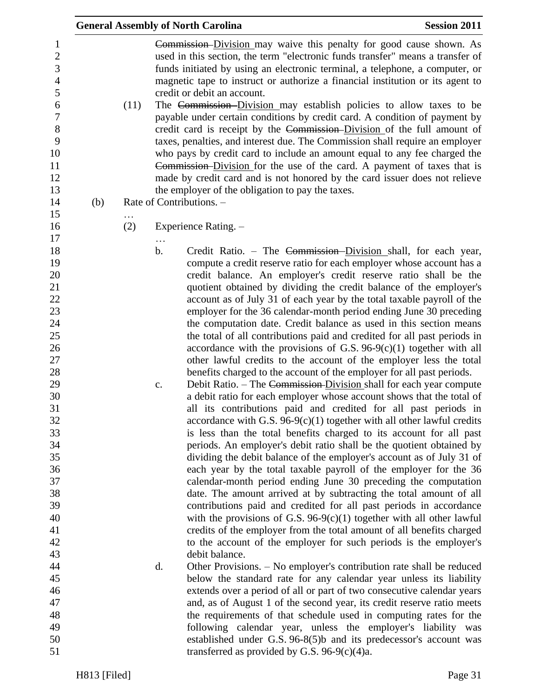|     |      |                           | <b>General Assembly of North Carolina</b>                                                                                                                                                                                                                                                                                                                                                                                                                                                                                                                                                                                                                                                                                                                                                                                                                                                                                                                                                                                                                                                                                                                                                                                                                                                                                                                                                                                                                                                                                                                                                                                                                                                                                                                                                                                                                                                                                                                                                                                                                                             | <b>Session 2011</b> |
|-----|------|---------------------------|---------------------------------------------------------------------------------------------------------------------------------------------------------------------------------------------------------------------------------------------------------------------------------------------------------------------------------------------------------------------------------------------------------------------------------------------------------------------------------------------------------------------------------------------------------------------------------------------------------------------------------------------------------------------------------------------------------------------------------------------------------------------------------------------------------------------------------------------------------------------------------------------------------------------------------------------------------------------------------------------------------------------------------------------------------------------------------------------------------------------------------------------------------------------------------------------------------------------------------------------------------------------------------------------------------------------------------------------------------------------------------------------------------------------------------------------------------------------------------------------------------------------------------------------------------------------------------------------------------------------------------------------------------------------------------------------------------------------------------------------------------------------------------------------------------------------------------------------------------------------------------------------------------------------------------------------------------------------------------------------------------------------------------------------------------------------------------------|---------------------|
| (b) | (11) |                           | Commission-Division may waive this penalty for good cause shown. As<br>used in this section, the term "electronic funds transfer" means a transfer of<br>funds initiated by using an electronic terminal, a telephone, a computer, or<br>magnetic tape to instruct or authorize a financial institution or its agent to<br>credit or debit an account.<br>The Commission-Division may establish policies to allow taxes to be<br>payable under certain conditions by credit card. A condition of payment by<br>credit card is receipt by the Commission-Division of the full amount of<br>taxes, penalties, and interest due. The Commission shall require an employer<br>who pays by credit card to include an amount equal to any fee charged the<br>Commission-Division for the use of the card. A payment of taxes that is<br>made by credit card and is not honored by the card issuer does not relieve<br>the employer of the obligation to pay the taxes.<br>Rate of Contributions. -                                                                                                                                                                                                                                                                                                                                                                                                                                                                                                                                                                                                                                                                                                                                                                                                                                                                                                                                                                                                                                                                                          |                     |
|     | (2)  |                           | Experience Rating. -                                                                                                                                                                                                                                                                                                                                                                                                                                                                                                                                                                                                                                                                                                                                                                                                                                                                                                                                                                                                                                                                                                                                                                                                                                                                                                                                                                                                                                                                                                                                                                                                                                                                                                                                                                                                                                                                                                                                                                                                                                                                  |                     |
|     |      | $\mathbf b$ .<br>c.<br>d. | Credit Ratio. – The Commission–Division shall, for each year,<br>compute a credit reserve ratio for each employer whose account has a<br>credit balance. An employer's credit reserve ratio shall be the<br>quotient obtained by dividing the credit balance of the employer's<br>account as of July 31 of each year by the total taxable payroll of the<br>employer for the 36 calendar-month period ending June 30 preceding<br>the computation date. Credit balance as used in this section means<br>the total of all contributions paid and credited for all past periods in<br>accordance with the provisions of G.S. $96-9(c)(1)$ together with all<br>other lawful credits to the account of the employer less the total<br>benefits charged to the account of the employer for all past periods.<br>Debit Ratio. – The Commission-Division shall for each year compute<br>a debit ratio for each employer whose account shows that the total of<br>all its contributions paid and credited for all past periods in<br>accordance with G.S. $96-9(c)(1)$ together with all other lawful credits<br>is less than the total benefits charged to its account for all past<br>periods. An employer's debit ratio shall be the quotient obtained by<br>dividing the debit balance of the employer's account as of July 31 of<br>each year by the total taxable payroll of the employer for the 36<br>calendar-month period ending June 30 preceding the computation<br>date. The amount arrived at by subtracting the total amount of all<br>contributions paid and credited for all past periods in accordance<br>with the provisions of G.S. 96-9 $(c)(1)$ together with all other lawful<br>credits of the employer from the total amount of all benefits charged<br>to the account of the employer for such periods is the employer's<br>debit balance.<br>Other Provisions. – No employer's contribution rate shall be reduced<br>below the standard rate for any calendar year unless its liability<br>extends over a period of all or part of two consecutive calendar years |                     |
|     |      |                           | and, as of August 1 of the second year, its credit reserve ratio meets<br>the requirements of that schedule used in computing rates for the<br>following calendar year, unless the employer's liability was<br>established under G.S. 96-8(5)b and its predecessor's account was<br>transferred as provided by G.S. $96-9(c)(4)a$ .                                                                                                                                                                                                                                                                                                                                                                                                                                                                                                                                                                                                                                                                                                                                                                                                                                                                                                                                                                                                                                                                                                                                                                                                                                                                                                                                                                                                                                                                                                                                                                                                                                                                                                                                                   |                     |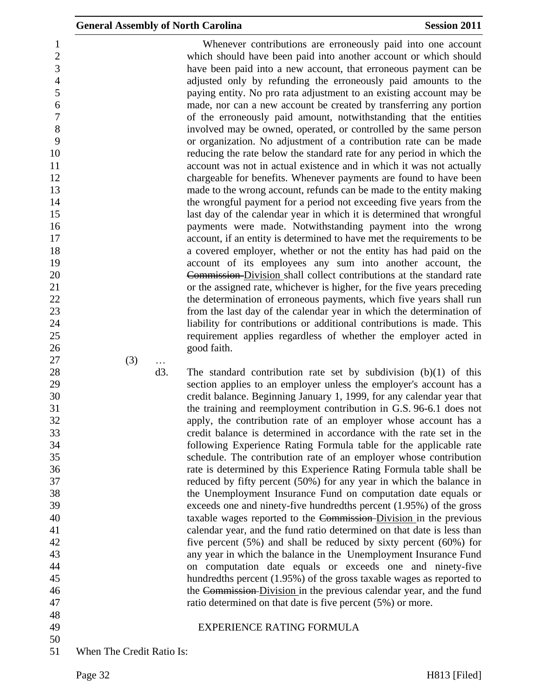Whenever contributions are erroneously paid into one account which should have been paid into another account or which should have been paid into a new account, that erroneous payment can be adjusted only by refunding the erroneously paid amounts to the paying entity. No pro rata adjustment to an existing account may be made, nor can a new account be created by transferring any portion of the erroneously paid amount, notwithstanding that the entities involved may be owned, operated, or controlled by the same person or organization. No adjustment of a contribution rate can be made reducing the rate below the standard rate for any period in which the account was not in actual existence and in which it was not actually chargeable for benefits. Whenever payments are found to have been made to the wrong account, refunds can be made to the entity making the wrongful payment for a period not exceeding five years from the last day of the calendar year in which it is determined that wrongful payments were made. Notwithstanding payment into the wrong account, if an entity is determined to have met the requirements to be a covered employer, whether or not the entity has had paid on the account of its employees any sum into another account, the Commission Division shall collect contributions at the standard rate or the assigned rate, whichever is higher, for the five years preceding 22 the determination of erroneous payments, which five years shall run from the last day of the calendar year in which the determination of liability for contributions or additional contributions is made. This requirement applies regardless of whether the employer acted in good faith.

(3)

28 d3. The standard contribution rate set by subdivision (b)(1) of this section applies to an employer unless the employer's account has a credit balance. Beginning January 1, 1999, for any calendar year that the training and reemployment contribution in G.S. 96-6.1 does not apply, the contribution rate of an employer whose account has a credit balance is determined in accordance with the rate set in the following Experience Rating Formula table for the applicable rate schedule. The contribution rate of an employer whose contribution rate is determined by this Experience Rating Formula table shall be reduced by fifty percent (50%) for any year in which the balance in the Unemployment Insurance Fund on computation date equals or exceeds one and ninety-five hundredths percent (1.95%) of the gross 40 taxable wages reported to the Commission-Division in the previous calendar year, and the fund ratio determined on that date is less than five percent (5%) and shall be reduced by sixty percent (60%) for any year in which the balance in the Unemployment Insurance Fund on computation date equals or exceeds one and ninety-five hundredths percent (1.95%) of the gross taxable wages as reported to the Commission Division in the previous calendar year, and the fund **ratio determined on that date is five percent (5%) or more.** 

- 
- 
- EXPERIENCE RATING FORMULA
- When The Credit Ratio Is: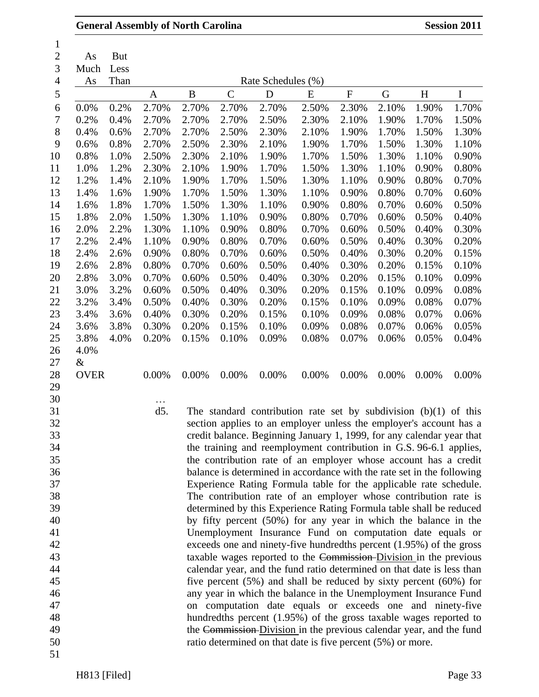|                  |                            | <b>General Assembly of North Carolina</b> |       |               |                                                                        |       |           |       |       | <b>Session 2011</b> |
|------------------|----------------------------|-------------------------------------------|-------|---------------|------------------------------------------------------------------------|-------|-----------|-------|-------|---------------------|
| As<br>Much<br>As | <b>But</b><br>Less<br>Than |                                           |       |               | Rate Schedules (%)                                                     |       |           |       |       |                     |
|                  |                            | $\mathbf{A}$                              | B     | $\mathcal{C}$ | D                                                                      | E     | ${\bf F}$ | G     | H     | I                   |
| 0.0%             | 0.2%                       | 2.70%                                     | 2.70% | 2.70%         | 2.70%                                                                  | 2.50% | 2.30%     | 2.10% | 1.90% | 1.70%               |
| 0.2%             | 0.4%                       | 2.70%                                     | 2.70% | 2.70%         | 2.50%                                                                  | 2.30% | 2.10%     | 1.90% | 1.70% | 1.50%               |
| 0.4%             | 0.6%                       | 2.70%                                     | 2.70% | 2.50%         | 2.30%                                                                  | 2.10% | 1.90%     | 1.70% | 1.50% | 1.30%               |
| 0.6%             | 0.8%                       | 2.70%                                     | 2.50% | 2.30%         | 2.10%                                                                  | 1.90% | 1.70%     | 1.50% | 1.30% | 1.10%               |
| 0.8%             | 1.0%                       | 2.50%                                     | 2.30% | 2.10%         | 1.90%                                                                  | 1.70% | 1.50%     | 1.30% | 1.10% | 0.90%               |
| 1.0%             | 1.2%                       | 2.30%                                     | 2.10% | 1.90%         | 1.70%                                                                  | 1.50% | 1.30%     | 1.10% | 0.90% | 0.80%               |
| 1.2%             | 1.4%                       | 2.10%                                     | 1.90% | 1.70%         | 1.50%                                                                  | 1.30% | 1.10%     | 0.90% | 0.80% | 0.70%               |
| 1.4%             | 1.6%                       | 1.90%                                     | 1.70% | 1.50%         | 1.30%                                                                  | 1.10% | 0.90%     | 0.80% | 0.70% | 0.60%               |
| 1.6%             | 1.8%                       | 1.70%                                     | 1.50% | 1.30%         | 1.10%                                                                  | 0.90% | 0.80%     | 0.70% | 0.60% | 0.50%               |
| 1.8%             | 2.0%                       | 1.50%                                     | 1.30% | 1.10%         | 0.90%                                                                  | 0.80% | 0.70%     | 0.60% | 0.50% | 0.40%               |
| 2.0%             | 2.2%                       | 1.30%                                     | 1.10% | 0.90%         | 0.80%                                                                  | 0.70% | 0.60%     | 0.50% | 0.40% | 0.30%               |
| 2.2%             | 2.4%                       | 1.10%                                     | 0.90% | 0.80%         | 0.70%                                                                  | 0.60% | 0.50%     | 0.40% | 0.30% | 0.20%               |
| 2.4%             | 2.6%                       | 0.90%                                     | 0.80% | 0.70%         | 0.60%                                                                  | 0.50% | 0.40%     | 0.30% | 0.20% | 0.15%               |
| 2.6%             | 2.8%                       | 0.80%                                     | 0.70% | 0.60%         | 0.50%                                                                  | 0.40% | 0.30%     | 0.20% | 0.15% | 0.10%               |
| 2.8%             | 3.0%                       | 0.70%                                     | 0.60% | 0.50%         | 0.40%                                                                  | 0.30% | 0.20%     | 0.15% | 0.10% | 0.09%               |
| 3.0%             | 3.2%                       | 0.60%                                     | 0.50% | 0.40%         | 0.30%                                                                  | 0.20% | 0.15%     | 0.10% | 0.09% | 0.08%               |
| 3.2%             | 3.4%                       | 0.50%                                     | 0.40% | 0.30%         | 0.20%                                                                  | 0.15% | 0.10%     | 0.09% | 0.08% | 0.07%               |
| 3.4%             | 3.6%                       | 0.40%                                     | 0.30% | 0.20%         | 0.15%                                                                  | 0.10% | 0.09%     | 0.08% | 0.07% | 0.06%               |
| 3.6%             | 3.8%                       | 0.30%                                     | 0.20% | 0.15%         | 0.10%                                                                  | 0.09% | 0.08%     | 0.07% | 0.06% | 0.05%               |
| 3.8%             | 4.0%                       | 0.20%                                     | 0.15% | 0.10%         | 0.09%                                                                  | 0.08% | 0.07%     | 0.06% | 0.05% | 0.04%               |
| 4.0%             |                            |                                           |       |               |                                                                        |       |           |       |       |                     |
| $\&$             |                            |                                           |       |               |                                                                        |       |           |       |       |                     |
| <b>OVER</b>      |                            | 0.00%                                     | 0.00% | 0.00%         | 0.00%                                                                  | 0.00% | 0.00%     | 0.00% | 0.00% | 0.00%               |
|                  |                            |                                           |       |               |                                                                        |       |           |       |       |                     |
|                  |                            | .                                         |       |               |                                                                        |       |           |       |       |                     |
|                  |                            | d <sub>5</sub>                            |       |               | The standard contribution rate set by subdivision $(b)(1)$ of this     |       |           |       |       |                     |
|                  |                            |                                           |       |               | section applies to an employer unless the employer's account has a     |       |           |       |       |                     |
|                  |                            |                                           |       |               | credit balance. Beginning January 1, 1999, for any calendar year that  |       |           |       |       |                     |
|                  |                            |                                           |       |               | the training and reemployment contribution in G.S. 96-6.1 applies,     |       |           |       |       |                     |
|                  |                            |                                           |       |               | the contribution rate of an employer whose account has a credit        |       |           |       |       |                     |
|                  |                            |                                           |       |               | balance is determined in accordance with the rate set in the following |       |           |       |       |                     |
|                  |                            |                                           |       |               | Experience Rating Formula table for the applicable rate schedule.      |       |           |       |       |                     |
|                  |                            |                                           |       |               | The contribution rate of an employer whose contribution rate is        |       |           |       |       |                     |
|                  |                            |                                           |       |               | determined by this Experience Rating Formula table shall be reduced    |       |           |       |       |                     |
|                  |                            |                                           |       |               | by fifty percent (50%) for any year in which the balance in the        |       |           |       |       |                     |
|                  |                            |                                           |       |               | Unemployment Insurance Fund on computation date equals or              |       |           |       |       |                     |
|                  |                            |                                           |       |               | exceeds one and ninety-five hundredths percent (1.95%) of the gross    |       |           |       |       |                     |
|                  |                            |                                           |       |               | taxable wages reported to the Commission-Division in the previous      |       |           |       |       |                     |
|                  |                            |                                           |       |               | calendar year, and the fund ratio determined on that date is less than |       |           |       |       |                     |
|                  |                            |                                           |       |               | five percent $(5%)$ and shall be reduced by sixty percent $(60%)$ for  |       |           |       |       |                     |
|                  |                            |                                           |       |               | any year in which the balance in the Unemployment Insurance Fund       |       |           |       |       |                     |
|                  |                            |                                           |       |               | on computation date equals or exceeds one and ninety-five              |       |           |       |       |                     |
|                  |                            |                                           |       |               | hundredths percent (1.95%) of the gross taxable wages reported to      |       |           |       |       |                     |
|                  |                            |                                           |       |               | the Commission-Division in the previous calendar year, and the fund    |       |           |       |       |                     |
|                  |                            |                                           |       |               | ratio determined on that date is five percent (5%) or more.            |       |           |       |       |                     |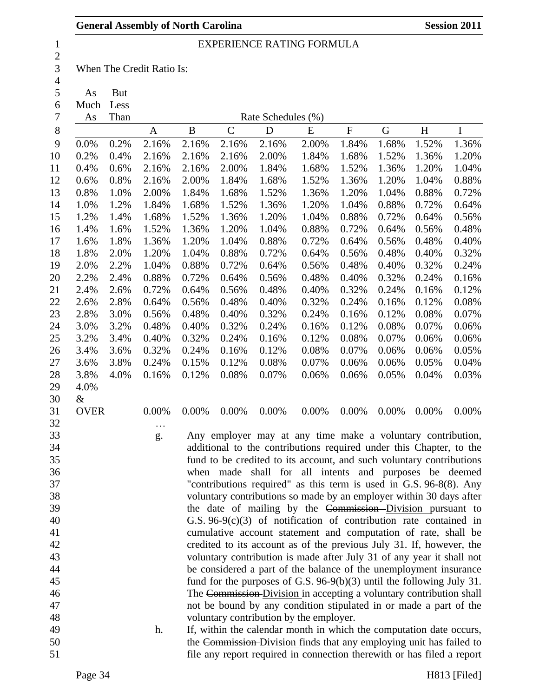# EXPERIENCE RATING FORMULA

When The Credit Ratio Is:

As But

Much Less

| 7  | As          | Than | Rate Schedules (%) |       |               |                                                                         |       |           |       |       |       |
|----|-------------|------|--------------------|-------|---------------|-------------------------------------------------------------------------|-------|-----------|-------|-------|-------|
| 8  |             |      | A                  | B     | $\mathcal{C}$ | D                                                                       | E     | ${\bf F}$ | G     | H     | I     |
| 9  | 0.0%        | 0.2% | 2.16%              | 2.16% | 2.16%         | 2.16%                                                                   | 2.00% | 1.84%     | 1.68% | 1.52% | 1.36% |
| 10 | 0.2%        | 0.4% | 2.16%              | 2.16% | 2.16%         | 2.00%                                                                   | 1.84% | 1.68%     | 1.52% | 1.36% | 1.20% |
| 11 | 0.4%        | 0.6% | 2.16%              | 2.16% | 2.00%         | 1.84%                                                                   | 1.68% | 1.52%     | 1.36% | 1.20% | 1.04% |
| 12 | 0.6%        | 0.8% | 2.16%              | 2.00% | 1.84%         | 1.68%                                                                   | 1.52% | 1.36%     | 1.20% | 1.04% | 0.88% |
| 13 | 0.8%        | 1.0% | 2.00%              | 1.84% | 1.68%         | 1.52%                                                                   | 1.36% | 1.20%     | 1.04% | 0.88% | 0.72% |
| 14 | 1.0%        | 1.2% | 1.84%              | 1.68% | 1.52%         | 1.36%                                                                   | 1.20% | 1.04%     | 0.88% | 0.72% | 0.64% |
| 15 | 1.2%        | 1.4% | 1.68%              | 1.52% | 1.36%         | 1.20%                                                                   | 1.04% | 0.88%     | 0.72% | 0.64% | 0.56% |
| 16 | 1.4%        | 1.6% | 1.52%              | 1.36% | 1.20%         | 1.04%                                                                   | 0.88% | 0.72%     | 0.64% | 0.56% | 0.48% |
| 17 | 1.6%        | 1.8% | 1.36%              | 1.20% | 1.04%         | 0.88%                                                                   | 0.72% | 0.64%     | 0.56% | 0.48% | 0.40% |
| 18 | 1.8%        | 2.0% | 1.20%              | 1.04% | 0.88%         | 0.72%                                                                   | 0.64% | 0.56%     | 0.48% | 0.40% | 0.32% |
| 19 | 2.0%        | 2.2% | 1.04%              | 0.88% | 0.72%         | 0.64%                                                                   | 0.56% | 0.48%     | 0.40% | 0.32% | 0.24% |
| 20 | 2.2%        | 2.4% | 0.88%              | 0.72% | 0.64%         | 0.56%                                                                   | 0.48% | 0.40%     | 0.32% | 0.24% | 0.16% |
| 21 | 2.4%        | 2.6% | 0.72%              | 0.64% | 0.56%         | 0.48%                                                                   | 0.40% | 0.32%     | 0.24% | 0.16% | 0.12% |
| 22 | 2.6%        | 2.8% | 0.64%              | 0.56% | 0.48%         | 0.40%                                                                   | 0.32% | 0.24%     | 0.16% | 0.12% | 0.08% |
| 23 | 2.8%        | 3.0% | 0.56%              | 0.48% | 0.40%         | 0.32%                                                                   | 0.24% | 0.16%     | 0.12% | 0.08% | 0.07% |
| 24 | 3.0%        | 3.2% | 0.48%              | 0.40% | 0.32%         | 0.24%                                                                   | 0.16% | 0.12%     | 0.08% | 0.07% | 0.06% |
| 25 | 3.2%        | 3.4% | 0.40%              | 0.32% | 0.24%         | 0.16%                                                                   | 0.12% | 0.08%     | 0.07% | 0.06% | 0.06% |
| 26 | 3.4%        | 3.6% | 0.32%              | 0.24% | 0.16%         | 0.12%                                                                   | 0.08% | 0.07%     | 0.06% | 0.06% | 0.05% |
| 27 | 3.6%        | 3.8% | 0.24%              | 0.15% | 0.12%         | 0.08%                                                                   | 0.07% | 0.06%     | 0.06% | 0.05% | 0.04% |
| 28 | 3.8%        | 4.0% | 0.16%              | 0.12% | 0.08%         | 0.07%                                                                   | 0.06% | 0.06%     | 0.05% | 0.04% | 0.03% |
| 29 | 4.0%        |      |                    |       |               |                                                                         |       |           |       |       |       |
| 30 | &           |      |                    |       |               |                                                                         |       |           |       |       |       |
| 31 | <b>OVER</b> |      | 0.00%              | 0.00% | 0.00%         | 0.00%                                                                   | 0.00% | 0.00%     | 0.00% | 0.00% | 0.00% |
| 32 |             |      |                    |       |               |                                                                         |       |           |       |       |       |
| 33 |             |      | g.                 |       |               | Any employer may at any time make a voluntary contribution,             |       |           |       |       |       |
| 34 |             |      |                    |       |               | additional to the contributions required under this Chapter, to the     |       |           |       |       |       |
| 35 |             |      |                    |       |               | fund to be credited to its account, and such voluntary contributions    |       |           |       |       |       |
| 36 |             |      |                    |       | when made     | shall for all intents and purposes be deemed                            |       |           |       |       |       |
| 37 |             |      |                    |       |               | "contributions required" as this term is used in G.S. 96-8(8). Any      |       |           |       |       |       |
| 38 |             |      |                    |       |               | voluntary contributions so made by an employer within 30 days after     |       |           |       |       |       |
| 39 |             |      |                    |       |               | the date of mailing by the Commission-Division pursuant to              |       |           |       |       |       |
| 40 |             |      |                    |       |               | G.S. $96-9(c)(3)$ of notification of contribution rate contained in     |       |           |       |       |       |
| 41 |             |      |                    |       |               | cumulative account statement and computation of rate, shall be          |       |           |       |       |       |
| 42 |             |      |                    |       |               | credited to its account as of the previous July 31. If, however, the    |       |           |       |       |       |
| 43 |             |      |                    |       |               | voluntary contribution is made after July 31 of any year it shall not   |       |           |       |       |       |
| 44 |             |      |                    |       |               | be considered a part of the balance of the unemployment insurance       |       |           |       |       |       |
| 45 |             |      |                    |       |               | fund for the purposes of G.S. $96-9(b)(3)$ until the following July 31. |       |           |       |       |       |
| 46 |             |      |                    |       |               | The Commission-Division in accepting a voluntary contribution shall     |       |           |       |       |       |
| 47 |             |      |                    |       |               | not be bound by any condition stipulated in or made a part of the       |       |           |       |       |       |
| 48 |             |      |                    |       |               | voluntary contribution by the employer.                                 |       |           |       |       |       |
| 49 |             |      | h.                 |       |               | If, within the calendar month in which the computation date occurs,     |       |           |       |       |       |
| 50 |             |      |                    |       |               | the Commission-Division finds that any employing unit has failed to     |       |           |       |       |       |
| 51 |             |      |                    |       |               | file any report required in connection therewith or has filed a report  |       |           |       |       |       |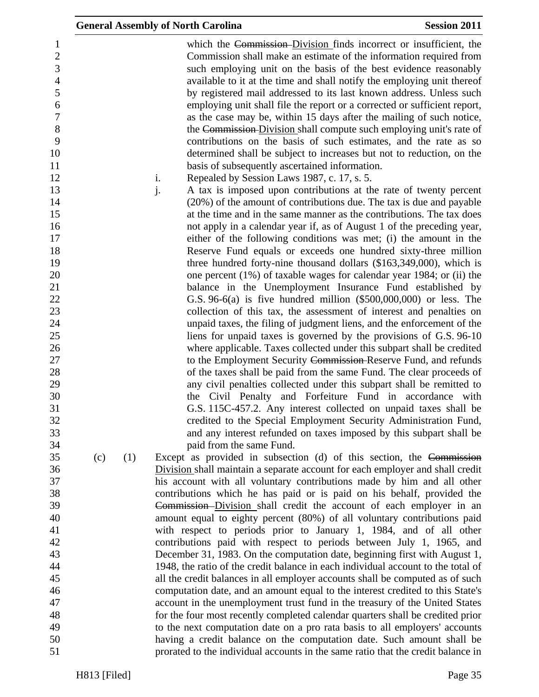| <b>Session 2011</b><br><b>General Assembly of North Carolina</b>                                                                                                                                                                                                                                                                                                                                                                                                                                                                                                                                                                                                                                                                                                                                                                                                                                                                                                                                                                                                                                                                                                                                                                                                                                                                                                                                                                                                                                                                                                                                                                                                                                                                                                                                                                                                                                                                                                                                                                                                                                          |              |
|-----------------------------------------------------------------------------------------------------------------------------------------------------------------------------------------------------------------------------------------------------------------------------------------------------------------------------------------------------------------------------------------------------------------------------------------------------------------------------------------------------------------------------------------------------------------------------------------------------------------------------------------------------------------------------------------------------------------------------------------------------------------------------------------------------------------------------------------------------------------------------------------------------------------------------------------------------------------------------------------------------------------------------------------------------------------------------------------------------------------------------------------------------------------------------------------------------------------------------------------------------------------------------------------------------------------------------------------------------------------------------------------------------------------------------------------------------------------------------------------------------------------------------------------------------------------------------------------------------------------------------------------------------------------------------------------------------------------------------------------------------------------------------------------------------------------------------------------------------------------------------------------------------------------------------------------------------------------------------------------------------------------------------------------------------------------------------------------------------------|--------------|
| which the Commission-Division finds incorrect or insufficient, the<br>Commission shall make an estimate of the information required from<br>such employing unit on the basis of the best evidence reasonably<br>available to it at the time and shall notify the employing unit thereof<br>by registered mail addressed to its last known address. Unless such<br>employing unit shall file the report or a corrected or sufficient report,<br>as the case may be, within 15 days after the mailing of such notice,<br>the Commission-Division shall compute such employing unit's rate of<br>contributions on the basis of such estimates, and the rate as so<br>determined shall be subject to increases but not to reduction, on the<br>basis of subsequently ascertained information.<br>Repealed by Session Laws 1987, c. 17, s. 5.<br>i.<br>j.<br>A tax is imposed upon contributions at the rate of twenty percent<br>(20%) of the amount of contributions due. The tax is due and payable<br>at the time and in the same manner as the contributions. The tax does<br>not apply in a calendar year if, as of August 1 of the preceding year,<br>either of the following conditions was met; (i) the amount in the<br>Reserve Fund equals or exceeds one hundred sixty-three million<br>three hundred forty-nine thousand dollars $(\$163,349,000)$ , which is<br>one percent (1%) of taxable wages for calendar year 1984; or (ii) the<br>balance in the Unemployment Insurance Fund established by<br>G.S. $96-6(a)$ is five hundred million $(\$500,000,000)$ or less. The<br>collection of this tax, the assessment of interest and penalties on<br>unpaid taxes, the filing of judgment liens, and the enforcement of the<br>liens for unpaid taxes is governed by the provisions of G.S. 96-10<br>where applicable. Taxes collected under this subpart shall be credited<br>to the Employment Security Commission-Reserve Fund, and refunds<br>of the taxes shall be paid from the same Fund. The clear proceeds of<br>any civil penalties collected under this subpart shall be remitted to |              |
| the Civil Penalty and Forfeiture Fund in accordance with<br>G.S. 115C-457.2. Any interest collected on unpaid taxes shall be<br>credited to the Special Employment Security Administration Fund,                                                                                                                                                                                                                                                                                                                                                                                                                                                                                                                                                                                                                                                                                                                                                                                                                                                                                                                                                                                                                                                                                                                                                                                                                                                                                                                                                                                                                                                                                                                                                                                                                                                                                                                                                                                                                                                                                                          |              |
| and any interest refunded on taxes imposed by this subpart shall be<br>paid from the same Fund.                                                                                                                                                                                                                                                                                                                                                                                                                                                                                                                                                                                                                                                                                                                                                                                                                                                                                                                                                                                                                                                                                                                                                                                                                                                                                                                                                                                                                                                                                                                                                                                                                                                                                                                                                                                                                                                                                                                                                                                                           |              |
| Except as provided in subsection (d) of this section, the Commission<br>Division shall maintain a separate account for each employer and shall credit<br>his account with all voluntary contributions made by him and all other<br>contributions which he has paid or is paid on his behalf, provided the<br>Commission-Division shall credit the account of each employer in an                                                                                                                                                                                                                                                                                                                                                                                                                                                                                                                                                                                                                                                                                                                                                                                                                                                                                                                                                                                                                                                                                                                                                                                                                                                                                                                                                                                                                                                                                                                                                                                                                                                                                                                          | (c)<br>(1)   |
| amount equal to eighty percent (80%) of all voluntary contributions paid<br>with respect to periods prior to January 1, 1984, and of all other<br>contributions paid with respect to periods between July 1, 1965, and                                                                                                                                                                                                                                                                                                                                                                                                                                                                                                                                                                                                                                                                                                                                                                                                                                                                                                                                                                                                                                                                                                                                                                                                                                                                                                                                                                                                                                                                                                                                                                                                                                                                                                                                                                                                                                                                                    |              |
| December 31, 1983. On the computation date, beginning first with August 1,<br>1948, the ratio of the credit balance in each individual account to the total of                                                                                                                                                                                                                                                                                                                                                                                                                                                                                                                                                                                                                                                                                                                                                                                                                                                                                                                                                                                                                                                                                                                                                                                                                                                                                                                                                                                                                                                                                                                                                                                                                                                                                                                                                                                                                                                                                                                                            |              |
| all the credit balances in all employer accounts shall be computed as of such<br>computation date, and an amount equal to the interest credited to this State's<br>account in the unemployment trust fund in the treasury of the United States<br>for the four most recently completed calendar quarters shall be credited prior                                                                                                                                                                                                                                                                                                                                                                                                                                                                                                                                                                                                                                                                                                                                                                                                                                                                                                                                                                                                                                                                                                                                                                                                                                                                                                                                                                                                                                                                                                                                                                                                                                                                                                                                                                          |              |
| to the next computation date on a pro rata basis to all employers' accounts<br>having a credit balance on the computation date. Such amount shall be<br>prorated to the individual accounts in the same ratio that the credit balance in                                                                                                                                                                                                                                                                                                                                                                                                                                                                                                                                                                                                                                                                                                                                                                                                                                                                                                                                                                                                                                                                                                                                                                                                                                                                                                                                                                                                                                                                                                                                                                                                                                                                                                                                                                                                                                                                  |              |
| Page 35                                                                                                                                                                                                                                                                                                                                                                                                                                                                                                                                                                                                                                                                                                                                                                                                                                                                                                                                                                                                                                                                                                                                                                                                                                                                                                                                                                                                                                                                                                                                                                                                                                                                                                                                                                                                                                                                                                                                                                                                                                                                                                   | H813 [Filed] |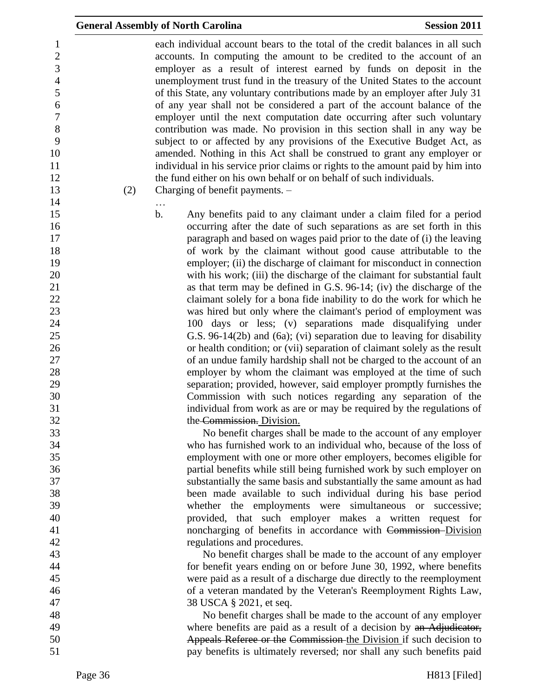|                                                                                                                 | <b>General Assembly of North Carolina</b>                                                                                                                                                                                                                                                                                                                                                                                                                                                                                                                                                                                                                                                                                                                                                                                                                                                                                                                                          | <b>Session 2011</b> |
|-----------------------------------------------------------------------------------------------------------------|------------------------------------------------------------------------------------------------------------------------------------------------------------------------------------------------------------------------------------------------------------------------------------------------------------------------------------------------------------------------------------------------------------------------------------------------------------------------------------------------------------------------------------------------------------------------------------------------------------------------------------------------------------------------------------------------------------------------------------------------------------------------------------------------------------------------------------------------------------------------------------------------------------------------------------------------------------------------------------|---------------------|
| 1<br>$\sqrt{2}$<br>3<br>$\overline{4}$<br>5<br>6<br>$\tau$<br>$\,8\,$<br>9<br>10<br>11<br>12<br>13<br>(2)<br>14 | each individual account bears to the total of the credit balances in all such<br>accounts. In computing the amount to be credited to the account of an<br>employer as a result of interest earned by funds on deposit in the<br>unemployment trust fund in the treasury of the United States to the account<br>of this State, any voluntary contributions made by an employer after July 31<br>of any year shall not be considered a part of the account balance of the<br>employer until the next computation date occurring after such voluntary<br>contribution was made. No provision in this section shall in any way be<br>subject to or affected by any provisions of the Executive Budget Act, as<br>amended. Nothing in this Act shall be construed to grant any employer or<br>individual in his service prior claims or rights to the amount paid by him into<br>the fund either on his own behalf or on behalf of such individuals.<br>Charging of benefit payments. - |                     |
| 15<br>16<br>17<br>18<br>19<br>20<br>21<br>22<br>23                                                              | b.<br>Any benefits paid to any claimant under a claim filed for a period<br>occurring after the date of such separations as are set forth in this<br>paragraph and based on wages paid prior to the date of (i) the leaving<br>of work by the claimant without good cause attributable to the<br>employer; (ii) the discharge of claimant for misconduct in connection<br>with his work; (iii) the discharge of the claimant for substantial fault<br>as that term may be defined in G.S. 96-14; (iv) the discharge of the<br>claimant solely for a bona fide inability to do the work for which he<br>was hired but only where the claimant's period of employment was                                                                                                                                                                                                                                                                                                            |                     |
| 24<br>25<br>26<br>27                                                                                            | 100 days or less; (v) separations made disqualifying under<br>G.S. 96-14(2b) and (6a); (vi) separation due to leaving for disability<br>or health condition; or (vii) separation of claimant solely as the result<br>of an undue family hardship shall not be charged to the account of an                                                                                                                                                                                                                                                                                                                                                                                                                                                                                                                                                                                                                                                                                         |                     |
| 28<br>29<br>30<br>31<br>32                                                                                      | employer by whom the claimant was employed at the time of such<br>separation; provided, however, said employer promptly furnishes the<br>Commission with such notices regarding any separation of the<br>individual from work as are or may be required by the regulations of<br>the Commission. Division.                                                                                                                                                                                                                                                                                                                                                                                                                                                                                                                                                                                                                                                                         |                     |
| 33<br>34<br>35<br>36<br>37                                                                                      | No benefit charges shall be made to the account of any employer<br>who has furnished work to an individual who, because of the loss of<br>employment with one or more other employers, becomes eligible for<br>partial benefits while still being furnished work by such employer on<br>substantially the same basis and substantially the same amount as had                                                                                                                                                                                                                                                                                                                                                                                                                                                                                                                                                                                                                      |                     |
| 38<br>39<br>40<br>41                                                                                            | been made available to such individual during his base period<br>whether the employments were simultaneous or successive;<br>provided, that such employer makes a written request for<br>noncharging of benefits in accordance with Commission-Division                                                                                                                                                                                                                                                                                                                                                                                                                                                                                                                                                                                                                                                                                                                            |                     |
| 42<br>43<br>44<br>45<br>46                                                                                      | regulations and procedures.<br>No benefit charges shall be made to the account of any employer<br>for benefit years ending on or before June 30, 1992, where benefits<br>were paid as a result of a discharge due directly to the reemployment<br>of a veteran mandated by the Veteran's Reemployment Rights Law,                                                                                                                                                                                                                                                                                                                                                                                                                                                                                                                                                                                                                                                                  |                     |
| 47<br>48<br>49<br>50                                                                                            | 38 USCA § 2021, et seq.<br>No benefit charges shall be made to the account of any employer<br>where benefits are paid as a result of a decision by an Adjudicator,<br>Appeals Referee or the Commission-the Division if such decision to                                                                                                                                                                                                                                                                                                                                                                                                                                                                                                                                                                                                                                                                                                                                           |                     |
| 51                                                                                                              | pay benefits is ultimately reversed; nor shall any such benefits paid                                                                                                                                                                                                                                                                                                                                                                                                                                                                                                                                                                                                                                                                                                                                                                                                                                                                                                              |                     |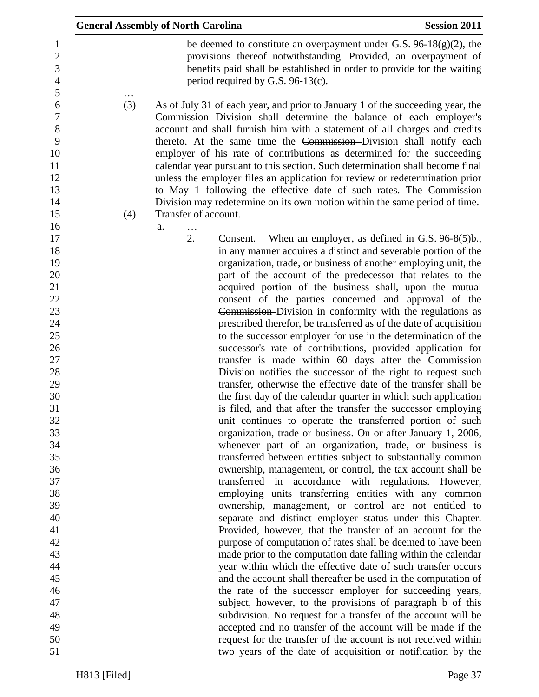|                                                                                             | <b>General Assembly of North Carolina</b>                                                                                                                                                                                                                                                                                                                                                                                                                                                                                                                                                                                                                                                                                                | <b>Session 2011</b>                                                                                                                                                                                                                                                                                                                                                                |
|---------------------------------------------------------------------------------------------|------------------------------------------------------------------------------------------------------------------------------------------------------------------------------------------------------------------------------------------------------------------------------------------------------------------------------------------------------------------------------------------------------------------------------------------------------------------------------------------------------------------------------------------------------------------------------------------------------------------------------------------------------------------------------------------------------------------------------------------|------------------------------------------------------------------------------------------------------------------------------------------------------------------------------------------------------------------------------------------------------------------------------------------------------------------------------------------------------------------------------------|
| 1<br>$\overline{2}$<br>3<br>$\overline{4}$<br>$\mathfrak s$                                 | period required by G.S. $96-13(c)$ .                                                                                                                                                                                                                                                                                                                                                                                                                                                                                                                                                                                                                                                                                                     | be deemed to constitute an overpayment under G.S. $96-18(g)(2)$ , the<br>provisions thereof notwithstanding. Provided, an overpayment of<br>benefits paid shall be established in order to provide for the waiting                                                                                                                                                                 |
| 6<br>(3)<br>$\boldsymbol{7}$<br>$8\,$<br>9<br>10<br>11<br>12<br>13<br>14<br>15<br>(4)<br>16 | As of July 31 of each year, and prior to January 1 of the succeeding year, the<br>Commission Division shall determine the balance of each employer's<br>account and shall furnish him with a statement of all charges and credits<br>thereto. At the same time the Commission-Division shall notify each<br>employer of his rate of contributions as determined for the succeeding<br>calendar year pursuant to this section. Such determination shall become final<br>unless the employer files an application for review or redetermination prior<br>to May 1 following the effective date of such rates. The Commission<br>Division may redetermine on its own motion within the same period of time.<br>Transfer of account. -<br>a. |                                                                                                                                                                                                                                                                                                                                                                                    |
| 17<br>18<br>19<br>20<br>21<br>22                                                            | 2.                                                                                                                                                                                                                                                                                                                                                                                                                                                                                                                                                                                                                                                                                                                                       | Consent. – When an employer, as defined in G.S. $96-8(5)b$ .<br>in any manner acquires a distinct and severable portion of the<br>organization, trade, or business of another employing unit, the<br>part of the account of the predecessor that relates to the<br>acquired portion of the business shall, upon the mutual<br>consent of the parties concerned and approval of the |
| 23<br>24<br>25<br>26                                                                        |                                                                                                                                                                                                                                                                                                                                                                                                                                                                                                                                                                                                                                                                                                                                          | Commission Division in conformity with the regulations as<br>prescribed therefor, be transferred as of the date of acquisition<br>to the successor employer for use in the determination of the<br>successor's rate of contributions, provided application for                                                                                                                     |
| 27<br>28<br>29<br>30<br>31                                                                  |                                                                                                                                                                                                                                                                                                                                                                                                                                                                                                                                                                                                                                                                                                                                          | transfer is made within 60 days after the Commission<br>Division notifies the successor of the right to request such<br>transfer, otherwise the effective date of the transfer shall be<br>the first day of the calendar quarter in which such application<br>is filed, and that after the transfer the successor employing                                                        |
| 32<br>33<br>34<br>35                                                                        |                                                                                                                                                                                                                                                                                                                                                                                                                                                                                                                                                                                                                                                                                                                                          | unit continues to operate the transferred portion of such<br>organization, trade or business. On or after January 1, 2006,<br>whenever part of an organization, trade, or business is<br>transferred between entities subject to substantially common                                                                                                                              |
| 36<br>37<br>38<br>39                                                                        |                                                                                                                                                                                                                                                                                                                                                                                                                                                                                                                                                                                                                                                                                                                                          | ownership, management, or control, the tax account shall be<br>transferred in accordance with regulations. However,<br>employing units transferring entities with any common<br>ownership, management, or control are not entitled to                                                                                                                                              |
| 40<br>41<br>42<br>43                                                                        |                                                                                                                                                                                                                                                                                                                                                                                                                                                                                                                                                                                                                                                                                                                                          | separate and distinct employer status under this Chapter.<br>Provided, however, that the transfer of an account for the<br>purpose of computation of rates shall be deemed to have been<br>made prior to the computation date falling within the calendar                                                                                                                          |
| 44<br>45<br>46<br>47<br>48                                                                  |                                                                                                                                                                                                                                                                                                                                                                                                                                                                                                                                                                                                                                                                                                                                          | year within which the effective date of such transfer occurs<br>and the account shall thereafter be used in the computation of<br>the rate of the successor employer for succeeding years,<br>subject, however, to the provisions of paragraph b of this<br>subdivision. No request for a transfer of the account will be                                                          |
| 49<br>50<br>51                                                                              |                                                                                                                                                                                                                                                                                                                                                                                                                                                                                                                                                                                                                                                                                                                                          | accepted and no transfer of the account will be made if the<br>request for the transfer of the account is not received within<br>two years of the date of acquisition or notification by the                                                                                                                                                                                       |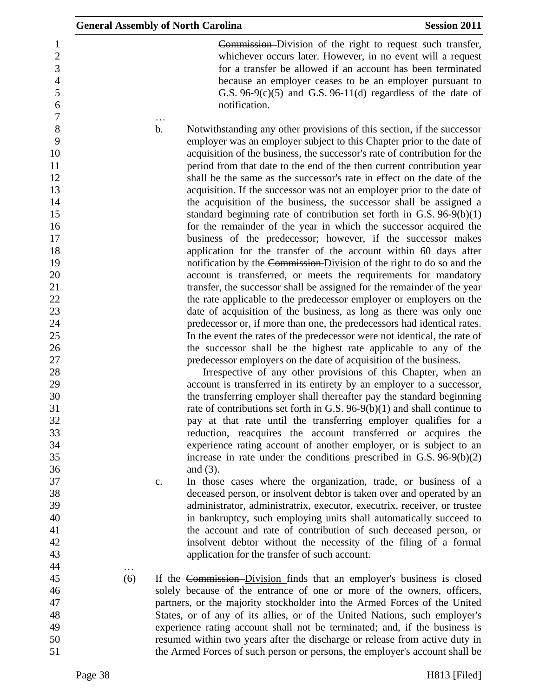|     | <b>General Assembly of North Carolina</b> |                                                                                                                                                                                                                                                                                                                                                                                                                                                                                                                                                                                                                                                                                                                                                                                                                                                                                                                                                                                                                                                                                                                                                                                                                                                                                                                                                                                                                                                                                                                                                                                                                                                                                                                                                                                                                                                                                                                                                                                                                                                                                                                                                                                                                                                                                                                                                                                                                                                                                                                                                                     | <b>Session 2011</b> |
|-----|-------------------------------------------|---------------------------------------------------------------------------------------------------------------------------------------------------------------------------------------------------------------------------------------------------------------------------------------------------------------------------------------------------------------------------------------------------------------------------------------------------------------------------------------------------------------------------------------------------------------------------------------------------------------------------------------------------------------------------------------------------------------------------------------------------------------------------------------------------------------------------------------------------------------------------------------------------------------------------------------------------------------------------------------------------------------------------------------------------------------------------------------------------------------------------------------------------------------------------------------------------------------------------------------------------------------------------------------------------------------------------------------------------------------------------------------------------------------------------------------------------------------------------------------------------------------------------------------------------------------------------------------------------------------------------------------------------------------------------------------------------------------------------------------------------------------------------------------------------------------------------------------------------------------------------------------------------------------------------------------------------------------------------------------------------------------------------------------------------------------------------------------------------------------------------------------------------------------------------------------------------------------------------------------------------------------------------------------------------------------------------------------------------------------------------------------------------------------------------------------------------------------------------------------------------------------------------------------------------------------------|---------------------|
|     |                                           | Commission-Division of the right to request such transfer,<br>whichever occurs later. However, in no event will a request<br>for a transfer be allowed if an account has been terminated<br>because an employer ceases to be an employer pursuant to<br>G.S. $96-9(c)(5)$ and G.S. $96-11(d)$ regardless of the date of<br>notification.                                                                                                                                                                                                                                                                                                                                                                                                                                                                                                                                                                                                                                                                                                                                                                                                                                                                                                                                                                                                                                                                                                                                                                                                                                                                                                                                                                                                                                                                                                                                                                                                                                                                                                                                                                                                                                                                                                                                                                                                                                                                                                                                                                                                                            |                     |
|     | b.<br>and $(3)$ .<br>c.                   | Notwithstanding any other provisions of this section, if the successor<br>employer was an employer subject to this Chapter prior to the date of<br>acquisition of the business, the successor's rate of contribution for the<br>period from that date to the end of the then current contribution year<br>shall be the same as the successor's rate in effect on the date of the<br>acquisition. If the successor was not an employer prior to the date of<br>the acquisition of the business, the successor shall be assigned a<br>standard beginning rate of contribution set forth in G.S. $96-9(b)(1)$<br>for the remainder of the year in which the successor acquired the<br>business of the predecessor; however, if the successor makes<br>application for the transfer of the account within 60 days after<br>notification by the Commission-Division of the right to do so and the<br>account is transferred, or meets the requirements for mandatory<br>transfer, the successor shall be assigned for the remainder of the year<br>the rate applicable to the predecessor employer or employers on the<br>date of acquisition of the business, as long as there was only one<br>predecessor or, if more than one, the predecessors had identical rates.<br>In the event the rates of the predecessor were not identical, the rate of<br>the successor shall be the highest rate applicable to any of the<br>predecessor employers on the date of acquisition of the business.<br>Irrespective of any other provisions of this Chapter, when an<br>account is transferred in its entirety by an employer to a successor,<br>the transferring employer shall thereafter pay the standard beginning<br>rate of contributions set forth in G.S. $96-9(b)(1)$ and shall continue to<br>pay at that rate until the transferring employer qualifies for a<br>reduction, reacquires the account transferred or acquires the<br>experience rating account of another employer, or is subject to an<br>increase in rate under the conditions prescribed in G.S. $96-9(b)(2)$<br>In those cases where the organization, trade, or business of a<br>deceased person, or insolvent debtor is taken over and operated by an<br>administrator, administratrix, executor, executrix, receiver, or trustee<br>in bankruptcy, such employing units shall automatically succeed to<br>the account and rate of contribution of such deceased person, or<br>insolvent debtor without the necessity of the filing of a formal<br>application for the transfer of such account. |                     |
| (6) |                                           | If the Commission-Division finds that an employer's business is closed<br>solely because of the entrance of one or more of the owners, officers,<br>partners, or the majority stockholder into the Armed Forces of the United<br>States, or of any of its allies, or of the United Nations, such employer's<br>experience rating account shall not be terminated; and, if the business is<br>resumed within two years after the discharge or release from active duty in                                                                                                                                                                                                                                                                                                                                                                                                                                                                                                                                                                                                                                                                                                                                                                                                                                                                                                                                                                                                                                                                                                                                                                                                                                                                                                                                                                                                                                                                                                                                                                                                                                                                                                                                                                                                                                                                                                                                                                                                                                                                                            |                     |
|     |                                           | the Armed Forces of such person or persons, the employer's account shall be                                                                                                                                                                                                                                                                                                                                                                                                                                                                                                                                                                                                                                                                                                                                                                                                                                                                                                                                                                                                                                                                                                                                                                                                                                                                                                                                                                                                                                                                                                                                                                                                                                                                                                                                                                                                                                                                                                                                                                                                                                                                                                                                                                                                                                                                                                                                                                                                                                                                                         |                     |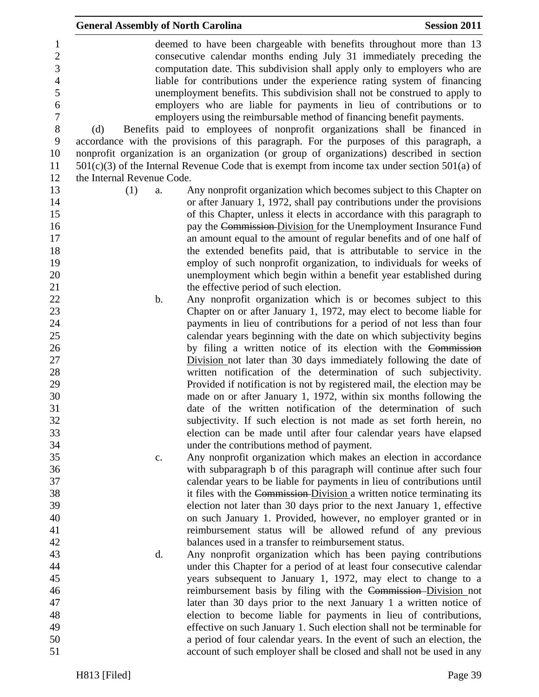|                                                                                   | <b>General Assembly of North Carolina</b> |                                                                                                                                                                                                                                                                                                                                                                                                                                                                                                                                      | <b>Session 2011</b> |
|-----------------------------------------------------------------------------------|-------------------------------------------|--------------------------------------------------------------------------------------------------------------------------------------------------------------------------------------------------------------------------------------------------------------------------------------------------------------------------------------------------------------------------------------------------------------------------------------------------------------------------------------------------------------------------------------|---------------------|
| $\mathbf{1}$<br>$\mathbf{2}$<br>3<br>$\overline{4}$<br>5<br>6<br>$\boldsymbol{7}$ |                                           | deemed to have been chargeable with benefits throughout more than 13<br>consecutive calendar months ending July 31 immediately preceding the<br>computation date. This subdivision shall apply only to employers who are<br>liable for contributions under the experience rating system of financing<br>unemployment benefits. This subdivision shall not be construed to apply to<br>employers who are liable for payments in lieu of contributions or to<br>employers using the reimbursable method of financing benefit payments. |                     |
| $8\,$                                                                             | (d)                                       | Benefits paid to employees of nonprofit organizations shall be financed in                                                                                                                                                                                                                                                                                                                                                                                                                                                           |                     |
| 9<br>10<br>11                                                                     |                                           | accordance with the provisions of this paragraph. For the purposes of this paragraph, a<br>nonprofit organization is an organization (or group of organizations) described in section<br>$501(c)(3)$ of the Internal Revenue Code that is exempt from income tax under section $501(a)$ of                                                                                                                                                                                                                                           |                     |
| 12                                                                                | the Internal Revenue Code.                |                                                                                                                                                                                                                                                                                                                                                                                                                                                                                                                                      |                     |
| 13                                                                                | (1)<br>a.                                 | Any nonprofit organization which becomes subject to this Chapter on                                                                                                                                                                                                                                                                                                                                                                                                                                                                  |                     |
| 14                                                                                |                                           | or after January 1, 1972, shall pay contributions under the provisions                                                                                                                                                                                                                                                                                                                                                                                                                                                               |                     |
| 15                                                                                |                                           | of this Chapter, unless it elects in accordance with this paragraph to                                                                                                                                                                                                                                                                                                                                                                                                                                                               |                     |
| 16<br>17                                                                          |                                           | pay the Commission-Division for the Unemployment Insurance Fund<br>an amount equal to the amount of regular benefits and of one half of                                                                                                                                                                                                                                                                                                                                                                                              |                     |
| 18                                                                                |                                           | the extended benefits paid, that is attributable to service in the                                                                                                                                                                                                                                                                                                                                                                                                                                                                   |                     |
| 19                                                                                |                                           | employ of such nonprofit organization, to individuals for weeks of                                                                                                                                                                                                                                                                                                                                                                                                                                                                   |                     |
| 20                                                                                |                                           | unemployment which begin within a benefit year established during                                                                                                                                                                                                                                                                                                                                                                                                                                                                    |                     |
| 21                                                                                |                                           | the effective period of such election.                                                                                                                                                                                                                                                                                                                                                                                                                                                                                               |                     |
| 22                                                                                | b.                                        | Any nonprofit organization which is or becomes subject to this                                                                                                                                                                                                                                                                                                                                                                                                                                                                       |                     |
| 23                                                                                |                                           | Chapter on or after January 1, 1972, may elect to become liable for                                                                                                                                                                                                                                                                                                                                                                                                                                                                  |                     |
| 24                                                                                |                                           | payments in lieu of contributions for a period of not less than four                                                                                                                                                                                                                                                                                                                                                                                                                                                                 |                     |
| 25                                                                                |                                           | calendar years beginning with the date on which subjectivity begins                                                                                                                                                                                                                                                                                                                                                                                                                                                                  |                     |
| 26                                                                                |                                           | by filing a written notice of its election with the Commission                                                                                                                                                                                                                                                                                                                                                                                                                                                                       |                     |
| 27                                                                                |                                           | Division not later than 30 days immediately following the date of                                                                                                                                                                                                                                                                                                                                                                                                                                                                    |                     |
| 28                                                                                |                                           | written notification of the determination of such subjectivity.                                                                                                                                                                                                                                                                                                                                                                                                                                                                      |                     |
| 29                                                                                |                                           | Provided if notification is not by registered mail, the election may be                                                                                                                                                                                                                                                                                                                                                                                                                                                              |                     |
| 30                                                                                |                                           | made on or after January 1, 1972, within six months following the                                                                                                                                                                                                                                                                                                                                                                                                                                                                    |                     |
| 31<br>32                                                                          |                                           | date of the written notification of the determination of such                                                                                                                                                                                                                                                                                                                                                                                                                                                                        |                     |
| 33                                                                                |                                           | subjectivity. If such election is not made as set forth herein, no<br>election can be made until after four calendar years have elapsed                                                                                                                                                                                                                                                                                                                                                                                              |                     |
| 34                                                                                |                                           | under the contributions method of payment.                                                                                                                                                                                                                                                                                                                                                                                                                                                                                           |                     |
| 35                                                                                | $\mathbf{c}$ .                            | Any nonprofit organization which makes an election in accordance                                                                                                                                                                                                                                                                                                                                                                                                                                                                     |                     |
| 36                                                                                |                                           | with subparagraph b of this paragraph will continue after such four                                                                                                                                                                                                                                                                                                                                                                                                                                                                  |                     |
| 37                                                                                |                                           | calendar years to be liable for payments in lieu of contributions until                                                                                                                                                                                                                                                                                                                                                                                                                                                              |                     |
| 38                                                                                |                                           | it files with the Commission-Division a written notice terminating its                                                                                                                                                                                                                                                                                                                                                                                                                                                               |                     |
| 39                                                                                |                                           | election not later than 30 days prior to the next January 1, effective                                                                                                                                                                                                                                                                                                                                                                                                                                                               |                     |
| 40                                                                                |                                           | on such January 1. Provided, however, no employer granted or in                                                                                                                                                                                                                                                                                                                                                                                                                                                                      |                     |
| 41                                                                                |                                           | reimbursement status will be allowed refund of any previous                                                                                                                                                                                                                                                                                                                                                                                                                                                                          |                     |
| 42                                                                                |                                           | balances used in a transfer to reimbursement status.                                                                                                                                                                                                                                                                                                                                                                                                                                                                                 |                     |
| 43                                                                                | d.                                        | Any nonprofit organization which has been paying contributions                                                                                                                                                                                                                                                                                                                                                                                                                                                                       |                     |
| 44                                                                                |                                           | under this Chapter for a period of at least four consecutive calendar                                                                                                                                                                                                                                                                                                                                                                                                                                                                |                     |
| 45                                                                                |                                           | years subsequent to January 1, 1972, may elect to change to a                                                                                                                                                                                                                                                                                                                                                                                                                                                                        |                     |
| 46                                                                                |                                           | reimbursement basis by filing with the Commission-Division not                                                                                                                                                                                                                                                                                                                                                                                                                                                                       |                     |
| 47                                                                                |                                           | later than 30 days prior to the next January 1 a written notice of                                                                                                                                                                                                                                                                                                                                                                                                                                                                   |                     |
| 48                                                                                |                                           | election to become liable for payments in lieu of contributions,                                                                                                                                                                                                                                                                                                                                                                                                                                                                     |                     |
| 49                                                                                |                                           | effective on such January 1. Such election shall not be terminable for                                                                                                                                                                                                                                                                                                                                                                                                                                                               |                     |
| 50                                                                                |                                           | a period of four calendar years. In the event of such an election, the                                                                                                                                                                                                                                                                                                                                                                                                                                                               |                     |
| 51                                                                                |                                           | account of such employer shall be closed and shall not be used in any                                                                                                                                                                                                                                                                                                                                                                                                                                                                |                     |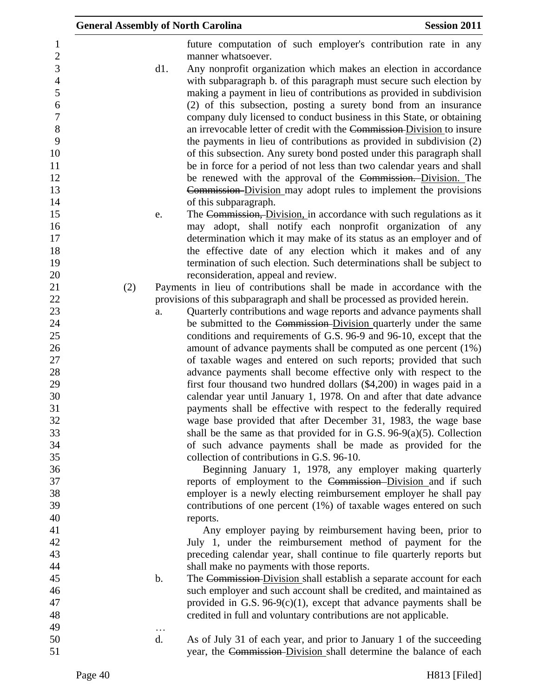|     |           | <b>General Assembly of North Carolina</b>                                                                                                     | <b>Session 2011</b> |
|-----|-----------|-----------------------------------------------------------------------------------------------------------------------------------------------|---------------------|
|     |           | future computation of such employer's contribution rate in any<br>manner whatsoever.                                                          |                     |
|     | d1.       | Any nonprofit organization which makes an election in accordance<br>with subparagraph b. of this paragraph must secure such election by       |                     |
|     |           | making a payment in lieu of contributions as provided in subdivision                                                                          |                     |
|     |           | (2) of this subsection, posting a surety bond from an insurance                                                                               |                     |
|     |           | company duly licensed to conduct business in this State, or obtaining                                                                         |                     |
|     |           | an irrevocable letter of credit with the Commission-Division to insure                                                                        |                     |
|     |           | the payments in lieu of contributions as provided in subdivision (2)<br>of this subsection. Any surety bond posted under this paragraph shall |                     |
|     |           | be in force for a period of not less than two calendar years and shall                                                                        |                     |
|     |           | be renewed with the approval of the Commission. Division. The                                                                                 |                     |
|     |           | Commission Division may adopt rules to implement the provisions                                                                               |                     |
|     |           | of this subparagraph.                                                                                                                         |                     |
|     | e.        | The Commission, Division, in accordance with such regulations as it                                                                           |                     |
|     |           | may adopt, shall notify each nonprofit organization of any                                                                                    |                     |
|     |           | determination which it may make of its status as an employer and of                                                                           |                     |
|     |           | the effective date of any election which it makes and of any                                                                                  |                     |
|     |           | termination of such election. Such determinations shall be subject to                                                                         |                     |
|     |           | reconsideration, appeal and review.<br>Payments in lieu of contributions shall be made in accordance with the                                 |                     |
| (2) |           | provisions of this subparagraph and shall be processed as provided herein.                                                                    |                     |
|     | a.        | Quarterly contributions and wage reports and advance payments shall                                                                           |                     |
|     |           | be submitted to the Commission-Division quarterly under the same                                                                              |                     |
|     |           | conditions and requirements of G.S. 96-9 and 96-10, except that the                                                                           |                     |
|     |           | amount of advance payments shall be computed as one percent (1%)                                                                              |                     |
|     |           | of taxable wages and entered on such reports; provided that such                                                                              |                     |
|     |           | advance payments shall become effective only with respect to the                                                                              |                     |
|     |           | first four thousand two hundred dollars (\$4,200) in wages paid in a                                                                          |                     |
|     |           | calendar year until January 1, 1978. On and after that date advance                                                                           |                     |
|     |           | payments shall be effective with respect to the federally required                                                                            |                     |
|     |           | wage base provided that after December 31, 1983, the wage base<br>shall be the same as that provided for in G.S. $96-9(a)(5)$ . Collection    |                     |
|     |           | of such advance payments shall be made as provided for the                                                                                    |                     |
|     |           | collection of contributions in G.S. 96-10.                                                                                                    |                     |
|     |           | Beginning January 1, 1978, any employer making quarterly                                                                                      |                     |
|     |           | reports of employment to the Commission-Division and if such                                                                                  |                     |
|     |           | employer is a newly electing reimbursement employer he shall pay                                                                              |                     |
|     |           | contributions of one percent (1%) of taxable wages entered on such                                                                            |                     |
|     |           | reports.                                                                                                                                      |                     |
|     |           | Any employer paying by reimbursement having been, prior to                                                                                    |                     |
|     |           | July 1, under the reimbursement method of payment for the                                                                                     |                     |
|     |           | preceding calendar year, shall continue to file quarterly reports but                                                                         |                     |
|     |           | shall make no payments with those reports.                                                                                                    |                     |
|     | b.        | The Commission-Division shall establish a separate account for each<br>such employer and such account shall be credited, and maintained as    |                     |
|     |           | provided in G.S. $96-9(c)(1)$ , except that advance payments shall be                                                                         |                     |
|     |           | credited in full and voluntary contributions are not applicable.                                                                              |                     |
|     | $\ddotsc$ |                                                                                                                                               |                     |
|     | d.        | As of July 31 of each year, and prior to January 1 of the succeeding                                                                          |                     |
|     |           | year, the Commission-Division shall determine the balance of each                                                                             |                     |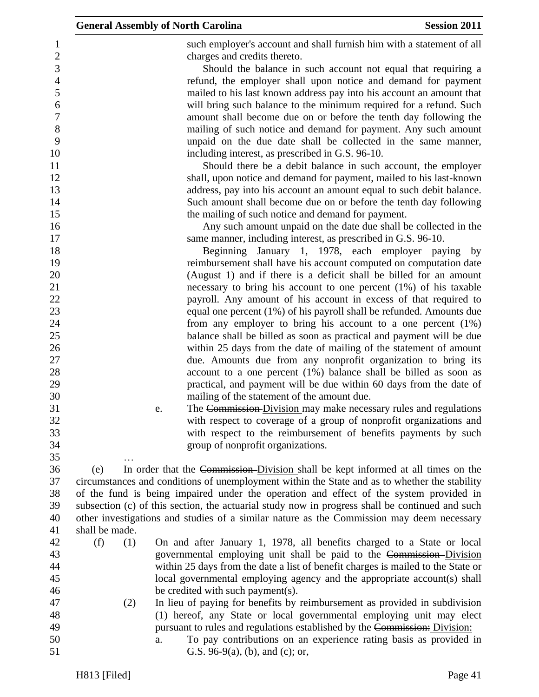such employer's account and shall furnish him with a statement of all charges and credits thereto.

 Should the balance in such account not equal that requiring a refund, the employer shall upon notice and demand for payment mailed to his last known address pay into his account an amount that will bring such balance to the minimum required for a refund. Such amount shall become due on or before the tenth day following the mailing of such notice and demand for payment. Any such amount unpaid on the due date shall be collected in the same manner, 10 including interest, as prescribed in G.S. 96-10.

 Should there be a debit balance in such account, the employer shall, upon notice and demand for payment, mailed to his last-known address, pay into his account an amount equal to such debit balance. Such amount shall become due on or before the tenth day following 15 the mailing of such notice and demand for payment.

 Any such amount unpaid on the date due shall be collected in the 17 same manner, including interest, as prescribed in G.S. 96-10.

 Beginning January 1, 1978, each employer paying by reimbursement shall have his account computed on computation date (August 1) and if there is a deficit shall be billed for an amount necessary to bring his account to one percent (1%) of his taxable payroll. Any amount of his account in excess of that required to equal one percent (1%) of his payroll shall be refunded. Amounts due from any employer to bring his account to a one percent (1%) balance shall be billed as soon as practical and payment will be due within 25 days from the date of mailing of the statement of amount due. Amounts due from any nonprofit organization to bring its account to a one percent (1%) balance shall be billed as soon as practical, and payment will be due within 60 days from the date of mailing of the statement of the amount due.

 e. The Commission Division may make necessary rules and regulations with respect to coverage of a group of nonprofit organizations and with respect to the reimbursement of benefits payments by such group of nonprofit organizations.

 (e) In order that the Commission Division shall be kept informed at all times on the circumstances and conditions of unemployment within the State and as to whether the stability of the fund is being impaired under the operation and effect of the system provided in subsection (c) of this section, the actuarial study now in progress shall be continued and such other investigations and studies of a similar nature as the Commission may deem necessary shall be made.

- (f) (1) On and after January 1, 1978, all benefits charged to a State or local governmental employing unit shall be paid to the Commission Division within 25 days from the date a list of benefit charges is mailed to the State or local governmental employing agency and the appropriate account(s) shall 46 be credited with such payment(s).
- (2) In lieu of paying for benefits by reimbursement as provided in subdivision (1) hereof, any State or local governmental employing unit may elect **pursuant to rules and regulations established by the Commission:** Division:
- a. To pay contributions on an experience rating basis as provided in **G.S.** 96-9(a), (b), and (c); or,

…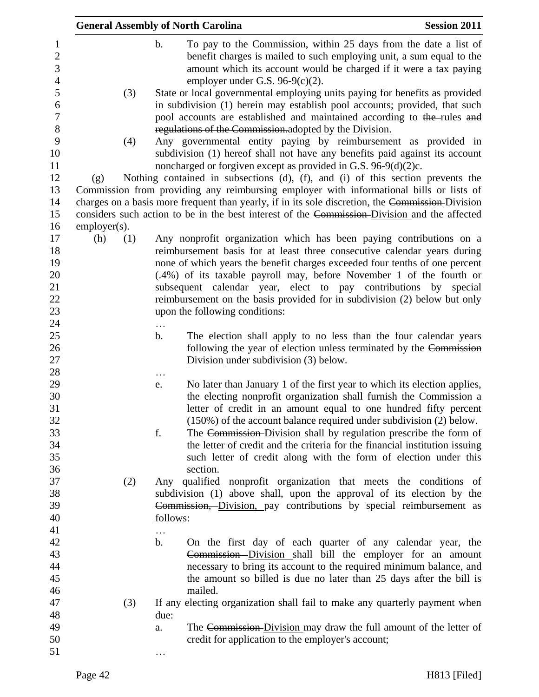|                                                                      | <b>General Assembly of North Carolina</b> |                                                                                                                                                                                                                                                                                                | <b>Session 2011</b>                                                                                                                                                                                           |
|----------------------------------------------------------------------|-------------------------------------------|------------------------------------------------------------------------------------------------------------------------------------------------------------------------------------------------------------------------------------------------------------------------------------------------|---------------------------------------------------------------------------------------------------------------------------------------------------------------------------------------------------------------|
| $\mathbf{1}$<br>$\boldsymbol{2}$<br>$\mathfrak{Z}$<br>$\overline{4}$ | $\mathbf b$ .                             | employer under G.S. $96-9(c)(2)$ .                                                                                                                                                                                                                                                             | To pay to the Commission, within 25 days from the date a list of<br>benefit charges is mailed to such employing unit, a sum equal to the<br>amount which its account would be charged if it were a tax paying |
| 5<br>6<br>$\boldsymbol{7}$<br>$8\,$                                  | (3)                                       | State or local governmental employing units paying for benefits as provided<br>in subdivision (1) herein may establish pool accounts; provided, that such<br>pool accounts are established and maintained according to the-rules and<br>regulations of the Commission.adopted by the Division. |                                                                                                                                                                                                               |
| 9<br>10<br>11                                                        | (4)                                       | Any governmental entity paying by reimbursement as provided in<br>subdivision (1) hereof shall not have any benefits paid against its account<br>noncharged or forgiven except as provided in G.S. 96-9(d)(2)c.                                                                                |                                                                                                                                                                                                               |
| 12                                                                   | (g)                                       | Nothing contained in subsections (d), (f), and (i) of this section prevents the                                                                                                                                                                                                                |                                                                                                                                                                                                               |
| 13                                                                   |                                           | Commission from providing any reimbursing employer with informational bills or lists of                                                                                                                                                                                                        |                                                                                                                                                                                                               |
| 14                                                                   |                                           | charges on a basis more frequent than yearly, if in its sole discretion, the Commission-Division                                                                                                                                                                                               |                                                                                                                                                                                                               |
| 15                                                                   |                                           | considers such action to be in the best interest of the Commission-Division and the affected                                                                                                                                                                                                   |                                                                                                                                                                                                               |
| 16                                                                   | $emplayer(s)$ .                           |                                                                                                                                                                                                                                                                                                |                                                                                                                                                                                                               |
| 17                                                                   | (h)<br>(1)                                | Any nonprofit organization which has been paying contributions on a                                                                                                                                                                                                                            |                                                                                                                                                                                                               |
| 18                                                                   |                                           | reimbursement basis for at least three consecutive calendar years during                                                                                                                                                                                                                       |                                                                                                                                                                                                               |
| 19                                                                   |                                           | none of which years the benefit charges exceeded four tenths of one percent                                                                                                                                                                                                                    |                                                                                                                                                                                                               |
| 20                                                                   |                                           | (.4%) of its taxable payroll may, before November 1 of the fourth or                                                                                                                                                                                                                           |                                                                                                                                                                                                               |
| 21                                                                   |                                           | subsequent calendar year, elect to pay contributions by special                                                                                                                                                                                                                                |                                                                                                                                                                                                               |
| 22                                                                   |                                           | reimbursement on the basis provided for in subdivision (2) below but only                                                                                                                                                                                                                      |                                                                                                                                                                                                               |
| 23                                                                   |                                           | upon the following conditions:                                                                                                                                                                                                                                                                 |                                                                                                                                                                                                               |
| 24                                                                   | .                                         |                                                                                                                                                                                                                                                                                                |                                                                                                                                                                                                               |
| 25                                                                   | $\mathbf{b}$ .                            |                                                                                                                                                                                                                                                                                                | The election shall apply to no less than the four calendar years                                                                                                                                              |
| 26                                                                   |                                           |                                                                                                                                                                                                                                                                                                | following the year of election unless terminated by the Commission                                                                                                                                            |
| 27                                                                   |                                           | Division under subdivision (3) below.                                                                                                                                                                                                                                                          |                                                                                                                                                                                                               |
| 28<br>29                                                             |                                           |                                                                                                                                                                                                                                                                                                |                                                                                                                                                                                                               |
| 30                                                                   | e.                                        |                                                                                                                                                                                                                                                                                                | No later than January 1 of the first year to which its election applies,<br>the electing nonprofit organization shall furnish the Commission a                                                                |
| 31                                                                   |                                           |                                                                                                                                                                                                                                                                                                | letter of credit in an amount equal to one hundred fifty percent                                                                                                                                              |
| 32                                                                   |                                           |                                                                                                                                                                                                                                                                                                | $(150\%)$ of the account balance required under subdivision $(2)$ below.                                                                                                                                      |
| 33                                                                   | f.                                        |                                                                                                                                                                                                                                                                                                | The Commission-Division shall by regulation prescribe the form of                                                                                                                                             |
| 34                                                                   |                                           |                                                                                                                                                                                                                                                                                                | the letter of credit and the criteria for the financial institution issuing                                                                                                                                   |
| 35                                                                   |                                           |                                                                                                                                                                                                                                                                                                | such letter of credit along with the form of election under this                                                                                                                                              |
| 36                                                                   |                                           | section.                                                                                                                                                                                                                                                                                       |                                                                                                                                                                                                               |
| 37                                                                   | (2)                                       | Any qualified nonprofit organization that meets the conditions of                                                                                                                                                                                                                              |                                                                                                                                                                                                               |
| 38                                                                   |                                           | subdivision (1) above shall, upon the approval of its election by the                                                                                                                                                                                                                          |                                                                                                                                                                                                               |
| 39                                                                   |                                           | Commission, Division, pay contributions by special reimbursement as                                                                                                                                                                                                                            |                                                                                                                                                                                                               |
| 40                                                                   | follows:                                  |                                                                                                                                                                                                                                                                                                |                                                                                                                                                                                                               |
| 41                                                                   |                                           |                                                                                                                                                                                                                                                                                                |                                                                                                                                                                                                               |
| 42                                                                   | $\mathbf{b}$ .                            |                                                                                                                                                                                                                                                                                                | On the first day of each quarter of any calendar year, the                                                                                                                                                    |
| 43                                                                   |                                           |                                                                                                                                                                                                                                                                                                | Commission-Division shall bill the employer for an amount                                                                                                                                                     |
| 44                                                                   |                                           |                                                                                                                                                                                                                                                                                                | necessary to bring its account to the required minimum balance, and                                                                                                                                           |
| 45                                                                   |                                           |                                                                                                                                                                                                                                                                                                | the amount so billed is due no later than 25 days after the bill is                                                                                                                                           |
| 46                                                                   |                                           | mailed.                                                                                                                                                                                                                                                                                        |                                                                                                                                                                                                               |
| 47                                                                   | (3)                                       | If any electing organization shall fail to make any quarterly payment when                                                                                                                                                                                                                     |                                                                                                                                                                                                               |
| 48                                                                   | due:                                      |                                                                                                                                                                                                                                                                                                |                                                                                                                                                                                                               |
| 49                                                                   | a.                                        |                                                                                                                                                                                                                                                                                                | The Commission-Division may draw the full amount of the letter of                                                                                                                                             |
| 50                                                                   |                                           | credit for application to the employer's account;                                                                                                                                                                                                                                              |                                                                                                                                                                                                               |
| 51                                                                   |                                           |                                                                                                                                                                                                                                                                                                |                                                                                                                                                                                                               |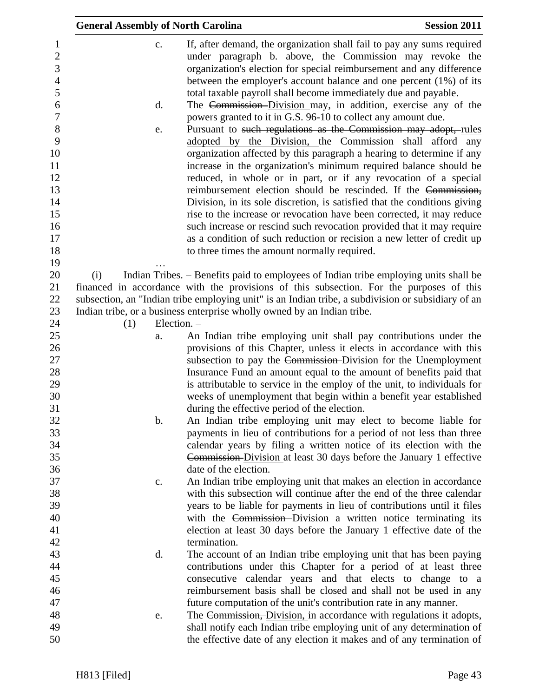|                                                                                                                                        | <b>General Assembly of North Carolina</b> |                                                                                                                                                                                                                                                                                                                                                                                                                                                                                                                                                                                                                                                                                                                                                                                                                                                                                                                                                                                                                                                                                                                                                                                                                                                                   | <b>Session 2011</b> |
|----------------------------------------------------------------------------------------------------------------------------------------|-------------------------------------------|-------------------------------------------------------------------------------------------------------------------------------------------------------------------------------------------------------------------------------------------------------------------------------------------------------------------------------------------------------------------------------------------------------------------------------------------------------------------------------------------------------------------------------------------------------------------------------------------------------------------------------------------------------------------------------------------------------------------------------------------------------------------------------------------------------------------------------------------------------------------------------------------------------------------------------------------------------------------------------------------------------------------------------------------------------------------------------------------------------------------------------------------------------------------------------------------------------------------------------------------------------------------|---------------------|
| 1<br>$\overline{2}$<br>3<br>$\overline{4}$<br>5<br>6<br>$\overline{7}$<br>8<br>9<br>10<br>11<br>12<br>13<br>14<br>15<br>16<br>17<br>18 | $C_{\bullet}$<br>d.<br>e.                 | If, after demand, the organization shall fail to pay any sums required<br>under paragraph b. above, the Commission may revoke the<br>organization's election for special reimbursement and any difference<br>between the employer's account balance and one percent $(1%)$ of its<br>total taxable payroll shall become immediately due and payable.<br>The Commission-Division may, in addition, exercise any of the<br>powers granted to it in G.S. 96-10 to collect any amount due.<br>Pursuant to such regulations as the Commission may adopt, rules<br>adopted by the Division, the Commission shall afford any<br>organization affected by this paragraph a hearing to determine if any<br>increase in the organization's minimum required balance should be<br>reduced, in whole or in part, or if any revocation of a special<br>reimbursement election should be rescinded. If the Commission,<br>Division, in its sole discretion, is satisfied that the conditions giving<br>rise to the increase or revocation have been corrected, it may reduce<br>such increase or rescind such revocation provided that it may require<br>as a condition of such reduction or recision a new letter of credit up<br>to three times the amount normally required. |                     |
| 19                                                                                                                                     |                                           |                                                                                                                                                                                                                                                                                                                                                                                                                                                                                                                                                                                                                                                                                                                                                                                                                                                                                                                                                                                                                                                                                                                                                                                                                                                                   |                     |
| 20                                                                                                                                     | (i)                                       | Indian Tribes. - Benefits paid to employees of Indian tribe employing units shall be                                                                                                                                                                                                                                                                                                                                                                                                                                                                                                                                                                                                                                                                                                                                                                                                                                                                                                                                                                                                                                                                                                                                                                              |                     |
| 21                                                                                                                                     |                                           | financed in accordance with the provisions of this subsection. For the purposes of this                                                                                                                                                                                                                                                                                                                                                                                                                                                                                                                                                                                                                                                                                                                                                                                                                                                                                                                                                                                                                                                                                                                                                                           |                     |
| 22                                                                                                                                     |                                           | subsection, an "Indian tribe employing unit" is an Indian tribe, a subdivision or subsidiary of an                                                                                                                                                                                                                                                                                                                                                                                                                                                                                                                                                                                                                                                                                                                                                                                                                                                                                                                                                                                                                                                                                                                                                                |                     |
| 23                                                                                                                                     |                                           | Indian tribe, or a business enterprise wholly owned by an Indian tribe.                                                                                                                                                                                                                                                                                                                                                                                                                                                                                                                                                                                                                                                                                                                                                                                                                                                                                                                                                                                                                                                                                                                                                                                           |                     |
| 24<br>25                                                                                                                               | Election. -<br>(1)<br>a.                  | An Indian tribe employing unit shall pay contributions under the                                                                                                                                                                                                                                                                                                                                                                                                                                                                                                                                                                                                                                                                                                                                                                                                                                                                                                                                                                                                                                                                                                                                                                                                  |                     |
| 26                                                                                                                                     |                                           | provisions of this Chapter, unless it elects in accordance with this                                                                                                                                                                                                                                                                                                                                                                                                                                                                                                                                                                                                                                                                                                                                                                                                                                                                                                                                                                                                                                                                                                                                                                                              |                     |
| 27<br>28<br>29<br>30<br>31                                                                                                             |                                           | subsection to pay the Commission-Division for the Unemployment<br>Insurance Fund an amount equal to the amount of benefits paid that<br>is attributable to service in the employ of the unit, to individuals for<br>weeks of unemployment that begin within a benefit year established<br>during the effective period of the election.                                                                                                                                                                                                                                                                                                                                                                                                                                                                                                                                                                                                                                                                                                                                                                                                                                                                                                                            |                     |
| 32<br>33<br>34<br>35<br>36                                                                                                             | $\mathbf b$ .                             | An Indian tribe employing unit may elect to become liable for<br>payments in lieu of contributions for a period of not less than three<br>calendar years by filing a written notice of its election with the<br>Commission-Division at least 30 days before the January 1 effective<br>date of the election.                                                                                                                                                                                                                                                                                                                                                                                                                                                                                                                                                                                                                                                                                                                                                                                                                                                                                                                                                      |                     |
| 37<br>38                                                                                                                               | c.                                        | An Indian tribe employing unit that makes an election in accordance<br>with this subsection will continue after the end of the three calendar                                                                                                                                                                                                                                                                                                                                                                                                                                                                                                                                                                                                                                                                                                                                                                                                                                                                                                                                                                                                                                                                                                                     |                     |
| 39<br>40                                                                                                                               |                                           | years to be liable for payments in lieu of contributions until it files<br>with the Commission-Division a written notice terminating its                                                                                                                                                                                                                                                                                                                                                                                                                                                                                                                                                                                                                                                                                                                                                                                                                                                                                                                                                                                                                                                                                                                          |                     |
| 41<br>42<br>43                                                                                                                         | $\mathbf{d}$ .                            | election at least 30 days before the January 1 effective date of the<br>termination.                                                                                                                                                                                                                                                                                                                                                                                                                                                                                                                                                                                                                                                                                                                                                                                                                                                                                                                                                                                                                                                                                                                                                                              |                     |
| 44<br>45                                                                                                                               |                                           | The account of an Indian tribe employing unit that has been paying<br>contributions under this Chapter for a period of at least three<br>consecutive calendar years and that elects to change to a                                                                                                                                                                                                                                                                                                                                                                                                                                                                                                                                                                                                                                                                                                                                                                                                                                                                                                                                                                                                                                                                |                     |
| 46<br>47                                                                                                                               |                                           | reimbursement basis shall be closed and shall not be used in any<br>future computation of the unit's contribution rate in any manner.                                                                                                                                                                                                                                                                                                                                                                                                                                                                                                                                                                                                                                                                                                                                                                                                                                                                                                                                                                                                                                                                                                                             |                     |
| 48                                                                                                                                     | e.                                        | The Commission, Division, in accordance with regulations it adopts,                                                                                                                                                                                                                                                                                                                                                                                                                                                                                                                                                                                                                                                                                                                                                                                                                                                                                                                                                                                                                                                                                                                                                                                               |                     |
| 49<br>50                                                                                                                               |                                           | shall notify each Indian tribe employing unit of any determination of<br>the effective date of any election it makes and of any termination of                                                                                                                                                                                                                                                                                                                                                                                                                                                                                                                                                                                                                                                                                                                                                                                                                                                                                                                                                                                                                                                                                                                    |                     |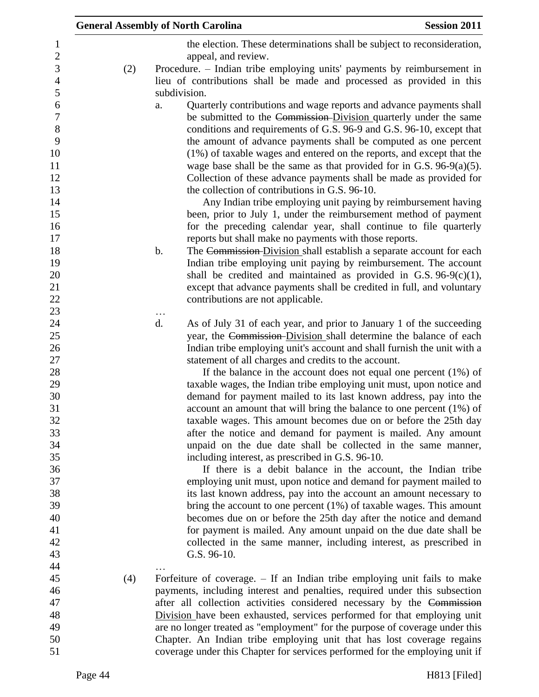|                     |     | <b>General Assembly of North Carolina</b><br><b>Session 2011</b>                                                               |
|---------------------|-----|--------------------------------------------------------------------------------------------------------------------------------|
| 1                   |     | the election. These determinations shall be subject to reconsideration,                                                        |
| $\overline{c}$      |     | appeal, and review.                                                                                                            |
| 3                   | (2) | Procedure. – Indian tribe employing units' payments by reimbursement in                                                        |
| $\overline{4}$<br>5 |     | lieu of contributions shall be made and processed as provided in this<br>subdivision.                                          |
| $\boldsymbol{6}$    |     | Quarterly contributions and wage reports and advance payments shall<br>a.                                                      |
| $\overline{7}$      |     | be submitted to the Commission-Division quarterly under the same                                                               |
| 8                   |     | conditions and requirements of G.S. 96-9 and G.S. 96-10, except that                                                           |
| 9                   |     | the amount of advance payments shall be computed as one percent                                                                |
| 10                  |     | (1%) of taxable wages and entered on the reports, and except that the                                                          |
| 11                  |     | wage base shall be the same as that provided for in G.S. $96-9(a)(5)$ .                                                        |
| 12                  |     | Collection of these advance payments shall be made as provided for                                                             |
| 13                  |     | the collection of contributions in G.S. 96-10.                                                                                 |
| 14                  |     | Any Indian tribe employing unit paying by reimbursement having                                                                 |
| 15                  |     | been, prior to July 1, under the reimbursement method of payment                                                               |
| 16                  |     | for the preceding calendar year, shall continue to file quarterly                                                              |
| 17                  |     | reports but shall make no payments with those reports.                                                                         |
| 18                  |     | b.<br>The Commission-Division shall establish a separate account for each                                                      |
| 19                  |     | Indian tribe employing unit paying by reimbursement. The account                                                               |
| 20                  |     | shall be credited and maintained as provided in G.S. $96-9(c)(1)$ ,                                                            |
| 21                  |     | except that advance payments shall be credited in full, and voluntary                                                          |
| 22                  |     | contributions are not applicable.                                                                                              |
| 23                  |     | .                                                                                                                              |
| 24                  |     | d.<br>As of July 31 of each year, and prior to January 1 of the succeeding                                                     |
| 25                  |     | year, the Commission-Division shall determine the balance of each                                                              |
| 26                  |     | Indian tribe employing unit's account and shall furnish the unit with a                                                        |
| 27                  |     | statement of all charges and credits to the account.                                                                           |
| 28                  |     | If the balance in the account does not equal one percent $(1\%)$ of                                                            |
| 29                  |     | taxable wages, the Indian tribe employing unit must, upon notice and                                                           |
| 30                  |     | demand for payment mailed to its last known address, pay into the                                                              |
| 31<br>32            |     | account an amount that will bring the balance to one percent $(1%)$ of                                                         |
| 33                  |     | taxable wages. This amount becomes due on or before the 25th day                                                               |
| 34                  |     | after the notice and demand for payment is mailed. Any amount<br>unpaid on the due date shall be collected in the same manner, |
| 35                  |     | including interest, as prescribed in G.S. 96-10.                                                                               |
| 36                  |     | If there is a debit balance in the account, the Indian tribe                                                                   |
| 37                  |     | employing unit must, upon notice and demand for payment mailed to                                                              |
| 38                  |     | its last known address, pay into the account an amount necessary to                                                            |
| 39                  |     | bring the account to one percent $(1%)$ of taxable wages. This amount                                                          |
| 40                  |     | becomes due on or before the 25th day after the notice and demand                                                              |
| 41                  |     | for payment is mailed. Any amount unpaid on the due date shall be                                                              |
| 42                  |     | collected in the same manner, including interest, as prescribed in                                                             |
| 43                  |     | G.S. $96-10$ .                                                                                                                 |
| 44                  |     |                                                                                                                                |
| 45                  | (4) | Forfeiture of coverage. $-$ If an Indian tribe employing unit fails to make                                                    |
| 46                  |     | payments, including interest and penalties, required under this subsection                                                     |
| 47                  |     | after all collection activities considered necessary by the Commission                                                         |
| 48                  |     | Division have been exhausted, services performed for that employing unit                                                       |
| 49                  |     | are no longer treated as "employment" for the purpose of coverage under this                                                   |
| 50                  |     | Chapter. An Indian tribe employing unit that has lost coverage regains                                                         |
| 51                  |     | coverage under this Chapter for services performed for the employing unit if                                                   |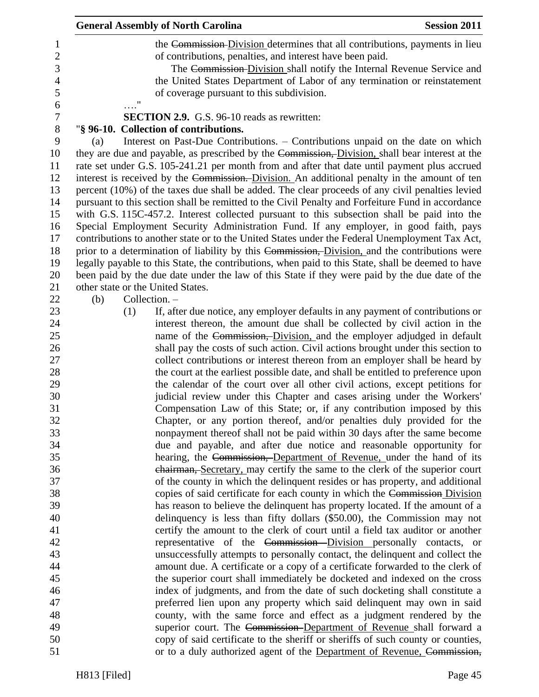|                  | <b>General Assembly of North Carolina</b>                                                                                                            | <b>Session 2011</b> |
|------------------|------------------------------------------------------------------------------------------------------------------------------------------------------|---------------------|
| $\mathbf{1}$     | the Commission Division determines that all contributions, payments in lieu                                                                          |                     |
| $\sqrt{2}$       | of contributions, penalties, and interest have been paid.                                                                                            |                     |
| 3                | The Commission-Division shall notify the Internal Revenue Service and                                                                                |                     |
| $\overline{4}$   | the United States Department of Labor of any termination or reinstatement                                                                            |                     |
| 5                | of coverage pursuant to this subdivision.                                                                                                            |                     |
| 6                | $\pmb{\mathsf{H}}$                                                                                                                                   |                     |
| $\boldsymbol{7}$ | <b>SECTION 2.9.</b> G.S. 96-10 reads as rewritten:                                                                                                   |                     |
| $8\,$            | "§ 96-10. Collection of contributions.                                                                                                               |                     |
| 9                | Interest on Past-Due Contributions. - Contributions unpaid on the date on which<br>(a)                                                               |                     |
| 10               | they are due and payable, as prescribed by the Commission, Division, shall bear interest at the                                                      |                     |
| 11               | rate set under G.S. 105-241.21 per month from and after that date until payment plus accrued                                                         |                     |
| 12               | interest is received by the Commission. Division. An additional penalty in the amount of ten                                                         |                     |
| 13               | percent (10%) of the taxes due shall be added. The clear proceeds of any civil penalties levied                                                      |                     |
| 14               | pursuant to this section shall be remitted to the Civil Penalty and Forfeiture Fund in accordance                                                    |                     |
| 15               | with G.S. 115C-457.2. Interest collected pursuant to this subsection shall be paid into the                                                          |                     |
| 16               | Special Employment Security Administration Fund. If any employer, in good faith, pays                                                                |                     |
| 17               | contributions to another state or to the United States under the Federal Unemployment Tax Act,                                                       |                     |
| 18               | prior to a determination of liability by this Commission, Division, and the contributions were                                                       |                     |
| 19               | legally payable to this State, the contributions, when paid to this State, shall be deemed to have                                                   |                     |
| 20               | been paid by the due date under the law of this State if they were paid by the due date of the                                                       |                     |
| 21               | other state or the United States.                                                                                                                    |                     |
| 22               | (b)<br>Collection. -                                                                                                                                 |                     |
| 23               | If, after due notice, any employer defaults in any payment of contributions or<br>(1)                                                                |                     |
| 24               | interest thereon, the amount due shall be collected by civil action in the                                                                           |                     |
| 25               | name of the Commission, Division, and the employer adjudged in default                                                                               |                     |
| 26               | shall pay the costs of such action. Civil actions brought under this section to                                                                      |                     |
| 27               | collect contributions or interest thereon from an employer shall be heard by                                                                         |                     |
| 28               | the court at the earliest possible date, and shall be entitled to preference upon                                                                    |                     |
| 29               | the calendar of the court over all other civil actions, except petitions for                                                                         |                     |
| 30<br>31         | judicial review under this Chapter and cases arising under the Workers'                                                                              |                     |
| 32               | Compensation Law of this State; or, if any contribution imposed by this                                                                              |                     |
| 33               | Chapter, or any portion thereof, and/or penalties duly provided for the<br>nonpayment thereof shall not be paid within 30 days after the same become |                     |
| 34               | due and payable, and after due notice and reasonable opportunity for                                                                                 |                     |
| 35               | hearing, the Commission, Department of Revenue, under the hand of its                                                                                |                     |
| 36               | chairman, Secretary, may certify the same to the clerk of the superior court                                                                         |                     |
| 37               | of the county in which the delinquent resides or has property, and additional                                                                        |                     |
| 38               | copies of said certificate for each county in which the Commission Division                                                                          |                     |
| 39               | has reason to believe the delinquent has property located. If the amount of a                                                                        |                     |
| 40               | delinquency is less than fifty dollars (\$50.00), the Commission may not                                                                             |                     |
| 41               | certify the amount to the clerk of court until a field tax auditor or another                                                                        |                     |
| 42               | representative of the Commission-Division personally contacts, or                                                                                    |                     |
| 43               | unsuccessfully attempts to personally contact, the delinquent and collect the                                                                        |                     |
| 44               | amount due. A certificate or a copy of a certificate forwarded to the clerk of                                                                       |                     |
| 45               | the superior court shall immediately be docketed and indexed on the cross                                                                            |                     |
| 46               | index of judgments, and from the date of such docketing shall constitute a                                                                           |                     |
| 47               | preferred lien upon any property which said delinquent may own in said                                                                               |                     |
| 48               | county, with the same force and effect as a judgment rendered by the                                                                                 |                     |
| 49               | superior court. The Commission-Department of Revenue shall forward a                                                                                 |                     |
| 50               | copy of said certificate to the sheriff or sheriffs of such county or counties,                                                                      |                     |
| 51               | or to a duly authorized agent of the Department of Revenue, Commission,                                                                              |                     |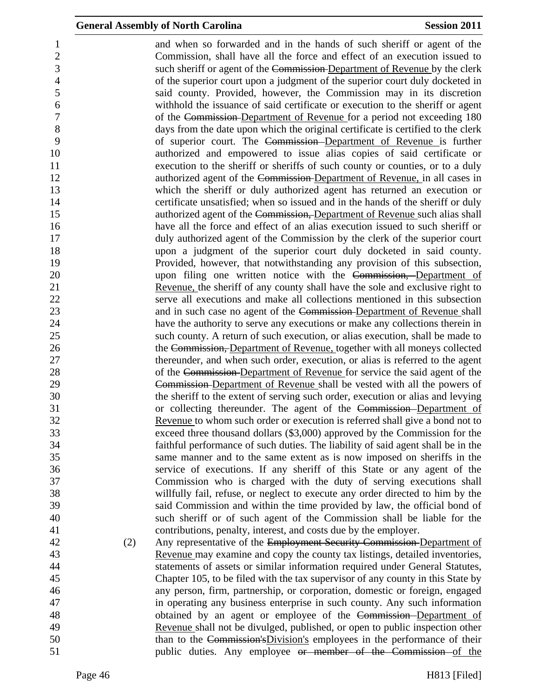and when so forwarded and in the hands of such sheriff or agent of the Commission, shall have all the force and effect of an execution issued to such sheriff or agent of the Commission Department of Revenue by the clerk of the superior court upon a judgment of the superior court duly docketed in said county. Provided, however, the Commission may in its discretion withhold the issuance of said certificate or execution to the sheriff or agent of the Commission Department of Revenue for a period not exceeding 180 days from the date upon which the original certificate is certified to the clerk of superior court. The Commission Department of Revenue is further authorized and empowered to issue alias copies of said certificate or execution to the sheriff or sheriffs of such county or counties, or to a duly **authorized agent of the Commission-Department of Revenue, in all cases in**  which the sheriff or duly authorized agent has returned an execution or certificate unsatisfied; when so issued and in the hands of the sheriff or duly **15** authorized agent of the Commission, Department of Revenue such alias shall have all the force and effect of an alias execution issued to such sheriff or duly authorized agent of the Commission by the clerk of the superior court upon a judgment of the superior court duly docketed in said county. Provided, however, that notwithstanding any provision of this subsection, 20 upon filing one written notice with the Commission, Department of Revenue, the sheriff of any county shall have the sole and exclusive right to serve all executions and make all collections mentioned in this subsection 23 and in such case no agent of the Commission-Department of Revenue shall have the authority to serve any executions or make any collections therein in such county. A return of such execution, or alias execution, shall be made to 26 the Commission, Department of Revenue, together with all moneys collected thereunder, and when such order, execution, or alias is referred to the agent of the Commission Department of Revenue for service the said agent of the Commission Department of Revenue shall be vested with all the powers of the sheriff to the extent of serving such order, execution or alias and levying or collecting thereunder. The agent of the Commission Department of Revenue to whom such order or execution is referred shall give a bond not to exceed three thousand dollars (\$3,000) approved by the Commission for the faithful performance of such duties. The liability of said agent shall be in the same manner and to the same extent as is now imposed on sheriffs in the service of executions. If any sheriff of this State or any agent of the Commission who is charged with the duty of serving executions shall willfully fail, refuse, or neglect to execute any order directed to him by the said Commission and within the time provided by law, the official bond of such sheriff or of such agent of the Commission shall be liable for the contributions, penalty, interest, and costs due by the employer. 42 (2) Any representative of the Employment Security Commission-Department of Revenue may examine and copy the county tax listings, detailed inventories, statements of assets or similar information required under General Statutes, Chapter 105, to be filed with the tax supervisor of any county in this State by

 any person, firm, partnership, or corporation, domestic or foreign, engaged in operating any business enterprise in such county. Any such information obtained by an agent or employee of the Commission Department of Revenue shall not be divulged, published, or open to public inspection other 50 than to the Commission's Division's employees in the performance of their public duties. Any employee or member of the Commission of the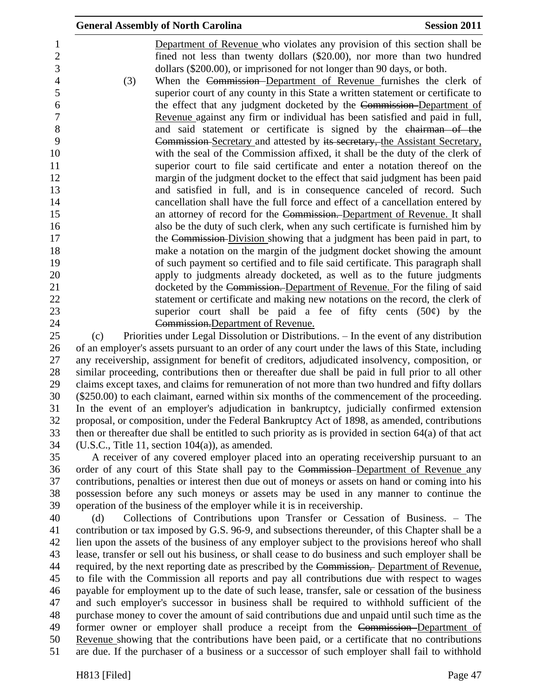|                |     | <b>General Assembly of North Carolina</b>                                                                                                                                                                                                                                                                                                                                                                                                                                             | <b>Session 2011</b> |
|----------------|-----|---------------------------------------------------------------------------------------------------------------------------------------------------------------------------------------------------------------------------------------------------------------------------------------------------------------------------------------------------------------------------------------------------------------------------------------------------------------------------------------|---------------------|
| 1              |     | <b>Department of Revenue who violates any provision of this section shall be</b>                                                                                                                                                                                                                                                                                                                                                                                                      |                     |
| $\overline{2}$ |     | fined not less than twenty dollars (\$20.00), nor more than two hundred                                                                                                                                                                                                                                                                                                                                                                                                               |                     |
| 3              |     | dollars (\$200.00), or imprisoned for not longer than 90 days, or both.                                                                                                                                                                                                                                                                                                                                                                                                               |                     |
| $\overline{4}$ | (3) | When the Commission-Department of Revenue furnishes the clerk of                                                                                                                                                                                                                                                                                                                                                                                                                      |                     |
| 5              |     | superior court of any county in this State a written statement or certificate to                                                                                                                                                                                                                                                                                                                                                                                                      |                     |
| 6              |     | the effect that any judgment docketed by the Commission-Department of                                                                                                                                                                                                                                                                                                                                                                                                                 |                     |
| $\overline{7}$ |     | Revenue against any firm or individual has been satisfied and paid in full,                                                                                                                                                                                                                                                                                                                                                                                                           |                     |
| $8\,$          |     | and said statement or certificate is signed by the chairman of the                                                                                                                                                                                                                                                                                                                                                                                                                    |                     |
| 9              |     | Commission-Secretary and attested by its secretary, the Assistant Secretary,                                                                                                                                                                                                                                                                                                                                                                                                          |                     |
| 10             |     | with the seal of the Commission affixed, it shall be the duty of the clerk of                                                                                                                                                                                                                                                                                                                                                                                                         |                     |
| 11             |     | superior court to file said certificate and enter a notation thereof on the                                                                                                                                                                                                                                                                                                                                                                                                           |                     |
| 12             |     | margin of the judgment docket to the effect that said judgment has been paid                                                                                                                                                                                                                                                                                                                                                                                                          |                     |
| 13             |     | and satisfied in full, and is in consequence canceled of record. Such                                                                                                                                                                                                                                                                                                                                                                                                                 |                     |
| 14             |     | cancellation shall have the full force and effect of a cancellation entered by                                                                                                                                                                                                                                                                                                                                                                                                        |                     |
| 15             |     | an attorney of record for the Commission. Department of Revenue. It shall                                                                                                                                                                                                                                                                                                                                                                                                             |                     |
| 16             |     | also be the duty of such clerk, when any such certificate is furnished him by                                                                                                                                                                                                                                                                                                                                                                                                         |                     |
| 17             |     | the Commission Division showing that a judgment has been paid in part, to                                                                                                                                                                                                                                                                                                                                                                                                             |                     |
| 18             |     | make a notation on the margin of the judgment docket showing the amount                                                                                                                                                                                                                                                                                                                                                                                                               |                     |
| 19             |     | of such payment so certified and to file said certificate. This paragraph shall                                                                                                                                                                                                                                                                                                                                                                                                       |                     |
| 20             |     | apply to judgments already docketed, as well as to the future judgments                                                                                                                                                                                                                                                                                                                                                                                                               |                     |
| 21             |     | docketed by the Commission. Department of Revenue. For the filing of said                                                                                                                                                                                                                                                                                                                                                                                                             |                     |
| 22             |     | statement or certificate and making new notations on the record, the clerk of                                                                                                                                                                                                                                                                                                                                                                                                         |                     |
| 23             |     | superior court shall be paid a fee of fifty cents $(50¢)$ by the                                                                                                                                                                                                                                                                                                                                                                                                                      |                     |
| 24             |     | Commission. Department of Revenue.                                                                                                                                                                                                                                                                                                                                                                                                                                                    |                     |
| 25             | (c) | Priorities under Legal Dissolution or Distributions. - In the event of any distribution                                                                                                                                                                                                                                                                                                                                                                                               |                     |
| 26             |     | of an employer's assets pursuant to an order of any court under the laws of this State, including                                                                                                                                                                                                                                                                                                                                                                                     |                     |
| $\sim$         |     | $\mathbf{1} \cdot \mathbf{1} \cdot \mathbf{1} \cdot \mathbf{1} \cdot \mathbf{1} \cdot \mathbf{1} \cdot \mathbf{1} \cdot \mathbf{1} \cdot \mathbf{1} \cdot \mathbf{1} \cdot \mathbf{1} \cdot \mathbf{1} \cdot \mathbf{1} \cdot \mathbf{1} \cdot \mathbf{1} \cdot \mathbf{1} \cdot \mathbf{1} \cdot \mathbf{1} \cdot \mathbf{1} \cdot \mathbf{1} \cdot \mathbf{1} \cdot \mathbf{1} \cdot \mathbf{1} \cdot \mathbf{1} \cdot \mathbf{1} \cdot \mathbf{1} \cdot \mathbf{1} \cdot \mathbf{$ |                     |

 of an employer's assets pursuant to an order of any court under the laws of this State, including any receivership, assignment for benefit of creditors, adjudicated insolvency, composition, or similar proceeding, contributions then or thereafter due shall be paid in full prior to all other claims except taxes, and claims for remuneration of not more than two hundred and fifty dollars (\$250.00) to each claimant, earned within six months of the commencement of the proceeding. In the event of an employer's adjudication in bankruptcy, judicially confirmed extension proposal, or composition, under the Federal Bankruptcy Act of 1898, as amended, contributions then or thereafter due shall be entitled to such priority as is provided in section 64(a) of that act (U.S.C., Title 11, section 104(a)), as amended.

 A receiver of any covered employer placed into an operating receivership pursuant to an order of any court of this State shall pay to the Commission Department of Revenue any contributions, penalties or interest then due out of moneys or assets on hand or coming into his possession before any such moneys or assets may be used in any manner to continue the operation of the business of the employer while it is in receivership.

 (d) Collections of Contributions upon Transfer or Cessation of Business. – The contribution or tax imposed by G.S. 96-9, and subsections thereunder, of this Chapter shall be a lien upon the assets of the business of any employer subject to the provisions hereof who shall lease, transfer or sell out his business, or shall cease to do business and such employer shall be 44 required, by the next reporting date as prescribed by the Commission, Department of Revenue, to file with the Commission all reports and pay all contributions due with respect to wages payable for employment up to the date of such lease, transfer, sale or cessation of the business and such employer's successor in business shall be required to withhold sufficient of the purchase money to cover the amount of said contributions due and unpaid until such time as the former owner or employer shall produce a receipt from the Commission Department of Revenue showing that the contributions have been paid, or a certificate that no contributions are due. If the purchaser of a business or a successor of such employer shall fail to withhold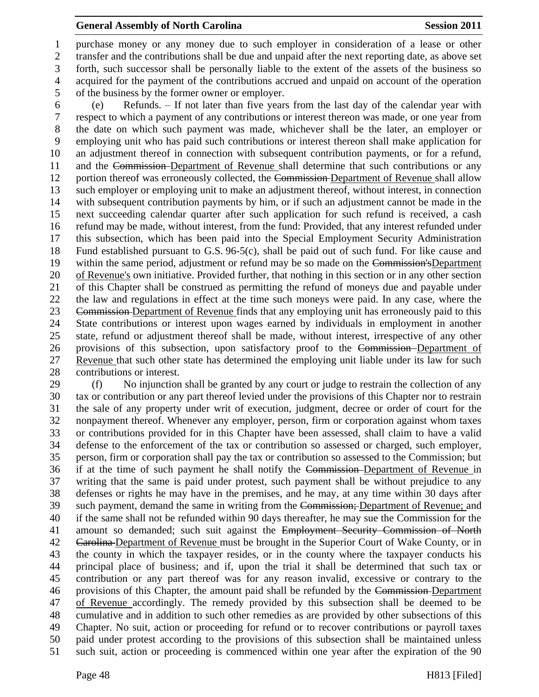purchase money or any money due to such employer in consideration of a lease or other transfer and the contributions shall be due and unpaid after the next reporting date, as above set forth, such successor shall be personally liable to the extent of the assets of the business so acquired for the payment of the contributions accrued and unpaid on account of the operation of the business by the former owner or employer.

 (e) Refunds. – If not later than five years from the last day of the calendar year with respect to which a payment of any contributions or interest thereon was made, or one year from the date on which such payment was made, whichever shall be the later, an employer or employing unit who has paid such contributions or interest thereon shall make application for an adjustment thereof in connection with subsequent contribution payments, or for a refund, and the Commission Department of Revenue shall determine that such contributions or any 12 portion thereof was erroneously collected, the Commission-Department of Revenue shall allow such employer or employing unit to make an adjustment thereof, without interest, in connection with subsequent contribution payments by him, or if such an adjustment cannot be made in the next succeeding calendar quarter after such application for such refund is received, a cash refund may be made, without interest, from the fund: Provided, that any interest refunded under this subsection, which has been paid into the Special Employment Security Administration Fund established pursuant to G.S. 96-5(c), shall be paid out of such fund. For like cause and 19 within the same period, adjustment or refund may be so made on the Commission'sDepartment of Revenue's own initiative. Provided further, that nothing in this section or in any other section of this Chapter shall be construed as permitting the refund of moneys due and payable under the law and regulations in effect at the time such moneys were paid. In any case, where the Commission Department of Revenue finds that any employing unit has erroneously paid to this State contributions or interest upon wages earned by individuals in employment in another state, refund or adjustment thereof shall be made, without interest, irrespective of any other provisions of this subsection, upon satisfactory proof to the Commission Department of Revenue that such other state has determined the employing unit liable under its law for such contributions or interest.

 (f) No injunction shall be granted by any court or judge to restrain the collection of any tax or contribution or any part thereof levied under the provisions of this Chapter nor to restrain the sale of any property under writ of execution, judgment, decree or order of court for the nonpayment thereof. Whenever any employer, person, firm or corporation against whom taxes or contributions provided for in this Chapter have been assessed, shall claim to have a valid defense to the enforcement of the tax or contribution so assessed or charged, such employer, person, firm or corporation shall pay the tax or contribution so assessed to the Commission; but if at the time of such payment he shall notify the Commission Department of Revenue in writing that the same is paid under protest, such payment shall be without prejudice to any defenses or rights he may have in the premises, and he may, at any time within 30 days after such payment, demand the same in writing from the Commission; Department of Revenue; and if the same shall not be refunded within 90 days thereafter, he may sue the Commission for the 41 amount so demanded; such suit against the Employment Security Commission of North 42 Carolina Department of Revenue must be brought in the Superior Court of Wake County, or in the county in which the taxpayer resides, or in the county where the taxpayer conducts his principal place of business; and if, upon the trial it shall be determined that such tax or contribution or any part thereof was for any reason invalid, excessive or contrary to the provisions of this Chapter, the amount paid shall be refunded by the Commission Department of Revenue accordingly. The remedy provided by this subsection shall be deemed to be cumulative and in addition to such other remedies as are provided by other subsections of this Chapter. No suit, action or proceeding for refund or to recover contributions or payroll taxes paid under protest according to the provisions of this subsection shall be maintained unless such suit, action or proceeding is commenced within one year after the expiration of the 90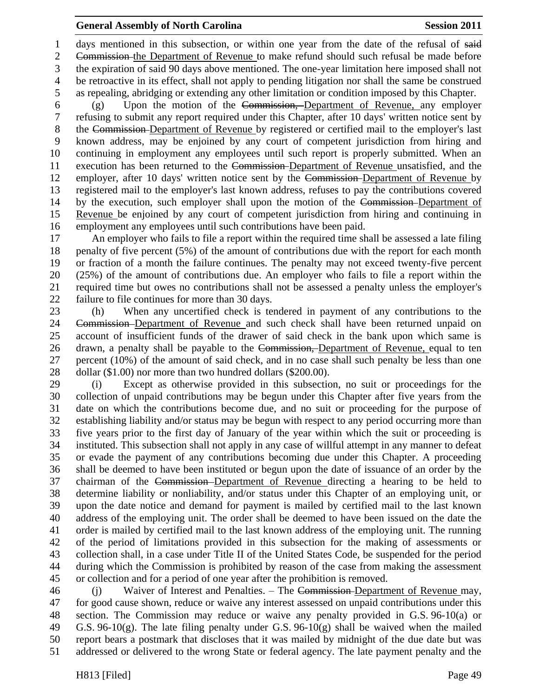1 days mentioned in this subsection, or within one year from the date of the refusal of said

 Commission the Department of Revenue to make refund should such refusal be made before the expiration of said 90 days above mentioned. The one-year limitation here imposed shall not be retroactive in its effect, shall not apply to pending litigation nor shall the same be construed as repealing, abridging or extending any other limitation or condition imposed by this Chapter.

 (g) Upon the motion of the Commission, Department of Revenue, any employer refusing to submit any report required under this Chapter, after 10 days' written notice sent by the Commission Department of Revenue by registered or certified mail to the employer's last known address, may be enjoined by any court of competent jurisdiction from hiring and continuing in employment any employees until such report is properly submitted. When an execution has been returned to the Commission Department of Revenue unsatisfied, and the employer, after 10 days' written notice sent by the Commission Department of Revenue by registered mail to the employer's last known address, refuses to pay the contributions covered by the execution, such employer shall upon the motion of the Commission Department of Revenue be enjoined by any court of competent jurisdiction from hiring and continuing in employment any employees until such contributions have been paid.

 An employer who fails to file a report within the required time shall be assessed a late filing penalty of five percent (5%) of the amount of contributions due with the report for each month or fraction of a month the failure continues. The penalty may not exceed twenty-five percent (25%) of the amount of contributions due. An employer who fails to file a report within the required time but owes no contributions shall not be assessed a penalty unless the employer's failure to file continues for more than 30 days.

 (h) When any uncertified check is tendered in payment of any contributions to the Commission Department of Revenue and such check shall have been returned unpaid on account of insufficient funds of the drawer of said check in the bank upon which same is 26 drawn, a penalty shall be payable to the Commission, Department of Revenue, equal to ten percent (10%) of the amount of said check, and in no case shall such penalty be less than one 28 dollar (\$1.00) nor more than two hundred dollars (\$200.00).

 (i) Except as otherwise provided in this subsection, no suit or proceedings for the collection of unpaid contributions may be begun under this Chapter after five years from the date on which the contributions become due, and no suit or proceeding for the purpose of establishing liability and/or status may be begun with respect to any period occurring more than five years prior to the first day of January of the year within which the suit or proceeding is instituted. This subsection shall not apply in any case of willful attempt in any manner to defeat or evade the payment of any contributions becoming due under this Chapter. A proceeding shall be deemed to have been instituted or begun upon the date of issuance of an order by the chairman of the Commission Department of Revenue directing a hearing to be held to determine liability or nonliability, and/or status under this Chapter of an employing unit, or upon the date notice and demand for payment is mailed by certified mail to the last known address of the employing unit. The order shall be deemed to have been issued on the date the order is mailed by certified mail to the last known address of the employing unit. The running of the period of limitations provided in this subsection for the making of assessments or collection shall, in a case under Title II of the United States Code, be suspended for the period during which the Commission is prohibited by reason of the case from making the assessment or collection and for a period of one year after the prohibition is removed.

 (j) Waiver of Interest and Penalties. – The Commission Department of Revenue may, for good cause shown, reduce or waive any interest assessed on unpaid contributions under this section. The Commission may reduce or waive any penalty provided in G.S. 96-10(a) or 49 G.S. 96-10(g). The late filing penalty under G.S. 96-10(g) shall be waived when the mailed report bears a postmark that discloses that it was mailed by midnight of the due date but was addressed or delivered to the wrong State or federal agency. The late payment penalty and the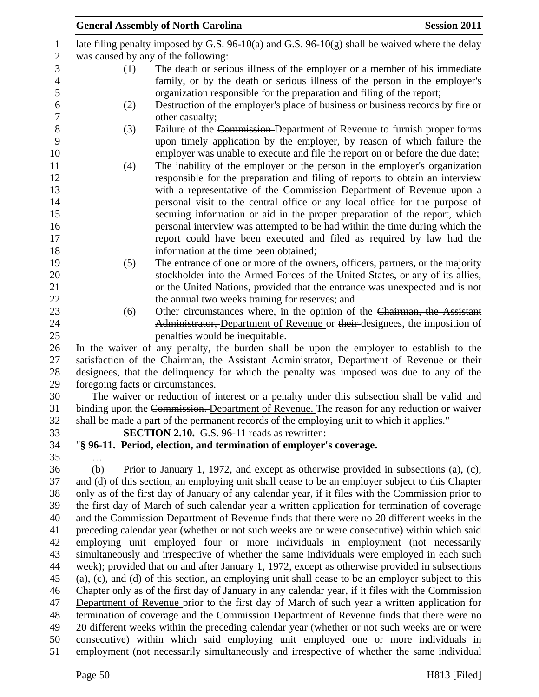|                  |     | <b>General Assembly of North Carolina</b>                                                          | <b>Session 2011</b> |
|------------------|-----|----------------------------------------------------------------------------------------------------|---------------------|
| $\mathbf{1}$     |     | late filing penalty imposed by G.S. 96-10(a) and G.S. 96-10(g) shall be waived where the delay     |                     |
| $\mathbf{2}$     |     | was caused by any of the following:                                                                |                     |
| 3                | (1) | The death or serious illness of the employer or a member of his immediate                          |                     |
| $\overline{4}$   |     | family, or by the death or serious illness of the person in the employer's                         |                     |
| $\mathfrak s$    |     | organization responsible for the preparation and filing of the report;                             |                     |
| 6                | (2) | Destruction of the employer's place of business or business records by fire or                     |                     |
| $\boldsymbol{7}$ |     | other casualty;                                                                                    |                     |
| 8                | (3) | Failure of the Commission-Department of Revenue to furnish proper forms                            |                     |
| 9                |     | upon timely application by the employer, by reason of which failure the                            |                     |
| 10               |     | employer was unable to execute and file the report on or before the due date;                      |                     |
| 11               | (4) | The inability of the employer or the person in the employer's organization                         |                     |
| 12               |     | responsible for the preparation and filing of reports to obtain an interview                       |                     |
| 13               |     | with a representative of the Commission-Department of Revenue upon a                               |                     |
| 14               |     | personal visit to the central office or any local office for the purpose of                        |                     |
| 15               |     | securing information or aid in the proper preparation of the report, which                         |                     |
| 16               |     | personal interview was attempted to be had within the time during which the                        |                     |
| 17               |     | report could have been executed and filed as required by law had the                               |                     |
| 18               |     | information at the time been obtained;                                                             |                     |
| 19               | (5) | The entrance of one or more of the owners, officers, partners, or the majority                     |                     |
| 20               |     | stockholder into the Armed Forces of the United States, or any of its allies,                      |                     |
| 21               |     | or the United Nations, provided that the entrance was unexpected and is not                        |                     |
| 22               |     | the annual two weeks training for reserves; and                                                    |                     |
| 23               | (6) | Other circumstances where, in the opinion of the Chairman, the Assistant                           |                     |
| 24               |     | Administrator, Department of Revenue or their designees, the imposition of                         |                     |
| 25               |     | penalties would be inequitable.                                                                    |                     |
| 26               |     | In the waiver of any penalty, the burden shall be upon the employer to establish to the            |                     |
| 27               |     | satisfaction of the Chairman, the Assistant Administrator, Department of Revenue or their          |                     |
| 28               |     | designees, that the delinquency for which the penalty was imposed was due to any of the            |                     |
| 29               |     | foregoing facts or circumstances.                                                                  |                     |
| 30               |     | The waiver or reduction of interest or a penalty under this subsection shall be valid and          |                     |
| 31               |     | binding upon the Commission. Department of Revenue. The reason for any reduction or waiver         |                     |
| 32               |     | shall be made a part of the permanent records of the employing unit to which it applies."          |                     |
| 33               |     | <b>SECTION 2.10.</b> G.S. 96-11 reads as rewritten:                                                |                     |
| 34               |     | "§ 96-11. Period, election, and termination of employer's coverage.                                |                     |
| 35               |     |                                                                                                    |                     |
| 36               | (b) | Prior to January 1, 1972, and except as otherwise provided in subsections (a), (c),                |                     |
| 37               |     | and (d) of this section, an employing unit shall cease to be an employer subject to this Chapter   |                     |
| 38               |     | only as of the first day of January of any calendar year, if it files with the Commission prior to |                     |
| 39               |     | the first day of March of such calendar year a written application for termination of coverage     |                     |
| 40               |     | and the Commission-Department of Revenue finds that there were no 20 different weeks in the        |                     |
| 41               |     | preceding calendar year (whether or not such weeks are or were consecutive) within which said      |                     |
| 42               |     | employing unit employed four or more individuals in employment (not necessarily                    |                     |
| 43               |     | simultaneously and irrespective of whether the same individuals were employed in each such         |                     |
| 44               |     | week); provided that on and after January 1, 1972, except as otherwise provided in subsections     |                     |
| 45               |     | (a), (c), and (d) of this section, an employing unit shall cease to be an employer subject to this |                     |
| 46               |     | Chapter only as of the first day of January in any calendar year, if it files with the Commission  |                     |
| 47               |     | Department of Revenue prior to the first day of March of such year a written application for       |                     |
| 48               |     | termination of coverage and the Commission-Department of Revenue finds that there were no          |                     |
| 49               |     | 20 different weeks within the preceding calendar year (whether or not such weeks are or were       |                     |
| 50               |     | consecutive) within which said employing unit employed one or more individuals in                  |                     |
| 51               |     | employment (not necessarily simultaneously and irrespective of whether the same individual         |                     |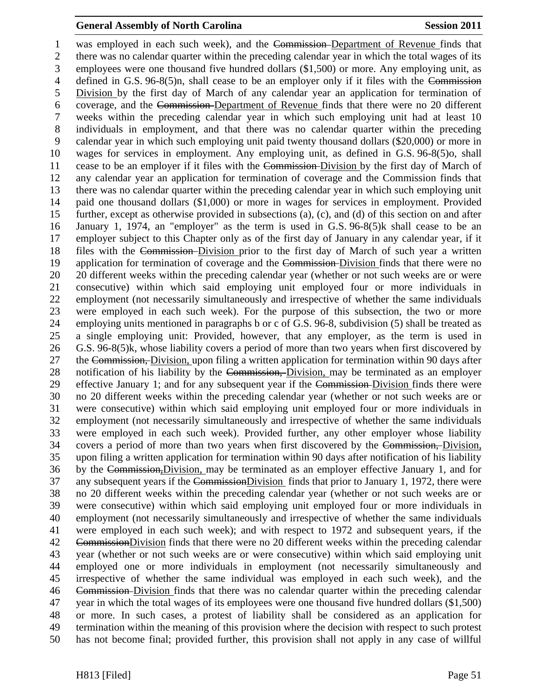was employed in each such week), and the Commission Department of Revenue finds that there was no calendar quarter within the preceding calendar year in which the total wages of its employees were one thousand five hundred dollars (\$1,500) or more. Any employing unit, as 4 defined in G.S. 96-8(5)n, shall cease to be an employer only if it files with the Commission Division by the first day of March of any calendar year an application for termination of coverage, and the Commission Department of Revenue finds that there were no 20 different weeks within the preceding calendar year in which such employing unit had at least 10 individuals in employment, and that there was no calendar quarter within the preceding calendar year in which such employing unit paid twenty thousand dollars (\$20,000) or more in wages for services in employment. Any employing unit, as defined in G.S. 96-8(5)o, shall cease to be an employer if it files with the Commission Division by the first day of March of any calendar year an application for termination of coverage and the Commission finds that there was no calendar quarter within the preceding calendar year in which such employing unit paid one thousand dollars (\$1,000) or more in wages for services in employment. Provided further, except as otherwise provided in subsections (a), (c), and (d) of this section on and after January 1, 1974, an "employer" as the term is used in G.S. 96-8(5)k shall cease to be an employer subject to this Chapter only as of the first day of January in any calendar year, if it 18 files with the Commission-Division prior to the first day of March of such year a written 19 application for termination of coverage and the Commission-Division finds that there were no 20 different weeks within the preceding calendar year (whether or not such weeks are or were consecutive) within which said employing unit employed four or more individuals in employment (not necessarily simultaneously and irrespective of whether the same individuals were employed in each such week). For the purpose of this subsection, the two or more employing units mentioned in paragraphs b or c of G.S. 96-8, subdivision (5) shall be treated as a single employing unit: Provided, however, that any employer, as the term is used in G.S. 96-8(5)k, whose liability covers a period of more than two years when first discovered by 27 the Commission, Division, upon filing a written application for termination within 90 days after 28 notification of his liability by the Commission, Division, may be terminated as an employer effective January 1; and for any subsequent year if the Commission Division finds there were no 20 different weeks within the preceding calendar year (whether or not such weeks are or were consecutive) within which said employing unit employed four or more individuals in employment (not necessarily simultaneously and irrespective of whether the same individuals were employed in each such week). Provided further, any other employer whose liability covers a period of more than two years when first discovered by the Commission, Division, upon filing a written application for termination within 90 days after notification of his liability by the Commission,Division, may be terminated as an employer effective January 1, and for 37 any subsequent years if the CommissionDivision finds that prior to January 1, 1972, there were no 20 different weeks within the preceding calendar year (whether or not such weeks are or were consecutive) within which said employing unit employed four or more individuals in employment (not necessarily simultaneously and irrespective of whether the same individuals were employed in each such week); and with respect to 1972 and subsequent years, if the CommissionDivision finds that there were no 20 different weeks within the preceding calendar year (whether or not such weeks are or were consecutive) within which said employing unit employed one or more individuals in employment (not necessarily simultaneously and irrespective of whether the same individual was employed in each such week), and the Commission Division finds that there was no calendar quarter within the preceding calendar year in which the total wages of its employees were one thousand five hundred dollars (\$1,500) or more. In such cases, a protest of liability shall be considered as an application for termination within the meaning of this provision where the decision with respect to such protest has not become final; provided further, this provision shall not apply in any case of willful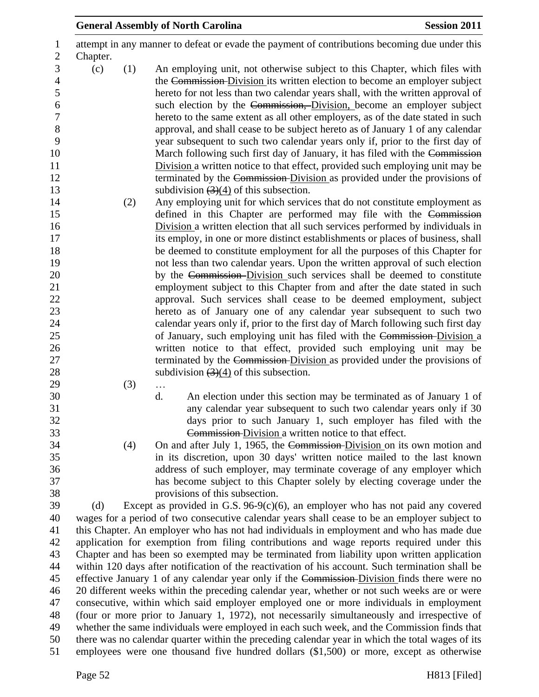|                                                                               |            | <b>General Assembly of North Carolina</b>                                                                                                                                                                                                                                                                                                                                                                                                                                                                                                                                                                                                                                                                                                                                                                               | <b>Session 2011</b> |
|-------------------------------------------------------------------------------|------------|-------------------------------------------------------------------------------------------------------------------------------------------------------------------------------------------------------------------------------------------------------------------------------------------------------------------------------------------------------------------------------------------------------------------------------------------------------------------------------------------------------------------------------------------------------------------------------------------------------------------------------------------------------------------------------------------------------------------------------------------------------------------------------------------------------------------------|---------------------|
| 1<br>$\sqrt{2}$                                                               | Chapter.   | attempt in any manner to defeat or evade the payment of contributions becoming due under this                                                                                                                                                                                                                                                                                                                                                                                                                                                                                                                                                                                                                                                                                                                           |                     |
| 3<br>$\overline{4}$<br>5<br>6<br>$\tau$<br>$8\,$<br>9<br>10<br>11<br>12<br>13 | (c)<br>(1) | An employing unit, not otherwise subject to this Chapter, which files with<br>the Commission Division its written election to become an employer subject<br>hereto for not less than two calendar years shall, with the written approval of<br>such election by the Commission, Division, become an employer subject<br>hereto to the same extent as all other employers, as of the date stated in such<br>approval, and shall cease to be subject hereto as of January 1 of any calendar<br>year subsequent to such two calendar years only if, prior to the first day of<br>March following such first day of January, it has filed with the Commission<br>Division a written notice to that effect, provided such employing unit may be<br>terminated by the Commission-Division as provided under the provisions of |                     |
| 14<br>15<br>16<br>17<br>18<br>19<br>20                                        | (2)        | subdivision $(3)(4)$ of this subsection.<br>Any employing unit for which services that do not constitute employment as<br>defined in this Chapter are performed may file with the Commission<br>Division a written election that all such services performed by individuals in<br>its employ, in one or more distinct establishments or places of business, shall<br>be deemed to constitute employment for all the purposes of this Chapter for<br>not less than two calendar years. Upon the written approval of such election<br>by the Commission-Division such services shall be deemed to constitute                                                                                                                                                                                                              |                     |
| 21<br>22<br>23<br>24<br>25<br>26<br>27<br>28                                  |            | employment subject to this Chapter from and after the date stated in such<br>approval. Such services shall cease to be deemed employment, subject<br>hereto as of January one of any calendar year subsequent to such two<br>calendar years only if, prior to the first day of March following such first day<br>of January, such employing unit has filed with the Commission-Division a<br>written notice to that effect, provided such employing unit may be<br>terminated by the Commission-Division as provided under the provisions of<br>subdivision $(3)(4)$ of this subsection.                                                                                                                                                                                                                                |                     |
| 29<br>30<br>31<br>32<br>33                                                    | (3)        | $\ldots$<br>d.<br>An election under this section may be terminated as of January 1 of<br>any calendar year subsequent to such two calendar years only if 30<br>days prior to such January 1, such employer has filed with the<br>Commission-Division a written notice to that effect.                                                                                                                                                                                                                                                                                                                                                                                                                                                                                                                                   |                     |
| 34<br>35<br>36<br>37<br>38                                                    | (4)        | On and after July 1, 1965, the Commission-Division on its own motion and<br>in its discretion, upon 30 days' written notice mailed to the last known<br>address of such employer, may terminate coverage of any employer which<br>has become subject to this Chapter solely by electing coverage under the<br>provisions of this subsection.                                                                                                                                                                                                                                                                                                                                                                                                                                                                            |                     |
| 39<br>40<br>41                                                                | (d)        | Except as provided in G.S. $96-9(c)(6)$ , an employer who has not paid any covered<br>wages for a period of two consecutive calendar years shall cease to be an employer subject to<br>this Chapter. An employer who has not had individuals in employment and who has made due                                                                                                                                                                                                                                                                                                                                                                                                                                                                                                                                         |                     |
| 42<br>43<br>44                                                                |            | application for exemption from filing contributions and wage reports required under this<br>Chapter and has been so exempted may be terminated from liability upon written application<br>within 120 days after notification of the reactivation of his account. Such termination shall be                                                                                                                                                                                                                                                                                                                                                                                                                                                                                                                              |                     |
| 45<br>46                                                                      |            | effective January 1 of any calendar year only if the Commission-Division finds there were no<br>20 different weeks within the preceding calendar year, whether or not such weeks are or were                                                                                                                                                                                                                                                                                                                                                                                                                                                                                                                                                                                                                            |                     |
| 47<br>48<br>49                                                                |            | consecutive, within which said employer employed one or more individuals in employment<br>(four or more prior to January 1, 1972), not necessarily simultaneously and irrespective of<br>whether the same individuals were employed in each such week, and the Commission finds that                                                                                                                                                                                                                                                                                                                                                                                                                                                                                                                                    |                     |
| 50<br>51                                                                      |            | there was no calendar quarter within the preceding calendar year in which the total wages of its<br>employees were one thousand five hundred dollars (\$1,500) or more, except as otherwise                                                                                                                                                                                                                                                                                                                                                                                                                                                                                                                                                                                                                             |                     |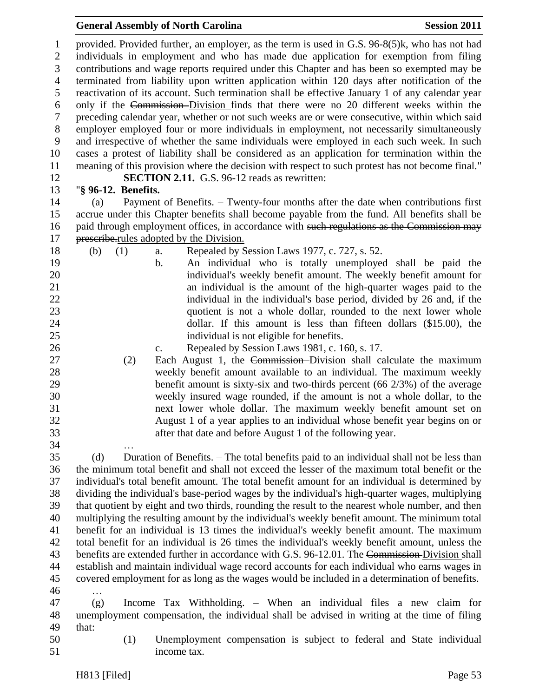provided. Provided further, an employer, as the term is used in G.S. 96-8(5)k, who has not had individuals in employment and who has made due application for exemption from filing contributions and wage reports required under this Chapter and has been so exempted may be terminated from liability upon written application within 120 days after notification of the reactivation of its account. Such termination shall be effective January 1 of any calendar year only if the Commission Division finds that there were no 20 different weeks within the preceding calendar year, whether or not such weeks are or were consecutive, within which said employer employed four or more individuals in employment, not necessarily simultaneously and irrespective of whether the same individuals were employed in each such week. In such cases a protest of liability shall be considered as an application for termination within the meaning of this provision where the decision with respect to such protest has not become final." **SECTION 2.11.** G.S. 96-12 reads as rewritten: "**§ 96-12. Benefits.** (a) Payment of Benefits. – Twenty-four months after the date when contributions first accrue under this Chapter benefits shall become payable from the fund. All benefits shall be 16 paid through employment offices, in accordance with such regulations as the Commission may 17 prescribe.rules adopted by the Division. (b) (1) a. Repealed by Session Laws 1977, c. 727, s. 52. b. An individual who is totally unemployed shall be paid the individual's weekly benefit amount. The weekly benefit amount for an individual is the amount of the high-quarter wages paid to the 22 individual in the individual's base period, divided by 26 and, if the 23 quotient is not a whole dollar, rounded to the next lower whole dollar. If this amount is less than fifteen dollars (\$15.00), the individual is not eligible for benefits. c. Repealed by Session Laws 1981, c. 160, s. 17. (2) Each August 1, the Commission Division shall calculate the maximum weekly benefit amount available to an individual. The maximum weekly benefit amount is sixty-six and two-thirds percent (66 2/3%) of the average weekly insured wage rounded, if the amount is not a whole dollar, to the next lower whole dollar. The maximum weekly benefit amount set on August 1 of a year applies to an individual whose benefit year begins on or after that date and before August 1 of the following year. … (d) Duration of Benefits. – The total benefits paid to an individual shall not be less than the minimum total benefit and shall not exceed the lesser of the maximum total benefit or the individual's total benefit amount. The total benefit amount for an individual is determined by dividing the individual's base-period wages by the individual's high-quarter wages, multiplying that quotient by eight and two thirds, rounding the result to the nearest whole number, and then multiplying the resulting amount by the individual's weekly benefit amount. The minimum total benefit for an individual is 13 times the individual's weekly benefit amount. The maximum total benefit for an individual is 26 times the individual's weekly benefit amount, unless the 43 benefits are extended further in accordance with G.S. 96-12.01. The Commission-Division shall establish and maintain individual wage record accounts for each individual who earns wages in covered employment for as long as the wages would be included in a determination of benefits. … (g) Income Tax Withholding. – When an individual files a new claim for unemployment compensation, the individual shall be advised in writing at the time of filing that:

- 
- 

 (1) Unemployment compensation is subject to federal and State individual income tax.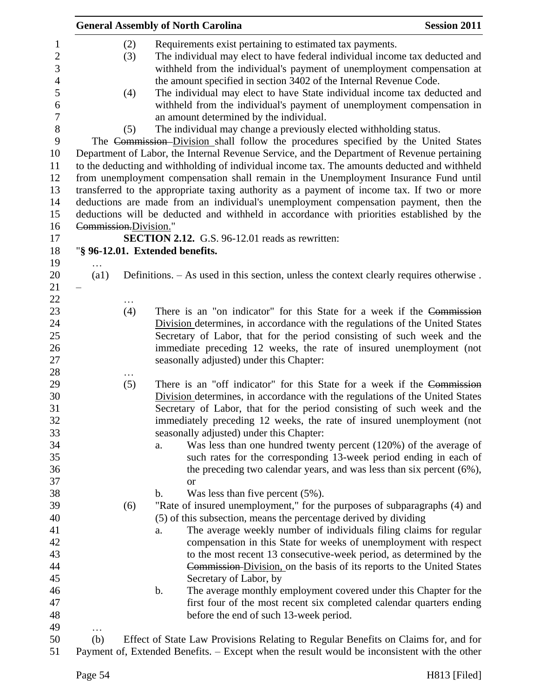|                       |                          | <b>General Assembly of North Carolina</b>                                                                                                                                                                                                                                                                                                                                                                                                                                                                                                                                                                                                                                                                                                                                                                                                                                                                                                                                                                                                  | <b>Session 2011</b> |
|-----------------------|--------------------------|--------------------------------------------------------------------------------------------------------------------------------------------------------------------------------------------------------------------------------------------------------------------------------------------------------------------------------------------------------------------------------------------------------------------------------------------------------------------------------------------------------------------------------------------------------------------------------------------------------------------------------------------------------------------------------------------------------------------------------------------------------------------------------------------------------------------------------------------------------------------------------------------------------------------------------------------------------------------------------------------------------------------------------------------|---------------------|
|                       | (2)<br>(3)<br>(4)<br>(5) | Requirements exist pertaining to estimated tax payments.<br>The individual may elect to have federal individual income tax deducted and<br>withheld from the individual's payment of unemployment compensation at<br>the amount specified in section 3402 of the Internal Revenue Code.<br>The individual may elect to have State individual income tax deducted and<br>withheld from the individual's payment of unemployment compensation in<br>an amount determined by the individual.<br>The individual may change a previously elected withholding status.<br>The Commission–Division shall follow the procedures specified by the United States<br>Department of Labor, the Internal Revenue Service, and the Department of Revenue pertaining<br>to the deducting and withholding of individual income tax. The amounts deducted and withheld<br>from unemployment compensation shall remain in the Unemployment Insurance Fund until<br>transferred to the appropriate taxing authority as a payment of income tax. If two or more |                     |
|                       |                          | deductions are made from an individual's unemployment compensation payment, then the                                                                                                                                                                                                                                                                                                                                                                                                                                                                                                                                                                                                                                                                                                                                                                                                                                                                                                                                                       |                     |
|                       |                          | deductions will be deducted and withheld in accordance with priorities established by the                                                                                                                                                                                                                                                                                                                                                                                                                                                                                                                                                                                                                                                                                                                                                                                                                                                                                                                                                  |                     |
| Commission.Division." |                          |                                                                                                                                                                                                                                                                                                                                                                                                                                                                                                                                                                                                                                                                                                                                                                                                                                                                                                                                                                                                                                            |                     |
|                       |                          | <b>SECTION 2.12.</b> G.S. 96-12.01 reads as rewritten:<br>"§ 96-12.01. Extended benefits.                                                                                                                                                                                                                                                                                                                                                                                                                                                                                                                                                                                                                                                                                                                                                                                                                                                                                                                                                  |                     |
|                       |                          |                                                                                                                                                                                                                                                                                                                                                                                                                                                                                                                                                                                                                                                                                                                                                                                                                                                                                                                                                                                                                                            |                     |
| (a1)                  |                          | Definitions. – As used in this section, unless the context clearly requires otherwise.                                                                                                                                                                                                                                                                                                                                                                                                                                                                                                                                                                                                                                                                                                                                                                                                                                                                                                                                                     |                     |
|                       |                          |                                                                                                                                                                                                                                                                                                                                                                                                                                                                                                                                                                                                                                                                                                                                                                                                                                                                                                                                                                                                                                            |                     |
|                       |                          |                                                                                                                                                                                                                                                                                                                                                                                                                                                                                                                                                                                                                                                                                                                                                                                                                                                                                                                                                                                                                                            |                     |
|                       | (4)                      | There is an "on indicator" for this State for a week if the Commission<br>Division determines, in accordance with the regulations of the United States                                                                                                                                                                                                                                                                                                                                                                                                                                                                                                                                                                                                                                                                                                                                                                                                                                                                                     |                     |
|                       |                          | Secretary of Labor, that for the period consisting of such week and the                                                                                                                                                                                                                                                                                                                                                                                                                                                                                                                                                                                                                                                                                                                                                                                                                                                                                                                                                                    |                     |
|                       |                          | immediate preceding 12 weeks, the rate of insured unemployment (not                                                                                                                                                                                                                                                                                                                                                                                                                                                                                                                                                                                                                                                                                                                                                                                                                                                                                                                                                                        |                     |
|                       |                          | seasonally adjusted) under this Chapter:                                                                                                                                                                                                                                                                                                                                                                                                                                                                                                                                                                                                                                                                                                                                                                                                                                                                                                                                                                                                   |                     |
|                       |                          |                                                                                                                                                                                                                                                                                                                                                                                                                                                                                                                                                                                                                                                                                                                                                                                                                                                                                                                                                                                                                                            |                     |
|                       | (5)                      | There is an "off indicator" for this State for a week if the Commission<br>Division determines, in accordance with the regulations of the United States                                                                                                                                                                                                                                                                                                                                                                                                                                                                                                                                                                                                                                                                                                                                                                                                                                                                                    |                     |
|                       |                          | Secretary of Labor, that for the period consisting of such week and the                                                                                                                                                                                                                                                                                                                                                                                                                                                                                                                                                                                                                                                                                                                                                                                                                                                                                                                                                                    |                     |
|                       |                          | immediately preceding 12 weeks, the rate of insured unemployment (not                                                                                                                                                                                                                                                                                                                                                                                                                                                                                                                                                                                                                                                                                                                                                                                                                                                                                                                                                                      |                     |
|                       |                          | seasonally adjusted) under this Chapter:<br>Was less than one hundred twenty percent $(120%)$ of the average of<br>a.                                                                                                                                                                                                                                                                                                                                                                                                                                                                                                                                                                                                                                                                                                                                                                                                                                                                                                                      |                     |
|                       |                          | such rates for the corresponding 13-week period ending in each of                                                                                                                                                                                                                                                                                                                                                                                                                                                                                                                                                                                                                                                                                                                                                                                                                                                                                                                                                                          |                     |
|                       |                          | the preceding two calendar years, and was less than six percent $(6\%)$ ,                                                                                                                                                                                                                                                                                                                                                                                                                                                                                                                                                                                                                                                                                                                                                                                                                                                                                                                                                                  |                     |
|                       |                          | <b>or</b>                                                                                                                                                                                                                                                                                                                                                                                                                                                                                                                                                                                                                                                                                                                                                                                                                                                                                                                                                                                                                                  |                     |
|                       |                          | $\mathbf b$ .<br>Was less than five percent $(5\%)$ .                                                                                                                                                                                                                                                                                                                                                                                                                                                                                                                                                                                                                                                                                                                                                                                                                                                                                                                                                                                      |                     |
|                       | (6)                      | "Rate of insured unemployment," for the purposes of subparagraphs (4) and                                                                                                                                                                                                                                                                                                                                                                                                                                                                                                                                                                                                                                                                                                                                                                                                                                                                                                                                                                  |                     |
|                       |                          | (5) of this subsection, means the percentage derived by dividing                                                                                                                                                                                                                                                                                                                                                                                                                                                                                                                                                                                                                                                                                                                                                                                                                                                                                                                                                                           |                     |
|                       |                          | The average weekly number of individuals filing claims for regular<br>a.<br>compensation in this State for weeks of unemployment with respect                                                                                                                                                                                                                                                                                                                                                                                                                                                                                                                                                                                                                                                                                                                                                                                                                                                                                              |                     |
|                       |                          | to the most recent 13 consecutive-week period, as determined by the                                                                                                                                                                                                                                                                                                                                                                                                                                                                                                                                                                                                                                                                                                                                                                                                                                                                                                                                                                        |                     |
|                       |                          | Commission-Division, on the basis of its reports to the United States                                                                                                                                                                                                                                                                                                                                                                                                                                                                                                                                                                                                                                                                                                                                                                                                                                                                                                                                                                      |                     |
|                       |                          | Secretary of Labor, by                                                                                                                                                                                                                                                                                                                                                                                                                                                                                                                                                                                                                                                                                                                                                                                                                                                                                                                                                                                                                     |                     |
|                       |                          | The average monthly employment covered under this Chapter for the<br>b.                                                                                                                                                                                                                                                                                                                                                                                                                                                                                                                                                                                                                                                                                                                                                                                                                                                                                                                                                                    |                     |
|                       |                          | first four of the most recent six completed calendar quarters ending                                                                                                                                                                                                                                                                                                                                                                                                                                                                                                                                                                                                                                                                                                                                                                                                                                                                                                                                                                       |                     |
|                       |                          |                                                                                                                                                                                                                                                                                                                                                                                                                                                                                                                                                                                                                                                                                                                                                                                                                                                                                                                                                                                                                                            |                     |
|                       |                          | before the end of such 13-week period.                                                                                                                                                                                                                                                                                                                                                                                                                                                                                                                                                                                                                                                                                                                                                                                                                                                                                                                                                                                                     |                     |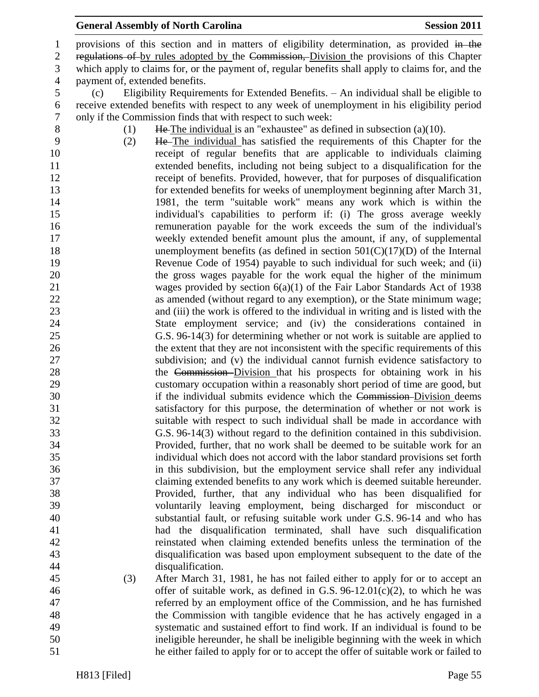1 provisions of this section and in matters of eligibility determination, as provided in the 2 regulations of by rules adopted by the Commission, Division the provisions of this Chapter which apply to claims for, or the payment of, regular benefits shall apply to claims for, and the payment of, extended benefits.

 (c) Eligibility Requirements for Extended Benefits. – An individual shall be eligible to receive extended benefits with respect to any week of unemployment in his eligibility period only if the Commission finds that with respect to such week:

8 (1) He The individual is an "exhaustee" as defined in subsection (a)(10).

 (2) He The individual has satisfied the requirements of this Chapter for the receipt of regular benefits that are applicable to individuals claiming extended benefits, including not being subject to a disqualification for the receipt of benefits. Provided, however, that for purposes of disqualification for extended benefits for weeks of unemployment beginning after March 31, 1981, the term "suitable work" means any work which is within the individual's capabilities to perform if: (i) The gross average weekly remuneration payable for the work exceeds the sum of the individual's weekly extended benefit amount plus the amount, if any, of supplemental 18 unemployment benefits (as defined in section 501(C)(17)(D) of the Internal Revenue Code of 1954) payable to such individual for such week; and (ii) the gross wages payable for the work equal the higher of the minimum wages provided by section 6(a)(1) of the Fair Labor Standards Act of 1938 as amended (without regard to any exemption), or the State minimum wage; and (iii) the work is offered to the individual in writing and is listed with the State employment service; and (iv) the considerations contained in G.S. 96-14(3) for determining whether or not work is suitable are applied to the extent that they are not inconsistent with the specific requirements of this subdivision; and (v) the individual cannot furnish evidence satisfactory to 28 the Commission–Division that his prospects for obtaining work in his customary occupation within a reasonably short period of time are good, but 30 if the individual submits evidence which the Commission-Division deems satisfactory for this purpose, the determination of whether or not work is suitable with respect to such individual shall be made in accordance with G.S. 96-14(3) without regard to the definition contained in this subdivision. Provided, further, that no work shall be deemed to be suitable work for an individual which does not accord with the labor standard provisions set forth in this subdivision, but the employment service shall refer any individual claiming extended benefits to any work which is deemed suitable hereunder. Provided, further, that any individual who has been disqualified for voluntarily leaving employment, being discharged for misconduct or substantial fault, or refusing suitable work under G.S. 96-14 and who has had the disqualification terminated, shall have such disqualification reinstated when claiming extended benefits unless the termination of the disqualification was based upon employment subsequent to the date of the disqualification.

 (3) After March 31, 1981, he has not failed either to apply for or to accept an offer of suitable work, as defined in G.S. 96-12.01(c)(2), to which he was referred by an employment office of the Commission, and he has furnished the Commission with tangible evidence that he has actively engaged in a systematic and sustained effort to find work. If an individual is found to be ineligible hereunder, he shall be ineligible beginning with the week in which he either failed to apply for or to accept the offer of suitable work or failed to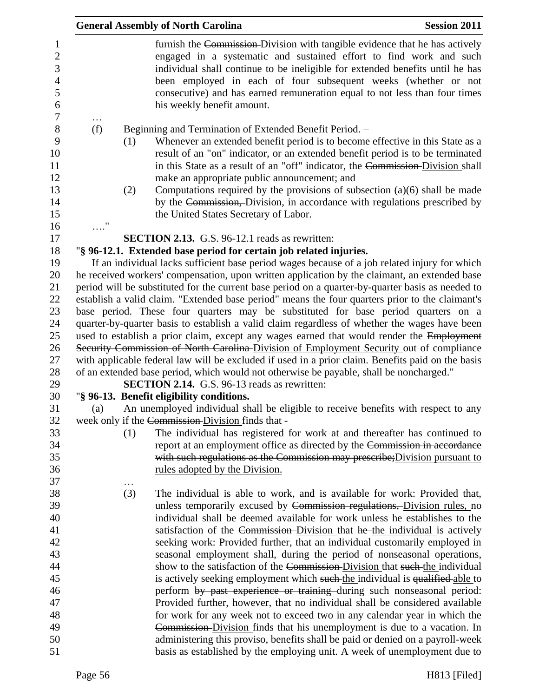|                   |     | <b>General Assembly of North Carolina</b>                                                                                                                                                                                                                                                                                                                                                                        | <b>Session 2011</b> |
|-------------------|-----|------------------------------------------------------------------------------------------------------------------------------------------------------------------------------------------------------------------------------------------------------------------------------------------------------------------------------------------------------------------------------------------------------------------|---------------------|
|                   |     | furnish the Commission Division with tangible evidence that he has actively<br>engaged in a systematic and sustained effort to find work and such<br>individual shall continue to be ineligible for extended benefits until he has<br>been employed in each of four subsequent weeks (whether or not<br>consecutive) and has earned remuneration equal to not less than four times<br>his weekly benefit amount. |                     |
| (f)               |     | Beginning and Termination of Extended Benefit Period. -                                                                                                                                                                                                                                                                                                                                                          |                     |
|                   | (1) | Whenever an extended benefit period is to become effective in this State as a<br>result of an "on" indicator, or an extended benefit period is to be terminated<br>in this State as a result of an "off" indicator, the Commission-Division shall<br>make an appropriate public announcement; and                                                                                                                |                     |
|                   | (2) | Computations required by the provisions of subsection $(a)(6)$ shall be made<br>by the Commission, Division, in accordance with regulations prescribed by                                                                                                                                                                                                                                                        |                     |
| $^{\prime\prime}$ |     | the United States Secretary of Labor.                                                                                                                                                                                                                                                                                                                                                                            |                     |
|                   |     | <b>SECTION 2.13.</b> G.S. 96-12.1 reads as rewritten:                                                                                                                                                                                                                                                                                                                                                            |                     |
|                   |     | "§ 96-12.1. Extended base period for certain job related injuries.                                                                                                                                                                                                                                                                                                                                               |                     |
|                   |     | If an individual lacks sufficient base period wages because of a job related injury for which                                                                                                                                                                                                                                                                                                                    |                     |
|                   |     | he received workers' compensation, upon written application by the claimant, an extended base                                                                                                                                                                                                                                                                                                                    |                     |
|                   |     | period will be substituted for the current base period on a quarter-by-quarter basis as needed to                                                                                                                                                                                                                                                                                                                |                     |
|                   |     | establish a valid claim. "Extended base period" means the four quarters prior to the claimant's                                                                                                                                                                                                                                                                                                                  |                     |
|                   |     | base period. These four quarters may be substituted for base period quarters on a                                                                                                                                                                                                                                                                                                                                |                     |
|                   |     | quarter-by-quarter basis to establish a valid claim regardless of whether the wages have been                                                                                                                                                                                                                                                                                                                    |                     |
|                   |     | used to establish a prior claim, except any wages earned that would render the Employment                                                                                                                                                                                                                                                                                                                        |                     |
|                   |     | Security Commission of North Carolina Division of Employment Security out of compliance                                                                                                                                                                                                                                                                                                                          |                     |
|                   |     | with applicable federal law will be excluded if used in a prior claim. Benefits paid on the basis                                                                                                                                                                                                                                                                                                                |                     |
|                   |     | of an extended base period, which would not otherwise be payable, shall be noncharged."                                                                                                                                                                                                                                                                                                                          |                     |
|                   |     | <b>SECTION 2.14.</b> G.S. 96-13 reads as rewritten:                                                                                                                                                                                                                                                                                                                                                              |                     |
|                   |     | "§ 96-13. Benefit eligibility conditions.                                                                                                                                                                                                                                                                                                                                                                        |                     |
| (a)               |     | An unemployed individual shall be eligible to receive benefits with respect to any                                                                                                                                                                                                                                                                                                                               |                     |
|                   |     | week only if the Commission-Division finds that -                                                                                                                                                                                                                                                                                                                                                                |                     |
|                   | (1) | The individual has registered for work at and thereafter has continued to                                                                                                                                                                                                                                                                                                                                        |                     |
|                   |     | report at an employment office as directed by the Commission in accordance                                                                                                                                                                                                                                                                                                                                       |                     |
|                   |     | with such regulations as the Commission may prescribe; Division pursuant to                                                                                                                                                                                                                                                                                                                                      |                     |
|                   |     | rules adopted by the Division.                                                                                                                                                                                                                                                                                                                                                                                   |                     |
|                   |     |                                                                                                                                                                                                                                                                                                                                                                                                                  |                     |
|                   | (3) | The individual is able to work, and is available for work: Provided that,                                                                                                                                                                                                                                                                                                                                        |                     |
|                   |     | unless temporarily excused by Commission regulations, Division rules, no<br>individual shall be deemed available for work unless he establishes to the                                                                                                                                                                                                                                                           |                     |
|                   |     | satisfaction of the Commission-Division that he-the individual is actively                                                                                                                                                                                                                                                                                                                                       |                     |
|                   |     | seeking work: Provided further, that an individual customarily employed in                                                                                                                                                                                                                                                                                                                                       |                     |
|                   |     | seasonal employment shall, during the period of nonseasonal operations,                                                                                                                                                                                                                                                                                                                                          |                     |
|                   |     | show to the satisfaction of the Commission-Division that such the individual                                                                                                                                                                                                                                                                                                                                     |                     |
|                   |     | is actively seeking employment which such the individual is qualified able to                                                                                                                                                                                                                                                                                                                                    |                     |
|                   |     | perform by past experience or training during such nonseasonal period:                                                                                                                                                                                                                                                                                                                                           |                     |
|                   |     | Provided further, however, that no individual shall be considered available                                                                                                                                                                                                                                                                                                                                      |                     |
|                   |     | for work for any week not to exceed two in any calendar year in which the                                                                                                                                                                                                                                                                                                                                        |                     |
|                   |     | Commission-Division finds that his unemployment is due to a vacation. In                                                                                                                                                                                                                                                                                                                                         |                     |
|                   |     | administering this proviso, benefits shall be paid or denied on a payroll-week                                                                                                                                                                                                                                                                                                                                   |                     |
|                   |     | basis as established by the employing unit. A week of unemployment due to                                                                                                                                                                                                                                                                                                                                        |                     |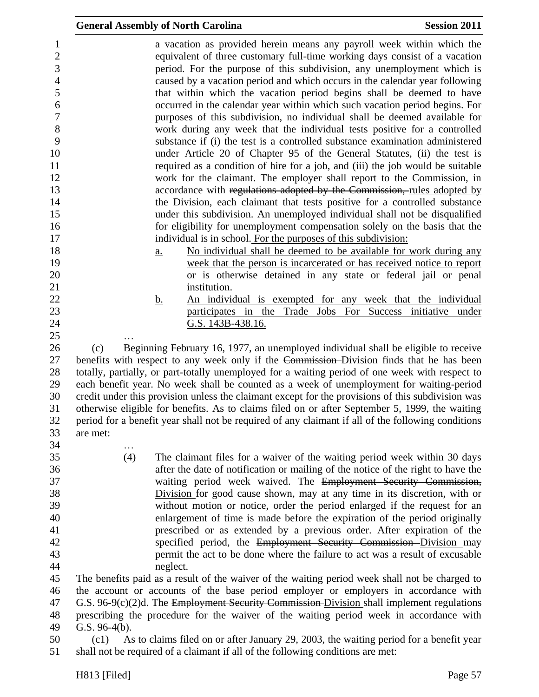|                  | <b>General Assembly of North Carolina</b>                                                                                                                                                                                                                                                                    | <b>Session 2011</b> |
|------------------|--------------------------------------------------------------------------------------------------------------------------------------------------------------------------------------------------------------------------------------------------------------------------------------------------------------|---------------------|
|                  | a vacation as provided herein means any payroll week within which the<br>equivalent of three customary full-time working days consist of a vacation<br>period. For the purpose of this subdivision, any unemployment which is<br>caused by a vacation period and which occurs in the calendar year following |                     |
|                  | that within which the vacation period begins shall be deemed to have<br>occurred in the calendar year within which such vacation period begins. For                                                                                                                                                          |                     |
|                  | purposes of this subdivision, no individual shall be deemed available for                                                                                                                                                                                                                                    |                     |
|                  | work during any week that the individual tests positive for a controlled                                                                                                                                                                                                                                     |                     |
|                  | substance if (i) the test is a controlled substance examination administered                                                                                                                                                                                                                                 |                     |
|                  | under Article 20 of Chapter 95 of the General Statutes, (ii) the test is<br>required as a condition of hire for a job, and (iii) the job would be suitable                                                                                                                                                   |                     |
|                  | work for the claimant. The employer shall report to the Commission, in                                                                                                                                                                                                                                       |                     |
|                  | accordance with regulations adopted by the Commission, rules adopted by                                                                                                                                                                                                                                      |                     |
|                  | the Division, each claimant that tests positive for a controlled substance                                                                                                                                                                                                                                   |                     |
|                  | under this subdivision. An unemployed individual shall not be disqualified                                                                                                                                                                                                                                   |                     |
|                  | for eligibility for unemployment compensation solely on the basis that the                                                                                                                                                                                                                                   |                     |
|                  | individual is in school. For the purposes of this subdivision:<br>No individual shall be deemed to be available for work during any                                                                                                                                                                          |                     |
|                  | a.<br>week that the person is incarcerated or has received notice to report                                                                                                                                                                                                                                  |                     |
|                  | or is otherwise detained in any state or federal jail or penal                                                                                                                                                                                                                                               |                     |
|                  | institution.                                                                                                                                                                                                                                                                                                 |                     |
|                  | An individual is exempted for any week that the individual<br><u>b.</u>                                                                                                                                                                                                                                      |                     |
|                  | participates in the Trade Jobs For Success initiative under                                                                                                                                                                                                                                                  |                     |
|                  | G.S. 143B-438.16.                                                                                                                                                                                                                                                                                            |                     |
| (c)              | Beginning February 16, 1977, an unemployed individual shall be eligible to receive                                                                                                                                                                                                                           |                     |
|                  | benefits with respect to any week only if the Commission-Division finds that he has been                                                                                                                                                                                                                     |                     |
|                  | totally, partially, or part-totally unemployed for a waiting period of one week with respect to                                                                                                                                                                                                              |                     |
|                  | each benefit year. No week shall be counted as a week of unemployment for waiting-period                                                                                                                                                                                                                     |                     |
|                  | credit under this provision unless the claimant except for the provisions of this subdivision was                                                                                                                                                                                                            |                     |
|                  | otherwise eligible for benefits. As to claims filed on or after September 5, 1999, the waiting<br>period for a benefit year shall not be required of any claimant if all of the following conditions                                                                                                         |                     |
| are met:         |                                                                                                                                                                                                                                                                                                              |                     |
| .                |                                                                                                                                                                                                                                                                                                              |                     |
| (4)              | The claimant files for a waiver of the waiting period week within 30 days                                                                                                                                                                                                                                    |                     |
|                  | after the date of notification or mailing of the notice of the right to have the                                                                                                                                                                                                                             |                     |
|                  | waiting period week waived. The Employment Security Commission,                                                                                                                                                                                                                                              |                     |
|                  | Division for good cause shown, may at any time in its discretion, with or<br>without motion or notice, order the period enlarged if the request for an                                                                                                                                                       |                     |
|                  | enlargement of time is made before the expiration of the period originally                                                                                                                                                                                                                                   |                     |
|                  | prescribed or as extended by a previous order. After expiration of the                                                                                                                                                                                                                                       |                     |
|                  | specified period, the Employment Security Commission Division may                                                                                                                                                                                                                                            |                     |
|                  | permit the act to be done where the failure to act was a result of excusable                                                                                                                                                                                                                                 |                     |
|                  | neglect.                                                                                                                                                                                                                                                                                                     |                     |
|                  | The benefits paid as a result of the waiver of the waiting period week shall not be charged to<br>the account or accounts of the base period employer or employers in accordance with                                                                                                                        |                     |
|                  | G.S. 96-9 $(c)(2)$ d. The Employment Security Commission Division shall implement regulations                                                                                                                                                                                                                |                     |
|                  | prescribing the procedure for the waiver of the waiting period week in accordance with                                                                                                                                                                                                                       |                     |
| G.S. $96-4(b)$ . |                                                                                                                                                                                                                                                                                                              |                     |
| (c1)             | As to claims filed on or after January 29, 2003, the waiting period for a benefit year                                                                                                                                                                                                                       |                     |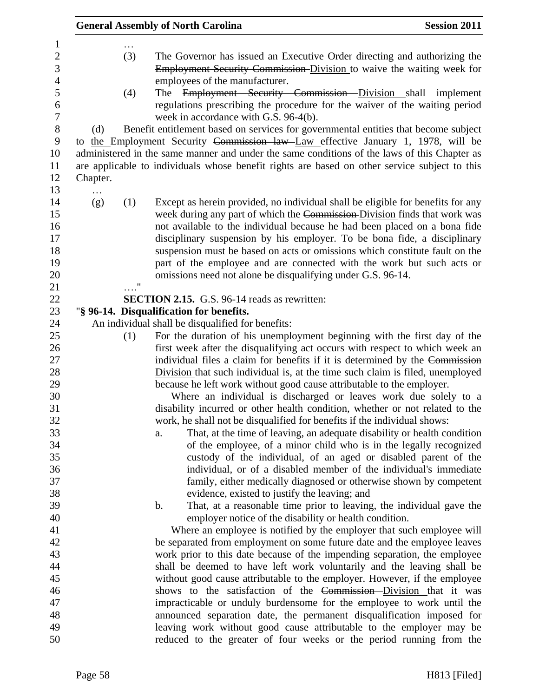|                 |            | <b>General Assembly of North Carolina</b>                                                                                                                                                                                                                                                                                                                                                                                                                                                                                                                                                                                                                                                                                                                | <b>Session 2011</b> |
|-----------------|------------|----------------------------------------------------------------------------------------------------------------------------------------------------------------------------------------------------------------------------------------------------------------------------------------------------------------------------------------------------------------------------------------------------------------------------------------------------------------------------------------------------------------------------------------------------------------------------------------------------------------------------------------------------------------------------------------------------------------------------------------------------------|---------------------|
| (d)<br>Chapter. | (3)<br>(4) | The Governor has issued an Executive Order directing and authorizing the<br>Employment Security Commission-Division to waive the waiting week for<br>employees of the manufacturer.<br>Employment Security Commission Division shall implement<br>The<br>regulations prescribing the procedure for the waiver of the waiting period<br>week in accordance with G.S. 96-4(b).<br>Benefit entitlement based on services for governmental entities that become subject<br>to the Employment Security Commission law Law effective January 1, 1978, will be<br>administered in the same manner and under the same conditions of the laws of this Chapter as<br>are applicable to individuals whose benefit rights are based on other service subject to this |                     |
| .<br>(g)        | (1)<br>"   | Except as herein provided, no individual shall be eligible for benefits for any<br>week during any part of which the Commission-Division finds that work was<br>not available to the individual because he had been placed on a bona fide<br>disciplinary suspension by his employer. To be bona fide, a disciplinary<br>suspension must be based on acts or omissions which constitute fault on the<br>part of the employee and are connected with the work but such acts or<br>omissions need not alone be disqualifying under G.S. 96-14.                                                                                                                                                                                                             |                     |
|                 |            | <b>SECTION 2.15.</b> G.S. 96-14 reads as rewritten:                                                                                                                                                                                                                                                                                                                                                                                                                                                                                                                                                                                                                                                                                                      |                     |
|                 |            | "§ 96-14. Disqualification for benefits.                                                                                                                                                                                                                                                                                                                                                                                                                                                                                                                                                                                                                                                                                                                 |                     |
|                 |            | An individual shall be disqualified for benefits:                                                                                                                                                                                                                                                                                                                                                                                                                                                                                                                                                                                                                                                                                                        |                     |
|                 | (1)        | For the duration of his unemployment beginning with the first day of the                                                                                                                                                                                                                                                                                                                                                                                                                                                                                                                                                                                                                                                                                 |                     |
|                 |            | first week after the disqualifying act occurs with respect to which week an                                                                                                                                                                                                                                                                                                                                                                                                                                                                                                                                                                                                                                                                              |                     |
|                 |            | individual files a claim for benefits if it is determined by the Commission                                                                                                                                                                                                                                                                                                                                                                                                                                                                                                                                                                                                                                                                              |                     |
|                 |            | Division that such individual is, at the time such claim is filed, unemployed                                                                                                                                                                                                                                                                                                                                                                                                                                                                                                                                                                                                                                                                            |                     |
|                 |            | because he left work without good cause attributable to the employer.<br>Where an individual is discharged or leaves work due solely to a                                                                                                                                                                                                                                                                                                                                                                                                                                                                                                                                                                                                                |                     |
|                 |            | disability incurred or other health condition, whether or not related to the                                                                                                                                                                                                                                                                                                                                                                                                                                                                                                                                                                                                                                                                             |                     |
|                 |            | work, he shall not be disqualified for benefits if the individual shows:                                                                                                                                                                                                                                                                                                                                                                                                                                                                                                                                                                                                                                                                                 |                     |
|                 |            | That, at the time of leaving, an adequate disability or health condition<br>a.                                                                                                                                                                                                                                                                                                                                                                                                                                                                                                                                                                                                                                                                           |                     |
|                 |            | of the employee, of a minor child who is in the legally recognized                                                                                                                                                                                                                                                                                                                                                                                                                                                                                                                                                                                                                                                                                       |                     |
|                 |            | custody of the individual, of an aged or disabled parent of the                                                                                                                                                                                                                                                                                                                                                                                                                                                                                                                                                                                                                                                                                          |                     |
|                 |            | individual, or of a disabled member of the individual's immediate                                                                                                                                                                                                                                                                                                                                                                                                                                                                                                                                                                                                                                                                                        |                     |
|                 |            | family, either medically diagnosed or otherwise shown by competent                                                                                                                                                                                                                                                                                                                                                                                                                                                                                                                                                                                                                                                                                       |                     |
|                 |            | evidence, existed to justify the leaving; and                                                                                                                                                                                                                                                                                                                                                                                                                                                                                                                                                                                                                                                                                                            |                     |
|                 |            | That, at a reasonable time prior to leaving, the individual gave the<br>$\mathbf b$ .                                                                                                                                                                                                                                                                                                                                                                                                                                                                                                                                                                                                                                                                    |                     |
|                 |            | employer notice of the disability or health condition.                                                                                                                                                                                                                                                                                                                                                                                                                                                                                                                                                                                                                                                                                                   |                     |
|                 |            | Where an employee is notified by the employer that such employee will                                                                                                                                                                                                                                                                                                                                                                                                                                                                                                                                                                                                                                                                                    |                     |
|                 |            | be separated from employment on some future date and the employee leaves                                                                                                                                                                                                                                                                                                                                                                                                                                                                                                                                                                                                                                                                                 |                     |
|                 |            | work prior to this date because of the impending separation, the employee                                                                                                                                                                                                                                                                                                                                                                                                                                                                                                                                                                                                                                                                                |                     |
|                 |            | shall be deemed to have left work voluntarily and the leaving shall be                                                                                                                                                                                                                                                                                                                                                                                                                                                                                                                                                                                                                                                                                   |                     |
|                 |            | without good cause attributable to the employer. However, if the employee                                                                                                                                                                                                                                                                                                                                                                                                                                                                                                                                                                                                                                                                                |                     |
|                 |            | shows to the satisfaction of the Commission-Division that it was                                                                                                                                                                                                                                                                                                                                                                                                                                                                                                                                                                                                                                                                                         |                     |
|                 |            | impracticable or unduly burdensome for the employee to work until the                                                                                                                                                                                                                                                                                                                                                                                                                                                                                                                                                                                                                                                                                    |                     |
|                 |            | announced separation date, the permanent disqualification imposed for                                                                                                                                                                                                                                                                                                                                                                                                                                                                                                                                                                                                                                                                                    |                     |
|                 |            | leaving work without good cause attributable to the employer may be                                                                                                                                                                                                                                                                                                                                                                                                                                                                                                                                                                                                                                                                                      |                     |
|                 |            | reduced to the greater of four weeks or the period running from the                                                                                                                                                                                                                                                                                                                                                                                                                                                                                                                                                                                                                                                                                      |                     |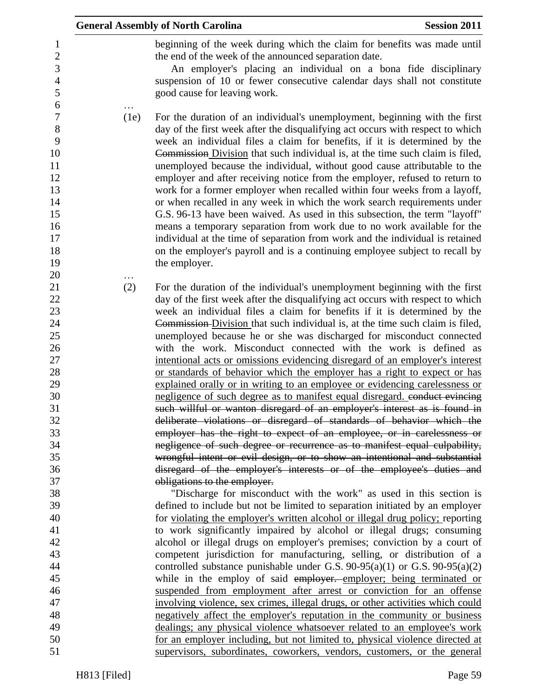|      | <b>General Assembly of North Carolina</b><br><b>Session 2011</b>                                                                                                                                                                                                                                                                                                                                                                                                                                                                                                                                                                                                                                                                                                                                                                                                                                                                                                                          |  |
|------|-------------------------------------------------------------------------------------------------------------------------------------------------------------------------------------------------------------------------------------------------------------------------------------------------------------------------------------------------------------------------------------------------------------------------------------------------------------------------------------------------------------------------------------------------------------------------------------------------------------------------------------------------------------------------------------------------------------------------------------------------------------------------------------------------------------------------------------------------------------------------------------------------------------------------------------------------------------------------------------------|--|
|      | beginning of the week during which the claim for benefits was made until<br>the end of the week of the announced separation date.<br>An employer's placing an individual on a bona fide disciplinary<br>suspension of 10 or fewer consecutive calendar days shall not constitute<br>good cause for leaving work.                                                                                                                                                                                                                                                                                                                                                                                                                                                                                                                                                                                                                                                                          |  |
| (1e) | For the duration of an individual's unemployment, beginning with the first<br>day of the first week after the disqualifying act occurs with respect to which<br>week an individual files a claim for benefits, if it is determined by the<br>Commission Division that such individual is, at the time such claim is filed,<br>unemployed because the individual, without good cause attributable to the<br>employer and after receiving notice from the employer, refused to return to<br>work for a former employer when recalled within four weeks from a layoff,<br>or when recalled in any week in which the work search requirements under<br>G.S. 96-13 have been waived. As used in this subsection, the term "layoff"<br>means a temporary separation from work due to no work available for the<br>individual at the time of separation from work and the individual is retained<br>on the employer's payroll and is a continuing employee subject to recall by<br>the employer. |  |
| (2)  | For the duration of the individual's unemployment beginning with the first<br>day of the first week after the disqualifying act occurs with respect to which<br>week an individual files a claim for benefits if it is determined by the<br>Commission-Division that such individual is, at the time such claim is filed,<br>unemployed because he or she was discharged for misconduct connected<br>with the work. Misconduct connected with the work is defined as<br>intentional acts or omissions evidencing disregard of an employer's interest<br>or standards of behavior which the employer has a right to expect or has<br>explained orally or in writing to an employee or evidencing carelessness or<br>negligence of such degree as to manifest equal disregard. conduct evincing<br>such willful or wanton disregard of an employer's interest as is found in<br>deliberate violations or disregard of standards of behavior which the                                       |  |
|      | employer has the right to expect of an employee, or in carelessness or<br>negligence of such degree or recurrence as to manifest equal culpability,<br>wrongful intent or evil design, or to show an intentional and substantial<br>disregard of the employer's interests or of the employee's duties and<br>obligations to the employer.                                                                                                                                                                                                                                                                                                                                                                                                                                                                                                                                                                                                                                                 |  |
|      | "Discharge for misconduct with the work" as used in this section is<br>defined to include but not be limited to separation initiated by an employer<br>for violating the employer's written alcohol or illegal drug policy; reporting<br>to work significantly impaired by alcohol or illegal drugs; consuming<br>alcohol or illegal drugs on employer's premises; conviction by a court of                                                                                                                                                                                                                                                                                                                                                                                                                                                                                                                                                                                               |  |
|      | competent jurisdiction for manufacturing, selling, or distribution of a<br>controlled substance punishable under G.S. $90-95(a)(1)$ or G.S. $90-95(a)(2)$<br>while in the employ of said employer. employer; being terminated or<br>suspended from employment after arrest or conviction for an offense<br>involving violence, sex crimes, illegal drugs, or other activities which could                                                                                                                                                                                                                                                                                                                                                                                                                                                                                                                                                                                                 |  |
|      | negatively affect the employer's reputation in the community or business<br>dealings; any physical violence whatsoever related to an employee's work<br>for an employer including, but not limited to, physical violence directed at<br>supervisors, subordinates, coworkers, vendors, customers, or the general                                                                                                                                                                                                                                                                                                                                                                                                                                                                                                                                                                                                                                                                          |  |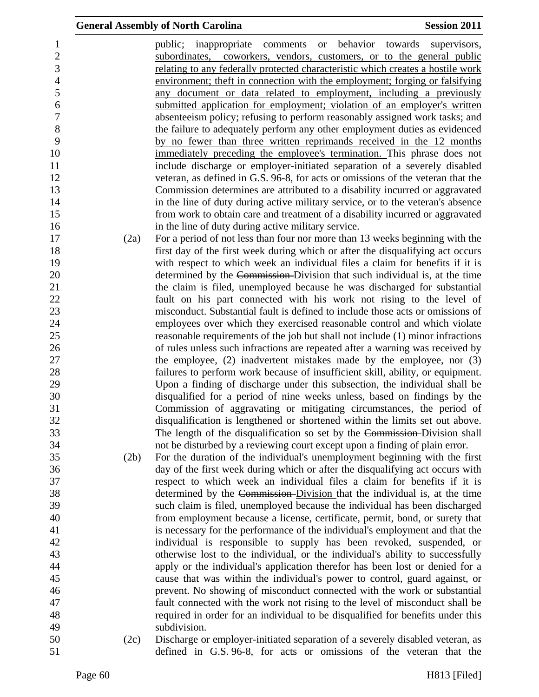|                          |      | <b>General Assembly of North Carolina</b>                                       | <b>Session 2011</b>           |
|--------------------------|------|---------------------------------------------------------------------------------|-------------------------------|
| $\mathbf{1}$             |      | public; inappropriate comments or                                               | behavior towards supervisors, |
| $\sqrt{2}$               |      | subordinates, coworkers, vendors, customers, or to the general public           |                               |
| $\overline{3}$           |      | relating to any federally protected characteristic which creates a hostile work |                               |
| $\overline{\mathcal{L}}$ |      | environment; theft in connection with the employment; forging or falsifying     |                               |
| 5                        |      | any document or data related to employment, including a previously              |                               |
| 6                        |      | submitted application for employment; violation of an employer's written        |                               |
| $\overline{7}$           |      | absenteeism policy; refusing to perform reasonably assigned work tasks; and     |                               |
| $8\,$                    |      | the failure to adequately perform any other employment duties as evidenced      |                               |
| 9                        |      | by no fewer than three written reprimands received in the 12 months             |                               |
| 10                       |      | immediately preceding the employee's termination. This phrase does not          |                               |
| 11                       |      | include discharge or employer-initiated separation of a severely disabled       |                               |
| 12                       |      | veteran, as defined in G.S. 96-8, for acts or omissions of the veteran that the |                               |
| 13                       |      | Commission determines are attributed to a disability incurred or aggravated     |                               |
| 14                       |      | in the line of duty during active military service, or to the veteran's absence |                               |
| 15                       |      | from work to obtain care and treatment of a disability incurred or aggravated   |                               |
| 16                       |      | in the line of duty during active military service.                             |                               |
| 17                       | (2a) | For a period of not less than four nor more than 13 weeks beginning with the    |                               |
| 18                       |      | first day of the first week during which or after the disqualifying act occurs  |                               |
| 19                       |      | with respect to which week an individual files a claim for benefits if it is    |                               |
| 20                       |      | determined by the Commission-Division that such individual is, at the time      |                               |
| 21                       |      | the claim is filed, unemployed because he was discharged for substantial        |                               |
| 22                       |      | fault on his part connected with his work not rising to the level of            |                               |
| 23                       |      | misconduct. Substantial fault is defined to include those acts or omissions of  |                               |
| 24                       |      | employees over which they exercised reasonable control and which violate        |                               |
| 25                       |      | reasonable requirements of the job but shall not include (1) minor infractions  |                               |
| 26                       |      | of rules unless such infractions are repeated after a warning was received by   |                               |
| 27                       |      | the employee, $(2)$ inadvertent mistakes made by the employee, nor $(3)$        |                               |
| 28                       |      | failures to perform work because of insufficient skill, ability, or equipment.  |                               |
| 29                       |      | Upon a finding of discharge under this subsection, the individual shall be      |                               |
| 30                       |      | disqualified for a period of nine weeks unless, based on findings by the        |                               |
| 31                       |      | Commission of aggravating or mitigating circumstances, the period of            |                               |
| 32                       |      | disqualification is lengthened or shortened within the limits set out above.    |                               |
| 33                       |      | The length of the disqualification so set by the Commission-Division shall      |                               |
| 34                       |      | not be disturbed by a reviewing court except upon a finding of plain error.     |                               |
| 35                       | (2b) | For the duration of the individual's unemployment beginning with the first      |                               |
| 36                       |      | day of the first week during which or after the disqualifying act occurs with   |                               |
| 37                       |      | respect to which week an individual files a claim for benefits if it is         |                               |
| 38                       |      | determined by the Commission-Division that the individual is, at the time       |                               |
| 39                       |      | such claim is filed, unemployed because the individual has been discharged      |                               |
| 40                       |      | from employment because a license, certificate, permit, bond, or surety that    |                               |
| 41                       |      | is necessary for the performance of the individual's employment and that the    |                               |
| 42                       |      | individual is responsible to supply has been revoked, suspended, or             |                               |
| 43                       |      | otherwise lost to the individual, or the individual's ability to successfully   |                               |
| 44                       |      | apply or the individual's application therefor has been lost or denied for a    |                               |
| 45                       |      | cause that was within the individual's power to control, guard against, or      |                               |
| 46                       |      | prevent. No showing of misconduct connected with the work or substantial        |                               |
| 47                       |      | fault connected with the work not rising to the level of misconduct shall be    |                               |
| 48                       |      | required in order for an individual to be disqualified for benefits under this  |                               |
| 49                       |      | subdivision.                                                                    |                               |
| 50                       | (2c) | Discharge or employer-initiated separation of a severely disabled veteran, as   |                               |
| 51                       |      | defined in G.S. 96-8, for acts or omissions of the veteran that the             |                               |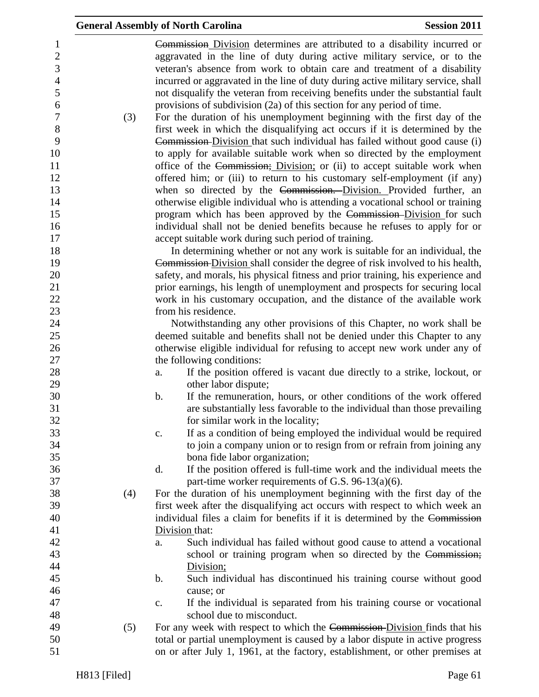|     | <b>General Assembly of North Carolina</b>                                                                                                                                                                                                                                                                                                                                                               | <b>Session 2011</b> |
|-----|---------------------------------------------------------------------------------------------------------------------------------------------------------------------------------------------------------------------------------------------------------------------------------------------------------------------------------------------------------------------------------------------------------|---------------------|
|     | Commission Division determines are attributed to a disability incurred or<br>aggravated in the line of duty during active military service, or to the<br>veteran's absence from work to obtain care and treatment of a disability<br>incurred or aggravated in the line of duty during active military service, shall<br>not disqualify the veteran from receiving benefits under the substantial fault |                     |
| (3) | provisions of subdivision (2a) of this section for any period of time.<br>For the duration of his unemployment beginning with the first day of the                                                                                                                                                                                                                                                      |                     |
|     | first week in which the disqualifying act occurs if it is determined by the<br>Commission-Division that such individual has failed without good cause (i)                                                                                                                                                                                                                                               |                     |
|     | to apply for available suitable work when so directed by the employment<br>office of the Commission; Division; or (ii) to accept suitable work when                                                                                                                                                                                                                                                     |                     |
|     | offered him; or (iii) to return to his customary self-employment (if any)                                                                                                                                                                                                                                                                                                                               |                     |
|     | when so directed by the Commission. Division. Provided further, an                                                                                                                                                                                                                                                                                                                                      |                     |
|     | otherwise eligible individual who is attending a vocational school or training                                                                                                                                                                                                                                                                                                                          |                     |
|     | program which has been approved by the Commission-Division for such                                                                                                                                                                                                                                                                                                                                     |                     |
|     | individual shall not be denied benefits because he refuses to apply for or                                                                                                                                                                                                                                                                                                                              |                     |
|     | accept suitable work during such period of training.                                                                                                                                                                                                                                                                                                                                                    |                     |
|     | In determining whether or not any work is suitable for an individual, the<br>Commission-Division shall consider the degree of risk involved to his health,                                                                                                                                                                                                                                              |                     |
|     | safety, and morals, his physical fitness and prior training, his experience and                                                                                                                                                                                                                                                                                                                         |                     |
|     | prior earnings, his length of unemployment and prospects for securing local                                                                                                                                                                                                                                                                                                                             |                     |
|     | work in his customary occupation, and the distance of the available work                                                                                                                                                                                                                                                                                                                                |                     |
|     | from his residence.                                                                                                                                                                                                                                                                                                                                                                                     |                     |
|     | Notwithstanding any other provisions of this Chapter, no work shall be                                                                                                                                                                                                                                                                                                                                  |                     |
|     | deemed suitable and benefits shall not be denied under this Chapter to any                                                                                                                                                                                                                                                                                                                              |                     |
|     | otherwise eligible individual for refusing to accept new work under any of                                                                                                                                                                                                                                                                                                                              |                     |
|     | the following conditions:                                                                                                                                                                                                                                                                                                                                                                               |                     |
|     | If the position offered is vacant due directly to a strike, lockout, or<br>a.                                                                                                                                                                                                                                                                                                                           |                     |
|     | other labor dispute;                                                                                                                                                                                                                                                                                                                                                                                    |                     |
|     | If the remuneration, hours, or other conditions of the work offered<br>$\mathbf b$ .                                                                                                                                                                                                                                                                                                                    |                     |
|     | are substantially less favorable to the individual than those prevailing<br>for similar work in the locality;                                                                                                                                                                                                                                                                                           |                     |
|     | If as a condition of being employed the individual would be required<br>$\mathbf{c}.$                                                                                                                                                                                                                                                                                                                   |                     |
|     | to join a company union or to resign from or refrain from joining any                                                                                                                                                                                                                                                                                                                                   |                     |
|     | bona fide labor organization;                                                                                                                                                                                                                                                                                                                                                                           |                     |
|     | If the position offered is full-time work and the individual meets the<br>d.                                                                                                                                                                                                                                                                                                                            |                     |
|     | part-time worker requirements of G.S. 96-13(a)(6).                                                                                                                                                                                                                                                                                                                                                      |                     |
| (4) | For the duration of his unemployment beginning with the first day of the                                                                                                                                                                                                                                                                                                                                |                     |
|     | first week after the disqualifying act occurs with respect to which week an<br>individual files a claim for benefits if it is determined by the Commission                                                                                                                                                                                                                                              |                     |
|     | Division that:                                                                                                                                                                                                                                                                                                                                                                                          |                     |
|     | Such individual has failed without good cause to attend a vocational<br>a.                                                                                                                                                                                                                                                                                                                              |                     |
|     | school or training program when so directed by the Commission;                                                                                                                                                                                                                                                                                                                                          |                     |
|     | Division;                                                                                                                                                                                                                                                                                                                                                                                               |                     |
|     | Such individual has discontinued his training course without good<br>b.                                                                                                                                                                                                                                                                                                                                 |                     |
|     | cause; or                                                                                                                                                                                                                                                                                                                                                                                               |                     |
|     | If the individual is separated from his training course or vocational<br>$\mathbf{c}.$                                                                                                                                                                                                                                                                                                                  |                     |
|     | school due to misconduct.                                                                                                                                                                                                                                                                                                                                                                               |                     |
| (5) | For any week with respect to which the Commission-Division finds that his                                                                                                                                                                                                                                                                                                                               |                     |
|     | total or partial unemployment is caused by a labor dispute in active progress                                                                                                                                                                                                                                                                                                                           |                     |
|     | on or after July 1, 1961, at the factory, establishment, or other premises at                                                                                                                                                                                                                                                                                                                           |                     |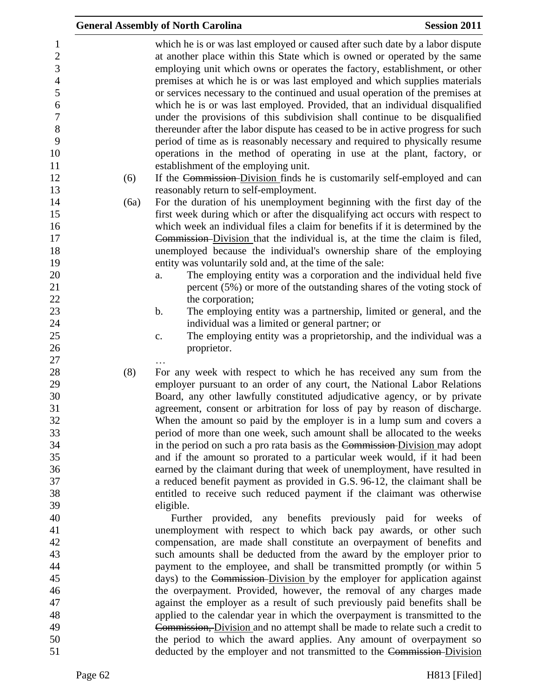|                                       | <b>General Assembly of North Carolina</b>                                                                                                                                                                                                                                                                             | <b>Session 2011</b> |
|---------------------------------------|-----------------------------------------------------------------------------------------------------------------------------------------------------------------------------------------------------------------------------------------------------------------------------------------------------------------------|---------------------|
| $\overline{2}$<br>3<br>$\overline{4}$ | which he is or was last employed or caused after such date by a labor dispute<br>at another place within this State which is owned or operated by the same<br>employing unit which owns or operates the factory, establishment, or other<br>premises at which he is or was last employed and which supplies materials |                     |
| 5<br>6<br>$\boldsymbol{7}$            | or services necessary to the continued and usual operation of the premises at<br>which he is or was last employed. Provided, that an individual disqualified<br>under the provisions of this subdivision shall continue to be disqualified                                                                            |                     |
| 8                                     | thereunder after the labor dispute has ceased to be in active progress for such                                                                                                                                                                                                                                       |                     |
| 9<br>10                               | period of time as is reasonably necessary and required to physically resume<br>operations in the method of operating in use at the plant, factory, or                                                                                                                                                                 |                     |
|                                       | establishment of the employing unit.                                                                                                                                                                                                                                                                                  |                     |
| 12<br>(6)                             | If the Commission-Division finds he is customarily self-employed and can                                                                                                                                                                                                                                              |                     |
| 13                                    | reasonably return to self-employment.                                                                                                                                                                                                                                                                                 |                     |
| 14<br>(6a)                            | For the duration of his unemployment beginning with the first day of the                                                                                                                                                                                                                                              |                     |
| 15                                    | first week during which or after the disqualifying act occurs with respect to                                                                                                                                                                                                                                         |                     |
| 16                                    | which week an individual files a claim for benefits if it is determined by the                                                                                                                                                                                                                                        |                     |
| 17                                    | Commission-Division that the individual is, at the time the claim is filed,                                                                                                                                                                                                                                           |                     |
| 18                                    | unemployed because the individual's ownership share of the employing                                                                                                                                                                                                                                                  |                     |
| 19                                    | entity was voluntarily sold and, at the time of the sale:                                                                                                                                                                                                                                                             |                     |
| 20                                    | The employing entity was a corporation and the individual held five<br>a.                                                                                                                                                                                                                                             |                     |
| 21                                    | percent (5%) or more of the outstanding shares of the voting stock of                                                                                                                                                                                                                                                 |                     |
| 22                                    | the corporation;                                                                                                                                                                                                                                                                                                      |                     |
| 23                                    | The employing entity was a partnership, limited or general, and the<br>b.                                                                                                                                                                                                                                             |                     |
| 24                                    | individual was a limited or general partner; or                                                                                                                                                                                                                                                                       |                     |
| 25                                    | The employing entity was a proprietorship, and the individual was a<br>c.                                                                                                                                                                                                                                             |                     |
| 26                                    | proprietor.                                                                                                                                                                                                                                                                                                           |                     |
| 27<br>28<br>(8)                       | For any week with respect to which he has received any sum from the                                                                                                                                                                                                                                                   |                     |
| 29                                    | employer pursuant to an order of any court, the National Labor Relations                                                                                                                                                                                                                                              |                     |
| 30                                    | Board, any other lawfully constituted adjudicative agency, or by private                                                                                                                                                                                                                                              |                     |
|                                       | agreement, consent or arbitration for loss of pay by reason of discharge.                                                                                                                                                                                                                                             |                     |
| 32                                    | When the amount so paid by the employer is in a lump sum and covers a                                                                                                                                                                                                                                                 |                     |
| 33                                    | period of more than one week, such amount shall be allocated to the weeks                                                                                                                                                                                                                                             |                     |
| 34                                    | in the period on such a pro rata basis as the Commission-Division may adopt                                                                                                                                                                                                                                           |                     |
| 35                                    | and if the amount so prorated to a particular week would, if it had been                                                                                                                                                                                                                                              |                     |
| 36                                    | earned by the claimant during that week of unemployment, have resulted in                                                                                                                                                                                                                                             |                     |
| 37                                    | a reduced benefit payment as provided in G.S. 96-12, the claimant shall be                                                                                                                                                                                                                                            |                     |
| 38                                    | entitled to receive such reduced payment if the claimant was otherwise                                                                                                                                                                                                                                                |                     |
| 39                                    | eligible.                                                                                                                                                                                                                                                                                                             |                     |
| 40                                    | Further provided, any benefits previously paid for weeks of                                                                                                                                                                                                                                                           |                     |
|                                       | unemployment with respect to which back pay awards, or other such                                                                                                                                                                                                                                                     |                     |
| 42                                    | compensation, are made shall constitute an overpayment of benefits and                                                                                                                                                                                                                                                |                     |
| 43                                    | such amounts shall be deducted from the award by the employer prior to                                                                                                                                                                                                                                                |                     |
| 44                                    | payment to the employee, and shall be transmitted promptly (or within 5                                                                                                                                                                                                                                               |                     |
| 45                                    | days) to the Commission-Division by the employer for application against                                                                                                                                                                                                                                              |                     |
| 46                                    | the overpayment. Provided, however, the removal of any charges made                                                                                                                                                                                                                                                   |                     |
| 47                                    | against the employer as a result of such previously paid benefits shall be                                                                                                                                                                                                                                            |                     |
| 48                                    | applied to the calendar year in which the overpayment is transmitted to the                                                                                                                                                                                                                                           |                     |
| 49                                    | Commission, Division and no attempt shall be made to relate such a credit to                                                                                                                                                                                                                                          |                     |
| 50                                    | the period to which the award applies. Any amount of overpayment so                                                                                                                                                                                                                                                   |                     |
| 51                                    | deducted by the employer and not transmitted to the Commission-Division                                                                                                                                                                                                                                               |                     |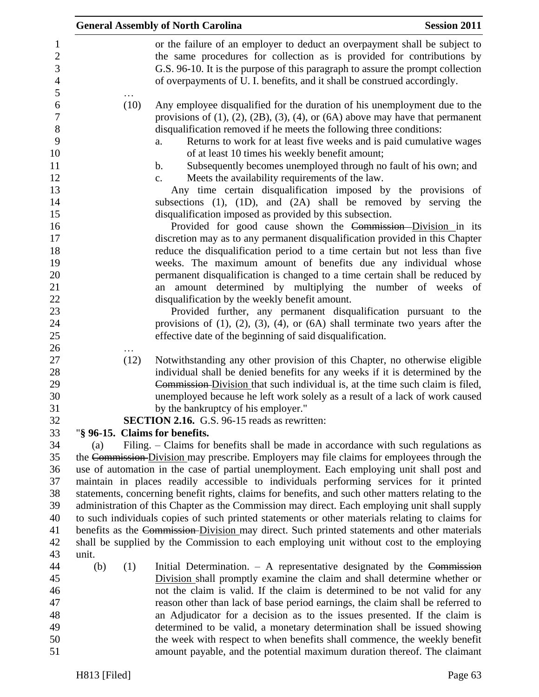|                                                                                                                                        |              |      | <b>General Assembly of North Carolina</b>                                                                                                                                                                                                                                                                                                                                                                                                                                                                                                                                                                                                                                                                                                                                                                                                                                                                                                                                                                                                                                                                                                                                                                                                                                                                                                                                                                                                                                               | <b>Session 2011</b> |
|----------------------------------------------------------------------------------------------------------------------------------------|--------------|------|-----------------------------------------------------------------------------------------------------------------------------------------------------------------------------------------------------------------------------------------------------------------------------------------------------------------------------------------------------------------------------------------------------------------------------------------------------------------------------------------------------------------------------------------------------------------------------------------------------------------------------------------------------------------------------------------------------------------------------------------------------------------------------------------------------------------------------------------------------------------------------------------------------------------------------------------------------------------------------------------------------------------------------------------------------------------------------------------------------------------------------------------------------------------------------------------------------------------------------------------------------------------------------------------------------------------------------------------------------------------------------------------------------------------------------------------------------------------------------------------|---------------------|
| $\mathbf{1}$<br>$\overline{c}$<br>3<br>$\overline{4}$<br>5                                                                             |              |      | or the failure of an employer to deduct an overpayment shall be subject to<br>the same procedures for collection as is provided for contributions by<br>G.S. 96-10. It is the purpose of this paragraph to assure the prompt collection<br>of overpayments of U. I. benefits, and it shall be construed accordingly.                                                                                                                                                                                                                                                                                                                                                                                                                                                                                                                                                                                                                                                                                                                                                                                                                                                                                                                                                                                                                                                                                                                                                                    |                     |
| $\sqrt{6}$<br>$\overline{7}$<br>8<br>9<br>10<br>11<br>12<br>13<br>14<br>15<br>16<br>17<br>18<br>19<br>20<br>21<br>22<br>23<br>24<br>25 |              | (10) | Any employee disqualified for the duration of his unemployment due to the<br>provisions of $(1)$ , $(2)$ , $(2B)$ , $(3)$ , $(4)$ , or $(6A)$ above may have that permanent<br>disqualification removed if he meets the following three conditions:<br>Returns to work for at least five weeks and is paid cumulative wages<br>a.<br>of at least 10 times his weekly benefit amount;<br>Subsequently becomes unemployed through no fault of his own; and<br>$\mathbf b$ .<br>Meets the availability requirements of the law.<br>$c_{\cdot}$<br>Any time certain disqualification imposed by the provisions of<br>subsections $(1)$ , $(1D)$ , and $(2A)$ shall be removed by serving the<br>disqualification imposed as provided by this subsection.<br>Provided for good cause shown the Commission-Division in its<br>discretion may as to any permanent disqualification provided in this Chapter<br>reduce the disqualification period to a time certain but not less than five<br>weeks. The maximum amount of benefits due any individual whose<br>permanent disqualification is changed to a time certain shall be reduced by<br>amount determined by multiplying the number of weeks of<br>an<br>disqualification by the weekly benefit amount.<br>Provided further, any permanent disqualification pursuant to the<br>provisions of $(1)$ , $(2)$ , $(3)$ , $(4)$ , or $(6A)$ shall terminate two years after the<br>effective date of the beginning of said disqualification. |                     |
| 26<br>27<br>28<br>29<br>30<br>31<br>32<br>33                                                                                           |              | (12) | Notwithstanding any other provision of this Chapter, no otherwise eligible<br>individual shall be denied benefits for any weeks if it is determined by the<br>Commission-Division that such individual is, at the time such claim is filed,<br>unemployed because he left work solely as a result of a lack of work caused<br>by the bankruptcy of his employer."<br>SECTION 2.16. G.S. 96-15 reads as rewritten:<br>"§ 96-15. Claims for benefits.                                                                                                                                                                                                                                                                                                                                                                                                                                                                                                                                                                                                                                                                                                                                                                                                                                                                                                                                                                                                                                     |                     |
| 34<br>35<br>36<br>37<br>38<br>39<br>40<br>41<br>42<br>43                                                                               | (a)<br>unit. |      | Filing. - Claims for benefits shall be made in accordance with such regulations as<br>the Commission Division may prescribe. Employers may file claims for employees through the<br>use of automation in the case of partial unemployment. Each employing unit shall post and<br>maintain in places readily accessible to individuals performing services for it printed<br>statements, concerning benefit rights, claims for benefits, and such other matters relating to the<br>administration of this Chapter as the Commission may direct. Each employing unit shall supply<br>to such individuals copies of such printed statements or other materials relating to claims for<br>benefits as the Commission-Division may direct. Such printed statements and other materials<br>shall be supplied by the Commission to each employing unit without cost to the employing                                                                                                                                                                                                                                                                                                                                                                                                                                                                                                                                                                                                           |                     |
| 44<br>45<br>46<br>47<br>48<br>49<br>50<br>51                                                                                           | (b)          | (1)  | Initial Determination. $-$ A representative designated by the Commission<br>Division shall promptly examine the claim and shall determine whether or<br>not the claim is valid. If the claim is determined to be not valid for any<br>reason other than lack of base period earnings, the claim shall be referred to<br>an Adjudicator for a decision as to the issues presented. If the claim is<br>determined to be valid, a monetary determination shall be issued showing<br>the week with respect to when benefits shall commence, the weekly benefit<br>amount payable, and the potential maximum duration thereof. The claimant                                                                                                                                                                                                                                                                                                                                                                                                                                                                                                                                                                                                                                                                                                                                                                                                                                                  |                     |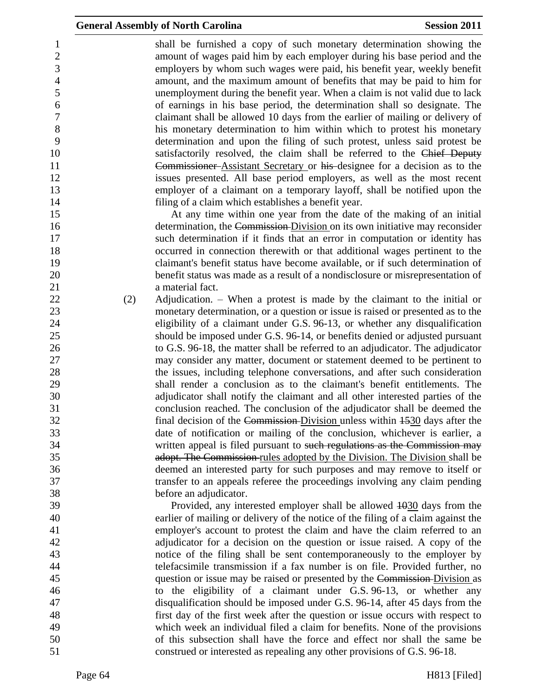|                                        |     | <b>General Assembly of North Carolina</b>                                                                                                                                                                                                                                                              | <b>Session 2011</b> |
|----------------------------------------|-----|--------------------------------------------------------------------------------------------------------------------------------------------------------------------------------------------------------------------------------------------------------------------------------------------------------|---------------------|
| 1<br>$\sqrt{2}$<br>3<br>$\overline{4}$ |     | shall be furnished a copy of such monetary determination showing the<br>amount of wages paid him by each employer during his base period and the<br>employers by whom such wages were paid, his benefit year, weekly benefit<br>amount, and the maximum amount of benefits that may be paid to him for |                     |
| 5<br>6                                 |     | unemployment during the benefit year. When a claim is not valid due to lack<br>of earnings in his base period, the determination shall so designate. The                                                                                                                                               |                     |
| $\tau$                                 |     | claimant shall be allowed 10 days from the earlier of mailing or delivery of                                                                                                                                                                                                                           |                     |
| 8                                      |     | his monetary determination to him within which to protest his monetary                                                                                                                                                                                                                                 |                     |
| 9                                      |     | determination and upon the filing of such protest, unless said protest be                                                                                                                                                                                                                              |                     |
| 10                                     |     | satisfactorily resolved, the claim shall be referred to the Chief Deputy                                                                                                                                                                                                                               |                     |
| 11                                     |     | Commissioner-Assistant Secretary or his designee for a decision as to the                                                                                                                                                                                                                              |                     |
| 12                                     |     | issues presented. All base period employers, as well as the most recent                                                                                                                                                                                                                                |                     |
| 13                                     |     | employer of a claimant on a temporary layoff, shall be notified upon the                                                                                                                                                                                                                               |                     |
| 14                                     |     | filing of a claim which establishes a benefit year.                                                                                                                                                                                                                                                    |                     |
| 15                                     |     | At any time within one year from the date of the making of an initial                                                                                                                                                                                                                                  |                     |
| 16<br>17                               |     | determination, the Commission Division on its own initiative may reconsider<br>such determination if it finds that an error in computation or identity has                                                                                                                                             |                     |
| 18                                     |     | occurred in connection therewith or that additional wages pertinent to the                                                                                                                                                                                                                             |                     |
| 19                                     |     | claimant's benefit status have become available, or if such determination of                                                                                                                                                                                                                           |                     |
| 20                                     |     | benefit status was made as a result of a nondisclosure or misrepresentation of                                                                                                                                                                                                                         |                     |
| 21                                     |     | a material fact.                                                                                                                                                                                                                                                                                       |                     |
| 22                                     | (2) | Adjudication. $-$ When a protest is made by the claimant to the initial or                                                                                                                                                                                                                             |                     |
| 23                                     |     | monetary determination, or a question or issue is raised or presented as to the                                                                                                                                                                                                                        |                     |
| 24                                     |     | eligibility of a claimant under G.S. 96-13, or whether any disqualification                                                                                                                                                                                                                            |                     |
| 25                                     |     | should be imposed under G.S. 96-14, or benefits denied or adjusted pursuant                                                                                                                                                                                                                            |                     |
| 26                                     |     | to G.S. 96-18, the matter shall be referred to an adjudicator. The adjudicator                                                                                                                                                                                                                         |                     |
| 27<br>28                               |     | may consider any matter, document or statement deemed to be pertinent to                                                                                                                                                                                                                               |                     |
| 29                                     |     | the issues, including telephone conversations, and after such consideration<br>shall render a conclusion as to the claimant's benefit entitlements. The                                                                                                                                                |                     |
| 30                                     |     | adjudicator shall notify the claimant and all other interested parties of the                                                                                                                                                                                                                          |                     |
| 31                                     |     | conclusion reached. The conclusion of the adjudicator shall be deemed the                                                                                                                                                                                                                              |                     |
| 32                                     |     | final decision of the Commission-Division unless within 1530 days after the                                                                                                                                                                                                                            |                     |
| 33                                     |     | date of notification or mailing of the conclusion, whichever is earlier, a                                                                                                                                                                                                                             |                     |
| 34                                     |     | written appeal is filed pursuant to such regulations as the Commission may                                                                                                                                                                                                                             |                     |
| 35                                     |     | adopt. The Commission rules adopted by the Division. The Division shall be                                                                                                                                                                                                                             |                     |
| 36                                     |     | deemed an interested party for such purposes and may remove to itself or                                                                                                                                                                                                                               |                     |
| 37                                     |     | transfer to an appeals referee the proceedings involving any claim pending                                                                                                                                                                                                                             |                     |
| 38                                     |     | before an adjudicator.                                                                                                                                                                                                                                                                                 |                     |
| 39                                     |     | Provided, any interested employer shall be allowed $\frac{1030}{1030}$ days from the                                                                                                                                                                                                                   |                     |
| 40                                     |     | earlier of mailing or delivery of the notice of the filing of a claim against the                                                                                                                                                                                                                      |                     |
| 41                                     |     | employer's account to protest the claim and have the claim referred to an                                                                                                                                                                                                                              |                     |
| 42                                     |     | adjudicator for a decision on the question or issue raised. A copy of the                                                                                                                                                                                                                              |                     |
| 43                                     |     | notice of the filing shall be sent contemporaneously to the employer by<br>telefacsimile transmission if a fax number is on file. Provided further, no                                                                                                                                                 |                     |
| 44<br>45                               |     | question or issue may be raised or presented by the Commission-Division as                                                                                                                                                                                                                             |                     |
| 46                                     |     | to the eligibility of a claimant under G.S. 96-13, or whether any                                                                                                                                                                                                                                      |                     |
| 47                                     |     | disqualification should be imposed under G.S. 96-14, after 45 days from the                                                                                                                                                                                                                            |                     |
| 48                                     |     | first day of the first week after the question or issue occurs with respect to                                                                                                                                                                                                                         |                     |
| 49                                     |     | which week an individual filed a claim for benefits. None of the provisions                                                                                                                                                                                                                            |                     |
| 50                                     |     | of this subsection shall have the force and effect nor shall the same be                                                                                                                                                                                                                               |                     |
| 51                                     |     | construed or interested as repealing any other provisions of G.S. 96-18.                                                                                                                                                                                                                               |                     |
|                                        |     |                                                                                                                                                                                                                                                                                                        |                     |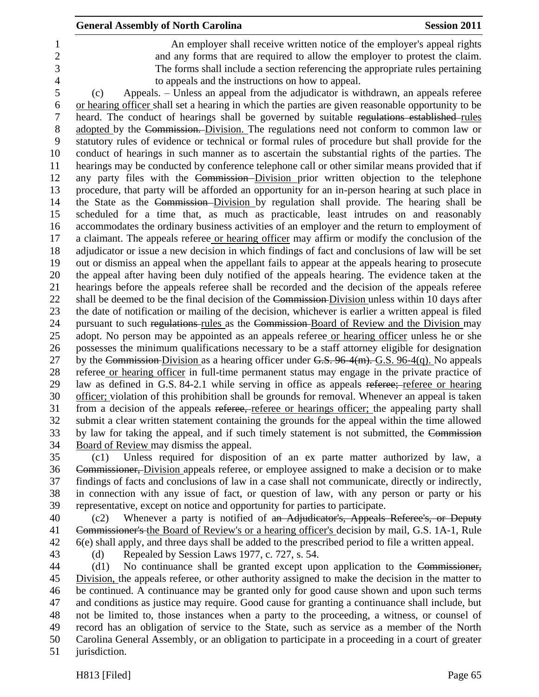An employer shall receive written notice of the employer's appeal rights and any forms that are required to allow the employer to protest the claim. The forms shall include a section referencing the appropriate rules pertaining to appeals and the instructions on how to appeal.

 (c) Appeals. – Unless an appeal from the adjudicator is withdrawn, an appeals referee or hearing officer shall set a hearing in which the parties are given reasonable opportunity to be heard. The conduct of hearings shall be governed by suitable regulations established rules adopted by the Commission. Division. The regulations need not conform to common law or statutory rules of evidence or technical or formal rules of procedure but shall provide for the conduct of hearings in such manner as to ascertain the substantial rights of the parties. The hearings may be conducted by conference telephone call or other similar means provided that if any party files with the Commission Division prior written objection to the telephone procedure, that party will be afforded an opportunity for an in-person hearing at such place in the State as the Commission Division by regulation shall provide. The hearing shall be scheduled for a time that, as much as practicable, least intrudes on and reasonably accommodates the ordinary business activities of an employer and the return to employment of a claimant. The appeals referee or hearing officer may affirm or modify the conclusion of the adjudicator or issue a new decision in which findings of fact and conclusions of law will be set out or dismiss an appeal when the appellant fails to appear at the appeals hearing to prosecute the appeal after having been duly notified of the appeals hearing. The evidence taken at the hearings before the appeals referee shall be recorded and the decision of the appeals referee 22 shall be deemed to be the final decision of the Commission-Division unless within 10 days after the date of notification or mailing of the decision, whichever is earlier a written appeal is filed 24 pursuant to such regulations-rules as the Commission-Board of Review and the Division may adopt. No person may be appointed as an appeals referee or hearing officer unless he or she possesses the minimum qualifications necessary to be a staff attorney eligible for designation 27 by the Commission-Division as a hearing officer under  $G.S. 96-4(m)$ . G.S. 96-4(q). No appeals referee or hearing officer in full-time permanent status may engage in the private practice of law as defined in G.S. 84-2.1 while serving in office as appeals referee; referee or hearing officer; violation of this prohibition shall be grounds for removal. Whenever an appeal is taken from a decision of the appeals referee, referee or hearings officer; the appealing party shall submit a clear written statement containing the grounds for the appeal within the time allowed 33 by law for taking the appeal, and if such timely statement is not submitted, the Commission Board of Review may dismiss the appeal.

 (c1) Unless required for disposition of an ex parte matter authorized by law, a Commissioner, Division appeals referee, or employee assigned to make a decision or to make findings of facts and conclusions of law in a case shall not communicate, directly or indirectly, in connection with any issue of fact, or question of law, with any person or party or his representative, except on notice and opportunity for parties to participate.

40 (c2) Whenever a party is notified of an Adjudicator's, Appeals Referee's, or Deputy Commissioner's the Board of Review's or a hearing officer's decision by mail, G.S. 1A-1, Rule 6(e) shall apply, and three days shall be added to the prescribed period to file a written appeal.

(d) Repealed by Session Laws 1977, c. 727, s. 54.

 (d1) No continuance shall be granted except upon application to the Commissioner, Division, the appeals referee, or other authority assigned to make the decision in the matter to be continued. A continuance may be granted only for good cause shown and upon such terms and conditions as justice may require. Good cause for granting a continuance shall include, but not be limited to, those instances when a party to the proceeding, a witness, or counsel of record has an obligation of service to the State, such as service as a member of the North Carolina General Assembly, or an obligation to participate in a proceeding in a court of greater jurisdiction.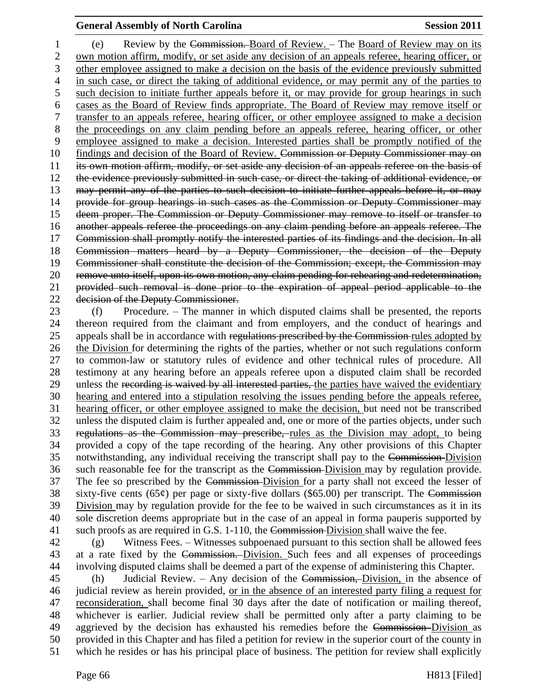(e) Review by the Commission. Board of Review. – The Board of Review may on its own motion affirm, modify, or set aside any decision of an appeals referee, hearing officer, or other employee assigned to make a decision on the basis of the evidence previously submitted in such case, or direct the taking of additional evidence, or may permit any of the parties to such decision to initiate further appeals before it, or may provide for group hearings in such cases as the Board of Review finds appropriate. The Board of Review may remove itself or transfer to an appeals referee, hearing officer, or other employee assigned to make a decision the proceedings on any claim pending before an appeals referee, hearing officer, or other employee assigned to make a decision. Interested parties shall be promptly notified of the findings and decision of the Board of Review. Commission or Deputy Commissioner may on its own motion affirm, modify, or set aside any decision of an appeals referee on the basis of the evidence previously submitted in such case, or direct the taking of additional evidence, or may permit any of the parties to such decision to initiate further appeals before it, or may provide for group hearings in such cases as the Commission or Deputy Commissioner may deem proper. The Commission or Deputy Commissioner may remove to itself or transfer to another appeals referee the proceedings on any claim pending before an appeals referee. The Commission shall promptly notify the interested parties of its findings and the decision. In all Commission matters heard by a Deputy Commissioner, the decision of the Deputy Commissioner shall constitute the decision of the Commission; except, the Commission may remove unto itself, upon its own motion, any claim pending for rehearing and redetermination, provided such removal is done prior to the expiration of appeal period applicable to the decision of the Deputy Commissioner.

 (f) Procedure. – The manner in which disputed claims shall be presented, the reports thereon required from the claimant and from employers, and the conduct of hearings and 25 appeals shall be in accordance with regulations prescribed by the Commission rules adopted by the Division for determining the rights of the parties, whether or not such regulations conform to common-law or statutory rules of evidence and other technical rules of procedure. All testimony at any hearing before an appeals referee upon a disputed claim shall be recorded 29 unless the recording is waived by all interested parties, the parties have waived the evidentiary hearing and entered into a stipulation resolving the issues pending before the appeals referee, hearing officer, or other employee assigned to make the decision, but need not be transcribed unless the disputed claim is further appealed and, one or more of the parties objects, under such regulations as the Commission may prescribe, rules as the Division may adopt, to being provided a copy of the tape recording of the hearing. Any other provisions of this Chapter notwithstanding, any individual receiving the transcript shall pay to the Commission Division such reasonable fee for the transcript as the Commission Division may by regulation provide. The fee so prescribed by the Commission Division for a party shall not exceed the lesser of 38 sixty-five cents  $(65¢)$  per page or sixty-five dollars  $(\$65.00)$  per transcript. The Commission Division may by regulation provide for the fee to be waived in such circumstances as it in its sole discretion deems appropriate but in the case of an appeal in forma pauperis supported by 41 such proofs as are required in G.S. 1-110, the Commission-Division shall waive the fee.

 (g) Witness Fees. – Witnesses subpoenaed pursuant to this section shall be allowed fees at a rate fixed by the Commission. Division. Such fees and all expenses of proceedings involving disputed claims shall be deemed a part of the expense of administering this Chapter.

 (h) Judicial Review. – Any decision of the Commission, Division, in the absence of judicial review as herein provided, or in the absence of an interested party filing a request for reconsideration, shall become final 30 days after the date of notification or mailing thereof, whichever is earlier. Judicial review shall be permitted only after a party claiming to be 49 aggrieved by the decision has exhausted his remedies before the Commission-Division as provided in this Chapter and has filed a petition for review in the superior court of the county in which he resides or has his principal place of business. The petition for review shall explicitly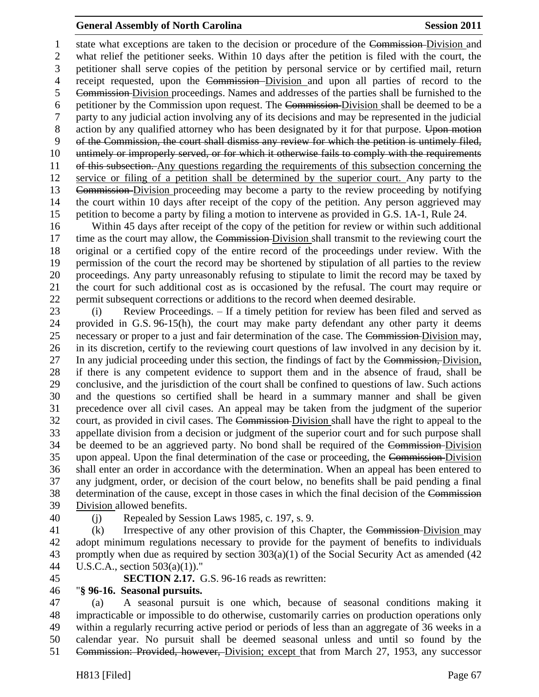1 state what exceptions are taken to the decision or procedure of the Commission-Division and what relief the petitioner seeks. Within 10 days after the petition is filed with the court, the petitioner shall serve copies of the petition by personal service or by certified mail, return receipt requested, upon the Commission Division and upon all parties of record to the Commission Division proceedings. Names and addresses of the parties shall be furnished to the petitioner by the Commission upon request. The Commission Division shall be deemed to be a party to any judicial action involving any of its decisions and may be represented in the judicial 8 action by any qualified attorney who has been designated by it for that purpose. Upon motion of the Commission, the court shall dismiss any review for which the petition is untimely filed, untimely or improperly served, or for which it otherwise fails to comply with the requirements of this subsection. Any questions regarding the requirements of this subsection concerning the service or filing of a petition shall be determined by the superior court. Any party to the Commission Division proceeding may become a party to the review proceeding by notifying the court within 10 days after receipt of the copy of the petition. Any person aggrieved may petition to become a party by filing a motion to intervene as provided in G.S. 1A-1, Rule 24.

 Within 45 days after receipt of the copy of the petition for review or within such additional 17 time as the court may allow, the Commission-Division shall transmit to the reviewing court the original or a certified copy of the entire record of the proceedings under review. With the permission of the court the record may be shortened by stipulation of all parties to the review proceedings. Any party unreasonably refusing to stipulate to limit the record may be taxed by the court for such additional cost as is occasioned by the refusal. The court may require or permit subsequent corrections or additions to the record when deemed desirable.

 (i) Review Proceedings. – If a timely petition for review has been filed and served as provided in G.S. 96-15(h), the court may make party defendant any other party it deems necessary or proper to a just and fair determination of the case. The Commission Division may, in its discretion, certify to the reviewing court questions of law involved in any decision by it. 27 In any judicial proceeding under this section, the findings of fact by the Commission, Division, if there is any competent evidence to support them and in the absence of fraud, shall be conclusive, and the jurisdiction of the court shall be confined to questions of law. Such actions and the questions so certified shall be heard in a summary manner and shall be given precedence over all civil cases. An appeal may be taken from the judgment of the superior court, as provided in civil cases. The Commission Division shall have the right to appeal to the appellate division from a decision or judgment of the superior court and for such purpose shall be deemed to be an aggrieved party. No bond shall be required of the Commission Division upon appeal. Upon the final determination of the case or proceeding, the Commission Division shall enter an order in accordance with the determination. When an appeal has been entered to any judgment, order, or decision of the court below, no benefits shall be paid pending a final determination of the cause, except in those cases in which the final decision of the Commission Division allowed benefits.

(j) Repealed by Session Laws 1985, c. 197, s. 9.

41 (k) Irrespective of any other provision of this Chapter, the Commission-Division may adopt minimum regulations necessary to provide for the payment of benefits to individuals promptly when due as required by section 303(a)(1) of the Social Security Act as amended (42 U.S.C.A., section 503(a)(1))."

**SECTION 2.17.** G.S. 96-16 reads as rewritten:

# "**§ 96-16. Seasonal pursuits.**

 (a) A seasonal pursuit is one which, because of seasonal conditions making it impracticable or impossible to do otherwise, customarily carries on production operations only within a regularly recurring active period or periods of less than an aggregate of 36 weeks in a calendar year. No pursuit shall be deemed seasonal unless and until so found by the 51 <del>Commission: Provided, however, D</del>ivision; except that from March 27, 1953, any successor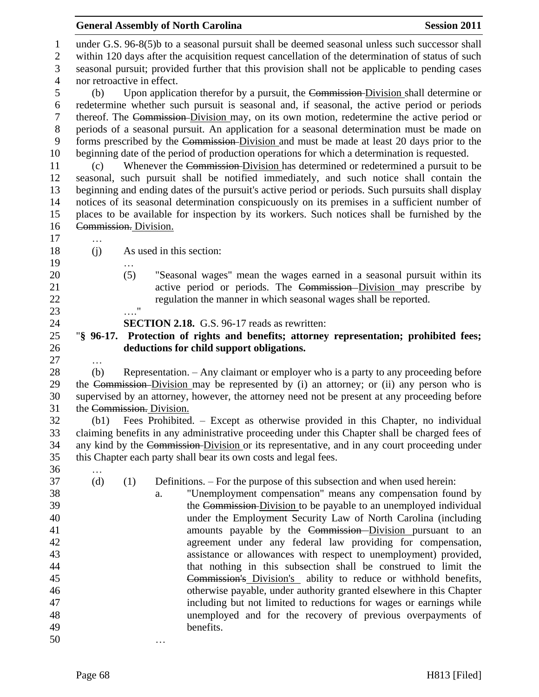|                                                     | <b>General Assembly of North Carolina</b>                        | <b>Session 2011</b>                                                                                                                                                                                                                                                                                                                                                              |
|-----------------------------------------------------|------------------------------------------------------------------|----------------------------------------------------------------------------------------------------------------------------------------------------------------------------------------------------------------------------------------------------------------------------------------------------------------------------------------------------------------------------------|
| $\mathbf{1}$<br>$\mathbf{2}$<br>3<br>$\overline{4}$ | nor retroactive in effect.                                       | under G.S. 96-8(5)b to a seasonal pursuit shall be deemed seasonal unless such successor shall<br>within 120 days after the acquisition request cancellation of the determination of status of such<br>seasonal pursuit; provided further that this provision shall not be applicable to pending cases                                                                           |
| 5<br>6<br>$\tau$                                    | (b)                                                              | Upon application therefor by a pursuit, the Commission-Division shall determine or<br>redetermine whether such pursuit is seasonal and, if seasonal, the active period or periods<br>thereof. The Commission-Division may, on its own motion, redetermine the active period or                                                                                                   |
| $8\,$                                               |                                                                  | periods of a seasonal pursuit. An application for a seasonal determination must be made on                                                                                                                                                                                                                                                                                       |
| 9                                                   |                                                                  | forms prescribed by the Commission-Division and must be made at least 20 days prior to the                                                                                                                                                                                                                                                                                       |
| 10<br>11<br>12<br>13                                | (c)                                                              | beginning date of the period of production operations for which a determination is requested.<br>Whenever the Commission-Division has determined or redetermined a pursuit to be<br>seasonal, such pursuit shall be notified immediately, and such notice shall contain the<br>beginning and ending dates of the pursuit's active period or periods. Such pursuits shall display |
| 14                                                  |                                                                  | notices of its seasonal determination conspicuously on its premises in a sufficient number of                                                                                                                                                                                                                                                                                    |
| 15                                                  |                                                                  | places to be available for inspection by its workers. Such notices shall be furnished by the                                                                                                                                                                                                                                                                                     |
| 16                                                  | Commission. Division.                                            |                                                                                                                                                                                                                                                                                                                                                                                  |
| 17                                                  | .                                                                |                                                                                                                                                                                                                                                                                                                                                                                  |
| 18                                                  | As used in this section:<br>(i)                                  |                                                                                                                                                                                                                                                                                                                                                                                  |
| 19                                                  |                                                                  |                                                                                                                                                                                                                                                                                                                                                                                  |
| 20                                                  | (5)                                                              | "Seasonal wages" mean the wages earned in a seasonal pursuit within its                                                                                                                                                                                                                                                                                                          |
| 21                                                  |                                                                  | active period or periods. The Commission-Division may prescribe by                                                                                                                                                                                                                                                                                                               |
| 22                                                  |                                                                  | regulation the manner in which seasonal wages shall be reported.                                                                                                                                                                                                                                                                                                                 |
| 23                                                  | $\ldots$ <sup>0</sup>                                            |                                                                                                                                                                                                                                                                                                                                                                                  |
| 24                                                  | <b>SECTION 2.18.</b> G.S. 96-17 reads as rewritten:              |                                                                                                                                                                                                                                                                                                                                                                                  |
| 25                                                  |                                                                  | "\\$ 96-17. Protection of rights and benefits; attorney representation; prohibited fees;                                                                                                                                                                                                                                                                                         |
| 26<br>27                                            | deductions for child support obligations.                        |                                                                                                                                                                                                                                                                                                                                                                                  |
| 28                                                  | $\ddotsc$<br>(b)                                                 | Representation. - Any claimant or employer who is a party to any proceeding before                                                                                                                                                                                                                                                                                               |
| 29                                                  |                                                                  | the Commission–Division may be represented by (i) an attorney; or (ii) any person who is                                                                                                                                                                                                                                                                                         |
| 30                                                  |                                                                  | supervised by an attorney, however, the attorney need not be present at any proceeding before                                                                                                                                                                                                                                                                                    |
| 31                                                  | the Commission. Division.                                        |                                                                                                                                                                                                                                                                                                                                                                                  |
| 32                                                  | (b1)                                                             | Fees Prohibited. – Except as otherwise provided in this Chapter, no individual                                                                                                                                                                                                                                                                                                   |
| 33                                                  |                                                                  | claiming benefits in any administrative proceeding under this Chapter shall be charged fees of                                                                                                                                                                                                                                                                                   |
| 34                                                  |                                                                  | any kind by the Commission-Division or its representative, and in any court proceeding under                                                                                                                                                                                                                                                                                     |
| 35                                                  | this Chapter each party shall bear its own costs and legal fees. |                                                                                                                                                                                                                                                                                                                                                                                  |
| 36                                                  |                                                                  |                                                                                                                                                                                                                                                                                                                                                                                  |
| 37                                                  | (d)<br>(1)                                                       | Definitions. – For the purpose of this subsection and when used herein:                                                                                                                                                                                                                                                                                                          |
| 38                                                  | a.                                                               | "Unemployment compensation" means any compensation found by                                                                                                                                                                                                                                                                                                                      |
| 39                                                  |                                                                  | the Commission-Division to be payable to an unemployed individual                                                                                                                                                                                                                                                                                                                |
| 40                                                  |                                                                  | under the Employment Security Law of North Carolina (including                                                                                                                                                                                                                                                                                                                   |
| 41                                                  |                                                                  | amounts payable by the Commission-Division pursuant to an                                                                                                                                                                                                                                                                                                                        |
| 42                                                  |                                                                  | agreement under any federal law providing for compensation,                                                                                                                                                                                                                                                                                                                      |
| 43                                                  |                                                                  | assistance or allowances with respect to unemployment) provided,                                                                                                                                                                                                                                                                                                                 |
| 44                                                  |                                                                  | that nothing in this subsection shall be construed to limit the                                                                                                                                                                                                                                                                                                                  |
| 45                                                  |                                                                  | Commission's Division's ability to reduce or withhold benefits,                                                                                                                                                                                                                                                                                                                  |
| 46                                                  |                                                                  | otherwise payable, under authority granted elsewhere in this Chapter                                                                                                                                                                                                                                                                                                             |
| 47                                                  |                                                                  | including but not limited to reductions for wages or earnings while                                                                                                                                                                                                                                                                                                              |
| 48                                                  |                                                                  | unemployed and for the recovery of previous overpayments of                                                                                                                                                                                                                                                                                                                      |
| 49                                                  | benefits.                                                        |                                                                                                                                                                                                                                                                                                                                                                                  |
| 50                                                  |                                                                  |                                                                                                                                                                                                                                                                                                                                                                                  |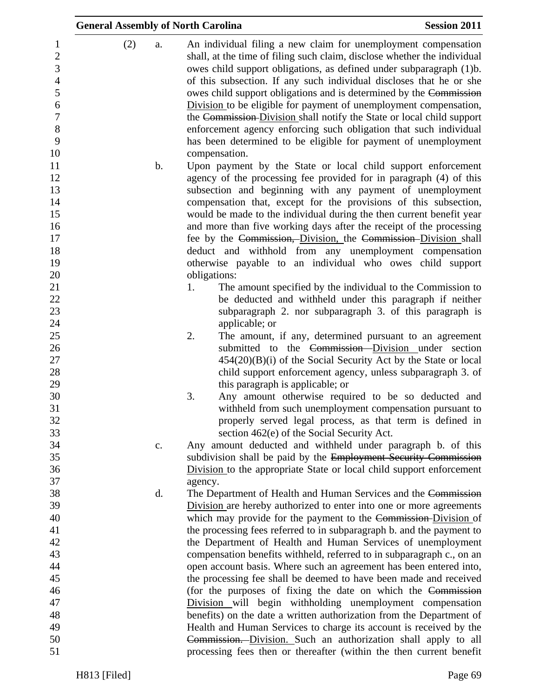| <b>Session 2011</b>                                                                                                                                                                                                                                                                                                                                                                                                                                                                                                                                                                                                                                                                                                                                                                                                                                                                                                                                                                                                                                                                        | <b>General Assembly of North Carolina</b> |
|--------------------------------------------------------------------------------------------------------------------------------------------------------------------------------------------------------------------------------------------------------------------------------------------------------------------------------------------------------------------------------------------------------------------------------------------------------------------------------------------------------------------------------------------------------------------------------------------------------------------------------------------------------------------------------------------------------------------------------------------------------------------------------------------------------------------------------------------------------------------------------------------------------------------------------------------------------------------------------------------------------------------------------------------------------------------------------------------|-------------------------------------------|
| An individual filing a new claim for unemployment compensation<br>shall, at the time of filing such claim, disclose whether the individual<br>owes child support obligations, as defined under subparagraph (1)b.<br>of this subsection. If any such individual discloses that he or she<br>owes child support obligations and is determined by the Commission<br>Division to be eligible for payment of unemployment compensation,<br>the Commission Division shall notify the State or local child support<br>enforcement agency enforcing such obligation that such individual<br>has been determined to be eligible for payment of unemployment<br>compensation.<br>Upon payment by the State or local child support enforcement<br>agency of the processing fee provided for in paragraph (4) of this<br>subsection and beginning with any payment of unemployment<br>compensation that, except for the provisions of this subsection,<br>would be made to the individual during the then current benefit year<br>and more than five working days after the receipt of the processing | (2)<br>a.<br>$\mathbf b$ .                |
| fee by the Commission, Division, the Commission Division shall<br>deduct and withhold from any unemployment compensation                                                                                                                                                                                                                                                                                                                                                                                                                                                                                                                                                                                                                                                                                                                                                                                                                                                                                                                                                                   |                                           |
| otherwise payable to an individual who owes child support<br>obligations:                                                                                                                                                                                                                                                                                                                                                                                                                                                                                                                                                                                                                                                                                                                                                                                                                                                                                                                                                                                                                  |                                           |
| 1.<br>The amount specified by the individual to the Commission to                                                                                                                                                                                                                                                                                                                                                                                                                                                                                                                                                                                                                                                                                                                                                                                                                                                                                                                                                                                                                          |                                           |
| be deducted and withheld under this paragraph if neither                                                                                                                                                                                                                                                                                                                                                                                                                                                                                                                                                                                                                                                                                                                                                                                                                                                                                                                                                                                                                                   |                                           |
| subparagraph 2. nor subparagraph 3. of this paragraph is                                                                                                                                                                                                                                                                                                                                                                                                                                                                                                                                                                                                                                                                                                                                                                                                                                                                                                                                                                                                                                   |                                           |
| applicable; or                                                                                                                                                                                                                                                                                                                                                                                                                                                                                                                                                                                                                                                                                                                                                                                                                                                                                                                                                                                                                                                                             |                                           |
| 2.<br>The amount, if any, determined pursuant to an agreement                                                                                                                                                                                                                                                                                                                                                                                                                                                                                                                                                                                                                                                                                                                                                                                                                                                                                                                                                                                                                              |                                           |
| submitted to the Commission-Division under section                                                                                                                                                                                                                                                                                                                                                                                                                                                                                                                                                                                                                                                                                                                                                                                                                                                                                                                                                                                                                                         |                                           |
| $454(20)(B)(i)$ of the Social Security Act by the State or local                                                                                                                                                                                                                                                                                                                                                                                                                                                                                                                                                                                                                                                                                                                                                                                                                                                                                                                                                                                                                           |                                           |
| child support enforcement agency, unless subparagraph 3. of                                                                                                                                                                                                                                                                                                                                                                                                                                                                                                                                                                                                                                                                                                                                                                                                                                                                                                                                                                                                                                |                                           |
| this paragraph is applicable; or                                                                                                                                                                                                                                                                                                                                                                                                                                                                                                                                                                                                                                                                                                                                                                                                                                                                                                                                                                                                                                                           |                                           |
| 3.<br>Any amount otherwise required to be so deducted and<br>withheld from such unemployment compensation pursuant to<br>properly served legal process, as that term is defined in                                                                                                                                                                                                                                                                                                                                                                                                                                                                                                                                                                                                                                                                                                                                                                                                                                                                                                         |                                           |
| section 462(e) of the Social Security Act.                                                                                                                                                                                                                                                                                                                                                                                                                                                                                                                                                                                                                                                                                                                                                                                                                                                                                                                                                                                                                                                 |                                           |
| Any amount deducted and withheld under paragraph b. of this                                                                                                                                                                                                                                                                                                                                                                                                                                                                                                                                                                                                                                                                                                                                                                                                                                                                                                                                                                                                                                | $\mathbf{c}$ .                            |
| subdivision shall be paid by the Employment Security Commission                                                                                                                                                                                                                                                                                                                                                                                                                                                                                                                                                                                                                                                                                                                                                                                                                                                                                                                                                                                                                            |                                           |
| Division to the appropriate State or local child support enforcement                                                                                                                                                                                                                                                                                                                                                                                                                                                                                                                                                                                                                                                                                                                                                                                                                                                                                                                                                                                                                       |                                           |
| agency.                                                                                                                                                                                                                                                                                                                                                                                                                                                                                                                                                                                                                                                                                                                                                                                                                                                                                                                                                                                                                                                                                    |                                           |
| The Department of Health and Human Services and the Commission                                                                                                                                                                                                                                                                                                                                                                                                                                                                                                                                                                                                                                                                                                                                                                                                                                                                                                                                                                                                                             | d.                                        |
| Division are hereby authorized to enter into one or more agreements                                                                                                                                                                                                                                                                                                                                                                                                                                                                                                                                                                                                                                                                                                                                                                                                                                                                                                                                                                                                                        |                                           |
| which may provide for the payment to the Commission-Division of<br>the processing fees referred to in subparagraph b. and the payment to                                                                                                                                                                                                                                                                                                                                                                                                                                                                                                                                                                                                                                                                                                                                                                                                                                                                                                                                                   |                                           |
| the Department of Health and Human Services of unemployment                                                                                                                                                                                                                                                                                                                                                                                                                                                                                                                                                                                                                                                                                                                                                                                                                                                                                                                                                                                                                                |                                           |
| compensation benefits withheld, referred to in subparagraph c., on an                                                                                                                                                                                                                                                                                                                                                                                                                                                                                                                                                                                                                                                                                                                                                                                                                                                                                                                                                                                                                      |                                           |
| open account basis. Where such an agreement has been entered into,                                                                                                                                                                                                                                                                                                                                                                                                                                                                                                                                                                                                                                                                                                                                                                                                                                                                                                                                                                                                                         |                                           |
| the processing fee shall be deemed to have been made and received                                                                                                                                                                                                                                                                                                                                                                                                                                                                                                                                                                                                                                                                                                                                                                                                                                                                                                                                                                                                                          |                                           |
| (for the purposes of fixing the date on which the Commission                                                                                                                                                                                                                                                                                                                                                                                                                                                                                                                                                                                                                                                                                                                                                                                                                                                                                                                                                                                                                               |                                           |
| Division will begin withholding unemployment compensation                                                                                                                                                                                                                                                                                                                                                                                                                                                                                                                                                                                                                                                                                                                                                                                                                                                                                                                                                                                                                                  |                                           |
| benefits) on the date a written authorization from the Department of                                                                                                                                                                                                                                                                                                                                                                                                                                                                                                                                                                                                                                                                                                                                                                                                                                                                                                                                                                                                                       |                                           |
| Health and Human Services to charge its account is received by the                                                                                                                                                                                                                                                                                                                                                                                                                                                                                                                                                                                                                                                                                                                                                                                                                                                                                                                                                                                                                         |                                           |
| Commission. Division. Such an authorization shall apply to all                                                                                                                                                                                                                                                                                                                                                                                                                                                                                                                                                                                                                                                                                                                                                                                                                                                                                                                                                                                                                             |                                           |
| processing fees then or thereafter (within the then current benefit                                                                                                                                                                                                                                                                                                                                                                                                                                                                                                                                                                                                                                                                                                                                                                                                                                                                                                                                                                                                                        |                                           |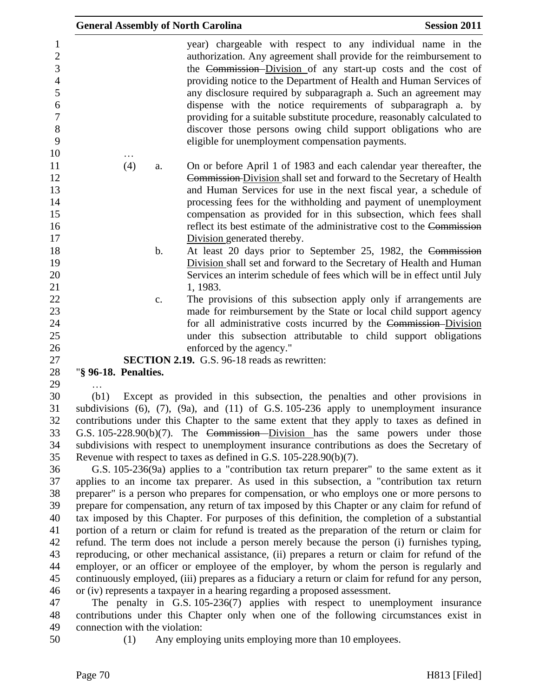| <b>General Assembly of North Carolina</b> | <b>Session 2011</b>                                                                                                                                                                                                                                                                                                                                                                                                                                                                                                                                                                                           |
|-------------------------------------------|---------------------------------------------------------------------------------------------------------------------------------------------------------------------------------------------------------------------------------------------------------------------------------------------------------------------------------------------------------------------------------------------------------------------------------------------------------------------------------------------------------------------------------------------------------------------------------------------------------------|
|                                           | year) chargeable with respect to any individual name in the<br>authorization. Any agreement shall provide for the reimbursement to<br>the Commission-Division of any start-up costs and the cost of<br>providing notice to the Department of Health and Human Services of<br>any disclosure required by subparagraph a. Such an agreement may<br>dispense with the notice requirements of subparagraph a. by<br>providing for a suitable substitute procedure, reasonably calculated to<br>discover those persons owing child support obligations who are<br>eligible for unemployment compensation payments. |
| .<br>(4)                                  | On or before April 1 of 1983 and each calendar year thereafter, the                                                                                                                                                                                                                                                                                                                                                                                                                                                                                                                                           |
| a.                                        | Commission Division shall set and forward to the Secretary of Health                                                                                                                                                                                                                                                                                                                                                                                                                                                                                                                                          |
|                                           | and Human Services for use in the next fiscal year, a schedule of                                                                                                                                                                                                                                                                                                                                                                                                                                                                                                                                             |
|                                           | processing fees for the withholding and payment of unemployment                                                                                                                                                                                                                                                                                                                                                                                                                                                                                                                                               |
|                                           | compensation as provided for in this subsection, which fees shall                                                                                                                                                                                                                                                                                                                                                                                                                                                                                                                                             |
|                                           | reflect its best estimate of the administrative cost to the Commission                                                                                                                                                                                                                                                                                                                                                                                                                                                                                                                                        |
|                                           | Division generated thereby.                                                                                                                                                                                                                                                                                                                                                                                                                                                                                                                                                                                   |
| b.                                        | At least 20 days prior to September 25, 1982, the Commission                                                                                                                                                                                                                                                                                                                                                                                                                                                                                                                                                  |
|                                           | Division shall set and forward to the Secretary of Health and Human                                                                                                                                                                                                                                                                                                                                                                                                                                                                                                                                           |
|                                           | Services an interim schedule of fees which will be in effect until July                                                                                                                                                                                                                                                                                                                                                                                                                                                                                                                                       |
|                                           | 1, 1983.                                                                                                                                                                                                                                                                                                                                                                                                                                                                                                                                                                                                      |
| $\mathbf{c}$ .                            | The provisions of this subsection apply only if arrangements are                                                                                                                                                                                                                                                                                                                                                                                                                                                                                                                                              |
|                                           | made for reimbursement by the State or local child support agency<br>for all administrative costs incurred by the Commission-Division                                                                                                                                                                                                                                                                                                                                                                                                                                                                         |
|                                           | under this subsection attributable to child support obligations                                                                                                                                                                                                                                                                                                                                                                                                                                                                                                                                               |
|                                           | enforced by the agency."                                                                                                                                                                                                                                                                                                                                                                                                                                                                                                                                                                                      |
|                                           | <b>SECTION 2.19.</b> G.S. 96-18 reads as rewritten:                                                                                                                                                                                                                                                                                                                                                                                                                                                                                                                                                           |
| "§ 96-18. Penalties.                      |                                                                                                                                                                                                                                                                                                                                                                                                                                                                                                                                                                                                               |
|                                           |                                                                                                                                                                                                                                                                                                                                                                                                                                                                                                                                                                                                               |
| (b1)                                      | Except as provided in this subsection, the penalties and other provisions in                                                                                                                                                                                                                                                                                                                                                                                                                                                                                                                                  |
|                                           | subdivisions $(6)$ , $(7)$ , $(9a)$ , and $(11)$ of G.S. 105-236 apply to unemployment insurance                                                                                                                                                                                                                                                                                                                                                                                                                                                                                                              |
|                                           | contributions under this Chapter to the same extent that they apply to taxes as defined in                                                                                                                                                                                                                                                                                                                                                                                                                                                                                                                    |

 contributions under this Chapter to the same extent that they apply to taxes as defined in G.S. 105-228.90(b)(7). The Commission Division has the same powers under those subdivisions with respect to unemployment insurance contributions as does the Secretary of Revenue with respect to taxes as defined in G.S. 105-228.90(b)(7).

 G.S. 105-236(9a) applies to a "contribution tax return preparer" to the same extent as it applies to an income tax preparer. As used in this subsection, a "contribution tax return preparer" is a person who prepares for compensation, or who employs one or more persons to prepare for compensation, any return of tax imposed by this Chapter or any claim for refund of tax imposed by this Chapter. For purposes of this definition, the completion of a substantial portion of a return or claim for refund is treated as the preparation of the return or claim for refund. The term does not include a person merely because the person (i) furnishes typing, reproducing, or other mechanical assistance, (ii) prepares a return or claim for refund of the employer, or an officer or employee of the employer, by whom the person is regularly and continuously employed, (iii) prepares as a fiduciary a return or claim for refund for any person, or (iv) represents a taxpayer in a hearing regarding a proposed assessment.

 The penalty in G.S. 105-236(7) applies with respect to unemployment insurance contributions under this Chapter only when one of the following circumstances exist in connection with the violation:

(1) Any employing units employing more than 10 employees.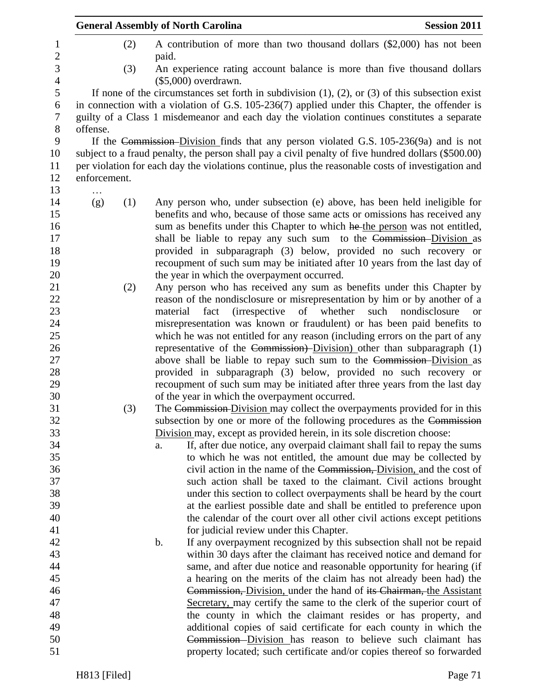| <b>Session 2011</b><br><b>General Assembly of North Carolina</b> |     |          |                                                                                                                                                                                                                                                                                                                                                                                  |                                                                                                                                              |
|------------------------------------------------------------------|-----|----------|----------------------------------------------------------------------------------------------------------------------------------------------------------------------------------------------------------------------------------------------------------------------------------------------------------------------------------------------------------------------------------|----------------------------------------------------------------------------------------------------------------------------------------------|
|                                                                  | (2) | paid.    | A contribution of more than two thousand dollars (\$2,000) has not been                                                                                                                                                                                                                                                                                                          |                                                                                                                                              |
|                                                                  | (3) |          | An experience rating account balance is more than five thousand dollars<br>$($5,000)$ overdrawn.                                                                                                                                                                                                                                                                                 |                                                                                                                                              |
|                                                                  |     |          | If none of the circumstances set forth in subdivision $(1)$ , $(2)$ , or $(3)$ of this subsection exist                                                                                                                                                                                                                                                                          |                                                                                                                                              |
| offense.                                                         |     |          | in connection with a violation of G.S. 105-236(7) applied under this Chapter, the offender is<br>guilty of a Class 1 misdemeanor and each day the violation continues constitutes a separate                                                                                                                                                                                     |                                                                                                                                              |
| enforcement.                                                     |     |          | If the Commission-Division finds that any person violated G.S. 105-236(9a) and is not<br>subject to a fraud penalty, the person shall pay a civil penalty of five hundred dollars (\$500.00)<br>per violation for each day the violations continue, plus the reasonable costs of investigation and                                                                               |                                                                                                                                              |
|                                                                  |     |          |                                                                                                                                                                                                                                                                                                                                                                                  |                                                                                                                                              |
| (g)                                                              | (1) |          | Any person who, under subsection (e) above, has been held ineligible for<br>benefits and who, because of those same acts or omissions has received any<br>sum as benefits under this Chapter to which he the person was not entitled,<br>shall be liable to repay any such sum to the Commission-Division as<br>provided in subparagraph (3) below, provided no such recovery or |                                                                                                                                              |
|                                                                  |     |          | recoupment of such sum may be initiated after 10 years from the last day of                                                                                                                                                                                                                                                                                                      |                                                                                                                                              |
|                                                                  |     |          | the year in which the overpayment occurred.                                                                                                                                                                                                                                                                                                                                      |                                                                                                                                              |
|                                                                  | (2) |          | Any person who has received any sum as benefits under this Chapter by                                                                                                                                                                                                                                                                                                            |                                                                                                                                              |
|                                                                  |     |          | reason of the nondisclosure or misrepresentation by him or by another of a                                                                                                                                                                                                                                                                                                       |                                                                                                                                              |
|                                                                  |     | material | fact<br>(irrespective of whether<br>misrepresentation was known or fraudulent) or has been paid benefits to                                                                                                                                                                                                                                                                      | such<br>nondisclosure<br><sub>or</sub>                                                                                                       |
|                                                                  |     |          | which he was not entitled for any reason (including errors on the part of any                                                                                                                                                                                                                                                                                                    |                                                                                                                                              |
|                                                                  |     |          | representative of the Commission)-Division) other than subparagraph (1)                                                                                                                                                                                                                                                                                                          |                                                                                                                                              |
|                                                                  |     |          | above shall be liable to repay such sum to the Commission-Division as                                                                                                                                                                                                                                                                                                            |                                                                                                                                              |
|                                                                  |     |          | provided in subparagraph (3) below, provided no such recovery or                                                                                                                                                                                                                                                                                                                 |                                                                                                                                              |
|                                                                  |     |          | recoupment of such sum may be initiated after three years from the last day                                                                                                                                                                                                                                                                                                      |                                                                                                                                              |
|                                                                  |     |          | of the year in which the overpayment occurred.                                                                                                                                                                                                                                                                                                                                   |                                                                                                                                              |
|                                                                  | (3) |          | The Commission-Division may collect the overpayments provided for in this<br>subsection by one or more of the following procedures as the Commission                                                                                                                                                                                                                             |                                                                                                                                              |
|                                                                  |     |          | Division may, except as provided herein, in its sole discretion choose:                                                                                                                                                                                                                                                                                                          |                                                                                                                                              |
|                                                                  |     | a.       |                                                                                                                                                                                                                                                                                                                                                                                  | If, after due notice, any overpaid claimant shall fail to repay the sums<br>to which he was not entitled, the amount due may be collected by |
|                                                                  |     |          |                                                                                                                                                                                                                                                                                                                                                                                  | civil action in the name of the Commission, Division, and the cost of                                                                        |
|                                                                  |     |          |                                                                                                                                                                                                                                                                                                                                                                                  | such action shall be taxed to the claimant. Civil actions brought                                                                            |
|                                                                  |     |          |                                                                                                                                                                                                                                                                                                                                                                                  | under this section to collect overpayments shall be heard by the court                                                                       |
|                                                                  |     |          |                                                                                                                                                                                                                                                                                                                                                                                  | at the earliest possible date and shall be entitled to preference upon                                                                       |
|                                                                  |     |          |                                                                                                                                                                                                                                                                                                                                                                                  | the calendar of the court over all other civil actions except petitions                                                                      |
|                                                                  |     |          | for judicial review under this Chapter.                                                                                                                                                                                                                                                                                                                                          |                                                                                                                                              |
|                                                                  |     | b.       |                                                                                                                                                                                                                                                                                                                                                                                  | If any overpayment recognized by this subsection shall not be repaid                                                                         |
|                                                                  |     |          |                                                                                                                                                                                                                                                                                                                                                                                  | within 30 days after the claimant has received notice and demand for                                                                         |
|                                                                  |     |          |                                                                                                                                                                                                                                                                                                                                                                                  | same, and after due notice and reasonable opportunity for hearing (if                                                                        |
|                                                                  |     |          |                                                                                                                                                                                                                                                                                                                                                                                  | a hearing on the merits of the claim has not already been had) the                                                                           |
|                                                                  |     |          |                                                                                                                                                                                                                                                                                                                                                                                  | Commission, Division, under the hand of its Chairman, the Assistant                                                                          |
|                                                                  |     |          |                                                                                                                                                                                                                                                                                                                                                                                  | Secretary, may certify the same to the clerk of the superior court of<br>the county in which the claimant resides or has property, and       |
|                                                                  |     |          |                                                                                                                                                                                                                                                                                                                                                                                  | additional copies of said certificate for each county in which the                                                                           |
|                                                                  |     |          |                                                                                                                                                                                                                                                                                                                                                                                  | Commission-Division has reason to believe such claimant has                                                                                  |
|                                                                  |     |          |                                                                                                                                                                                                                                                                                                                                                                                  | property located; such certificate and/or copies thereof so forwarded                                                                        |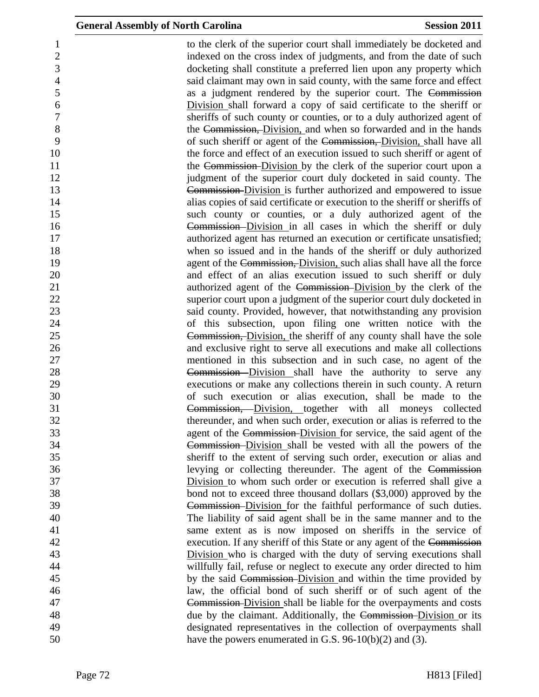to the clerk of the superior court shall immediately be docketed and 2 indexed on the cross index of judgments, and from the date of such  $\frac{1}{2}$  docketing shall constitute a preferred lien upon any property which said claimant may own in said county, with the same force and effect as a judgment rendered by the superior court. The Commission Division shall forward a copy of said certificate to the sheriff or sheriffs of such county or counties, or to a duly authorized agent of 8 the Commission, Division, and when so forwarded and in the hands of such sheriff or agent of the Commission, Division, shall have all 10 the force and effect of an execution issued to such sheriff or agent of 11 the Commission-Division by the clerk of the superior court upon a 12 iudgment of the superior court duly docketed in said county. The Commission Division is further authorized and empowered to issue alias copies of said certificate or execution to the sheriff or sheriffs of such county or counties, or a duly authorized agent of the Commission Division in all cases in which the sheriff or duly 17 authorized agent has returned an execution or certificate unsatisfied; when so issued and in the hands of the sheriff or duly authorized **19 agent of the Commission, Division**, such alias shall have all the force and effect of an alias execution issued to such sheriff or duly authorized agent of the Commission Division by the clerk of the superior court upon a judgment of the superior court duly docketed in said county. Provided, however, that notwithstanding any provision of this subsection, upon filing one written notice with the Commission, Division, the sheriff of any county shall have the sole and exclusive right to serve all executions and make all collections mentioned in this subsection and in such case, no agent of the Commission Division shall have the authority to serve any executions or make any collections therein in such county. A return of such execution or alias execution, shall be made to the Commission, Division, together with all moneys collected thereunder, and when such order, execution or alias is referred to the agent of the Commission Division for service, the said agent of the Commission Division shall be vested with all the powers of the sheriff to the extent of serving such order, execution or alias and levying or collecting thereunder. The agent of the Commission Division to whom such order or execution is referred shall give a bond not to exceed three thousand dollars (\$3,000) approved by the Commission Division for the faithful performance of such duties. The liability of said agent shall be in the same manner and to the same extent as is now imposed on sheriffs in the service of execution. If any sheriff of this State or any agent of the Commission Division who is charged with the duty of serving executions shall willfully fail, refuse or neglect to execute any order directed to him 45 by the said Commission-Division and within the time provided by law, the official bond of such sheriff or of such agent of the Commission Division shall be liable for the overpayments and costs 48 due by the claimant. Additionally, the Commission-Division or its designated representatives in the collection of overpayments shall 50 have the powers enumerated in G.S. 96-10(b)(2) and (3).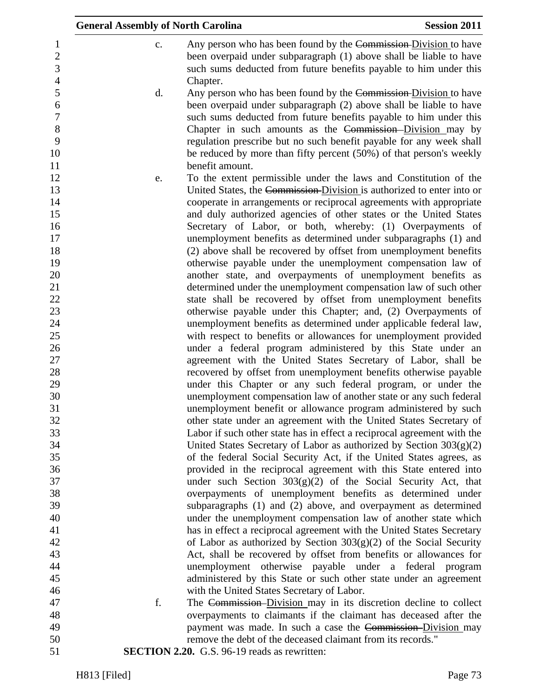|    | <b>General Assembly of North Carolina</b> |                                                                                                                                                                                                                                                                                                                                                                                                                                           | <b>Session 2011</b> |
|----|-------------------------------------------|-------------------------------------------------------------------------------------------------------------------------------------------------------------------------------------------------------------------------------------------------------------------------------------------------------------------------------------------------------------------------------------------------------------------------------------------|---------------------|
|    | c.                                        | Any person who has been found by the Commission-Division to have<br>been overpaid under subparagraph (1) above shall be liable to have<br>such sums deducted from future benefits payable to him under this<br>Chapter.                                                                                                                                                                                                                   |                     |
|    | d.                                        | Any person who has been found by the Commission-Division to have<br>been overpaid under subparagraph (2) above shall be liable to have<br>such sums deducted from future benefits payable to him under this<br>Chapter in such amounts as the Commission-Division may by<br>regulation prescribe but no such benefit payable for any week shall<br>be reduced by more than fifty percent (50%) of that person's weekly<br>benefit amount. |                     |
|    | e.                                        | To the extent permissible under the laws and Constitution of the                                                                                                                                                                                                                                                                                                                                                                          |                     |
|    |                                           | United States, the Commission Division is authorized to enter into or                                                                                                                                                                                                                                                                                                                                                                     |                     |
|    |                                           | cooperate in arrangements or reciprocal agreements with appropriate                                                                                                                                                                                                                                                                                                                                                                       |                     |
|    |                                           | and duly authorized agencies of other states or the United States                                                                                                                                                                                                                                                                                                                                                                         |                     |
|    |                                           | Secretary of Labor, or both, whereby: (1) Overpayments of                                                                                                                                                                                                                                                                                                                                                                                 |                     |
|    |                                           | unemployment benefits as determined under subparagraphs (1) and                                                                                                                                                                                                                                                                                                                                                                           |                     |
|    |                                           | (2) above shall be recovered by offset from unemployment benefits                                                                                                                                                                                                                                                                                                                                                                         |                     |
|    |                                           | otherwise payable under the unemployment compensation law of                                                                                                                                                                                                                                                                                                                                                                              |                     |
|    |                                           | another state, and overpayments of unemployment benefits as                                                                                                                                                                                                                                                                                                                                                                               |                     |
|    |                                           | determined under the unemployment compensation law of such other<br>state shall be recovered by offset from unemployment benefits                                                                                                                                                                                                                                                                                                         |                     |
|    |                                           | otherwise payable under this Chapter; and, (2) Overpayments of                                                                                                                                                                                                                                                                                                                                                                            |                     |
|    |                                           | unemployment benefits as determined under applicable federal law,                                                                                                                                                                                                                                                                                                                                                                         |                     |
| 24 |                                           | with respect to benefits or allowances for unemployment provided                                                                                                                                                                                                                                                                                                                                                                          |                     |
| 26 |                                           | under a federal program administered by this State under an                                                                                                                                                                                                                                                                                                                                                                               |                     |
|    |                                           | agreement with the United States Secretary of Labor, shall be                                                                                                                                                                                                                                                                                                                                                                             |                     |
|    |                                           | recovered by offset from unemployment benefits otherwise payable                                                                                                                                                                                                                                                                                                                                                                          |                     |
|    |                                           | under this Chapter or any such federal program, or under the                                                                                                                                                                                                                                                                                                                                                                              |                     |
|    |                                           | unemployment compensation law of another state or any such federal                                                                                                                                                                                                                                                                                                                                                                        |                     |
|    |                                           | unemployment benefit or allowance program administered by such                                                                                                                                                                                                                                                                                                                                                                            |                     |
|    |                                           | other state under an agreement with the United States Secretary of                                                                                                                                                                                                                                                                                                                                                                        |                     |
|    |                                           | Labor if such other state has in effect a reciprocal agreement with the                                                                                                                                                                                                                                                                                                                                                                   |                     |
|    |                                           | United States Secretary of Labor as authorized by Section $303(g)(2)$                                                                                                                                                                                                                                                                                                                                                                     |                     |
|    |                                           | of the federal Social Security Act, if the United States agrees, as                                                                                                                                                                                                                                                                                                                                                                       |                     |
|    |                                           | provided in the reciprocal agreement with this State entered into                                                                                                                                                                                                                                                                                                                                                                         |                     |
|    |                                           | under such Section $303(g)(2)$ of the Social Security Act, that<br>overpayments of unemployment benefits as determined under                                                                                                                                                                                                                                                                                                              |                     |
|    |                                           | subparagraphs (1) and (2) above, and overpayment as determined                                                                                                                                                                                                                                                                                                                                                                            |                     |
|    |                                           | under the unemployment compensation law of another state which                                                                                                                                                                                                                                                                                                                                                                            |                     |
|    |                                           | has in effect a reciprocal agreement with the United States Secretary                                                                                                                                                                                                                                                                                                                                                                     |                     |
|    |                                           | of Labor as authorized by Section $303(g)(2)$ of the Social Security                                                                                                                                                                                                                                                                                                                                                                      |                     |
|    |                                           | Act, shall be recovered by offset from benefits or allowances for                                                                                                                                                                                                                                                                                                                                                                         |                     |
|    |                                           | unemployment otherwise payable under a federal program                                                                                                                                                                                                                                                                                                                                                                                    |                     |
|    |                                           | administered by this State or such other state under an agreement                                                                                                                                                                                                                                                                                                                                                                         |                     |
|    |                                           | with the United States Secretary of Labor.                                                                                                                                                                                                                                                                                                                                                                                                |                     |
|    | f.                                        | The Commission-Division may in its discretion decline to collect                                                                                                                                                                                                                                                                                                                                                                          |                     |
|    |                                           | overpayments to claimants if the claimant has deceased after the                                                                                                                                                                                                                                                                                                                                                                          |                     |
|    |                                           | payment was made. In such a case the Commission-Division may                                                                                                                                                                                                                                                                                                                                                                              |                     |
|    |                                           | remove the debt of the deceased claimant from its records."                                                                                                                                                                                                                                                                                                                                                                               |                     |
|    |                                           | <b>SECTION 2.20.</b> G.S. 96-19 reads as rewritten:                                                                                                                                                                                                                                                                                                                                                                                       |                     |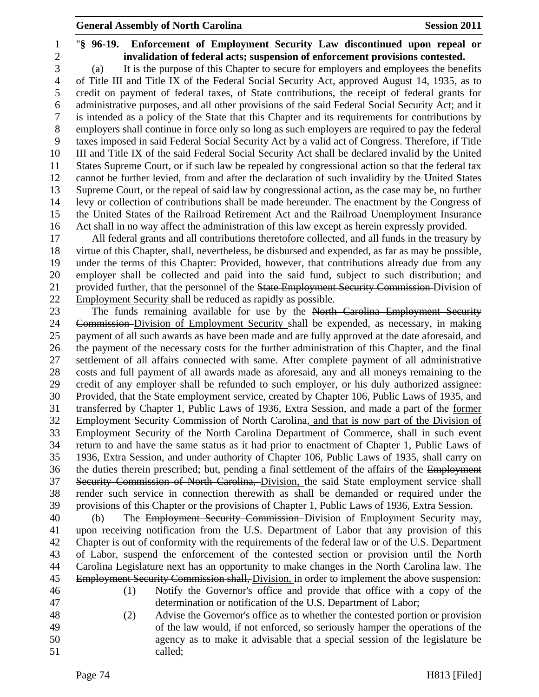- 
- "**§ 96-19. Enforcement of Employment Security Law discontinued upon repeal or invalidation of federal acts; suspension of enforcement provisions contested.**

 (a) It is the purpose of this Chapter to secure for employers and employees the benefits of Title III and Title IX of the Federal Social Security Act, approved August 14, 1935, as to credit on payment of federal taxes, of State contributions, the receipt of federal grants for administrative purposes, and all other provisions of the said Federal Social Security Act; and it is intended as a policy of the State that this Chapter and its requirements for contributions by employers shall continue in force only so long as such employers are required to pay the federal taxes imposed in said Federal Social Security Act by a valid act of Congress. Therefore, if Title III and Title IX of the said Federal Social Security Act shall be declared invalid by the United States Supreme Court, or if such law be repealed by congressional action so that the federal tax cannot be further levied, from and after the declaration of such invalidity by the United States Supreme Court, or the repeal of said law by congressional action, as the case may be, no further levy or collection of contributions shall be made hereunder. The enactment by the Congress of the United States of the Railroad Retirement Act and the Railroad Unemployment Insurance Act shall in no way affect the administration of this law except as herein expressly provided.

 All federal grants and all contributions theretofore collected, and all funds in the treasury by virtue of this Chapter, shall, nevertheless, be disbursed and expended, as far as may be possible, under the terms of this Chapter: Provided, however, that contributions already due from any employer shall be collected and paid into the said fund, subject to such distribution; and 21 provided further, that the personnel of the State Employment Security Commission-Division of Employment Security shall be reduced as rapidly as possible.

23 The funds remaining available for use by the North Carolina Employment Security 24 Commission–Division of Employment Security shall be expended, as necessary, in making payment of all such awards as have been made and are fully approved at the date aforesaid, and the payment of the necessary costs for the further administration of this Chapter, and the final settlement of all affairs connected with same. After complete payment of all administrative costs and full payment of all awards made as aforesaid, any and all moneys remaining to the credit of any employer shall be refunded to such employer, or his duly authorized assignee: Provided, that the State employment service, created by Chapter 106, Public Laws of 1935, and transferred by Chapter 1, Public Laws of 1936, Extra Session, and made a part of the former Employment Security Commission of North Carolina, and that is now part of the Division of Employment Security of the North Carolina Department of Commerce, shall in such event return to and have the same status as it had prior to enactment of Chapter 1, Public Laws of 1936, Extra Session, and under authority of Chapter 106, Public Laws of 1935, shall carry on the duties therein prescribed; but, pending a final settlement of the affairs of the Employment Security Commission of North Carolina, Division, the said State employment service shall render such service in connection therewith as shall be demanded or required under the provisions of this Chapter or the provisions of Chapter 1, Public Laws of 1936, Extra Session.

 (b) The Employment Security Commission Division of Employment Security may, upon receiving notification from the U.S. Department of Labor that any provision of this Chapter is out of conformity with the requirements of the federal law or of the U.S. Department of Labor, suspend the enforcement of the contested section or provision until the North Carolina Legislature next has an opportunity to make changes in the North Carolina law. The 45 Employment Security Commission shall, Division, in order to implement the above suspension:

- 
- 
- (1) Notify the Governor's office and provide that office with a copy of the determination or notification of the U.S. Department of Labor;
- (2) Advise the Governor's office as to whether the contested portion or provision of the law would, if not enforced, so seriously hamper the operations of the agency as to make it advisable that a special session of the legislature be called;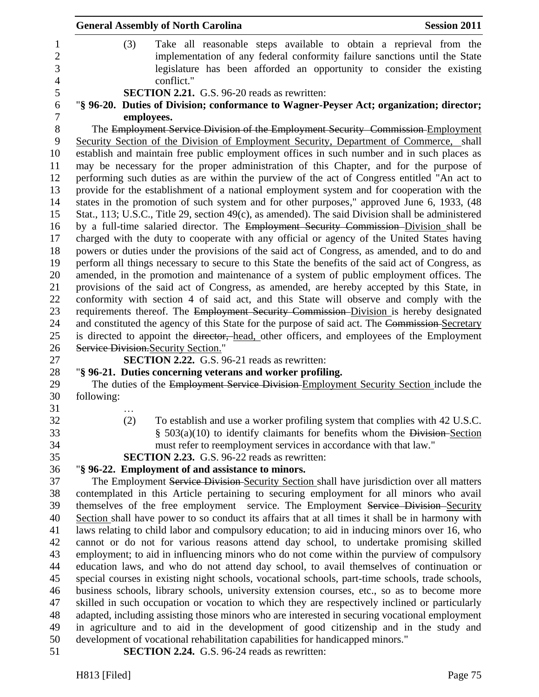|                | <b>General Assembly of North Carolina</b><br><b>Session 2011</b>                                       |
|----------------|--------------------------------------------------------------------------------------------------------|
| 1              | (3)<br>Take all reasonable steps available to obtain a reprieval from the                              |
| $\overline{2}$ | implementation of any federal conformity failure sanctions until the State                             |
| 3              | legislature has been afforded an opportunity to consider the existing                                  |
| $\overline{4}$ | conflict."                                                                                             |
| 5              | SECTION 2.21. G.S. 96-20 reads as rewritten:                                                           |
| 6              | "§ 96-20. Duties of Division; conformance to Wagner-Peyser Act; organization; director;                |
| $\tau$         | employees.                                                                                             |
| $8\,$          | The Employment Service Division of the Employment Security Commission-Employment                       |
| 9              | Security Section of the Division of Employment Security, Department of Commerce, shall                 |
| 10             | establish and maintain free public employment offices in such number and in such places as             |
| 11             | may be necessary for the proper administration of this Chapter, and for the purpose of                 |
| 12             | performing such duties as are within the purview of the act of Congress entitled "An act to            |
| 13             | provide for the establishment of a national employment system and for cooperation with the             |
| 14             | states in the promotion of such system and for other purposes," approved June 6, 1933, (48             |
| 15             | Stat., 113; U.S.C., Title 29, section 49(c), as amended). The said Division shall be administered      |
| 16             | by a full-time salaried director. The Employment Security Commission-Division shall be                 |
| 17             | charged with the duty to cooperate with any official or agency of the United States having             |
| 18             | powers or duties under the provisions of the said act of Congress, as amended, and to do and           |
| 19             | perform all things necessary to secure to this State the benefits of the said act of Congress, as      |
| 20             | amended, in the promotion and maintenance of a system of public employment offices. The                |
| 21             | provisions of the said act of Congress, as amended, are hereby accepted by this State, in              |
| 22             | conformity with section 4 of said act, and this State will observe and comply with the                 |
| 23             | requirements thereof. The Employment Security Commission-Division is hereby designated                 |
| 24             | and constituted the agency of this State for the purpose of said act. The Commission-Secretary         |
| 25             | is directed to appoint the <del>director, head</del> , other officers, and employees of the Employment |
| 26             | Service Division. Security Section."                                                                   |
| 27             | <b>SECTION 2.22.</b> G.S. 96-21 reads as rewritten:                                                    |
| 28             | "§ 96-21. Duties concerning veterans and worker profiling.                                             |
| 29             | The duties of the Employment Service Division-Employment Security Section include the                  |
| 30             | following:                                                                                             |
| 31             |                                                                                                        |
| 32             | (2)<br>To establish and use a worker profiling system that complies with 42 U.S.C.                     |
| 33             | $§$ 503(a)(10) to identify claimants for benefits whom the Division-Section                            |
| 34             | must refer to reemployment services in accordance with that law."                                      |
| 35             | <b>SECTION 2.23.</b> G.S. 96-22 reads as rewritten:                                                    |
| 36             | "§ 96-22. Employment of and assistance to minors.                                                      |
| 37             | The Employment Service Division-Security Section shall have jurisdiction over all matters              |
| 38             | contemplated in this Article pertaining to securing employment for all minors who avail                |
| 39             | themselves of the free employment service. The Employment Service Division-Security                    |
| 40             | Section shall have power to so conduct its affairs that at all times it shall be in harmony with       |
| 41             | laws relating to child labor and compulsory education; to aid in inducing minors over 16, who          |
| 42             | cannot or do not for various reasons attend day school, to undertake promising skilled                 |
| 43             | employment; to aid in influencing minors who do not come within the purview of compulsory              |
| 44             | education laws, and who do not attend day school, to avail themselves of continuation or               |
| 45             | special courses in existing night schools, vocational schools, part-time schools, trade schools,       |
| 46             | business schools, library schools, university extension courses, etc., so as to become more            |
| 47             | skilled in such occupation or vocation to which they are respectively inclined or particularly         |
| 48             | adapted, including assisting those minors who are interested in securing vocational employment         |
| 49             | in agriculture and to aid in the development of good citizenship and in the study and                  |
| 50             | development of vocational rehabilitation capabilities for handicapped minors."                         |
| 51             | <b>SECTION 2.24.</b> G.S. 96-24 reads as rewritten:                                                    |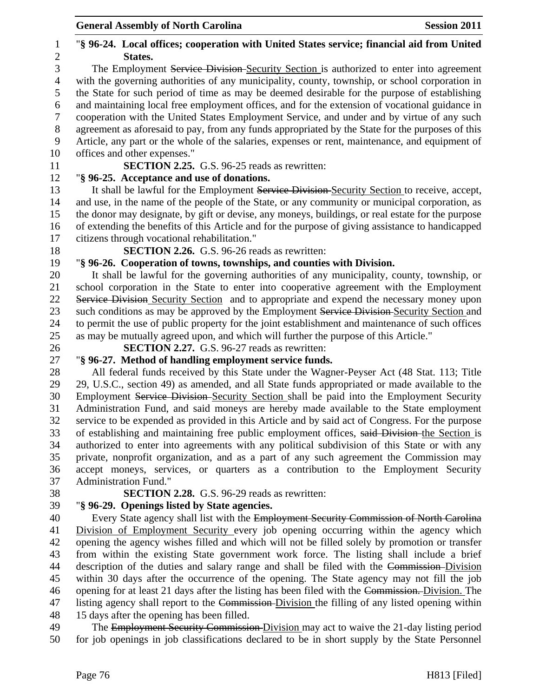"**§ 96-24. Local offices; cooperation with United States service; financial aid from United**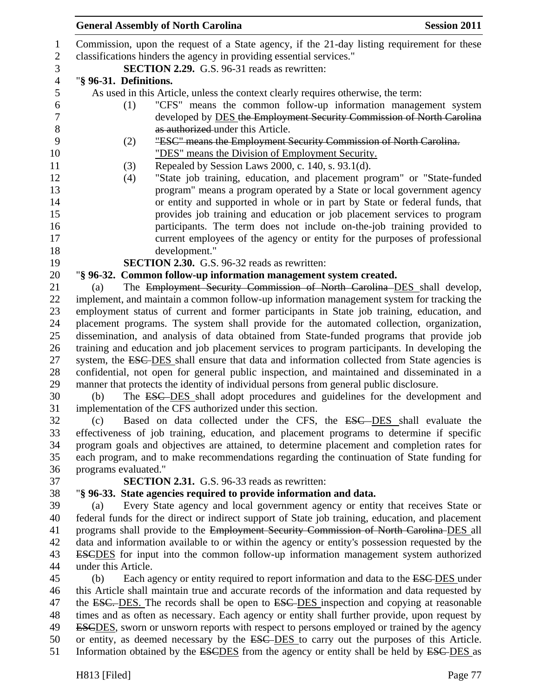Commission, upon the request of a State agency, if the 21-day listing requirement for these classifications hinders the agency in providing essential services." **SECTION 2.29.** G.S. 96-31 reads as rewritten: "**§ 96-31. Definitions.** As used in this Article, unless the context clearly requires otherwise, the term: (1) "CFS" means the common follow-up information management system developed by DES the Employment Security Commission of North Carolina 8 as authorized under this Article. (2) "ESC" means the Employment Security Commission of North Carolina. "DES" means the Division of Employment Security. (3) Repealed by Session Laws 2000, c. 140, s. 93.1(d). (4) "State job training, education, and placement program" or "State-funded program" means a program operated by a State or local government agency or entity and supported in whole or in part by State or federal funds, that provides job training and education or job placement services to program participants. The term does not include on-the-job training provided to current employees of the agency or entity for the purposes of professional development." **SECTION 2.30.** G.S. 96-32 reads as rewritten: "**§ 96-32. Common follow-up information management system created.** (a) The Employment Security Commission of North Carolina DES shall develop, implement, and maintain a common follow-up information management system for tracking the employment status of current and former participants in State job training, education, and placement programs. The system shall provide for the automated collection, organization, dissemination, and analysis of data obtained from State-funded programs that provide job training and education and job placement services to program participants. In developing the 27 system, the ESC-DES shall ensure that data and information collected from State agencies is confidential, not open for general public inspection, and maintained and disseminated in a manner that protects the identity of individual persons from general public disclosure. (b) The ESC DES shall adopt procedures and guidelines for the development and implementation of the CFS authorized under this section. (c) Based on data collected under the CFS, the ESC DES shall evaluate the effectiveness of job training, education, and placement programs to determine if specific program goals and objectives are attained, to determine placement and completion rates for each program, and to make recommendations regarding the continuation of State funding for programs evaluated." **SECTION 2.31.** G.S. 96-33 reads as rewritten: "**§ 96-33. State agencies required to provide information and data.** (a) Every State agency and local government agency or entity that receives State or federal funds for the direct or indirect support of State job training, education, and placement programs shall provide to the Employment Security Commission of North Carolina DES all data and information available to or within the agency or entity's possession requested by the ESCDES for input into the common follow-up information management system authorized under this Article. 45 (b) Each agency or entity required to report information and data to the **ESC-DES** under this Article shall maintain true and accurate records of the information and data requested by 47 the ESC. DES. The records shall be open to ESC-DES inspection and copying at reasonable times and as often as necessary. Each agency or entity shall further provide, upon request by 49 ESCDES, sworn or unsworn reports with respect to persons employed or trained by the agency

or entity, as deemed necessary by the ESC DES to carry out the purposes of this Article.

51 Information obtained by the ESCDES from the agency or entity shall be held by ESC-DES as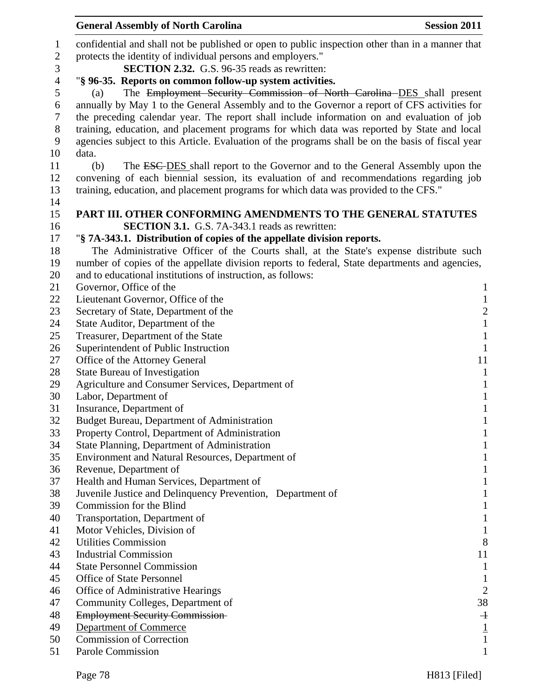|                | <b>General Assembly of North Carolina</b>                                                         | <b>Session 2011</b>                   |
|----------------|---------------------------------------------------------------------------------------------------|---------------------------------------|
| 1              | confidential and shall not be published or open to public inspection other than in a manner that  |                                       |
| $\overline{c}$ | protects the identity of individual persons and employers."                                       |                                       |
| 3              | <b>SECTION 2.32.</b> G.S. 96-35 reads as rewritten:                                               |                                       |
| 4              | "§ 96-35. Reports on common follow-up system activities.                                          |                                       |
| 5              | The Employment Security Commission of North Carolina DES shall present<br>(a)                     |                                       |
| 6              | annually by May 1 to the General Assembly and to the Governor a report of CFS activities for      |                                       |
| 7              | the preceding calendar year. The report shall include information on and evaluation of job        |                                       |
| 8              | training, education, and placement programs for which data was reported by State and local        |                                       |
| 9              | agencies subject to this Article. Evaluation of the programs shall be on the basis of fiscal year |                                       |
| 10             | data.                                                                                             |                                       |
| 11             | The ESC-DES shall report to the Governor and to the General Assembly upon the<br>(b)              |                                       |
| 12             | convening of each biennial session, its evaluation of and recommendations regarding job           |                                       |
| 13             | training, education, and placement programs for which data was provided to the CFS."              |                                       |
| 14             |                                                                                                   |                                       |
| 15             | PART III. OTHER CONFORMING AMENDMENTS TO THE GENERAL STATUTES                                     |                                       |
| 16             | <b>SECTION 3.1.</b> G.S. 7A-343.1 reads as rewritten:                                             |                                       |
| 17             | "§ 7A-343.1. Distribution of copies of the appellate division reports.                            |                                       |
| 18             | The Administrative Officer of the Courts shall, at the State's expense distribute such            |                                       |
| 19             | number of copies of the appellate division reports to federal, State departments and agencies,    |                                       |
| 20             | and to educational institutions of instruction, as follows:                                       |                                       |
| 21             | Governor, Office of the                                                                           | 1                                     |
| 22             | Lieutenant Governor, Office of the                                                                | $\mathbf{1}$                          |
| 23             | Secretary of State, Department of the                                                             |                                       |
| 24             | State Auditor, Department of the                                                                  | $\begin{array}{c} 2 \\ 1 \end{array}$ |
| 25             | Treasurer, Department of the State                                                                | $\mathbf{1}$                          |
| 26             | Superintendent of Public Instruction                                                              | $\mathbf{1}$                          |
| 27             | Office of the Attorney General                                                                    | 11                                    |
| 28             | <b>State Bureau of Investigation</b>                                                              | $\mathbf{1}$                          |
| 29             | Agriculture and Consumer Services, Department of                                                  | $\mathbf{1}$                          |
| 30             | Labor, Department of                                                                              | $\mathbf{1}$                          |
| 31             | Insurance, Department of                                                                          | $\mathbf{1}$                          |
| 32             | Budget Bureau, Department of Administration                                                       | 1                                     |
| 33             | Property Control, Department of Administration                                                    |                                       |
| 34             | State Planning, Department of Administration                                                      | 1                                     |
| 35             | Environment and Natural Resources, Department of                                                  | T                                     |
| 36             | Revenue, Department of                                                                            | 1                                     |
| 37             | Health and Human Services, Department of                                                          | 1                                     |
| 38             | Juvenile Justice and Delinquency Prevention, Department of                                        | 1                                     |
| 39             | Commission for the Blind                                                                          | 1                                     |
| 40             | Transportation, Department of                                                                     | 1                                     |
| 41             | Motor Vehicles, Division of                                                                       | 1                                     |
| 42             | <b>Utilities Commission</b>                                                                       | 8                                     |
| 43             | <b>Industrial Commission</b>                                                                      | 11                                    |
| 44             | <b>State Personnel Commission</b>                                                                 | 1                                     |
| 45             | Office of State Personnel                                                                         | 1                                     |
| 46             | Office of Administrative Hearings                                                                 | $\overline{2}$                        |
| 47             | Community Colleges, Department of                                                                 | 38                                    |
| 48             | <b>Employment Security Commission-</b>                                                            | $\overline{+}$                        |
| 49             | Department of Commerce                                                                            | $\frac{1}{1}$                         |
| 50             | <b>Commission of Correction</b>                                                                   |                                       |
| 51             | Parole Commission                                                                                 |                                       |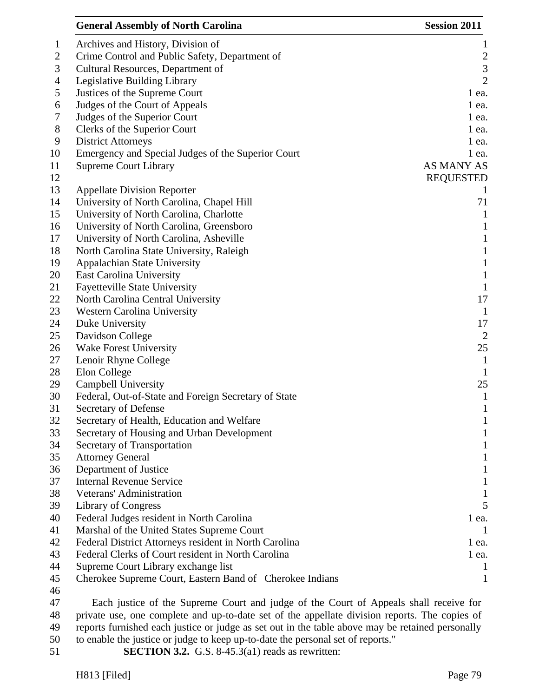|       | <b>General Assembly of North Carolina</b>                | <b>Session 2011</b> |
|-------|----------------------------------------------------------|---------------------|
| 1     | Archives and History, Division of                        | $\mathbf{I}$        |
| 2     | Crime Control and Public Safety, Department of           |                     |
| 3     | Cultural Resources, Department of                        | $\frac{2}{3}$       |
| 4     | Legislative Building Library                             | $\overline{2}$      |
| 5     | Justices of the Supreme Court                            | $1$ ea.             |
| 6     | Judges of the Court of Appeals                           | $1$ ea.             |
| 7     | Judges of the Superior Court                             | $1$ ea.             |
| $8\,$ | Clerks of the Superior Court                             | $1$ ea.             |
| 9     | <b>District Attorneys</b>                                | $1$ ea.             |
| 10    | Emergency and Special Judges of the Superior Court       | $1$ ea.             |
| 11    | <b>Supreme Court Library</b>                             | AS MANY AS          |
| 12    |                                                          | <b>REQUESTED</b>    |
| 13    | <b>Appellate Division Reporter</b>                       |                     |
| 14    | University of North Carolina, Chapel Hill                | 71                  |
| 15    | University of North Carolina, Charlotte                  | $\mathbf{1}$        |
| 16    | University of North Carolina, Greensboro                 | $\mathbf{1}$        |
| 17    | University of North Carolina, Asheville                  | $\mathbf{1}$        |
| 18    | North Carolina State University, Raleigh                 | $\mathbf{1}$        |
| 19    | <b>Appalachian State University</b>                      | $\mathbf{1}$        |
| 20    | <b>East Carolina University</b>                          | $\mathbf{1}$        |
| 21    | <b>Fayetteville State University</b>                     | $\mathbf{1}$        |
| 22    | North Carolina Central University                        | 17                  |
| 23    | <b>Western Carolina University</b>                       | $\mathbf{1}$        |
| 24    | Duke University                                          | 17                  |
| 25    | Davidson College                                         | 2                   |
| 26    | <b>Wake Forest University</b>                            | 25                  |
| 27    | Lenoir Rhyne College                                     | $\mathbf{1}$        |
| 28    | Elon College                                             | $\mathbf{1}$        |
| 29    | Campbell University                                      | 25                  |
| 30    | Federal, Out-of-State and Foreign Secretary of State     | $\mathbf{1}$        |
| 31    | <b>Secretary of Defense</b>                              |                     |
| 32    | Secretary of Health, Education and Welfare               | $\bf{l}$            |
| 33    | Secretary of Housing and Urban Development               | 1                   |
| 34    | Secretary of Transportation                              | 1                   |
| 35    | <b>Attorney General</b>                                  | 1                   |
| 36    | Department of Justice                                    | $\mathbf{I}$        |
| 37    | <b>Internal Revenue Service</b>                          | 1                   |
| 38    | Veterans' Administration                                 | 1                   |
| 39    | Library of Congress                                      | 5                   |
| 40    | Federal Judges resident in North Carolina                | 1 ea.               |
| 41    | Marshal of the United States Supreme Court               |                     |
| 42    | Federal District Attorneys resident in North Carolina    | $1$ ea.             |
| 43    | Federal Clerks of Court resident in North Carolina       | $1$ ea.             |
| 44    | Supreme Court Library exchange list                      |                     |
| 45    | Cherokee Supreme Court, Eastern Band of Cherokee Indians | 1                   |
| 46    |                                                          |                     |

 Each justice of the Supreme Court and judge of the Court of Appeals shall receive for private use, one complete and up-to-date set of the appellate division reports. The copies of reports furnished each justice or judge as set out in the table above may be retained personally to enable the justice or judge to keep up-to-date the personal set of reports."

51 **SECTION 3.2.** G.S. 8-45.3(a1) reads as rewritten: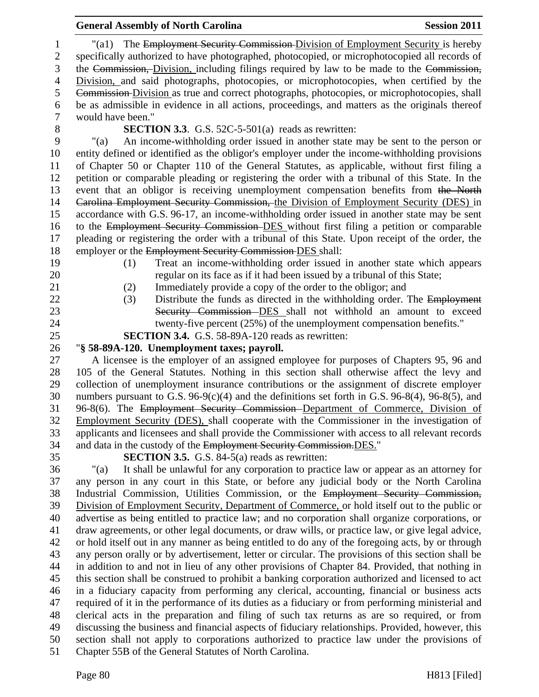| $\mathbf{1}$   | "(a1) The Employment Security Commission-Division of Employment Security is hereby                                                                                              |
|----------------|---------------------------------------------------------------------------------------------------------------------------------------------------------------------------------|
| $\mathfrak{2}$ | specifically authorized to have photographed, photocopied, or microphotocopied all records of                                                                                   |
| 3              | the Commission, Division, including filings required by law to be made to the Commission,                                                                                       |
| $\overline{4}$ | Division, and said photographs, photocopies, or microphotocopies, when certified by the                                                                                         |
| 5              | Commission-Division as true and correct photographs, photocopies, or microphotocopies, shall                                                                                    |
| 6              | be as admissible in evidence in all actions, proceedings, and matters as the originals thereof                                                                                  |
| $\tau$         | would have been."                                                                                                                                                               |
| 8              | <b>SECTION 3.3.</b> G.S. $52C-5-501(a)$ reads as rewritten:                                                                                                                     |
| 9              | An income-withholding order issued in another state may be sent to the person or<br>"(a)                                                                                        |
| 10             | entity defined or identified as the obligor's employer under the income-withholding provisions                                                                                  |
| 11             | of Chapter 50 or Chapter 110 of the General Statutes, as applicable, without first filing a                                                                                     |
| 12             | petition or comparable pleading or registering the order with a tribunal of this State. In the                                                                                  |
| 13             | event that an obligor is receiving unemployment compensation benefits from the North                                                                                            |
| 14             | Carolina Employment Security Commission, the Division of Employment Security (DES) in                                                                                           |
| 15             | accordance with G.S. 96-17, an income-withholding order issued in another state may be sent                                                                                     |
| 16             | to the Employment Security Commission-DES without first filing a petition or comparable                                                                                         |
| 17             | pleading or registering the order with a tribunal of this State. Upon receipt of the order, the                                                                                 |
| 18             | employer or the Employment Security Commission DES shall:                                                                                                                       |
| 19             | Treat an income-withholding order issued in another state which appears<br>(1)                                                                                                  |
| 20             | regular on its face as if it had been issued by a tribunal of this State;                                                                                                       |
| 21             | Immediately provide a copy of the order to the obligor; and<br>(2)                                                                                                              |
| 22             | Distribute the funds as directed in the withholding order. The Employment<br>(3)                                                                                                |
| 23             | Security Commission DES shall not withhold an amount to exceed                                                                                                                  |
| 24             | twenty-five percent (25%) of the unemployment compensation benefits."                                                                                                           |
| 25             | SECTION 3.4. G.S. 58-89A-120 reads as rewritten:                                                                                                                                |
| 26             | "§ 58-89A-120. Unemployment taxes; payroll.                                                                                                                                     |
|                |                                                                                                                                                                                 |
| 27             | A licensee is the employer of an assigned employee for purposes of Chapters 95, 96 and                                                                                          |
| 28             | 105 of the General Statutes. Nothing in this section shall otherwise affect the levy and                                                                                        |
| 29             | collection of unemployment insurance contributions or the assignment of discrete employer                                                                                       |
| 30             | numbers pursuant to G.S. $96-9(c)(4)$ and the definitions set forth in G.S. $96-8(4)$ , $96-8(5)$ , and                                                                         |
| 31             | 96-8(6). The Employment Security Commission-Department of Commerce, Division of                                                                                                 |
| 32             | Employment Security (DES), shall cooperate with the Commissioner in the investigation of                                                                                        |
| 33             | applicants and licensees and shall provide the Commissioner with access to all relevant records                                                                                 |
| 34             | and data in the custody of the Employment Security Commission. DES."                                                                                                            |
| 35             | <b>SECTION 3.5.</b> G.S. 84-5(a) reads as rewritten:                                                                                                                            |
| 36             | It shall be unlawful for any corporation to practice law or appear as an attorney for<br>" $(a)$                                                                                |
| 37             |                                                                                                                                                                                 |
| 38             | any person in any court in this State, or before any judicial body or the North Carolina<br>Industrial Commission, Utilities Commission, or the Employment Security Commission, |
| 39             | Division of Employment Security, Department of Commerce, or hold itself out to the public or                                                                                    |
| 40             | advertise as being entitled to practice law; and no corporation shall organize corporations, or                                                                                 |
| 41             | draw agreements, or other legal documents, or draw wills, or practice law, or give legal advice,                                                                                |
| 42             | or hold itself out in any manner as being entitled to do any of the foregoing acts, by or through                                                                               |
| 43             | any person orally or by advertisement, letter or circular. The provisions of this section shall be                                                                              |
| 44             | in addition to and not in lieu of any other provisions of Chapter 84. Provided, that nothing in                                                                                 |
| 45             | this section shall be construed to prohibit a banking corporation authorized and licensed to act                                                                                |
| 46             | in a fiduciary capacity from performing any clerical, accounting, financial or business acts                                                                                    |
| 47             | required of it in the performance of its duties as a fiduciary or from performing ministerial and                                                                               |
| 48             | clerical acts in the preparation and filing of such tax returns as are so required, or from                                                                                     |
| 49             | discussing the business and financial aspects of fiduciary relationships. Provided, however, this                                                                               |
| 50             | section shall not apply to corporations authorized to practice law under the provisions of                                                                                      |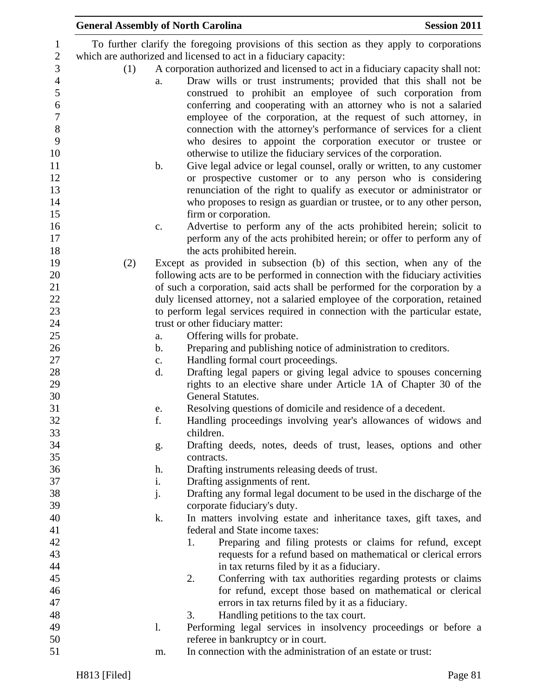|     |                      | <b>General Assembly of North Carolina</b>                                                                                                                                                                | <b>Session 2011</b> |
|-----|----------------------|----------------------------------------------------------------------------------------------------------------------------------------------------------------------------------------------------------|---------------------|
|     |                      | To further clarify the foregoing provisions of this section as they apply to corporations                                                                                                                |                     |
|     |                      | which are authorized and licensed to act in a fiduciary capacity:                                                                                                                                        |                     |
| (1) |                      | A corporation authorized and licensed to act in a fiduciary capacity shall not:                                                                                                                          |                     |
|     | a.                   | Draw wills or trust instruments; provided that this shall not be<br>construed to prohibit an employee of such corporation from<br>conferring and cooperating with an attorney who is not a salaried      |                     |
|     |                      | employee of the corporation, at the request of such attorney, in<br>connection with the attorney's performance of services for a client<br>who desires to appoint the corporation executor or trustee or |                     |
|     |                      | otherwise to utilize the fiduciary services of the corporation.                                                                                                                                          |                     |
|     | $\mathbf b$ .        | Give legal advice or legal counsel, orally or written, to any customer<br>or prospective customer or to any person who is considering                                                                    |                     |
|     |                      | renunciation of the right to qualify as executor or administrator or                                                                                                                                     |                     |
|     |                      | who proposes to resign as guardian or trustee, or to any other person,                                                                                                                                   |                     |
|     |                      | firm or corporation.                                                                                                                                                                                     |                     |
|     | $\mathbf{c}$ .       | Advertise to perform any of the acts prohibited herein; solicit to<br>perform any of the acts prohibited herein; or offer to perform any of                                                              |                     |
|     |                      | the acts prohibited herein.                                                                                                                                                                              |                     |
| (2) |                      | Except as provided in subsection (b) of this section, when any of the                                                                                                                                    |                     |
|     |                      | following acts are to be performed in connection with the fiduciary activities                                                                                                                           |                     |
|     |                      | of such a corporation, said acts shall be performed for the corporation by a                                                                                                                             |                     |
|     |                      | duly licensed attorney, not a salaried employee of the corporation, retained                                                                                                                             |                     |
|     |                      | to perform legal services required in connection with the particular estate,                                                                                                                             |                     |
|     |                      | trust or other fiduciary matter:                                                                                                                                                                         |                     |
|     | a.                   | Offering wills for probate.                                                                                                                                                                              |                     |
|     | b.                   | Preparing and publishing notice of administration to creditors.<br>Handling formal court proceedings.                                                                                                    |                     |
|     | $\mathbf{c}$ .<br>d. | Drafting legal papers or giving legal advice to spouses concerning                                                                                                                                       |                     |
|     |                      | rights to an elective share under Article 1A of Chapter 30 of the                                                                                                                                        |                     |
|     |                      | General Statutes.                                                                                                                                                                                        |                     |
|     | e.                   | Resolving questions of domicile and residence of a decedent.                                                                                                                                             |                     |
|     | f.                   | Handling proceedings involving year's allowances of widows and                                                                                                                                           |                     |
|     |                      | children.                                                                                                                                                                                                |                     |
|     | g.                   | Drafting deeds, notes, deeds of trust, leases, options and other                                                                                                                                         |                     |
|     |                      | contracts.                                                                                                                                                                                               |                     |
|     | h.                   | Drafting instruments releasing deeds of trust.                                                                                                                                                           |                     |
|     | i.                   | Drafting assignments of rent.<br>Drafting any formal legal document to be used in the discharge of the                                                                                                   |                     |
|     | j.                   | corporate fiduciary's duty.                                                                                                                                                                              |                     |
|     | k.                   | In matters involving estate and inheritance taxes, gift taxes, and                                                                                                                                       |                     |
|     |                      | federal and State income taxes:                                                                                                                                                                          |                     |
|     |                      | 1.<br>Preparing and filing protests or claims for refund, except                                                                                                                                         |                     |
|     |                      | requests for a refund based on mathematical or clerical errors                                                                                                                                           |                     |
|     |                      | in tax returns filed by it as a fiduciary.                                                                                                                                                               |                     |
|     |                      | Conferring with tax authorities regarding protests or claims<br>2.                                                                                                                                       |                     |
|     |                      | for refund, except those based on mathematical or clerical                                                                                                                                               |                     |
|     |                      | errors in tax returns filed by it as a fiduciary.<br>3.                                                                                                                                                  |                     |
|     | 1.                   | Handling petitions to the tax court.<br>Performing legal services in insolvency proceedings or before a                                                                                                  |                     |
|     |                      | referee in bankruptcy or in court.                                                                                                                                                                       |                     |
|     | m.                   | In connection with the administration of an estate or trust:                                                                                                                                             |                     |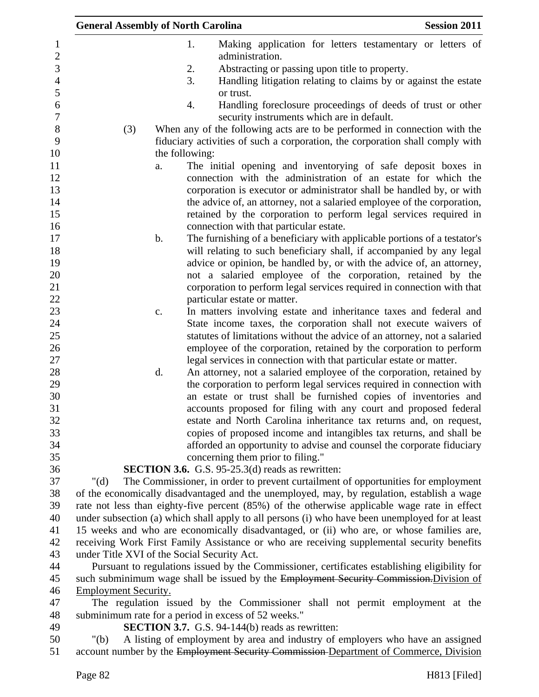| <b>General Assembly of North Carolina</b>            |                |                                                                                                                                                            | <b>Session 2011</b> |
|------------------------------------------------------|----------------|------------------------------------------------------------------------------------------------------------------------------------------------------------|---------------------|
|                                                      | 1.             | Making application for letters testamentary or letters of<br>administration.                                                                               |                     |
|                                                      | 2.             | Abstracting or passing upon title to property.                                                                                                             |                     |
|                                                      | 3.             | Handling litigation relating to claims by or against the estate                                                                                            |                     |
|                                                      | 4.             | or trust.<br>Handling foreclosure proceedings of deeds of trust or other                                                                                   |                     |
|                                                      |                | security instruments which are in default.                                                                                                                 |                     |
| (3)                                                  |                | When any of the following acts are to be performed in connection with the<br>fiduciary activities of such a corporation, the corporation shall comply with |                     |
|                                                      | the following: |                                                                                                                                                            |                     |
| a.                                                   |                | The initial opening and inventorying of safe deposit boxes in                                                                                              |                     |
|                                                      |                | connection with the administration of an estate for which the                                                                                              |                     |
|                                                      |                | corporation is executor or administrator shall be handled by, or with<br>the advice of, an attorney, not a salaried employee of the corporation,           |                     |
|                                                      |                | retained by the corporation to perform legal services required in<br>connection with that particular estate.                                               |                     |
| b.                                                   |                | The furnishing of a beneficiary with applicable portions of a testator's                                                                                   |                     |
|                                                      |                | will relating to such beneficiary shall, if accompanied by any legal                                                                                       |                     |
|                                                      |                | advice or opinion, be handled by, or with the advice of, an attorney,                                                                                      |                     |
|                                                      |                | not a salaried employee of the corporation, retained by the                                                                                                |                     |
|                                                      |                | corporation to perform legal services required in connection with that                                                                                     |                     |
|                                                      |                | particular estate or matter.                                                                                                                               |                     |
| c.                                                   |                | In matters involving estate and inheritance taxes and federal and                                                                                          |                     |
|                                                      |                | State income taxes, the corporation shall not execute waivers of                                                                                           |                     |
|                                                      |                | statutes of limitations without the advice of an attorney, not a salaried<br>employee of the corporation, retained by the corporation to perform           |                     |
|                                                      |                | legal services in connection with that particular estate or matter.                                                                                        |                     |
| d.                                                   |                | An attorney, not a salaried employee of the corporation, retained by                                                                                       |                     |
|                                                      |                | the corporation to perform legal services required in connection with                                                                                      |                     |
|                                                      |                | an estate or trust shall be furnished copies of inventories and                                                                                            |                     |
|                                                      |                | accounts proposed for filing with any court and proposed federal                                                                                           |                     |
|                                                      |                | estate and North Carolina inheritance tax returns and, on request,                                                                                         |                     |
|                                                      |                | copies of proposed income and intangibles tax returns, and shall be                                                                                        |                     |
|                                                      |                | afforded an opportunity to advise and counsel the corporate fiduciary                                                                                      |                     |
|                                                      |                | concerning them prior to filing."                                                                                                                          |                     |
|                                                      |                | <b>SECTION 3.6.</b> G.S. $95-25.3(d)$ reads as rewritten:                                                                                                  |                     |
| " $(d)$                                              |                | The Commissioner, in order to prevent curtailment of opportunities for employment                                                                          |                     |
|                                                      |                | of the economically disadvantaged and the unemployed, may, by regulation, establish a wage                                                                 |                     |
|                                                      |                | rate not less than eighty-five percent (85%) of the otherwise applicable wage rate in effect                                                               |                     |
|                                                      |                | under subsection (a) which shall apply to all persons (i) who have been unemployed for at least                                                            |                     |
|                                                      |                | 15 weeks and who are economically disadvantaged, or (ii) who are, or whose families are,                                                                   |                     |
|                                                      |                | receiving Work First Family Assistance or who are receiving supplemental security benefits                                                                 |                     |
| under Title XVI of the Social Security Act.          |                |                                                                                                                                                            |                     |
|                                                      |                | Pursuant to regulations issued by the Commissioner, certificates establishing eligibility for                                                              |                     |
|                                                      |                | such subminimum wage shall be issued by the Employment Security Commission. Division of                                                                    |                     |
| <b>Employment Security.</b>                          |                |                                                                                                                                                            |                     |
| subminimum rate for a period in excess of 52 weeks." |                | The regulation issued by the Commissioner shall not permit employment at the                                                                               |                     |
|                                                      |                | <b>SECTION 3.7.</b> G.S. 94-144(b) reads as rewritten:                                                                                                     |                     |
| " $(b)$                                              |                | A listing of employment by area and industry of employers who have an assigned                                                                             |                     |
|                                                      |                | account number by the Employment Security Commission-Department of Commerce, Division                                                                      |                     |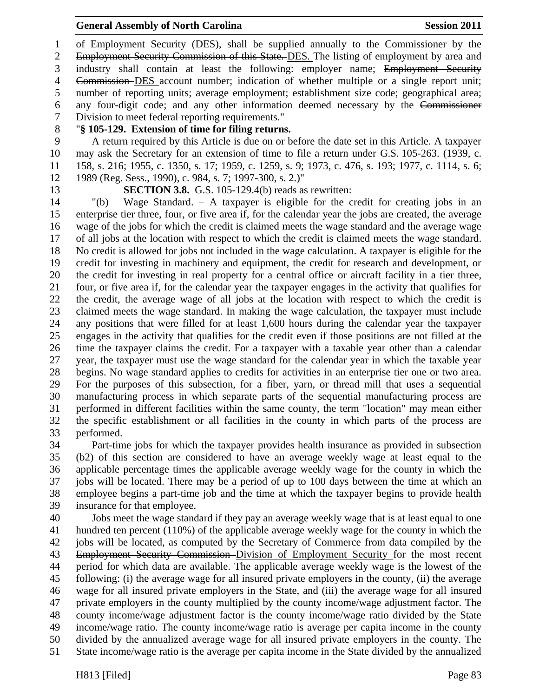of Employment Security (DES), shall be supplied annually to the Commissioner by the 2 Employment Security Commission of this State. DES. The listing of employment by area and industry shall contain at least the following: employer name; Employment Security Commission DES account number; indication of whether multiple or a single report unit; number of reporting units; average employment; establishment size code; geographical area; any four-digit code; and any other information deemed necessary by the Commissioner Division to meet federal reporting requirements."

# "**§ 105-129. Extension of time for filing returns.**

 A return required by this Article is due on or before the date set in this Article. A taxpayer may ask the Secretary for an extension of time to file a return under G.S. 105-263. (1939, c. 158, s. 216; 1955, c. 1350, s. 17; 1959, c. 1259, s. 9; 1973, c. 476, s. 193; 1977, c. 1114, s. 6; 1989 (Reg. Sess., 1990), c. 984, s. 7; 1997-300, s. 2.)"

# **SECTION 3.8.** G.S. 105-129.4(b) reads as rewritten:

 "(b) Wage Standard. – A taxpayer is eligible for the credit for creating jobs in an enterprise tier three, four, or five area if, for the calendar year the jobs are created, the average wage of the jobs for which the credit is claimed meets the wage standard and the average wage of all jobs at the location with respect to which the credit is claimed meets the wage standard. No credit is allowed for jobs not included in the wage calculation. A taxpayer is eligible for the credit for investing in machinery and equipment, the credit for research and development, or the credit for investing in real property for a central office or aircraft facility in a tier three, four, or five area if, for the calendar year the taxpayer engages in the activity that qualifies for the credit, the average wage of all jobs at the location with respect to which the credit is claimed meets the wage standard. In making the wage calculation, the taxpayer must include any positions that were filled for at least 1,600 hours during the calendar year the taxpayer engages in the activity that qualifies for the credit even if those positions are not filled at the time the taxpayer claims the credit. For a taxpayer with a taxable year other than a calendar year, the taxpayer must use the wage standard for the calendar year in which the taxable year begins. No wage standard applies to credits for activities in an enterprise tier one or two area. For the purposes of this subsection, for a fiber, yarn, or thread mill that uses a sequential manufacturing process in which separate parts of the sequential manufacturing process are performed in different facilities within the same county, the term "location" may mean either the specific establishment or all facilities in the county in which parts of the process are performed.

 Part-time jobs for which the taxpayer provides health insurance as provided in subsection (b2) of this section are considered to have an average weekly wage at least equal to the applicable percentage times the applicable average weekly wage for the county in which the jobs will be located. There may be a period of up to 100 days between the time at which an employee begins a part-time job and the time at which the taxpayer begins to provide health insurance for that employee.

 Jobs meet the wage standard if they pay an average weekly wage that is at least equal to one hundred ten percent (110%) of the applicable average weekly wage for the county in which the jobs will be located, as computed by the Secretary of Commerce from data compiled by the Employment Security Commission Division of Employment Security for the most recent period for which data are available. The applicable average weekly wage is the lowest of the following: (i) the average wage for all insured private employers in the county, (ii) the average wage for all insured private employers in the State, and (iii) the average wage for all insured private employers in the county multiplied by the county income/wage adjustment factor. The county income/wage adjustment factor is the county income/wage ratio divided by the State income/wage ratio. The county income/wage ratio is average per capita income in the county divided by the annualized average wage for all insured private employers in the county. The State income/wage ratio is the average per capita income in the State divided by the annualized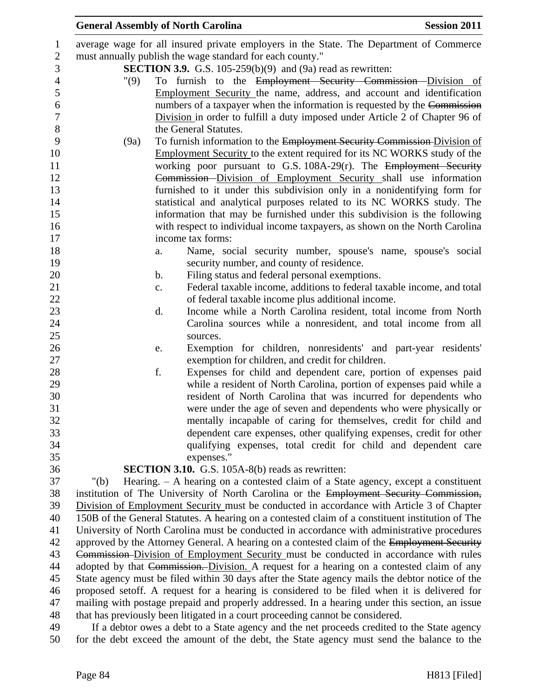|                |         | <b>Session 2011</b><br><b>General Assembly of North Carolina</b>                                 |  |
|----------------|---------|--------------------------------------------------------------------------------------------------|--|
| $\mathbf{1}$   |         | average wage for all insured private employers in the State. The Department of Commerce          |  |
| $\mathbf{2}$   |         | must annually publish the wage standard for each county."                                        |  |
| 3              |         | <b>SECTION 3.9.</b> G.S. $105-259(b)(9)$ and $(9a)$ read as rewritten:                           |  |
| $\overline{4}$ | "(9)    | To furnish to the Employment Security Commission Division of                                     |  |
| $\mathfrak s$  |         | Employment Security the name, address, and account and identification                            |  |
| 6              |         | numbers of a taxpayer when the information is requested by the Commission                        |  |
| $\tau$         |         | Division in order to fulfill a duty imposed under Article 2 of Chapter 96 of                     |  |
| $8\phantom{1}$ |         | the General Statutes.                                                                            |  |
| 9              |         |                                                                                                  |  |
|                | (9a)    | To furnish information to the Employment Security Commission Division of                         |  |
| 10             |         | <b>Employment Security to the extent required for its NC WORKS study of the</b>                  |  |
| 11             |         | working poor pursuant to G.S. 108A-29(r). The Employment Security                                |  |
| 12             |         | Commission-Division of Employment Security shall use information                                 |  |
| 13             |         | furnished to it under this subdivision only in a nonidentifying form for                         |  |
| 14             |         | statistical and analytical purposes related to its NC WORKS study. The                           |  |
| 15             |         | information that may be furnished under this subdivision is the following                        |  |
| 16             |         | with respect to individual income taxpayers, as shown on the North Carolina                      |  |
| 17             |         | income tax forms:                                                                                |  |
| 18             |         | Name, social security number, spouse's name, spouse's social<br>a.                               |  |
| 19             |         | security number, and county of residence.                                                        |  |
| 20             |         | Filing status and federal personal exemptions.<br>$\mathbf b$ .                                  |  |
| 21             |         | Federal taxable income, additions to federal taxable income, and total<br>$C_{\bullet}$          |  |
| 22             |         | of federal taxable income plus additional income.                                                |  |
| 23             |         | d.<br>Income while a North Carolina resident, total income from North                            |  |
| 24             |         | Carolina sources while a nonresident, and total income from all                                  |  |
| 25             |         | sources.                                                                                         |  |
| 26             |         | Exemption for children, nonresidents' and part-year residents'<br>e.                             |  |
| 27             |         | exemption for children, and credit for children.                                                 |  |
| 28             |         | f.<br>Expenses for child and dependent care, portion of expenses paid                            |  |
| 29             |         | while a resident of North Carolina, portion of expenses paid while a                             |  |
| 30             |         | resident of North Carolina that was incurred for dependents who                                  |  |
| 31             |         | were under the age of seven and dependents who were physically or                                |  |
| 32             |         | mentally incapable of caring for themselves, credit for child and                                |  |
| 33             |         | dependent care expenses, other qualifying expenses, credit for other                             |  |
| 34             |         | qualifying expenses, total credit for child and dependent care                                   |  |
| 35             |         | expenses."                                                                                       |  |
| 36             |         | SECTION 3.10. G.S. 105A-8(b) reads as rewritten:                                                 |  |
| 37             | " $(b)$ | Hearing. $-$ A hearing on a contested claim of a State agency, except a constituent              |  |
| 38             |         | institution of The University of North Carolina or the Employment Security Commission,           |  |
| 39             |         | Division of Employment Security must be conducted in accordance with Article 3 of Chapter        |  |
| 40             |         | 150B of the General Statutes. A hearing on a contested claim of a constituent institution of The |  |
| 41             |         | University of North Carolina must be conducted in accordance with administrative procedures      |  |
| 42             |         | approved by the Attorney General. A hearing on a contested claim of the Employment Security      |  |
| 43             |         | Commission-Division of Employment Security must be conducted in accordance with rules            |  |
| 44             |         | adopted by that Commission. Division. A request for a hearing on a contested claim of any        |  |
| 45             |         | State agency must be filed within 30 days after the State agency mails the debtor notice of the  |  |
| 46             |         | proposed setoff. A request for a hearing is considered to be filed when it is delivered for      |  |
| 47             |         | mailing with postage prepaid and properly addressed. In a hearing under this section, an issue   |  |
| 48             |         | that has previously been litigated in a court proceeding cannot be considered.                   |  |
| 49             |         | If a debtor owes a debt to a State agency and the net proceeds credited to the State agency      |  |
|                |         |                                                                                                  |  |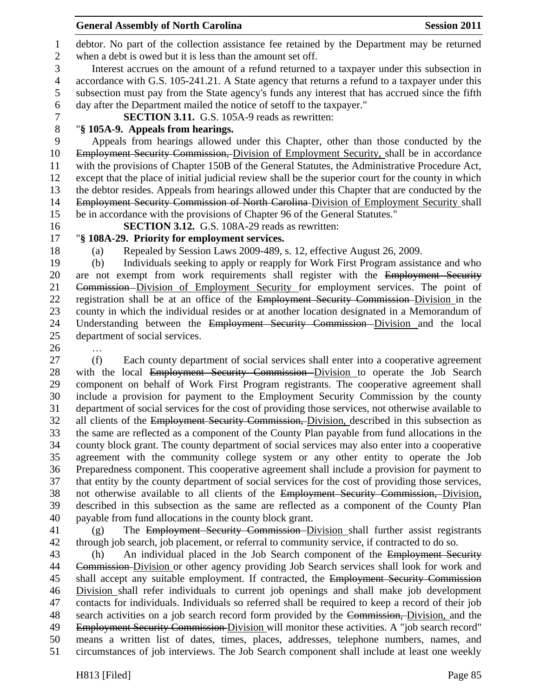debtor. No part of the collection assistance fee retained by the Department may be returned when a debt is owed but it is less than the amount set off. Interest accrues on the amount of a refund returned to a taxpayer under this subsection in accordance with G.S. 105-241.21. A State agency that returns a refund to a taxpayer under this

 subsection must pay from the State agency's funds any interest that has accrued since the fifth day after the Department mailed the notice of setoff to the taxpayer."

**SECTION 3.11.** G.S. 105A-9 reads as rewritten:

# "**§ 105A-9. Appeals from hearings.**

 Appeals from hearings allowed under this Chapter, other than those conducted by the 10 Employment Security Commission, Division of Employment Security, shall be in accordance with the provisions of Chapter 150B of the General Statutes, the Administrative Procedure Act, except that the place of initial judicial review shall be the superior court for the county in which the debtor resides. Appeals from hearings allowed under this Chapter that are conducted by the 14 Employment Security Commission of North Carolina-Division of Employment Security shall be in accordance with the provisions of Chapter 96 of the General Statutes."

### **SECTION 3.12.** G.S. 108A-29 reads as rewritten:

# "**§ 108A-29. Priority for employment services.**

(a) Repealed by Session Laws 2009-489, s. 12, effective August 26, 2009.

 (b) Individuals seeking to apply or reapply for Work First Program assistance and who 20 are not exempt from work requirements shall register with the Employment Security Commission Division of Employment Security for employment services. The point of 22 registration shall be at an office of the Employment Security Commission-Division in the county in which the individual resides or at another location designated in a Memorandum of Understanding between the Employment Security Commission Division and the local department of social services.

…

 (f) Each county department of social services shall enter into a cooperative agreement 28 with the local Employment Security Commission–Division to operate the Job Search component on behalf of Work First Program registrants. The cooperative agreement shall include a provision for payment to the Employment Security Commission by the county department of social services for the cost of providing those services, not otherwise available to 32 all clients of the Employment Security Commission, Division, described in this subsection as the same are reflected as a component of the County Plan payable from fund allocations in the county block grant. The county department of social services may also enter into a cooperative agreement with the community college system or any other entity to operate the Job Preparedness component. This cooperative agreement shall include a provision for payment to that entity by the county department of social services for the cost of providing those services, not otherwise available to all clients of the Employment Security Commission, Division, described in this subsection as the same are reflected as a component of the County Plan payable from fund allocations in the county block grant.

 (g) The Employment Security Commission Division shall further assist registrants through job search, job placement, or referral to community service, if contracted to do so.

 (h) An individual placed in the Job Search component of the Employment Security Commission Division or other agency providing Job Search services shall look for work and 45 shall accept any suitable employment. If contracted, the Employment Security Commission Division shall refer individuals to current job openings and shall make job development contacts for individuals. Individuals so referred shall be required to keep a record of their job 48 search activities on a job search record form provided by the Commission, Division, and the Employment Security Commission Division will monitor these activities. A "job search record" means a written list of dates, times, places, addresses, telephone numbers, names, and circumstances of job interviews. The Job Search component shall include at least one weekly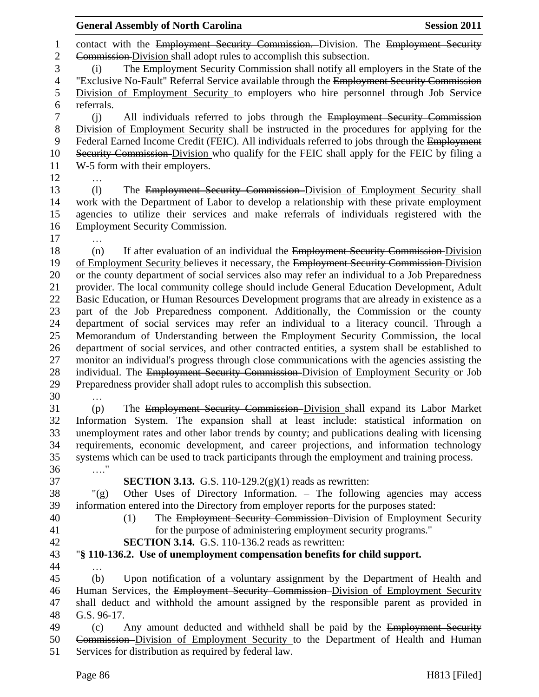|                | <b>General Assembly of North Carolina</b>                                                                                                                                   | <b>Session 2011</b> |
|----------------|-----------------------------------------------------------------------------------------------------------------------------------------------------------------------------|---------------------|
| $\mathbf{1}$   | contact with the Employment Security Commission. Division. The Employment Security                                                                                          |                     |
| $\overline{c}$ | Commission-Division shall adopt rules to accomplish this subsection.                                                                                                        |                     |
| 3              | The Employment Security Commission shall notify all employers in the State of the<br>(i)                                                                                    |                     |
| $\overline{4}$ | "Exclusive No-Fault" Referral Service available through the Employment Security Commission                                                                                  |                     |
| 5              | Division of Employment Security to employers who hire personnel through Job Service                                                                                         |                     |
| 6              | referrals.                                                                                                                                                                  |                     |
| 7              | All individuals referred to jobs through the Employment Security Commission<br>(i)                                                                                          |                     |
| $8\,$          | Division of Employment Security shall be instructed in the procedures for applying for the                                                                                  |                     |
| 9              | Federal Earned Income Credit (FEIC). All individuals referred to jobs through the Employment                                                                                |                     |
| 10             | Security Commission Division who qualify for the FEIC shall apply for the FEIC by filing a                                                                                  |                     |
| 11             | W-5 form with their employers.                                                                                                                                              |                     |
| 12             |                                                                                                                                                                             |                     |
| 13             | (1)<br>The Employment Security Commission Division of Employment Security shall                                                                                             |                     |
| 14             | work with the Department of Labor to develop a relationship with these private employment                                                                                   |                     |
| 15             | agencies to utilize their services and make referrals of individuals registered with the                                                                                    |                     |
| 16             | <b>Employment Security Commission.</b>                                                                                                                                      |                     |
| 17             |                                                                                                                                                                             |                     |
| 18             | If after evaluation of an individual the Employment Security Commission Division<br>(n)                                                                                     |                     |
| 19             | of Employment Security believes it necessary, the Employment Security Commission-Division                                                                                   |                     |
| 20             | or the county department of social services also may refer an individual to a Job Preparedness                                                                              |                     |
| 21             | provider. The local community college should include General Education Development, Adult                                                                                   |                     |
| 22             | Basic Education, or Human Resources Development programs that are already in existence as a                                                                                 |                     |
| 23             | part of the Job Preparedness component. Additionally, the Commission or the county                                                                                          |                     |
| 24<br>25       | department of social services may refer an individual to a literacy council. Through a<br>Memorandum of Understanding between the Employment Security Commission, the local |                     |
| 26             | department of social services, and other contracted entities, a system shall be established to                                                                              |                     |
| 27             | monitor an individual's progress through close communications with the agencies assisting the                                                                               |                     |
| 28             | individual. The Employment Security Commission-Division of Employment Security or Job                                                                                       |                     |
| 29             | Preparedness provider shall adopt rules to accomplish this subsection.                                                                                                      |                     |
| 30             |                                                                                                                                                                             |                     |
| 31             | The Employment Security Commission-Division shall expand its Labor Market<br>(p)                                                                                            |                     |
| 32             | Information System. The expansion shall at least include: statistical information on                                                                                        |                     |
| 33             | unemployment rates and other labor trends by county; and publications dealing with licensing                                                                                |                     |
| 34             | requirements, economic development, and career projections, and information technology                                                                                      |                     |
| 35             | systems which can be used to track participants through the employment and training process.                                                                                |                     |
| 36             | . '                                                                                                                                                                         |                     |
| 37             | <b>SECTION 3.13.</b> G.S. 110-129.2(g)(1) reads as rewritten:                                                                                                               |                     |
| 38             | Other Uses of Directory Information. - The following agencies may access<br>" $(g)$                                                                                         |                     |
| 39             | information entered into the Directory from employer reports for the purposes stated:                                                                                       |                     |
| 40             | The Employment Security Commission-Division of Employment Security<br>(1)                                                                                                   |                     |
| 41             | for the purpose of administering employment security programs."                                                                                                             |                     |
| 42             | <b>SECTION 3.14.</b> G.S. 110-136.2 reads as rewritten:                                                                                                                     |                     |
| 43<br>44       | "§ 110-136.2. Use of unemployment compensation benefits for child support.                                                                                                  |                     |
| 45             | Upon notification of a voluntary assignment by the Department of Health and<br>(b)                                                                                          |                     |
| 46             | Human Services, the Employment Security Commission Division of Employment Security                                                                                          |                     |
| 47             | shall deduct and withhold the amount assigned by the responsible parent as provided in                                                                                      |                     |
| 48             | G.S. 96-17.                                                                                                                                                                 |                     |
| 49             | Any amount deducted and withheld shall be paid by the Employment Security<br>(c)                                                                                            |                     |
| 50             | Commission-Division of Employment Security to the Department of Health and Human                                                                                            |                     |
| 51             | Services for distribution as required by federal law.                                                                                                                       |                     |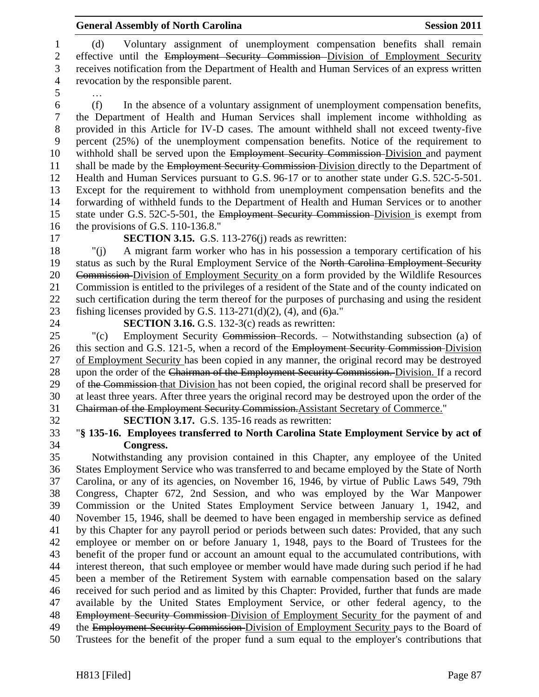(d) Voluntary assignment of unemployment compensation benefits shall remain 2 effective until the Employment Security Commission–Division of Employment Security receives notification from the Department of Health and Human Services of an express written revocation by the responsible parent.

…

 (f) In the absence of a voluntary assignment of unemployment compensation benefits, the Department of Health and Human Services shall implement income withholding as provided in this Article for IV-D cases. The amount withheld shall not exceed twenty-five percent (25%) of the unemployment compensation benefits. Notice of the requirement to 10 withhold shall be served upon the Employment Security Commission-Division and payment 11 shall be made by the Employment Security Commission-Division directly to the Department of Health and Human Services pursuant to G.S. 96-17 or to another state under G.S. 52C-5-501. Except for the requirement to withhold from unemployment compensation benefits and the forwarding of withheld funds to the Department of Health and Human Services or to another 15 state under G.S. 52C-5-501, the Employment Security Commission-Division is exempt from the provisions of G.S. 110-136.8."

**SECTION 3.15.** G.S. 113-276(j) reads as rewritten:

 "(j) A migrant farm worker who has in his possession a temporary certification of his 19 status as such by the Rural Employment Service of the North Carolina Employment Security 20 Commission-Division of Employment Security on a form provided by the Wildlife Resources Commission is entitled to the privileges of a resident of the State and of the county indicated on such certification during the term thereof for the purposes of purchasing and using the resident fishing licenses provided by G.S. 113-271(d)(2), (4), and (6)a."

**SECTION 3.16.** G.S. 132-3(c) reads as rewritten:

 "(c) Employment Security Commission Records. – Notwithstanding subsection (a) of 26 this section and G.S. 121-5, when a record of the Employment Security Commission-Division of Employment Security has been copied in any manner, the original record may be destroyed 28 upon the order of the Chairman of the Employment Security Commission. Division. If a record 29 of the Commission-that Division has not been copied, the original record shall be preserved for at least three years. After three years the original record may be destroyed upon the order of the Chairman of the Employment Security Commission.Assistant Secretary of Commerce."

**SECTION 3.17.** G.S. 135-16 reads as rewritten:

### "**§ 135-16. Employees transferred to North Carolina State Employment Service by act of Congress.**

 Notwithstanding any provision contained in this Chapter, any employee of the United States Employment Service who was transferred to and became employed by the State of North Carolina, or any of its agencies, on November 16, 1946, by virtue of Public Laws 549, 79th Congress, Chapter 672, 2nd Session, and who was employed by the War Manpower Commission or the United States Employment Service between January 1, 1942, and November 15, 1946, shall be deemed to have been engaged in membership service as defined by this Chapter for any payroll period or periods between such dates: Provided, that any such employee or member on or before January 1, 1948, pays to the Board of Trustees for the benefit of the proper fund or account an amount equal to the accumulated contributions, with interest thereon, that such employee or member would have made during such period if he had been a member of the Retirement System with earnable compensation based on the salary received for such period and as limited by this Chapter: Provided, further that funds are made available by the United States Employment Service, or other federal agency, to the Employment Security Commission Division of Employment Security for the payment of and 49 the Employment Security Commission-Division of Employment Security pays to the Board of Trustees for the benefit of the proper fund a sum equal to the employer's contributions that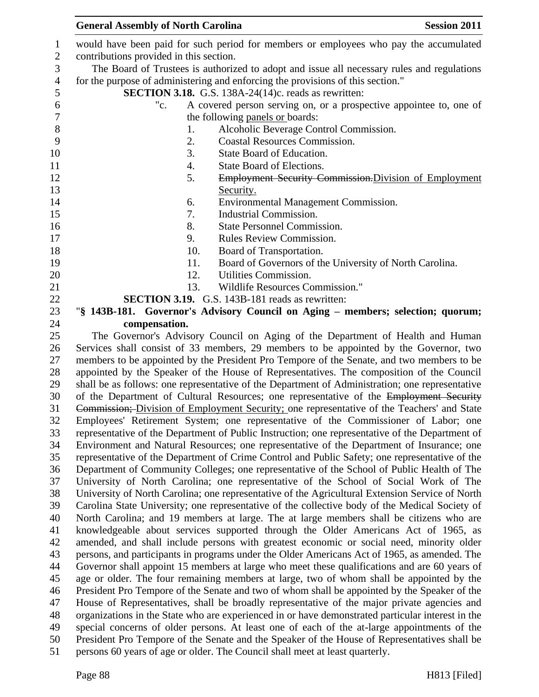| $\mathbf{1}$     |                                         | would have been paid for such period for members or employees who pay the accumulated                                                                                                        |
|------------------|-----------------------------------------|----------------------------------------------------------------------------------------------------------------------------------------------------------------------------------------------|
| 2                | contributions provided in this section. |                                                                                                                                                                                              |
| 3                |                                         | The Board of Trustees is authorized to adopt and issue all necessary rules and regulations                                                                                                   |
| $\overline{4}$   |                                         | for the purpose of administering and enforcing the provisions of this section."                                                                                                              |
| 5                |                                         | SECTION 3.18. G.S. 138A-24(14)c. reads as rewritten:                                                                                                                                         |
| 6                | "c.                                     | A covered person serving on, or a prospective appointee to, one of                                                                                                                           |
| $\boldsymbol{7}$ |                                         | the following panels or boards:                                                                                                                                                              |
| 8                | 1.                                      | Alcoholic Beverage Control Commission.                                                                                                                                                       |
| 9                | 2.                                      | <b>Coastal Resources Commission.</b>                                                                                                                                                         |
| 10               | 3.                                      | State Board of Education.                                                                                                                                                                    |
| 11               | 4.                                      | State Board of Elections.                                                                                                                                                                    |
| 12               | 5.                                      | Employment Security Commission. Division of Employment                                                                                                                                       |
| 13               |                                         | Security.                                                                                                                                                                                    |
| 14               | 6.                                      | Environmental Management Commission.                                                                                                                                                         |
| 15               | 7.                                      | <b>Industrial Commission.</b>                                                                                                                                                                |
| 16               | 8.                                      | <b>State Personnel Commission.</b>                                                                                                                                                           |
| 17               | 9.                                      | Rules Review Commission.                                                                                                                                                                     |
| 18               | 10.                                     | Board of Transportation.                                                                                                                                                                     |
| 19               | 11.                                     | Board of Governors of the University of North Carolina.                                                                                                                                      |
| 20               | 12.                                     | Utilities Commission.                                                                                                                                                                        |
| 21               | 13.                                     | Wildlife Resources Commission."                                                                                                                                                              |
| 22               |                                         | <b>SECTION 3.19.</b> G.S. 143B-181 reads as rewritten:                                                                                                                                       |
| 23               |                                         | "§ 143B-181. Governor's Advisory Council on Aging - members; selection; quorum;                                                                                                              |
| 24               | compensation.                           |                                                                                                                                                                                              |
| 25               |                                         | The Governor's Advisory Council on Aging of the Department of Health and Human                                                                                                               |
| 26               |                                         | Services shall consist of 33 members, 29 members to be appointed by the Governor, two                                                                                                        |
| 27               |                                         | members to be appointed by the President Pro Tempore of the Senate, and two members to be                                                                                                    |
| 28               |                                         | appointed by the Speaker of the House of Representatives. The composition of the Council                                                                                                     |
| 29               |                                         | shall be as follows: one representative of the Department of Administration; one representative                                                                                              |
| 30               |                                         | of the Department of Cultural Resources; one representative of the Employment Security                                                                                                       |
| 31               |                                         | Commission; Division of Employment Security; one representative of the Teachers' and State                                                                                                   |
| 32               |                                         | Employees' Retirement System; one representative of the Commissioner of Labor; one                                                                                                           |
| 33<br>34         |                                         | representative of the Department of Public Instruction; one representative of the Department of<br>Environment and Natural Resources; one representative of the Department of Insurance; one |
| 35               |                                         | representative of the Department of Crime Control and Public Safety; one representative of the                                                                                               |
| 36               |                                         | Department of Community Colleges; one representative of the School of Public Health of The                                                                                                   |
| 37               |                                         | University of North Carolina; one representative of the School of Social Work of The                                                                                                         |
| 38               |                                         | University of North Carolina; one representative of the Agricultural Extension Service of North                                                                                              |
| 39               |                                         | Carolina State University; one representative of the collective body of the Medical Society of                                                                                               |
| 40               |                                         | North Carolina; and 19 members at large. The at large members shall be citizens who are                                                                                                      |
| 41               |                                         | knowledgeable about services supported through the Older Americans Act of 1965, as                                                                                                           |
| 42               |                                         | amended, and shall include persons with greatest economic or social need, minority older                                                                                                     |
| 43               |                                         | persons, and participants in programs under the Older Americans Act of 1965, as amended. The                                                                                                 |
| 44               |                                         | Governor shall appoint 15 members at large who meet these qualifications and are 60 years of                                                                                                 |
| 45               |                                         | age or older. The four remaining members at large, two of whom shall be appointed by the                                                                                                     |
| 46               |                                         | President Pro Tempore of the Senate and two of whom shall be appointed by the Speaker of the                                                                                                 |
| 47               |                                         | House of Representatives, shall be broadly representative of the major private agencies and                                                                                                  |
| 48               |                                         | organizations in the State who are experienced in or have demonstrated particular interest in the                                                                                            |
| 49               |                                         | special concerns of older persons. At least one of each of the at-large appointments of the                                                                                                  |
| 50               |                                         | President Pro Tempore of the Senate and the Speaker of the House of Representatives shall be                                                                                                 |
| 51               |                                         | persons 60 years of age or older. The Council shall meet at least quarterly.                                                                                                                 |
|                  |                                         |                                                                                                                                                                                              |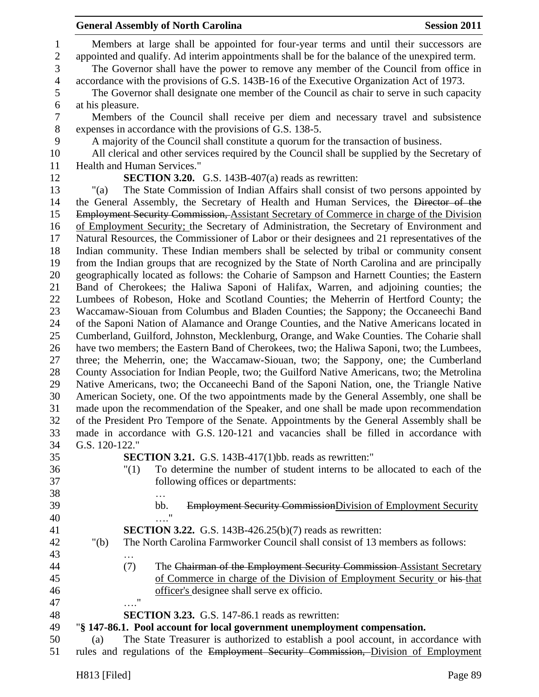Members at large shall be appointed for four-year terms and until their successors are appointed and qualify. Ad interim appointments shall be for the balance of the unexpired term. The Governor shall have the power to remove any member of the Council from office in accordance with the provisions of G.S. 143B-16 of the Executive Organization Act of 1973. The Governor shall designate one member of the Council as chair to serve in such capacity at his pleasure. Members of the Council shall receive per diem and necessary travel and subsistence expenses in accordance with the provisions of G.S. 138-5. A majority of the Council shall constitute a quorum for the transaction of business. All clerical and other services required by the Council shall be supplied by the Secretary of 11 Health and Human Services." **SECTION 3.20.** G.S. 143B-407(a) reads as rewritten: "(a) The State Commission of Indian Affairs shall consist of two persons appointed by the General Assembly, the Secretary of Health and Human Services, the Director of the 15 Employment Security Commission, Assistant Secretary of Commerce in charge of the Division of Employment Security; the Secretary of Administration, the Secretary of Environment and Natural Resources, the Commissioner of Labor or their designees and 21 representatives of the Indian community. These Indian members shall be selected by tribal or community consent from the Indian groups that are recognized by the State of North Carolina and are principally geographically located as follows: the Coharie of Sampson and Harnett Counties; the Eastern Band of Cherokees; the Haliwa Saponi of Halifax, Warren, and adjoining counties; the Lumbees of Robeson, Hoke and Scotland Counties; the Meherrin of Hertford County; the Waccamaw-Siouan from Columbus and Bladen Counties; the Sappony; the Occaneechi Band of the Saponi Nation of Alamance and Orange Counties, and the Native Americans located in Cumberland, Guilford, Johnston, Mecklenburg, Orange, and Wake Counties. The Coharie shall have two members; the Eastern Band of Cherokees, two; the Haliwa Saponi, two; the Lumbees, three; the Meherrin, one; the Waccamaw-Siouan, two; the Sappony, one; the Cumberland County Association for Indian People, two; the Guilford Native Americans, two; the Metrolina Native Americans, two; the Occaneechi Band of the Saponi Nation, one, the Triangle Native American Society, one. Of the two appointments made by the General Assembly, one shall be made upon the recommendation of the Speaker, and one shall be made upon recommendation of the President Pro Tempore of the Senate. Appointments by the General Assembly shall be made in accordance with G.S. 120-121 and vacancies shall be filled in accordance with G.S. 120-122." **SECTION 3.21.** G.S. 143B-417(1)bb. reads as rewritten:" "(1) To determine the number of student interns to be allocated to each of the following offices or departments: … 39 bb. Employment Security CommissionDivision of Employment Security …." **SECTION 3.22.** G.S. 143B-426.25(b)(7) reads as rewritten: "(b) The North Carolina Farmworker Council shall consist of 13 members as follows: … (7) The Chairman of the Employment Security Commission Assistant Secretary of Commerce in charge of the Division of Employment Security or his that officer's designee shall serve ex officio. …." **SECTION 3.23.** G.S. 147-86.1 reads as rewritten: "**§ 147-86.1. Pool account for local government unemployment compensation.** (a) The State Treasurer is authorized to establish a pool account, in accordance with rules and regulations of the Employment Security Commission, Division of Employment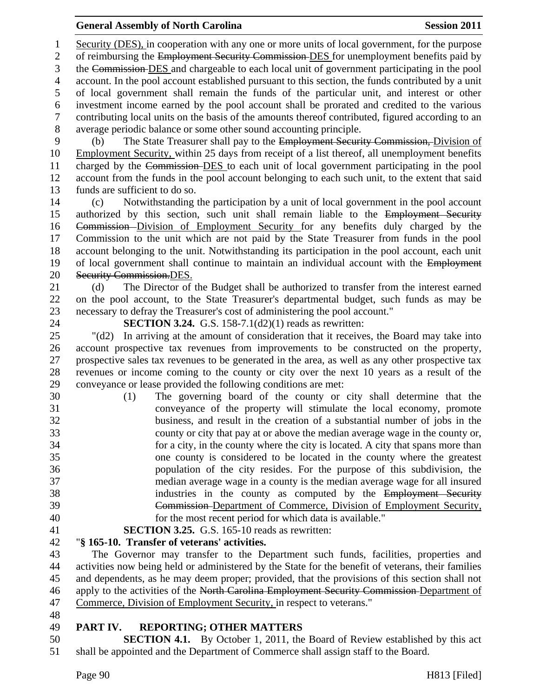Security (DES), in cooperation with any one or more units of local government, for the purpose 2 of reimbursing the Employment Security Commission-DES for unemployment benefits paid by the Commission DES and chargeable to each local unit of government participating in the pool account. In the pool account established pursuant to this section, the funds contributed by a unit of local government shall remain the funds of the particular unit, and interest or other investment income earned by the pool account shall be prorated and credited to the various contributing local units on the basis of the amounts thereof contributed, figured according to an average periodic balance or some other sound accounting principle. (b) The State Treasurer shall pay to the Employment Security Commission, Division of 10 Employment Security, within 25 days from receipt of a list thereof, all unemployment benefits charged by the Commission DES to each unit of local government participating in the pool account from the funds in the pool account belonging to each such unit, to the extent that said funds are sufficient to do so. (c) Notwithstanding the participation by a unit of local government in the pool account 15 authorized by this section, such unit shall remain liable to the Employment Security Commission Division of Employment Security for any benefits duly charged by the Commission to the unit which are not paid by the State Treasurer from funds in the pool account belonging to the unit. Notwithstanding its participation in the pool account, each unit 19 of local government shall continue to maintain an individual account with the Employment Security Commission.DES. (d) The Director of the Budget shall be authorized to transfer from the interest earned on the pool account, to the State Treasurer's departmental budget, such funds as may be necessary to defray the Treasurer's cost of administering the pool account." **SECTION 3.24.** G.S. 158-7.1(d2)(1) reads as rewritten: "(d2) In arriving at the amount of consideration that it receives, the Board may take into account prospective tax revenues from improvements to be constructed on the property, prospective sales tax revenues to be generated in the area, as well as any other prospective tax revenues or income coming to the county or city over the next 10 years as a result of the conveyance or lease provided the following conditions are met: (1) The governing board of the county or city shall determine that the conveyance of the property will stimulate the local economy, promote business, and result in the creation of a substantial number of jobs in the county or city that pay at or above the median average wage in the county or, for a city, in the county where the city is located. A city that spans more than one county is considered to be located in the county where the greatest population of the city resides. For the purpose of this subdivision, the median average wage in a county is the median average wage for all insured industries in the county as computed by the Employment Security Commission Department of Commerce, Division of Employment Security, for the most recent period for which data is available." **SECTION 3.25.** G.S. 165-10 reads as rewritten: "**§ 165-10. Transfer of veterans' activities.** The Governor may transfer to the Department such funds, facilities, properties and activities now being held or administered by the State for the benefit of veterans, their families and dependents, as he may deem proper; provided, that the provisions of this section shall not 46 apply to the activities of the North Carolina Employment Security Commission-Department of Commerce, Division of Employment Security, in respect to veterans." **PART IV. REPORTING; OTHER MATTERS SECTION 4.1.** By October 1, 2011, the Board of Review established by this act

shall be appointed and the Department of Commerce shall assign staff to the Board.